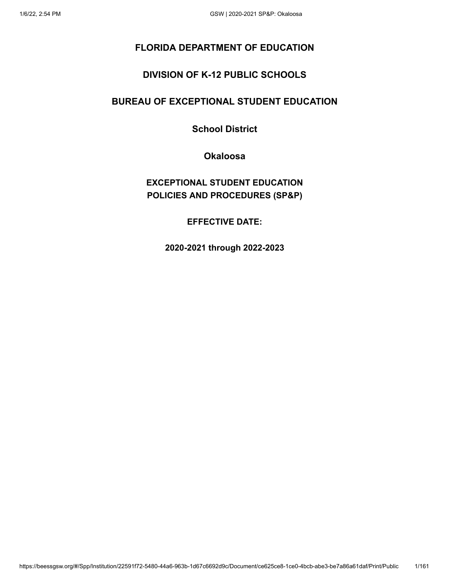# **FLORIDA DEPARTMENT OF EDUCATION**

# **DIVISION OF K-12 PUBLIC SCHOOLS**

# **BUREAU OF EXCEPTIONAL STUDENT EDUCATION**

**School District**

**Okaloosa**

**EXCEPTIONAL STUDENT EDUCATION POLICIES AND PROCEDURES (SP&P)**

**EFFECTIVE DATE:**

**2020-2021 through 2022-2023**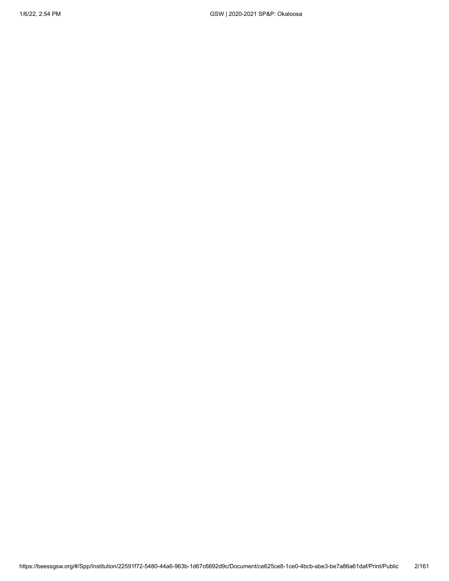1/6/22, 2:54 PM GSW | 2020-2021 SP&P: Okaloosa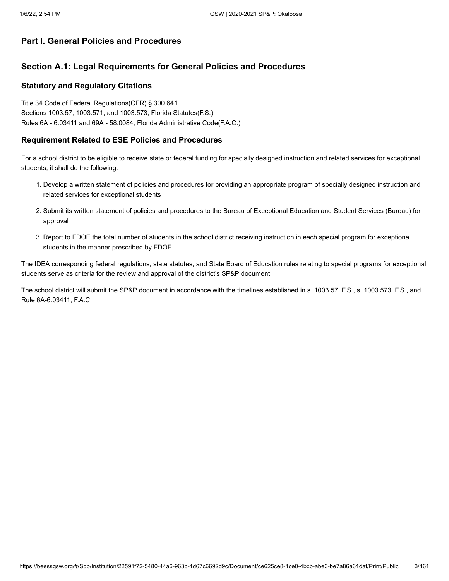# **Part I. General Policies and Procedures**

## **Section A.1: Legal Requirements for General Policies and Procedures**

## **Statutory and Regulatory Citations**

Title 34 Code of Federal Regulations(CFR) § 300.641 Sections 1003.57, 1003.571, and 1003.573, Florida Statutes(F.S.) Rules 6A - 6.03411 and 69A - 58.0084, Florida Administrative Code(F.A.C.)

### **Requirement Related to ESE Policies and Procedures**

For a school district to be eligible to receive state or federal funding for specially designed instruction and related services for exceptional students, it shall do the following:

- 1. Develop a written statement of policies and procedures for providing an appropriate program of specially designed instruction and related services for exceptional students
- 2. Submit its written statement of policies and procedures to the Bureau of Exceptional Education and Student Services (Bureau) for approval
- 3. Report to FDOE the total number of students in the school district receiving instruction in each special program for exceptional students in the manner prescribed by FDOE

The IDEA corresponding federal regulations, state statutes, and State Board of Education rules relating to special programs for exceptional students serve as criteria for the review and approval of the district's SP&P document.

The school district will submit the SP&P document in accordance with the timelines established in s. 1003.57, F.S., s. 1003.573, F.S., and Rule 6A-6.03411, F.A.C.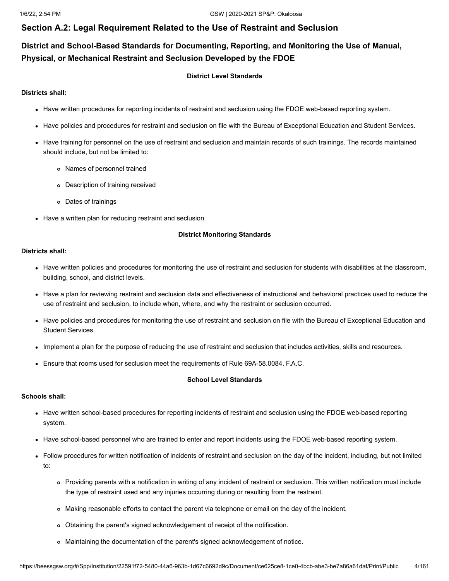## **Section A.2: Legal Requirement Related to the Use of Restraint and Seclusion**

# **District and School-Based Standards for Documenting, Reporting, and Monitoring the Use of Manual, Physical, or Mechanical Restraint and Seclusion Developed by the FDOE**

#### **District Level Standards**

#### **Districts shall:**

- Have written procedures for reporting incidents of restraint and seclusion using the FDOE web-based reporting system.
- Have policies and procedures for restraint and seclusion on file with the Bureau of Exceptional Education and Student Services.
- Have training for personnel on the use of restraint and seclusion and maintain records of such trainings. The records maintained should include, but not be limited to:
	- Names of personnel trained
	- Description of training received
	- Dates of trainings
- Have a written plan for reducing restraint and seclusion

#### **District Monitoring Standards**

#### **Districts shall:**

- Have written policies and procedures for monitoring the use of restraint and seclusion for students with disabilities at the classroom, building, school, and district levels.
- Have a plan for reviewing restraint and seclusion data and effectiveness of instructional and behavioral practices used to reduce the use of restraint and seclusion, to include when, where, and why the restraint or seclusion occurred.
- Have policies and procedures for monitoring the use of restraint and seclusion on file with the Bureau of Exceptional Education and Student Services.
- Implement a plan for the purpose of reducing the use of restraint and seclusion that includes activities, skills and resources.
- Ensure that rooms used for seclusion meet the requirements of Rule 69A-58.0084, F.A.C.

#### **School Level Standards**

#### **Schools shall:**

- Have written school-based procedures for reporting incidents of restraint and seclusion using the FDOE web-based reporting system.
- Have school-based personnel who are trained to enter and report incidents using the FDOE web-based reporting system.
- Follow procedures for written notification of incidents of restraint and seclusion on the day of the incident, including, but not limited to:
	- Providing parents with a notification in writing of any incident of restraint or seclusion. This written notification must include the type of restraint used and any injuries occurring during or resulting from the restraint.
	- Making reasonable efforts to contact the parent via telephone or email on the day of the incident.
	- Obtaining the parent's signed acknowledgement of receipt of the notification.
	- Maintaining the documentation of the parent's signed acknowledgement of notice.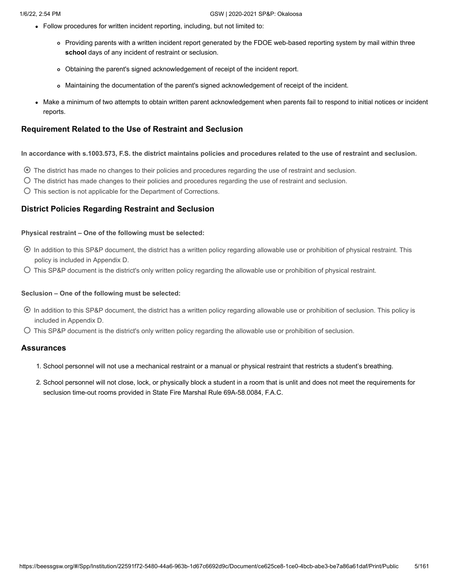- Follow procedures for written incident reporting, including, but not limited to:
	- Providing parents with a written incident report generated by the FDOE web-based reporting system by mail within three **school** days of any incident of restraint or seclusion.
	- Obtaining the parent's signed acknowledgement of receipt of the incident report.
	- Maintaining the documentation of the parent's signed acknowledgement of receipt of the incident.
- Make a minimum of two attempts to obtain written parent acknowledgement when parents fail to respond to initial notices or incident reports.

## **Requirement Related to the Use of Restraint and Seclusion**

#### **In accordance with s.1003.573, F.S. the district maintains policies and procedures related to the use of restraint and seclusion.**

- The district has made no changes to their policies and procedures regarding the use of restraint and seclusion.
- $\bigcirc$  The district has made changes to their policies and procedures regarding the use of restraint and seclusion.
- $\bigcirc$  This section is not applicable for the Department of Corrections.

## **District Policies Regarding Restraint and Seclusion**

#### **Physical restraint – One of the following must be selected:**

- $\odot$  In addition to this SP&P document, the district has a written policy regarding allowable use or prohibition of physical restraint. This policy is included in Appendix D.
- $\bigcirc$  This SP&P document is the district's only written policy regarding the allowable use or prohibition of physical restraint.

#### **Seclusion – One of the following must be selected:**

- In addition to this SP&P document, the district has a written policy regarding allowable use or prohibition of seclusion. This policy is included in Appendix D.
- $\bigcirc$  This SP&P document is the district's only written policy regarding the allowable use or prohibition of seclusion.

## **Assurances**

- 1. School personnel will not use a mechanical restraint or a manual or physical restraint that restricts a student's breathing.
- 2. School personnel will not close, lock, or physically block a student in a room that is unlit and does not meet the requirements for seclusion time-out rooms provided in State Fire Marshal Rule 69A-58.0084, F.A.C.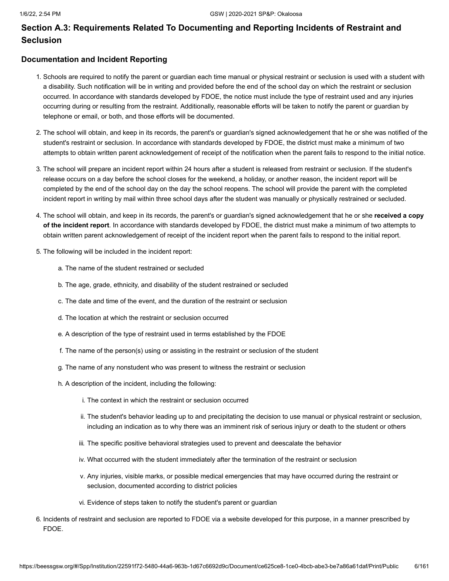# **Section A.3: Requirements Related To Documenting and Reporting Incidents of Restraint and Seclusion**

## **Documentation and Incident Reporting**

- 1. Schools are required to notify the parent or guardian each time manual or physical restraint or seclusion is used with a student with a disability. Such notification will be in writing and provided before the end of the school day on which the restraint or seclusion occurred. In accordance with standards developed by FDOE, the notice must include the type of restraint used and any injuries occurring during or resulting from the restraint. Additionally, reasonable efforts will be taken to notify the parent or guardian by telephone or email, or both, and those efforts will be documented.
- 2. The school will obtain, and keep in its records, the parent's or guardian's signed acknowledgement that he or she was notified of the student's restraint or seclusion. In accordance with standards developed by FDOE, the district must make a minimum of two attempts to obtain written parent acknowledgement of receipt of the notification when the parent fails to respond to the initial notice.
- 3. The school will prepare an incident report within 24 hours after a student is released from restraint or seclusion. If the student's release occurs on a day before the school closes for the weekend, a holiday, or another reason, the incident report will be completed by the end of the school day on the day the school reopens. The school will provide the parent with the completed incident report in writing by mail within three school days after the student was manually or physically restrained or secluded.
- 4. The school will obtain, and keep in its records, the parent's or guardian's signed acknowledgement that he or she **received a copy of the incident report**. In accordance with standards developed by FDOE, the district must make a minimum of two attempts to obtain written parent acknowledgement of receipt of the incident report when the parent fails to respond to the initial report.
- 5. The following will be included in the incident report:
	- a. The name of the student restrained or secluded
	- b. The age, grade, ethnicity, and disability of the student restrained or secluded
	- c. The date and time of the event, and the duration of the restraint or seclusion
	- d. The location at which the restraint or seclusion occurred
	- e. A description of the type of restraint used in terms established by the FDOE
	- f. The name of the person(s) using or assisting in the restraint or seclusion of the student
	- g. The name of any nonstudent who was present to witness the restraint or seclusion
	- h. A description of the incident, including the following:
		- i. The context in which the restraint or seclusion occurred
		- ii. The student's behavior leading up to and precipitating the decision to use manual or physical restraint or seclusion, including an indication as to why there was an imminent risk of serious injury or death to the student or others
		- iii. The specific positive behavioral strategies used to prevent and deescalate the behavior
		- iv. What occurred with the student immediately after the termination of the restraint or seclusion
		- v. Any injuries, visible marks, or possible medical emergencies that may have occurred during the restraint or seclusion, documented according to district policies
		- vi. Evidence of steps taken to notify the student's parent or guardian
- 6. Incidents of restraint and seclusion are reported to FDOE via a website developed for this purpose, in a manner prescribed by FDOE.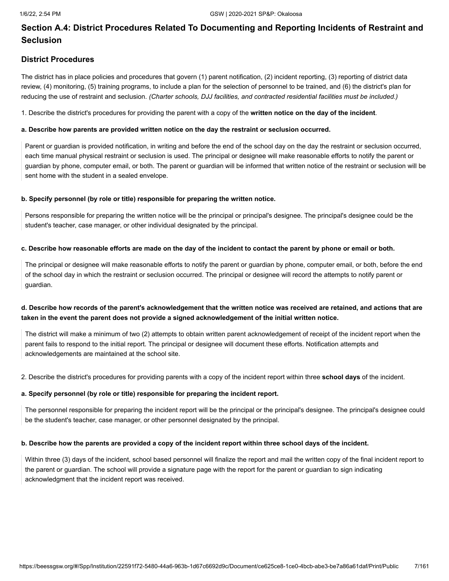# **Section A.4: District Procedures Related To Documenting and Reporting Incidents of Restraint and Seclusion**

## **District Procedures**

The district has in place policies and procedures that govern (1) parent notification, (2) incident reporting, (3) reporting of district data review, (4) monitoring, (5) training programs, to include a plan for the selection of personnel to be trained, and (6) the district's plan for reducing the use of restraint and seclusion. *(Charter schools, DJJ facilities, and contracted residential facilities must be included.)*

1. Describe the district's procedures for providing the parent with a copy of the **written notice on the day of the incident**.

#### **a. Describe how parents are provided written notice on the day the restraint or seclusion occurred.**

Parent or guardian is provided notification, in writing and before the end of the school day on the day the restraint or seclusion occurred, each time manual physical restraint or seclusion is used. The principal or designee will make reasonable efforts to notify the parent or guardian by phone, computer email, or both. The parent or guardian will be informed that written notice of the restraint or seclusion will be sent home with the student in a sealed envelope.

### **b. Specify personnel (by role or title) responsible for preparing the written notice.**

Persons responsible for preparing the written notice will be the principal or principal's designee. The principal's designee could be the student's teacher, case manager, or other individual designated by the principal.

### **c. Describe how reasonable efforts are made on the day of the incident to contact the parent by phone or email or both.**

The principal or designee will make reasonable efforts to notify the parent or guardian by phone, computer email, or both, before the end of the school day in which the restraint or seclusion occurred. The principal or designee will record the attempts to notify parent or guardian.

## **d. Describe how records of the parent's acknowledgement that the written notice was received are retained, and actions that are taken in the event the parent does not provide a signed acknowledgement of the initial written notice.**

The district will make a minimum of two (2) attempts to obtain written parent acknowledgement of receipt of the incident report when the parent fails to respond to the initial report. The principal or designee will document these efforts. Notification attempts and acknowledgements are maintained at the school site.

2. Describe the district's procedures for providing parents with a copy of the incident report within three **school days** of the incident.

## **a. Specify personnel (by role or title) responsible for preparing the incident report.**

The personnel responsible for preparing the incident report will be the principal or the principal's designee. The principal's designee could be the student's teacher, case manager, or other personnel designated by the principal.

#### **b. Describe how the parents are provided a copy of the incident report within three school days of the incident.**

Within three (3) days of the incident, school based personnel will finalize the report and mail the written copy of the final incident report to the parent or guardian. The school will provide a signature page with the report for the parent or guardian to sign indicating acknowledgment that the incident report was received.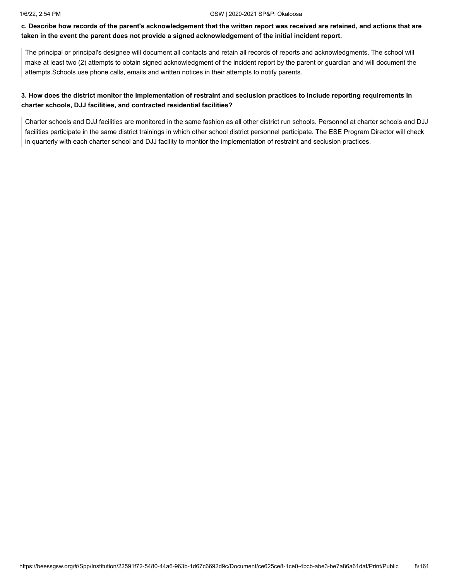**c. Describe how records of the parent's acknowledgement that the written report was received are retained, and actions that are taken in the event the parent does not provide a signed acknowledgement of the initial incident report.**

The principal or principal's designee will document all contacts and retain all records of reports and acknowledgments. The school will make at least two (2) attempts to obtain signed acknowledgment of the incident report by the parent or guardian and will document the attempts.Schools use phone calls, emails and written notices in their attempts to notify parents.

## **3. How does the district monitor the implementation of restraint and seclusion practices to include reporting requirements in charter schools, DJJ facilities, and contracted residential facilities?**

Charter schools and DJJ facilities are monitored in the same fashion as all other district run schools. Personnel at charter schools and DJJ facilities participate in the same district trainings in which other school district personnel participate. The ESE Program Director will check in quarterly with each charter school and DJJ facility to montior the implementation of restraint and seclusion practices.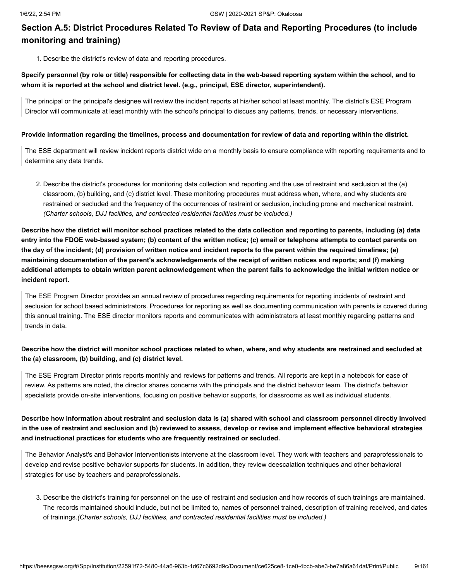# **Section A.5: District Procedures Related To Review of Data and Reporting Procedures (to include monitoring and training)**

1. Describe the district's review of data and reporting procedures.

## **Specify personnel (by role or title) responsible for collecting data in the web-based reporting system within the school, and to whom it is reported at the school and district level. (e.g., principal, ESE director, superintendent).**

The principal or the principal's designee will review the incident reports at his/her school at least monthly. The district's ESE Program Director will communicate at least monthly with the school's principal to discuss any patterns, trends, or necessary interventions.

#### **Provide information regarding the timelines, process and documentation for review of data and reporting within the district.**

The ESE department will review incident reports district wide on a monthly basis to ensure compliance with reporting requirements and to determine any data trends.

2. Describe the district's procedures for monitoring data collection and reporting and the use of restraint and seclusion at the (a) classroom, (b) building, and (c) district level. These monitoring procedures must address when, where, and why students are restrained or secluded and the frequency of the occurrences of restraint or seclusion, including prone and mechanical restraint. *(Charter schools, DJJ facilities, and contracted residential facilities must be included.)*

**Describe how the district will monitor school practices related to the data collection and reporting to parents, including (a) data entry into the FDOE web-based system; (b) content of the written notice; (c) email or telephone attempts to contact parents on the day of the incident; (d) provision of written notice and incident reports to the parent within the required timelines; (e) maintaining documentation of the parent's acknowledgements of the receipt of written notices and reports; and (f) making additional attempts to obtain written parent acknowledgement when the parent fails to acknowledge the initial written notice or incident report.**

The ESE Program Director provides an annual review of procedures regarding requirements for reporting incidents of restraint and seclusion for school based administrators. Procedures for reporting as well as documenting communication with parents is covered during this annual training. The ESE director monitors reports and communicates with administrators at least monthly regarding patterns and trends in data.

## **Describe how the district will monitor school practices related to when, where, and why students are restrained and secluded at the (a) classroom, (b) building, and (c) district level.**

The ESE Program Director prints reports monthly and reviews for patterns and trends. All reports are kept in a notebook for ease of review. As patterns are noted, the director shares concerns with the principals and the district behavior team. The district's behavior specialists provide on-site interventions, focusing on positive behavior supports, for classrooms as well as individual students.

## **Describe how information about restraint and seclusion data is (a) shared with school and classroom personnel directly involved in the use of restraint and seclusion and (b) reviewed to assess, develop or revise and implement effective behavioral strategies and instructional practices for students who are frequently restrained or secluded.**

The Behavior Analyst's and Behavior Interventionists intervene at the classroom level. They work with teachers and paraprofessionals to develop and revise positive behavior supports for students. In addition, they review deescalation techniques and other behavioral strategies for use by teachers and paraprofessionals.

3. Describe the district's training for personnel on the use of restraint and seclusion and how records of such trainings are maintained. The records maintained should include, but not be limited to, names of personnel trained, description of training received, and dates of trainings.*(Charter schools, DJJ facilities, and contracted residential facilities must be included.)*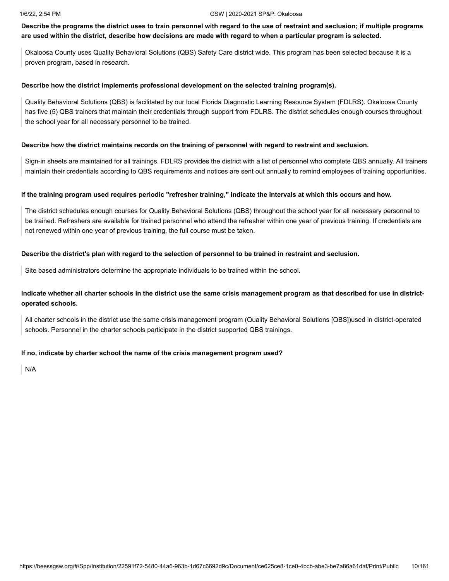**Describe the programs the district uses to train personnel with regard to the use of restraint and seclusion; if multiple programs are used within the district, describe how decisions are made with regard to when a particular program is selected.**

Okaloosa County uses Quality Behavioral Solutions (QBS) Safety Care district wide. This program has been selected because it is a proven program, based in research.

#### **Describe how the district implements professional development on the selected training program(s).**

Quality Behavioral Solutions (QBS) is facilitated by our local Florida Diagnostic Learning Resource System (FDLRS). Okaloosa County has five (5) QBS trainers that maintain their credentials through support from FDLRS. The district schedules enough courses throughout the school year for all necessary personnel to be trained.

#### **Describe how the district maintains records on the training of personnel with regard to restraint and seclusion.**

Sign-in sheets are maintained for all trainings. FDLRS provides the district with a list of personnel who complete QBS annually. All trainers maintain their credentials according to QBS requirements and notices are sent out annually to remind employees of training opportunities.

#### **If the training program used requires periodic "refresher training," indicate the intervals at which this occurs and how.**

The district schedules enough courses for Quality Behavioral Solutions (QBS) throughout the school year for all necessary personnel to be trained. Refreshers are available for trained personnel who attend the refresher within one year of previous training. If credentials are not renewed within one year of previous training, the full course must be taken.

### **Describe the district's plan with regard to the selection of personnel to be trained in restraint and seclusion.**

Site based administrators determine the appropriate individuals to be trained within the school.

## **Indicate whether all charter schools in the district use the same crisis management program as that described for use in districtoperated schools.**

All charter schools in the district use the same crisis management program (Quality Behavioral Solutions [QBS])used in district-operated schools. Personnel in the charter schools participate in the district supported QBS trainings.

## **If no, indicate by charter school the name of the crisis management program used?**

N/A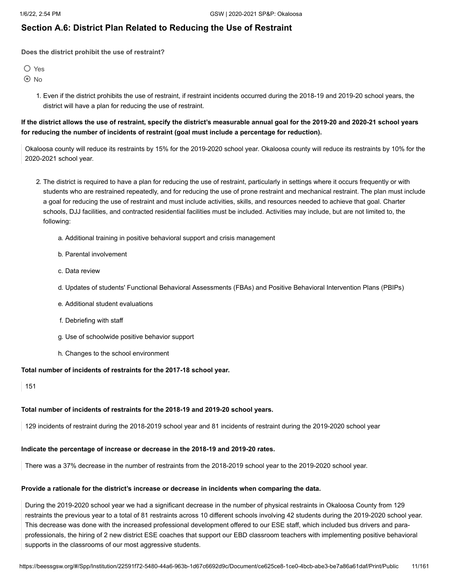# **Section A.6: District Plan Related to Reducing the Use of Restraint**

**Does the district prohibit the use of restraint?**

 Yes time No

> 1. Even if the district prohibits the use of restraint, if restraint incidents occurred during the 2018-19 and 2019-20 school years, the district will have a plan for reducing the use of restraint.

## **If the district allows the use of restraint, specify the district's measurable annual goal for the 2019-20 and 2020-21 school years for reducing the number of incidents of restraint (goal must include a percentage for reduction).**

Okaloosa county will reduce its restraints by 15% for the 2019-2020 school year. Okaloosa county will reduce its restraints by 10% for the 2020-2021 school year.

- 2. The district is required to have a plan for reducing the use of restraint, particularly in settings where it occurs frequently or with students who are restrained repeatedly, and for reducing the use of prone restraint and mechanical restraint. The plan must include a goal for reducing the use of restraint and must include activities, skills, and resources needed to achieve that goal. Charter schools, DJJ facilities, and contracted residential facilities must be included. Activities may include, but are not limited to, the following:
	- a. Additional training in positive behavioral support and crisis management
	- b. Parental involvement
	- c. Data review
	- d. Updates of students' Functional Behavioral Assessments (FBAs) and Positive Behavioral Intervention Plans (PBIPs)
	- e. Additional student evaluations
	- f. Debriefing with staff
	- g. Use of schoolwide positive behavior support
	- h. Changes to the school environment

#### **Total number of incidents of restraints for the 2017-18 school year.**

151

## **Total number of incidents of restraints for the 2018-19 and 2019-20 school years.**

129 incidents of restraint during the 2018-2019 school year and 81 incidents of restraint during the 2019-2020 school year

#### **Indicate the percentage of increase or decrease in the 2018-19 and 2019-20 rates.**

There was a 37% decrease in the number of restraints from the 2018-2019 school year to the 2019-2020 school year.

#### **Provide a rationale for the district's increase or decrease in incidents when comparing the data.**

During the 2019-2020 school year we had a significant decrease in the number of physical restraints in Okaloosa County from 129 restraints the previous year to a total of 81 restraints across 10 different schools involving 42 students during the 2019-2020 school year. This decrease was done with the increased professional development offered to our ESE staff, which included bus drivers and paraprofessionals, the hiring of 2 new district ESE coaches that support our EBD classroom teachers with implementing positive behavioral supports in the classrooms of our most aggressive students.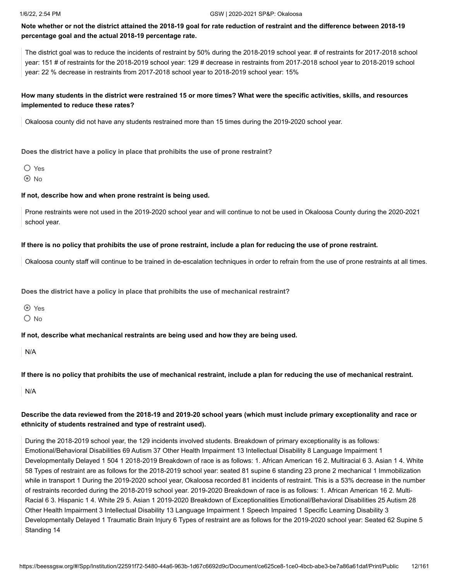**Note whether or not the district attained the 2018-19 goal for rate reduction of restraint and the difference between 2018-19 percentage goal and the actual 2018-19 percentage rate.**

The district goal was to reduce the incidents of restraint by 50% during the 2018-2019 school year. # of restraints for 2017-2018 school year: 151 # of restraints for the 2018-2019 school year: 129 # decrease in restraints from 2017-2018 school year to 2018-2019 school year: 22 % decrease in restraints from 2017-2018 school year to 2018-2019 school year: 15%

## **How many students in the district were restrained 15 or more times? What were the specific activities, skills, and resources implemented to reduce these rates?**

Okaloosa county did not have any students restrained more than 15 times during the 2019-2020 school year.

**Does the district have a policy in place that prohibits the use of prone restraint?**

- Yes
- **⊙** No

#### **If not, describe how and when prone restraint is being used.**

Prone restraints were not used in the 2019-2020 school year and will continue to not be used in Okaloosa County during the 2020-2021 school year.

#### **If there is no policy that prohibits the use of prone restraint, include a plan for reducing the use of prone restraint.**

Okaloosa county staff will continue to be trained in de-escalation techniques in order to refrain from the use of prone restraints at all times.

**Does the district have a policy in place that prohibits the use of mechanical restraint?**

 Yes O No

**If not, describe what mechanical restraints are being used and how they are being used.**

N/A

**If there is no policy that prohibits the use of mechanical restraint, include a plan for reducing the use of mechanical restraint.**

N/A

## **Describe the data reviewed from the 2018-19 and 2019-20 school years (which must include primary exceptionality and race or ethnicity of students restrained and type of restraint used).**

During the 2018-2019 school year, the 129 incidents involved students. Breakdown of primary exceptionality is as follows: Emotional/Behavioral Disabilities 69 Autism 37 Other Health Impairment 13 Intellectual Disability 8 Language Impairment 1 Developmentally Delayed 1 504 1 2018-2019 Breakdown of race is as follows: 1. African American 16 2. Multiracial 6 3. Asian 1 4. White 58 Types of restraint are as follows for the 2018-2019 school year: seated 81 supine 6 standing 23 prone 2 mechanical 1 Immobilization while in transport 1 During the 2019-2020 school year, Okaloosa recorded 81 incidents of restraint. This is a 53% decrease in the number of restraints recorded during the 2018-2019 school year. 2019-2020 Breakdown of race is as follows: 1. African American 16 2. Multi-Racial 6 3. Hispanic 1 4. White 29 5. Asian 1 2019-2020 Breakdown of Exceptionalities Emotional/Behavioral Disabilities 25 Autism 28 Other Health Impairment 3 Intellectual Disability 13 Language Impairment 1 Speech Impaired 1 Specific Learning Disability 3 Developmentally Delayed 1 Traumatic Brain Injury 6 Types of restraint are as follows for the 2019-2020 school year: Seated 62 Supine 5 Standing 14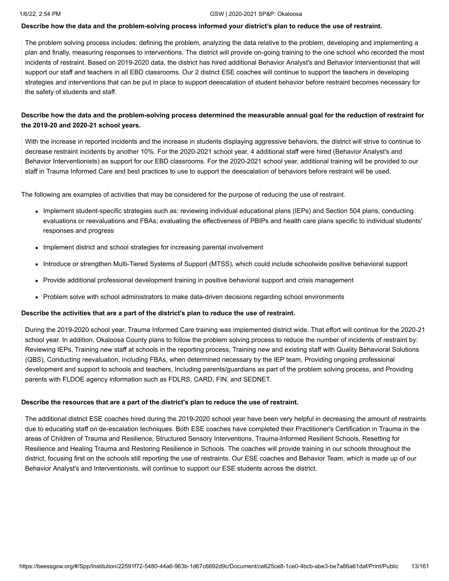#### 1/6/22, 2:54 PM GSW | 2020-2021 SP&P: Okaloosa

#### **Describe how the data and the problem-solving process informed your district's plan to reduce the use of restraint.**

The problem solving process includes: defining the problem, analyzing the data relative to the problem, developing and implementing a plan and finally, measuring responses to interventions. The district will provide on-going training to the one school who recorded the most incidents of restraint. Based on 2019-2020 data, the district has hired additional Behavior Analyst's and Behavior Interventionist that will support our staff and teachers in all EBD classrooms. Our 2 district ESE coaches will continue to support the teachers in developing strategies and interventions that can be put in place to support deescalation of student behavior before restraint becomes necessary for the safety of students and staff.

## **Describe how the data and the problem-solving process determined the measurable annual goal for the reduction of restraint for the 2019-20 and 2020-21 school years.**

With the increase in reported incidents and the increase in students displaying aggressive behaviors, the district will strive to continue to decrease restraint incidents by another 10%. For the 2020-2021 school year, 4 additional staff were hired (Behavior Analyst's and Behavior Interventionists) as support for our EBD classrooms. For the 2020-2021 school year, additional training will be provided to our staff in Trauma Informed Care and best practices to use to support the deescalation of behaviors before restraint will be used.

The following are examples of activities that may be considered for the purpose of reducing the use of restraint.

- Implement student-specific strategies such as: reviewing individual educational plans (IEPs) and Section 504 plans; conducting evaluations or reevaluations and FBAs; evaluating the effectiveness of PBIPs and health care plans specific to individual students' responses and progress
- Implement district and school strategies for increasing parental involvement
- Introduce or strengthen Multi-Tiered Systems of Support (MTSS), which could include schoolwide positive behavioral support
- Provide additional professional development training in positive behavioral support and crisis management
- Problem solve with school administrators to make data-driven decisions regarding school environments

#### **Describe the activities that are a part of the district's plan to reduce the use of restraint.**

During the 2019-2020 school year, Trauma Informed Care training was implemented district wide. That effort will continue for the 2020-21 school year. In addition, Okaloosa County plans to follow the problem solving process to reduce the number of incidents of restraint by: Reviewing IEPs, Training new staff at schools in the reporting process, Training new and existing staff with Quality Behavioral Solutions (QBS), Conducting reevaluation, including FBAs, when determined necessary by the IEP team, Providing ongoing professional development and support to schools and teachers, Including parents/guardians as part of the problem solving process, and Providing parents with FLDOE agency information such as FDLRS, CARD, FIN, and SEDNET.

#### **Describe the resources that are a part of the district's plan to reduce the use of restraint.**

The additional district ESE coaches hired during the 2019-2020 school year have been very helpful in decreasing the amount of restraints due to educating staff on de-escalation techniques. Both ESE coaches have completed their Practitioner's Certification in Trauma in the areas of Children of Trauma and Resilience, Structured Sensory Interventions, Trauma-Informed Resilient Schools, Resetting for Resilience and Healing Trauma and Restoring Resilience in Schools. The coaches will provide training in our schools throughout the district, focusing first on the schools still reporting the use of restraints. Our ESE coaches and Behavior Team, which is made up of our Behavior Analyst's and Interventionists, will continue to support our ESE students across the district.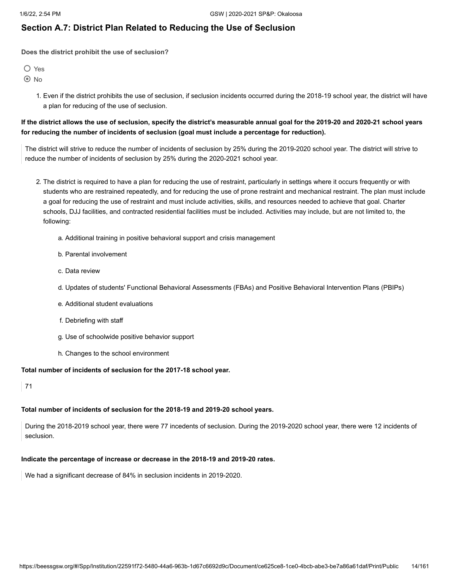# **Section A.7: District Plan Related to Reducing the Use of Seclusion**

**Does the district prohibit the use of seclusion?**

 Yes **⊙**No

> 1. Even if the district prohibits the use of seclusion, if seclusion incidents occurred during the 2018-19 school year, the district will have a plan for reducing of the use of seclusion.

## **If the district allows the use of seclusion, specify the district's measurable annual goal for the 2019-20 and 2020-21 school years for reducing the number of incidents of seclusion (goal must include a percentage for reduction).**

The district will strive to reduce the number of incidents of seclusion by 25% during the 2019-2020 school year. The district will strive to reduce the number of incidents of seclusion by 25% during the 2020-2021 school year.

- 2. The district is required to have a plan for reducing the use of restraint, particularly in settings where it occurs frequently or with students who are restrained repeatedly, and for reducing the use of prone restraint and mechanical restraint. The plan must include a goal for reducing the use of restraint and must include activities, skills, and resources needed to achieve that goal. Charter schools, DJJ facilities, and contracted residential facilities must be included. Activities may include, but are not limited to, the following:
	- a. Additional training in positive behavioral support and crisis management
	- b. Parental involvement
	- c. Data review
	- d. Updates of students' Functional Behavioral Assessments (FBAs) and Positive Behavioral Intervention Plans (PBIPs)
	- e. Additional student evaluations
	- f. Debriefing with staff
	- g. Use of schoolwide positive behavior support
	- h. Changes to the school environment

#### **Total number of incidents of seclusion for the 2017-18 school year.**

71

## **Total number of incidents of seclusion for the 2018-19 and 2019-20 school years.**

During the 2018-2019 school year, there were 77 incedents of seclusion. During the 2019-2020 school year, there were 12 incidents of seclusion.

#### **Indicate the percentage of increase or decrease in the 2018-19 and 2019-20 rates.**

We had a significant decrease of 84% in seclusion incidents in 2019-2020.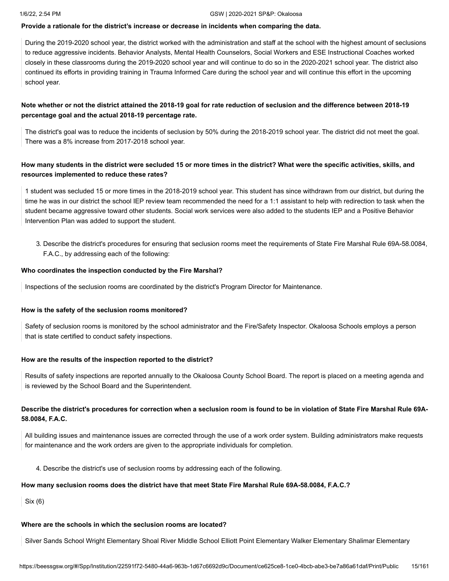#### **Provide a rationale for the district's increase or decrease in incidents when comparing the data.**

During the 2019-2020 school year, the district worked with the administration and staff at the school with the highest amount of seclusions to reduce aggressive incidents. Behavior Analysts, Mental Health Counselors, Social Workers and ESE Instructional Coaches worked closely in these classrooms during the 2019-2020 school year and will continue to do so in the 2020-2021 school year. The district also continued its efforts in providing training in Trauma Informed Care during the school year and will continue this effort in the upcoming school year.

## **Note whether or not the district attained the 2018-19 goal for rate reduction of seclusion and the difference between 2018-19 percentage goal and the actual 2018-19 percentage rate.**

The district's goal was to reduce the incidents of seclusion by 50% during the 2018-2019 school year. The district did not meet the goal. There was a 8% increase from 2017-2018 school year.

## **How many students in the district were secluded 15 or more times in the district? What were the specific activities, skills, and resources implemented to reduce these rates?**

1 student was secluded 15 or more times in the 2018-2019 school year. This student has since withdrawn from our district, but during the time he was in our district the school IEP review team recommended the need for a 1:1 assistant to help with redirection to task when the student became aggressive toward other students. Social work services were also added to the students IEP and a Positive Behavior Intervention Plan was added to support the student.

3. Describe the district's procedures for ensuring that seclusion rooms meet the requirements of State Fire Marshal Rule 69A-58.0084, F.A.C., by addressing each of the following:

#### **Who coordinates the inspection conducted by the Fire Marshal?**

Inspections of the seclusion rooms are coordinated by the district's Program Director for Maintenance.

#### **How is the safety of the seclusion rooms monitored?**

Safety of seclusion rooms is monitored by the school administrator and the Fire/Safety Inspector. Okaloosa Schools employs a person that is state certified to conduct safety inspections.

#### **How are the results of the inspection reported to the district?**

Results of safety inspections are reported annually to the Okaloosa County School Board. The report is placed on a meeting agenda and is reviewed by the School Board and the Superintendent.

## **Describe the district's procedures for correction when a seclusion room is found to be in violation of State Fire Marshal Rule 69A-58.0084, F.A.C.**

All building issues and maintenance issues are corrected through the use of a work order system. Building administrators make requests for maintenance and the work orders are given to the appropriate individuals for completion.

4. Describe the district's use of seclusion rooms by addressing each of the following.

#### **How many seclusion rooms does the district have that meet State Fire Marshal Rule 69A-58.0084, F.A.C.?**

Six (6)

#### **Where are the schools in which the seclusion rooms are located?**

Silver Sands School Wright Elementary Shoal River Middle School Elliott Point Elementary Walker Elementary Shalimar Elementary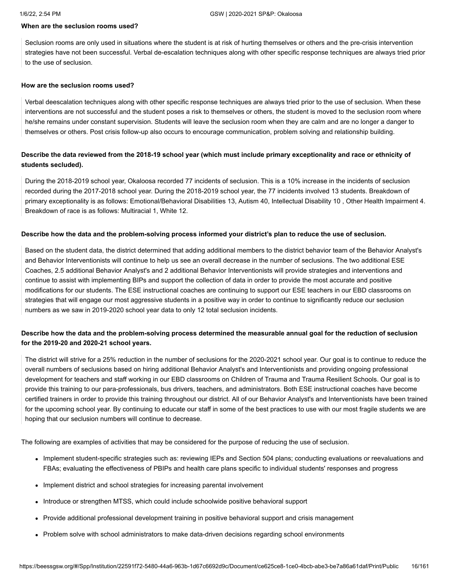#### **When are the seclusion rooms used?**

Seclusion rooms are only used in situations where the student is at risk of hurting themselves or others and the pre-crisis intervention strategies have not been successful. Verbal de-escalation techniques along with other specific response techniques are always tried prior to the use of seclusion.

#### **How are the seclusion rooms used?**

Verbal deescalation techniques along with other specific response techniques are always tried prior to the use of seclusion. When these interventions are not successful and the student poses a risk to themselves or others, the student is moved to the seclusion room where he/she remains under constant supervision. Students will leave the seclusion room when they are calm and are no longer a danger to themselves or others. Post crisis follow-up also occurs to encourage communication, problem solving and relationship building.

## **Describe the data reviewed from the 2018-19 school year (which must include primary exceptionality and race or ethnicity of students secluded).**

During the 2018-2019 school year, Okaloosa recorded 77 incidents of seclusion. This is a 10% increase in the incidents of seclusion recorded during the 2017-2018 school year. During the 2018-2019 school year, the 77 incidents involved 13 students. Breakdown of primary exceptionality is as follows: Emotional/Behavioral Disabilities 13, Autism 40, Intellectual Disability 10 , Other Health Impairment 4. Breakdown of race is as follows: Multiracial 1, White 12.

#### **Describe how the data and the problem-solving process informed your district's plan to reduce the use of seclusion.**

Based on the student data, the district determined that adding additional members to the district behavior team of the Behavior Analyst's and Behavior Interventionists will continue to help us see an overall decrease in the number of seclusions. The two additional ESE Coaches, 2.5 additional Behavior Analyst's and 2 additional Behavior Interventionists will provide strategies and interventions and continue to assist with implementing BIPs and support the collection of data in order to provide the most accurate and positive modifications for our students. The ESE instructional coaches are continuing to support our ESE teachers in our EBD classrooms on strategies that will engage our most aggressive students in a positive way in order to continue to significantly reduce our seclusion numbers as we saw in 2019-2020 school year data to only 12 total seclusion incidents.

## **Describe how the data and the problem-solving process determined the measurable annual goal for the reduction of seclusion for the 2019-20 and 2020-21 school years.**

The district will strive for a 25% reduction in the number of seclusions for the 2020-2021 school year. Our goal is to continue to reduce the overall numbers of seclusions based on hiring additional Behavior Analyst's and Interventionists and providing ongoing professional development for teachers and staff working in our EBD classrooms on Children of Trauma and Trauma Resilient Schools. Our goal is to provide this training to our para-professionals, bus drivers, teachers, and administrators. Both ESE instructional coaches have become certified trainers in order to provide this training throughout our district. All of our Behavior Analyst's and Interventionists have been trained for the upcoming school year. By continuing to educate our staff in some of the best practices to use with our most fragile students we are hoping that our seclusion numbers will continue to decrease.

The following are examples of activities that may be considered for the purpose of reducing the use of seclusion.

- Implement student-specific strategies such as: reviewing IEPs and Section 504 plans; conducting evaluations or reevaluations and FBAs; evaluating the effectiveness of PBIPs and health care plans specific to individual students' responses and progress
- Implement district and school strategies for increasing parental involvement
- Introduce or strengthen MTSS, which could include schoolwide positive behavioral support
- Provide additional professional development training in positive behavioral support and crisis management
- Problem solve with school administrators to make data-driven decisions regarding school environments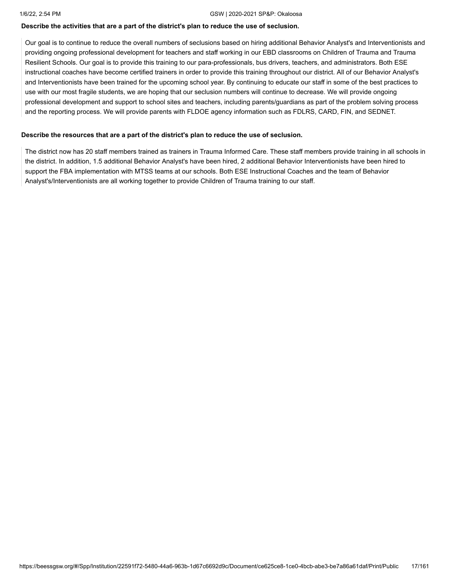#### 1/6/22, 2:54 PM GSW | 2020-2021 SP&P: Okaloosa

#### **Describe the activities that are a part of the district's plan to reduce the use of seclusion.**

Our goal is to continue to reduce the overall numbers of seclusions based on hiring additional Behavior Analyst's and Interventionists and providing ongoing professional development for teachers and staff working in our EBD classrooms on Children of Trauma and Trauma Resilient Schools. Our goal is to provide this training to our para-professionals, bus drivers, teachers, and administrators. Both ESE instructional coaches have become certified trainers in order to provide this training throughout our district. All of our Behavior Analyst's and Interventionists have been trained for the upcoming school year. By continuing to educate our staff in some of the best practices to use with our most fragile students, we are hoping that our seclusion numbers will continue to decrease. We will provide ongoing professional development and support to school sites and teachers, including parents/guardians as part of the problem solving process and the reporting process. We will provide parents with FLDOE agency information such as FDLRS, CARD, FIN, and SEDNET.

#### **Describe the resources that are a part of the district's plan to reduce the use of seclusion.**

The district now has 20 staff members trained as trainers in Trauma Informed Care. These staff members provide training in all schools in the district. In addition, 1.5 additional Behavior Analyst's have been hired, 2 additional Behavior Interventionists have been hired to support the FBA implementation with MTSS teams at our schools. Both ESE Instructional Coaches and the team of Behavior Analyst's/Interventionists are all working together to provide Children of Trauma training to our staff.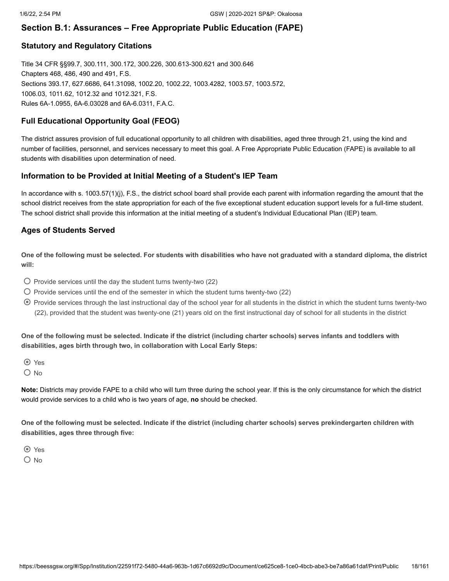## **Section B.1: Assurances – Free Appropriate Public Education (FAPE)**

## **Statutory and Regulatory Citations**

Title 34 CFR §§99.7, 300.111, 300.172, 300.226, 300.613-300.621 and 300.646 Chapters 468, 486, 490 and 491, F.S. Sections 393.17, 627.6686, 641.31098, 1002.20, 1002.22, 1003.4282, 1003.57, 1003.572, 1006.03, 1011.62, 1012.32 and 1012.321, F.S. Rules 6A-1.0955, 6A-6.03028 and 6A-6.0311, F.A.C.

## **Full Educational Opportunity Goal (FEOG)**

The district assures provision of full educational opportunity to all children with disabilities, aged three through 21, using the kind and number of facilities, personnel, and services necessary to meet this goal. A Free Appropriate Public Education (FAPE) is available to all students with disabilities upon determination of need.

#### **Information to be Provided at Initial Meeting of a Student's IEP Team**

In accordance with s. 1003.57(1)(j), F.S., the district school board shall provide each parent with information regarding the amount that the school district receives from the state appropriation for each of the five exceptional student education support levels for a full-time student. The school district shall provide this information at the initial meeting of a student's Individual Educational Plan (IEP) team.

## **Ages of Students Served**

**One of the following must be selected. For students with disabilities who have not graduated with a standard diploma, the district will:**

- $\bigcirc$  Provide services until the day the student turns twenty-two (22)
- $\bigcirc$  Provide services until the end of the semester in which the student turns twenty-two (22)
- Provide services through the last instructional day of the school year for all students in the district in which the student turns twenty-two (22), provided that the student was twenty-one (21) years old on the first instructional day of school for all students in the district

**One of the following must be selected. Indicate if the district (including charter schools) serves infants and toddlers with disabilities, ages birth through two, in collaboration with Local Early Steps:**

**⊙** Yes

O No

**Note:** Districts may provide FAPE to a child who will turn three during the school year. If this is the only circumstance for which the district would provide services to a child who is two years of age, **no** should be checked.

**One of the following must be selected. Indicate if the district (including charter schools) serves prekindergarten children with disabilities, ages three through five:**

**⊙** Yes O No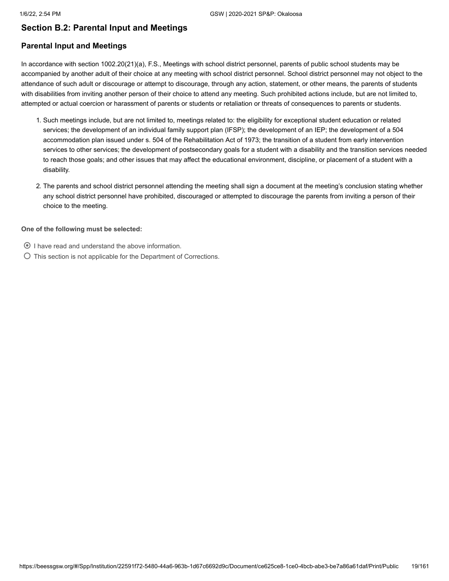# **Section B.2: Parental Input and Meetings**

## **Parental Input and Meetings**

In accordance with section 1002.20(21)(a), F.S., Meetings with school district personnel, parents of public school students may be accompanied by another adult of their choice at any meeting with school district personnel. School district personnel may not object to the attendance of such adult or discourage or attempt to discourage, through any action, statement, or other means, the parents of students with disabilities from inviting another person of their choice to attend any meeting. Such prohibited actions include, but are not limited to, attempted or actual coercion or harassment of parents or students or retaliation or threats of consequences to parents or students.

- 1. Such meetings include, but are not limited to, meetings related to: the eligibility for exceptional student education or related services; the development of an individual family support plan (IFSP); the development of an IEP; the development of a 504 accommodation plan issued under s. 504 of the Rehabilitation Act of 1973; the transition of a student from early intervention services to other services; the development of postsecondary goals for a student with a disability and the transition services needed to reach those goals; and other issues that may affect the educational environment, discipline, or placement of a student with a disability.
- 2. The parents and school district personnel attending the meeting shall sign a document at the meeting's conclusion stating whether any school district personnel have prohibited, discouraged or attempted to discourage the parents from inviting a person of their choice to the meeting.

#### **One of the following must be selected:**

- I have read and understand the above information.
- $\bigcirc$  This section is not applicable for the Department of Corrections.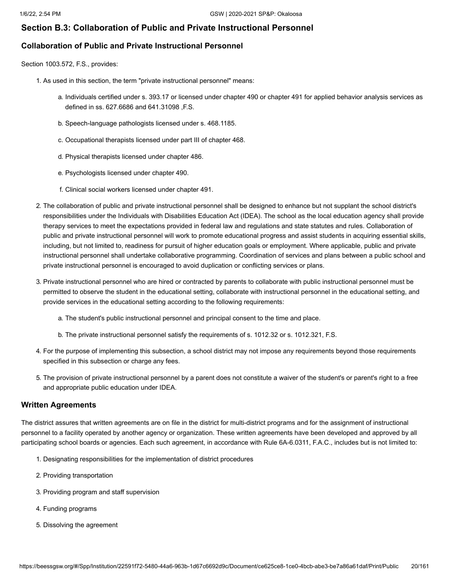# **Section B.3: Collaboration of Public and Private Instructional Personnel**

# **Collaboration of Public and Private Instructional Personnel**

Section 1003.572, F.S., provides:

- 1. As used in this section, the term "private instructional personnel" means:
	- a. Individuals certified under s. 393.17 or licensed under chapter 490 or chapter 491 for applied behavior analysis services as defined in ss. 627.6686 and 641.31098 ,F.S.
	- b. Speech-language pathologists licensed under s. 468.1185.
	- c. Occupational therapists licensed under part III of chapter 468.
	- d. Physical therapists licensed under chapter 486.
	- e. Psychologists licensed under chapter 490.
	- f. Clinical social workers licensed under chapter 491.
- 2. The collaboration of public and private instructional personnel shall be designed to enhance but not supplant the school district's responsibilities under the Individuals with Disabilities Education Act (IDEA). The school as the local education agency shall provide therapy services to meet the expectations provided in federal law and regulations and state statutes and rules. Collaboration of public and private instructional personnel will work to promote educational progress and assist students in acquiring essential skills, including, but not limited to, readiness for pursuit of higher education goals or employment. Where applicable, public and private instructional personnel shall undertake collaborative programming. Coordination of services and plans between a public school and private instructional personnel is encouraged to avoid duplication or conflicting services or plans.
- 3. Private instructional personnel who are hired or contracted by parents to collaborate with public instructional personnel must be permitted to observe the student in the educational setting, collaborate with instructional personnel in the educational setting, and provide services in the educational setting according to the following requirements:
	- a. The student's public instructional personnel and principal consent to the time and place.
	- b. The private instructional personnel satisfy the requirements of s. 1012.32 or s. 1012.321, F.S.
- 4. For the purpose of implementing this subsection, a school district may not impose any requirements beyond those requirements specified in this subsection or charge any fees.
- 5. The provision of private instructional personnel by a parent does not constitute a waiver of the student's or parent's right to a free and appropriate public education under IDEA.

## **Written Agreements**

The district assures that written agreements are on file in the district for multi-district programs and for the assignment of instructional personnel to a facility operated by another agency or organization. These written agreements have been developed and approved by all participating school boards or agencies. Each such agreement, in accordance with Rule 6A-6.0311, F.A.C., includes but is not limited to:

- 1. Designating responsibilities for the implementation of district procedures
- 2. Providing transportation
- 3. Providing program and staff supervision
- 4. Funding programs
- 5. Dissolving the agreement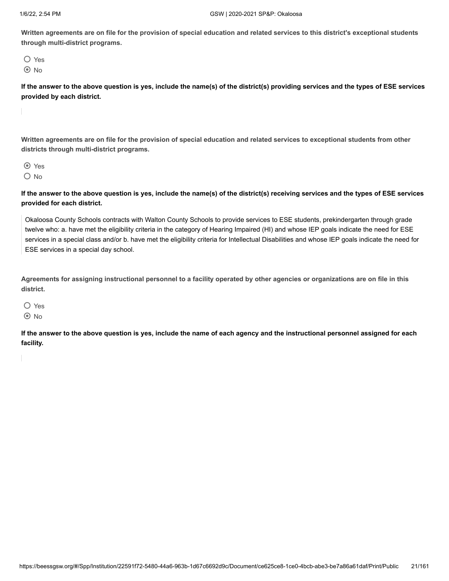**through multi-district programs.**

Yes

**⊙**No

**If the answer to the above question is yes, include the name(s) of the district(s) providing services and the types of ESE services provided by each district.**

**Written agreements are on file for the provision of special education and related services to exceptional students from other districts through multi-district programs.**

## **⊙** Yes O No

**If the answer to the above question is yes, include the name(s) of the district(s) receiving services and the types of ESE services provided for each district.**

Written agreements are on the tortograms.<br>Through multi-district programs<br> $Q^2$  the converter to the short question is yea, include the nummb) of the distriction providing services and the types of ESE services<br> $Q^2$  via t Okaloosa County Schools contracts with Walton County Schools to provide services to ESE students, prekindergarten through grade twelve who: a. have met the eligibility criteria in the category of Hearing Impaired (HI) and whose IEP goals indicate the need for ESE services in a special class and/or b. have met the eligibility criteria for Intellectual Disabilities and whose IEP goals indicate the need for ESE services in a special day school.

**Agreements for assigning instructional personnel to a facility operated by other agencies or organizations are on file in this district.**

 Yes **⊙**No

**If the answer to the above question is yes, include the name of each agency and the instructional personnel assigned for each facility.**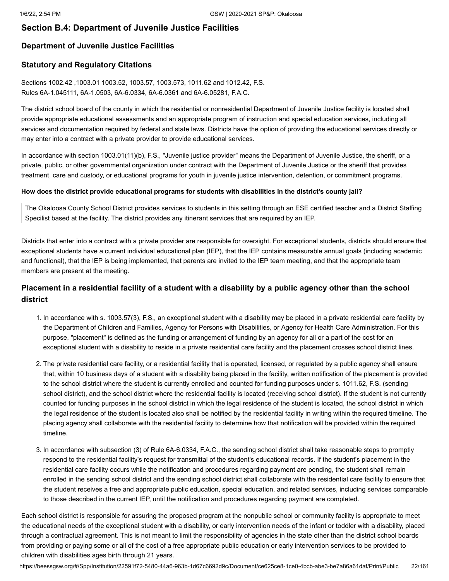## **Section B.4: Department of Juvenile Justice Facilities**

## **Department of Juvenile Justice Facilities**

## **Statutory and Regulatory Citations**

Sections 1002.42 ,1003.01 1003.52, 1003.57, 1003.573, 1011.62 and 1012.42, F.S. Rules 6A-1.045111, 6A-1.0503, 6A-6.0334, 6A-6.0361 and 6A-6.05281, F.A.C.

The district school board of the county in which the residential or nonresidential Department of Juvenile Justice facility is located shall provide appropriate educational assessments and an appropriate program of instruction and special education services, including all services and documentation required by federal and state laws. Districts have the option of providing the educational services directly or may enter into a contract with a private provider to provide educational services.

In accordance with section 1003.01(11)(b), F.S., "Juvenile justice provider" means the Department of Juvenile Justice, the sheriff, or a private, public, or other governmental organization under contract with the Department of Juvenile Justice or the sheriff that provides treatment, care and custody, or educational programs for youth in juvenile justice intervention, detention, or commitment programs.

#### **How does the district provide educational programs for students with disabilities in the district's county jail?**

The Okaloosa County School District provides services to students in this setting through an ESE certified teacher and a District Staffing Specilist based at the facility. The district provides any itinerant services that are required by an IEP.

Districts that enter into a contract with a private provider are responsible for oversight. For exceptional students, districts should ensure that exceptional students have a current individual educational plan (IEP), that the IEP contains measurable annual goals (including academic and functional), that the IEP is being implemented, that parents are invited to the IEP team meeting, and that the appropriate team members are present at the meeting.

# Placement in a residential facility of a student with a disability by a public agency other than the school **district**

- 1. In accordance with s. 1003.57(3), F.S., an exceptional student with a disability may be placed in a private residential care facility by the Department of Children and Families, Agency for Persons with Disabilities, or Agency for Health Care Administration. For this purpose, "placement" is defined as the funding or arrangement of funding by an agency for all or a part of the cost for an exceptional student with a disability to reside in a private residential care facility and the placement crosses school district lines.
- 2. The private residential care facility, or a residential facility that is operated, licensed, or regulated by a public agency shall ensure that, within 10 business days of a student with a disability being placed in the facility, written notification of the placement is provided to the school district where the student is currently enrolled and counted for funding purposes under s. 1011.62, F.S. (sending school district), and the school district where the residential facility is located (receiving school district). If the student is not currently counted for funding purposes in the school district in which the legal residence of the student is located, the school district in which the legal residence of the student is located also shall be notified by the residential facility in writing within the required timeline. The placing agency shall collaborate with the residential facility to determine how that notification will be provided within the required timeline.
- 3. In accordance with subsection (3) of Rule 6A-6.0334, F.A.C., the sending school district shall take reasonable steps to promptly respond to the residential facility's request for transmittal of the student's educational records. If the student's placement in the residential care facility occurs while the notification and procedures regarding payment are pending, the student shall remain enrolled in the sending school district and the sending school district shall collaborate with the residential care facility to ensure that the student receives a free and appropriate public education, special education, and related services, including services comparable to those described in the current IEP, until the notification and procedures regarding payment are completed.

Each school district is responsible for assuring the proposed program at the nonpublic school or community facility is appropriate to meet the educational needs of the exceptional student with a disability, or early intervention needs of the infant or toddler with a disability, placed through a contractual agreement. This is not meant to limit the responsibility of agencies in the state other than the district school boards from providing or paying some or all of the cost of a free appropriate public education or early intervention services to be provided to children with disabilities ages birth through 21 years.

https://beessgsw.org/#/Spp/Institution/22591f72-5480-44a6-963b-1d67c6692d9c/Document/ce625ce8-1ce0-4bcb-abe3-be7a86a61daf/Print/Public 22/161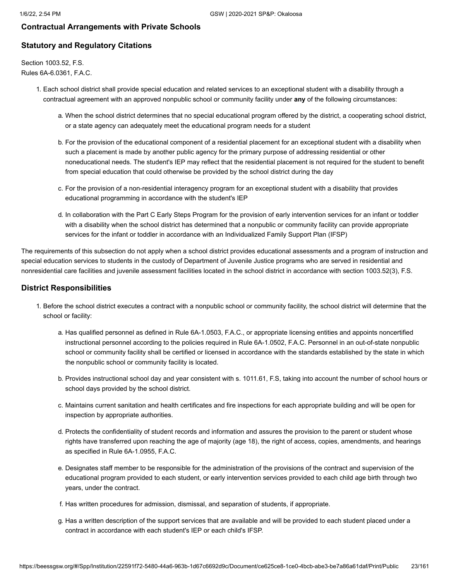### **Contractual Arrangements with Private Schools**

## **Statutory and Regulatory Citations**

Section 1003.52, F.S. Rules 6A-6.0361, F.A.C.

- 1. Each school district shall provide special education and related services to an exceptional student with a disability through a contractual agreement with an approved nonpublic school or community facility under **any** of the following circumstances:
	- a. When the school district determines that no special educational program offered by the district, a cooperating school district, or a state agency can adequately meet the educational program needs for a student
	- b. For the provision of the educational component of a residential placement for an exceptional student with a disability when such a placement is made by another public agency for the primary purpose of addressing residential or other noneducational needs. The student's IEP may reflect that the residential placement is not required for the student to benefit from special education that could otherwise be provided by the school district during the day
	- c. For the provision of a non-residential interagency program for an exceptional student with a disability that provides educational programming in accordance with the student's IEP
	- d. In collaboration with the Part C Early Steps Program for the provision of early intervention services for an infant or toddler with a disability when the school district has determined that a nonpublic or community facility can provide appropriate services for the infant or toddler in accordance with an Individualized Family Support Plan (IFSP)

The requirements of this subsection do not apply when a school district provides educational assessments and a program of instruction and special education services to students in the custody of Department of Juvenile Justice programs who are served in residential and nonresidential care facilities and juvenile assessment facilities located in the school district in accordance with section 1003.52(3), F.S.

### **District Responsibilities**

- 1. Before the school district executes a contract with a nonpublic school or community facility, the school district will determine that the school or facility:
	- a. Has qualified personnel as defined in Rule 6A-1.0503, F.A.C., or appropriate licensing entities and appoints noncertified instructional personnel according to the policies required in Rule 6A-1.0502, F.A.C. Personnel in an out-of-state nonpublic school or community facility shall be certified or licensed in accordance with the standards established by the state in which the nonpublic school or community facility is located.
	- b. Provides instructional school day and year consistent with s. 1011.61, F.S, taking into account the number of school hours or school days provided by the school district.
	- c. Maintains current sanitation and health certificates and fire inspections for each appropriate building and will be open for inspection by appropriate authorities.
	- d. Protects the confidentiality of student records and information and assures the provision to the parent or student whose rights have transferred upon reaching the age of majority (age 18), the right of access, copies, amendments, and hearings as specified in Rule 6A-1.0955, F.A.C.
	- e. Designates staff member to be responsible for the administration of the provisions of the contract and supervision of the educational program provided to each student, or early intervention services provided to each child age birth through two years, under the contract.
	- f. Has written procedures for admission, dismissal, and separation of students, if appropriate.
	- g. Has a written description of the support services that are available and will be provided to each student placed under a contract in accordance with each student's IEP or each child's IFSP.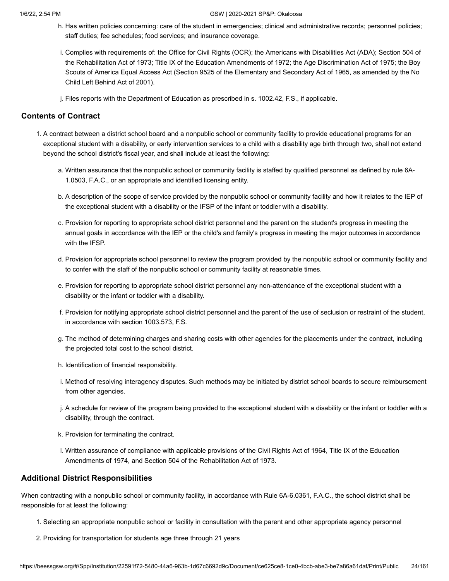- h. Has written policies concerning: care of the student in emergencies; clinical and administrative records; personnel policies; staff duties; fee schedules; food services; and insurance coverage.
- i. Complies with requirements of: the Office for Civil Rights (OCR); the Americans with Disabilities Act (ADA); Section 504 of the Rehabilitation Act of 1973; Title IX of the Education Amendments of 1972; the Age Discrimination Act of 1975; the Boy Scouts of America Equal Access Act (Section 9525 of the Elementary and Secondary Act of 1965, as amended by the No Child Left Behind Act of 2001).
- j. Files reports with the Department of Education as prescribed in s. 1002.42, F.S., if applicable.

## **Contents of Contract**

- 1. A contract between a district school board and a nonpublic school or community facility to provide educational programs for an exceptional student with a disability, or early intervention services to a child with a disability age birth through two, shall not extend beyond the school district's fiscal year, and shall include at least the following:
	- a. Written assurance that the nonpublic school or community facility is staffed by qualified personnel as defined by rule 6A-1.0503, F.A.C., or an appropriate and identified licensing entity.
	- b. A description of the scope of service provided by the nonpublic school or community facility and how it relates to the IEP of the exceptional student with a disability or the IFSP of the infant or toddler with a disability.
	- c. Provision for reporting to appropriate school district personnel and the parent on the student's progress in meeting the annual goals in accordance with the IEP or the child's and family's progress in meeting the major outcomes in accordance with the IFSP.
	- d. Provision for appropriate school personnel to review the program provided by the nonpublic school or community facility and to confer with the staff of the nonpublic school or community facility at reasonable times.
	- e. Provision for reporting to appropriate school district personnel any non-attendance of the exceptional student with a disability or the infant or toddler with a disability.
	- f. Provision for notifying appropriate school district personnel and the parent of the use of seclusion or restraint of the student, in accordance with section 1003.573, F.S.
	- g. The method of determining charges and sharing costs with other agencies for the placements under the contract, including the projected total cost to the school district.
	- h. Identification of financial responsibility.
	- i. Method of resolving interagency disputes. Such methods may be initiated by district school boards to secure reimbursement from other agencies.
	- j. A schedule for review of the program being provided to the exceptional student with a disability or the infant or toddler with a disability, through the contract.
	- k. Provision for terminating the contract.
	- l. Written assurance of compliance with applicable provisions of the Civil Rights Act of 1964, Title IX of the Education Amendments of 1974, and Section 504 of the Rehabilitation Act of 1973.

#### **Additional District Responsibilities**

When contracting with a nonpublic school or community facility, in accordance with Rule 6A-6.0361, F.A.C., the school district shall be responsible for at least the following:

- 1. Selecting an appropriate nonpublic school or facility in consultation with the parent and other appropriate agency personnel
- 2. Providing for transportation for students age three through 21 years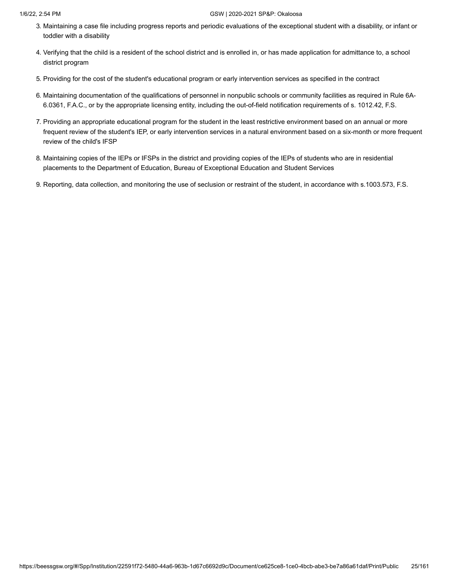- 3. Maintaining a case file including progress reports and periodic evaluations of the exceptional student with a disability, or infant or toddler with a disability
- 4. Verifying that the child is a resident of the school district and is enrolled in, or has made application for admittance to, a school district program
- 5. Providing for the cost of the student's educational program or early intervention services as specified in the contract
- 6. Maintaining documentation of the qualifications of personnel in nonpublic schools or community facilities as required in Rule 6A-6.0361, F.A.C., or by the appropriate licensing entity, including the out-of-field notification requirements of s. 1012.42, F.S.
- 7. Providing an appropriate educational program for the student in the least restrictive environment based on an annual or more frequent review of the student's IEP, or early intervention services in a natural environment based on a six-month or more frequent review of the child's IFSP
- 8. Maintaining copies of the IEPs or IFSPs in the district and providing copies of the IEPs of students who are in residential placements to the Department of Education, Bureau of Exceptional Education and Student Services
- 9. Reporting, data collection, and monitoring the use of seclusion or restraint of the student, in accordance with s.1003.573, F.S.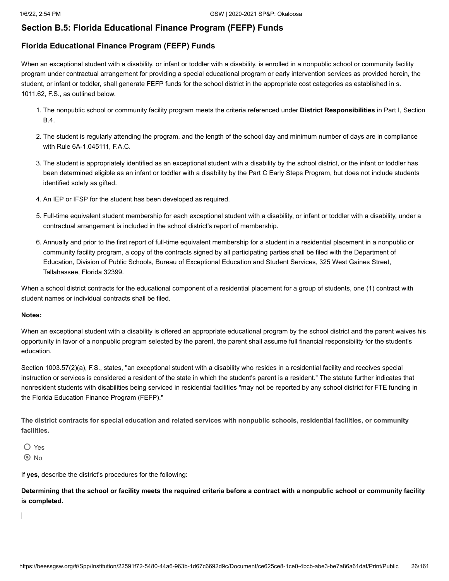# **Section B.5: Florida Educational Finance Program (FEFP) Funds**

## **Florida Educational Finance Program (FEFP) Funds**

When an exceptional student with a disability, or infant or toddler with a disability, is enrolled in a nonpublic school or community facility program under contractual arrangement for providing a special educational program or early intervention services as provided herein, the student, or infant or toddler, shall generate FEFP funds for the school district in the appropriate cost categories as established in s. 1011.62, F.S., as outlined below.

- 1. The nonpublic school or community facility program meets the criteria referenced under **District Responsibilities** in Part I, Section B.4.
- 2. The student is regularly attending the program, and the length of the school day and minimum number of days are in compliance with Rule 6A-1.045111, F.A.C.
- 3. The student is appropriately identified as an exceptional student with a disability by the school district, or the infant or toddler has been determined eligible as an infant or toddler with a disability by the Part C Early Steps Program, but does not include students identified solely as gifted.
- 4. An IEP or IFSP for the student has been developed as required.
- 5. Full-time equivalent student membership for each exceptional student with a disability, or infant or toddler with a disability, under a contractual arrangement is included in the school district's report of membership.
- 6. Annually and prior to the first report of full-time equivalent membership for a student in a residential placement in a nonpublic or community facility program, a copy of the contracts signed by all participating parties shall be filed with the Department of Education, Division of Public Schools, Bureau of Exceptional Education and Student Services, 325 West Gaines Street, Tallahassee, Florida 32399.

When a school district contracts for the educational component of a residential placement for a group of students, one (1) contract with student names or individual contracts shall be filed.

#### **Notes:**

When an exceptional student with a disability is offered an appropriate educational program by the school district and the parent waives his opportunity in favor of a nonpublic program selected by the parent, the parent shall assume full financial responsibility for the student's education.

Section 1003.57(2)(a), F.S., states, "an exceptional student with a disability who resides in a residential facility and receives special instruction or services is considered a resident of the state in which the student's parent is a resident." The statute further indicates that nonresident students with disabilities being serviced in residential facilities "may not be reported by any school district for FTE funding in the Florida Education Finance Program (FEFP)."

**The district contracts for special education and related services with nonpublic schools, residential facilities, or community facilities.**

 Yes time No

If **yes**, describe the district's procedures for the following:

**Determining that the school or facility meets the required criteria before a contract with a nonpublic school or community facility is completed.**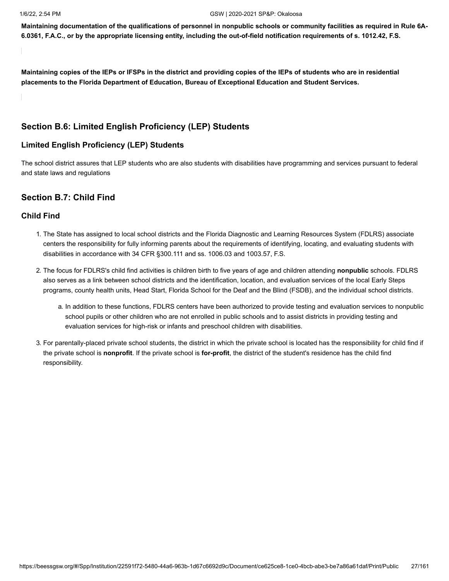**Maintaining documentation of the qualifications of personnel in nonpublic schools or community facilities as required in Rule 6A-6.0361, F.A.C., or by the appropriate licensing entity, including the out-of-field notification requirements of s. 1012.42, F.S.**

**Maintaining copies of the IEPs or IFSPs in the district and providing copies of the IEPs of students who are in residential placements to the Florida Department of Education, Bureau of Exceptional Education and Student Services.**

# **Section B.6: Limited English Proficiency (LEP) Students**

## **Limited English Proficiency (LEP) Students**

The school district assures that LEP students who are also students with disabilities have programming and services pursuant to federal and state laws and regulations

# **Section B.7: Child Find**

## **Child Find**

- 1. The State has assigned to local school districts and the Florida Diagnostic and Learning Resources System (FDLRS) associate centers the responsibility for fully informing parents about the requirements of identifying, locating, and evaluating students with disabilities in accordance with 34 CFR §300.111 and ss. 1006.03 and 1003.57, F.S.
- 2. The focus for FDLRS's child find activities is children birth to five years of age and children attending **nonpublic** schools. FDLRS also serves as a link between school districts and the identification, location, and evaluation services of the local Early Steps programs, county health units, Head Start, Florida School for the Deaf and the Blind (FSDB), and the individual school districts.
	- a. In addition to these functions, FDLRS centers have been authorized to provide testing and evaluation services to nonpublic school pupils or other children who are not enrolled in public schools and to assist districts in providing testing and evaluation services for high-risk or infants and preschool children with disabilities.
- 3. For parentally-placed private school students, the district in which the private school is located has the responsibility for child find if the private school is **nonprofit**. If the private school is **for-profit**, the district of the student's residence has the child find responsibility.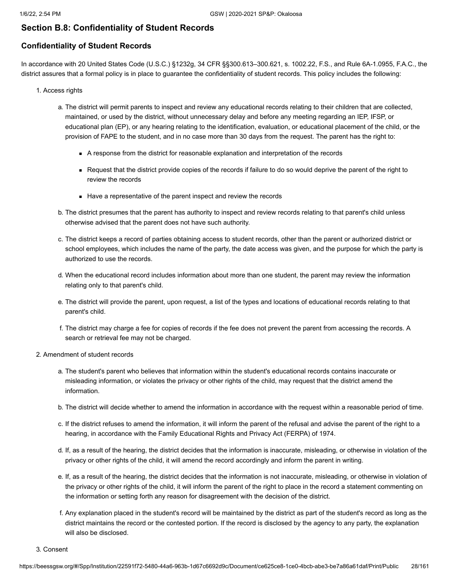# **Section B.8: Confidentiality of Student Records**

## **Confidentiality of Student Records**

In accordance with 20 United States Code (U.S.C.) §1232g, 34 CFR §§300.613–300.621, s. 1002.22, F.S., and Rule 6A-1.0955, F.A.C., the district assures that a formal policy is in place to guarantee the confidentiality of student records. This policy includes the following:

- 1. Access rights
	- a. The district will permit parents to inspect and review any educational records relating to their children that are collected, maintained, or used by the district, without unnecessary delay and before any meeting regarding an IEP, IFSP, or educational plan (EP), or any hearing relating to the identification, evaluation, or educational placement of the child, or the provision of FAPE to the student, and in no case more than 30 days from the request. The parent has the right to:
		- A response from the district for reasonable explanation and interpretation of the records
		- Request that the district provide copies of the records if failure to do so would deprive the parent of the right to review the records
		- Have a representative of the parent inspect and review the records
	- b. The district presumes that the parent has authority to inspect and review records relating to that parent's child unless otherwise advised that the parent does not have such authority.
	- c. The district keeps a record of parties obtaining access to student records, other than the parent or authorized district or school employees, which includes the name of the party, the date access was given, and the purpose for which the party is authorized to use the records.
	- d. When the educational record includes information about more than one student, the parent may review the information relating only to that parent's child.
	- e. The district will provide the parent, upon request, a list of the types and locations of educational records relating to that parent's child.
	- f. The district may charge a fee for copies of records if the fee does not prevent the parent from accessing the records. A search or retrieval fee may not be charged.
- 2. Amendment of student records
	- a. The student's parent who believes that information within the student's educational records contains inaccurate or misleading information, or violates the privacy or other rights of the child, may request that the district amend the information.
	- b. The district will decide whether to amend the information in accordance with the request within a reasonable period of time.
	- c. If the district refuses to amend the information, it will inform the parent of the refusal and advise the parent of the right to a hearing, in accordance with the Family Educational Rights and Privacy Act (FERPA) of 1974.
	- d. If, as a result of the hearing, the district decides that the information is inaccurate, misleading, or otherwise in violation of the privacy or other rights of the child, it will amend the record accordingly and inform the parent in writing.
	- e. If, as a result of the hearing, the district decides that the information is not inaccurate, misleading, or otherwise in violation of the privacy or other rights of the child, it will inform the parent of the right to place in the record a statement commenting on the information or setting forth any reason for disagreement with the decision of the district.
	- f. Any explanation placed in the student's record will be maintained by the district as part of the student's record as long as the district maintains the record or the contested portion. If the record is disclosed by the agency to any party, the explanation will also be disclosed.

3. Consent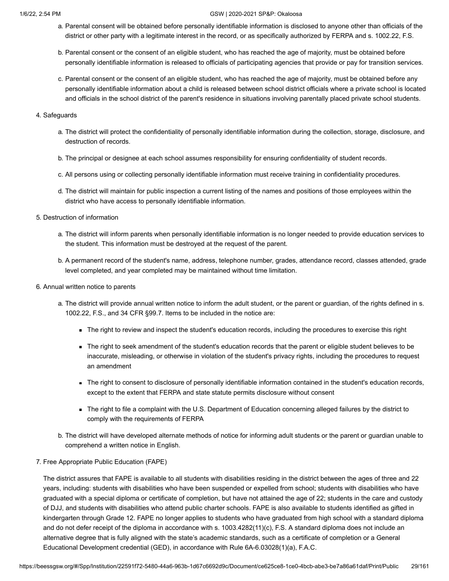#### 1/6/22, 2:54 PM GSW | 2020-2021 SP&P: Okaloosa

- a. Parental consent will be obtained before personally identifiable information is disclosed to anyone other than officials of the district or other party with a legitimate interest in the record, or as specifically authorized by FERPA and s. 1002.22, F.S.
- b. Parental consent or the consent of an eligible student, who has reached the age of majority, must be obtained before personally identifiable information is released to officials of participating agencies that provide or pay for transition services.
- c. Parental consent or the consent of an eligible student, who has reached the age of majority, must be obtained before any personally identifiable information about a child is released between school district officials where a private school is located and officials in the school district of the parent's residence in situations involving parentally placed private school students.

#### 4. Safeguards

- a. The district will protect the confidentiality of personally identifiable information during the collection, storage, disclosure, and destruction of records.
- b. The principal or designee at each school assumes responsibility for ensuring confidentiality of student records.
- c. All persons using or collecting personally identifiable information must receive training in confidentiality procedures.
- d. The district will maintain for public inspection a current listing of the names and positions of those employees within the district who have access to personally identifiable information.

### 5. Destruction of information

- a. The district will inform parents when personally identifiable information is no longer needed to provide education services to the student. This information must be destroyed at the request of the parent.
- b. A permanent record of the student's name, address, telephone number, grades, attendance record, classes attended, grade level completed, and year completed may be maintained without time limitation.
- 6. Annual written notice to parents
	- a. The district will provide annual written notice to inform the adult student, or the parent or guardian, of the rights defined in s. 1002.22, F.S., and 34 CFR §99.7. Items to be included in the notice are:
		- The right to review and inspect the student's education records, including the procedures to exercise this right
		- The right to seek amendment of the student's education records that the parent or eligible student believes to be inaccurate, misleading, or otherwise in violation of the student's privacy rights, including the procedures to request an amendment
		- The right to consent to disclosure of personally identifiable information contained in the student's education records, except to the extent that FERPA and state statute permits disclosure without consent
		- The right to file a complaint with the U.S. Department of Education concerning alleged failures by the district to comply with the requirements of FERPA
	- b. The district will have developed alternate methods of notice for informing adult students or the parent or guardian unable to comprehend a written notice in English.
- 7. Free Appropriate Public Education (FAPE)

The district assures that FAPE is available to all students with disabilities residing in the district between the ages of three and 22 years, including: students with disabilities who have been suspended or expelled from school; students with disabilities who have graduated with a special diploma or certificate of completion, but have not attained the age of 22; students in the care and custody of DJJ, and students with disabilities who attend public charter schools. FAPE is also available to students identified as gifted in kindergarten through Grade 12. FAPE no longer applies to students who have graduated from high school with a standard diploma and do not defer receipt of the diploma in accordance with s. 1003.4282(11)(c), F.S. A standard diploma does not include an alternative degree that is fully aligned with the state's academic standards, such as a certificate of completion or a General Educational Development credential (GED), in accordance with Rule 6A-6.03028(1)(a), F.A.C.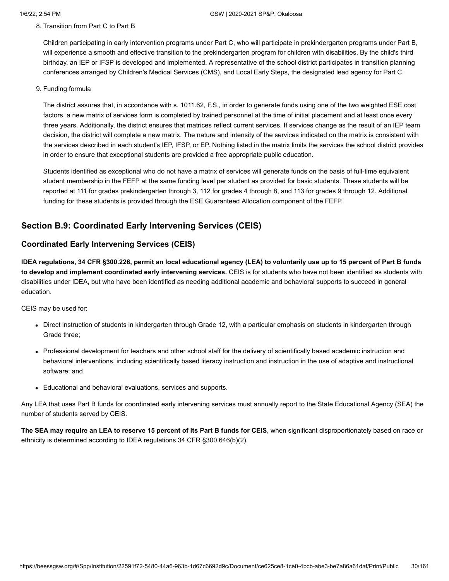## 8. Transition from Part C to Part B

Children participating in early intervention programs under Part C, who will participate in prekindergarten programs under Part B, will experience a smooth and effective transition to the prekindergarten program for children with disabilities. By the child's third birthday, an IEP or IFSP is developed and implemented. A representative of the school district participates in transition planning conferences arranged by Children's Medical Services (CMS), and Local Early Steps, the designated lead agency for Part C.

#### 9. Funding formula

The district assures that, in accordance with s. 1011.62, F.S., in order to generate funds using one of the two weighted ESE cost factors, a new matrix of services form is completed by trained personnel at the time of initial placement and at least once every three years. Additionally, the district ensures that matrices reflect current services. If services change as the result of an IEP team decision, the district will complete a new matrix. The nature and intensity of the services indicated on the matrix is consistent with the services described in each student's IEP, IFSP, or EP. Nothing listed in the matrix limits the services the school district provides in order to ensure that exceptional students are provided a free appropriate public education.

Students identified as exceptional who do not have a matrix of services will generate funds on the basis of full-time equivalent student membership in the FEFP at the same funding level per student as provided for basic students. These students will be reported at 111 for grades prekindergarten through 3, 112 for grades 4 through 8, and 113 for grades 9 through 12. Additional funding for these students is provided through the ESE Guaranteed Allocation component of the FEFP.

# **Section B.9: Coordinated Early Intervening Services (CEIS)**

## **Coordinated Early Intervening Services (CEIS)**

**IDEA regulations, 34 CFR §300.226, permit an local educational agency (LEA) to voluntarily use up to 15 percent of Part B funds to develop and implement coordinated early intervening services.** CEIS is for students who have not been identified as students with disabilities under IDEA, but who have been identified as needing additional academic and behavioral supports to succeed in general education.

CEIS may be used for:

- Direct instruction of students in kindergarten through Grade 12, with a particular emphasis on students in kindergarten through Grade three;
- Professional development for teachers and other school staff for the delivery of scientifically based academic instruction and behavioral interventions, including scientifically based literacy instruction and instruction in the use of adaptive and instructional software; and
- Educational and behavioral evaluations, services and supports.

Any LEA that uses Part B funds for coordinated early intervening services must annually report to the State Educational Agency (SEA) the number of students served by CEIS.

**The SEA may require an LEA to reserve 15 percent of its Part B funds for CEIS**, when significant disproportionately based on race or ethnicity is determined according to IDEA regulations 34 CFR §300.646(b)(2).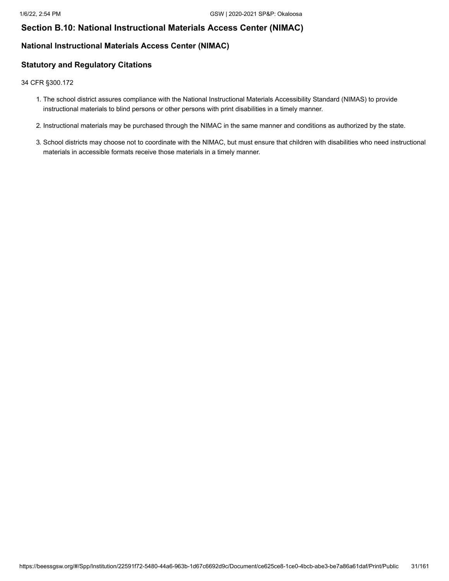## **Section B.10: National Instructional Materials Access Center (NIMAC)**

## **National Instructional Materials Access Center (NIMAC)**

## **Statutory and Regulatory Citations**

34 CFR §300.172

- 1. The school district assures compliance with the National Instructional Materials Accessibility Standard (NIMAS) to provide instructional materials to blind persons or other persons with print disabilities in a timely manner.
- 2. Instructional materials may be purchased through the NIMAC in the same manner and conditions as authorized by the state.
- 3. School districts may choose not to coordinate with the NIMAC, but must ensure that children with disabilities who need instructional materials in accessible formats receive those materials in a timely manner.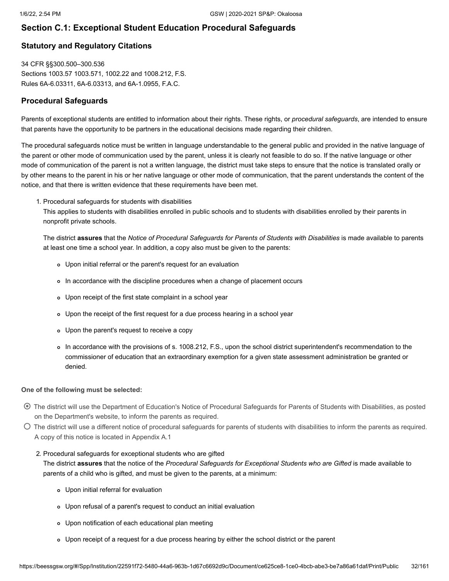## **Section C.1: Exceptional Student Education Procedural Safeguards**

## **Statutory and Regulatory Citations**

34 CFR §§300.500–300.536 Sections 1003.57 1003.571, 1002.22 and 1008.212, F.S. Rules 6A-6.03311, 6A-6.03313, and 6A-1.0955, F.A.C.

## **Procedural Safeguards**

Parents of exceptional students are entitled to information about their rights. These rights, or *procedural safeguards*, are intended to ensure that parents have the opportunity to be partners in the educational decisions made regarding their children.

The procedural safeguards notice must be written in language understandable to the general public and provided in the native language of the parent or other mode of communication used by the parent, unless it is clearly not feasible to do so. If the native language or other mode of communication of the parent is not a written language, the district must take steps to ensure that the notice is translated orally or by other means to the parent in his or her native language or other mode of communication, that the parent understands the content of the notice, and that there is written evidence that these requirements have been met.

1. Procedural safeguards for students with disabilities

This applies to students with disabilities enrolled in public schools and to students with disabilities enrolled by their parents in nonprofit private schools.

The district **assures** that the *Notice of Procedural Safeguards for Parents of Students with Disabilities* is made available to parents at least one time a school year. In addition, a copy also must be given to the parents:

- Upon initial referral or the parent's request for an evaluation
- In accordance with the discipline procedures when a change of placement occurs
- Upon receipt of the first state complaint in a school year
- Upon the receipt of the first request for a due process hearing in a school year
- Upon the parent's request to receive a copy
- In accordance with the provisions of s. 1008.212, F.S., upon the school district superintendent's recommendation to the commissioner of education that an extraordinary exemption for a given state assessment administration be granted or denied.

#### **One of the following must be selected:**

- The district will use the Department of Education's Notice of Procedural Safeguards for Parents of Students with Disabilities, as posted on the Department's website, to inform the parents as required.
- $\bigcirc$  The district will use a different notice of procedural safeguards for parents of students with disabilities to inform the parents as required. A copy of this notice is located in Appendix A.1
	- 2. Procedural safeguards for exceptional students who are gifted The district **assures** that the notice of the *Procedural Safeguards for Exceptional Students who are Gifted* is made available to parents of a child who is gifted, and must be given to the parents, at a minimum:
		- Upon initial referral for evaluation
		- Upon refusal of a parent's request to conduct an initial evaluation
		- Upon notification of each educational plan meeting
		- Upon receipt of a request for a due process hearing by either the school district or the parent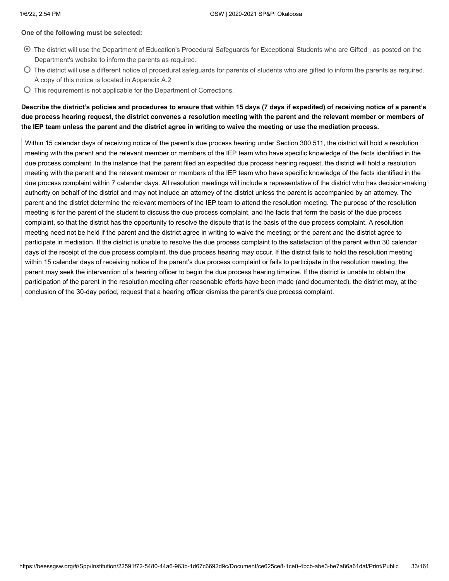- The district will use the Department of Education's Procedural Safeguards for Exceptional Students who are Gifted , as posted on the Department's website to inform the parents as required.
- $\bigcirc$  The district will use a different notice of procedural safeguards for parents of students who are gifted to inform the parents as required. A copy of this notice is located in Appendix A.2
- $\bigcirc$  This requirement is not applicable for the Department of Corrections.

## **Describe the district's policies and procedures to ensure that within 15 days (7 days if expedited) of receiving notice of a parent's due process hearing request, the district convenes a resolution meeting with the parent and the relevant member or members of the IEP team unless the parent and the district agree in writing to waive the meeting or use the mediation process.**

the of the holid of the state of the state of the following the state of the state of the following the state of the state of the state of the state of the state of the state of the state of the state of the state of the s Within 15 calendar days of receiving notice of the parent's due process hearing under Section 300.511, the district will hold a resolution meeting with the parent and the relevant member or members of the IEP team who have specific knowledge of the facts identified in the due process complaint. In the instance that the parent filed an expedited due process hearing request, the district will hold a resolution meeting with the parent and the relevant member or members of the IEP team who have specific knowledge of the facts identified in the due process complaint within 7 calendar days. All resolution meetings will include a representative of the district who has decision-making authority on behalf of the district and may not include an attorney of the district unless the parent is accompanied by an attorney. The parent and the district determine the relevant members of the IEP team to attend the resolution meeting. The purpose of the resolution meeting is for the parent of the student to discuss the due process complaint, and the facts that form the basis of the due process complaint, so that the district has the opportunity to resolve the dispute that is the basis of the due process complaint. A resolution meeting need not be held if the parent and the district agree in writing to waive the meeting; or the parent and the district agree to participate in mediation. If the district is unable to resolve the due process complaint to the satisfaction of the parent within 30 calendar days of the receipt of the due process complaint, the due process hearing may occur. If the district fails to hold the resolution meeting within 15 calendar days of receiving notice of the parent's due process complaint or fails to participate in the resolution meeting, the parent may seek the intervention of a hearing officer to begin the due process hearing timeline. If the district is unable to obtain the participation of the parent in the resolution meeting after reasonable efforts have been made (and documented), the district may, at the conclusion of the 30-day period, request that a hearing officer dismiss the parent's due process complaint.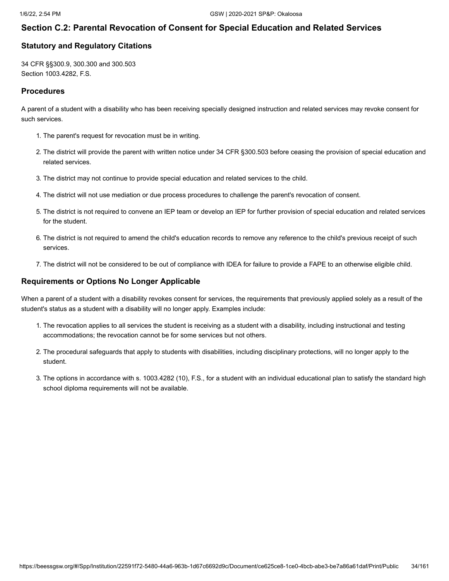## **Section C.2: Parental Revocation of Consent for Special Education and Related Services**

## **Statutory and Regulatory Citations**

34 CFR §§300.9, 300.300 and 300.503 Section 1003.4282, F.S.

### **Procedures**

A parent of a student with a disability who has been receiving specially designed instruction and related services may revoke consent for such services.

- 1. The parent's request for revocation must be in writing.
- 2. The district will provide the parent with written notice under 34 CFR §300.503 before ceasing the provision of special education and related services.
- 3. The district may not continue to provide special education and related services to the child.
- 4. The district will not use mediation or due process procedures to challenge the parent's revocation of consent.
- 5. The district is not required to convene an IEP team or develop an IEP for further provision of special education and related services for the student.
- 6. The district is not required to amend the child's education records to remove any reference to the child's previous receipt of such services.
- 7. The district will not be considered to be out of compliance with IDEA for failure to provide a FAPE to an otherwise eligible child.

### **Requirements or Options No Longer Applicable**

When a parent of a student with a disability revokes consent for services, the requirements that previously applied solely as a result of the student's status as a student with a disability will no longer apply. Examples include:

- 1. The revocation applies to all services the student is receiving as a student with a disability, including instructional and testing accommodations; the revocation cannot be for some services but not others.
- 2. The procedural safeguards that apply to students with disabilities, including disciplinary protections, will no longer apply to the student.
- 3. The options in accordance with s. 1003.4282 (10), F.S., for a student with an individual educational plan to satisfy the standard high school diploma requirements will not be available.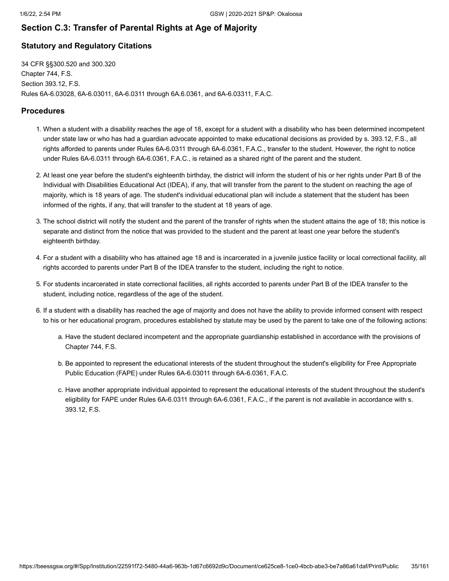# **Section C.3: Transfer of Parental Rights at Age of Majority**

## **Statutory and Regulatory Citations**

34 CFR §§300.520 and 300.320 Chapter 744, F.S. Section 393.12, F.S. Rules 6A-6.03028, 6A-6.03011, 6A-6.0311 through 6A.6.0361, and 6A-6.03311, F.A.C.

## **Procedures**

- 1. When a student with a disability reaches the age of 18, except for a student with a disability who has been determined incompetent under state law or who has had a guardian advocate appointed to make educational decisions as provided by s. 393.12, F.S., all rights afforded to parents under Rules 6A-6.0311 through 6A-6.0361, F.A.C., transfer to the student. However, the right to notice under Rules 6A-6.0311 through 6A-6.0361, F.A.C., is retained as a shared right of the parent and the student.
- 2. At least one year before the student's eighteenth birthday, the district will inform the student of his or her rights under Part B of the Individual with Disabilities Educational Act (IDEA), if any, that will transfer from the parent to the student on reaching the age of majority, which is 18 years of age. The student's individual educational plan will include a statement that the student has been informed of the rights, if any, that will transfer to the student at 18 years of age.
- 3. The school district will notify the student and the parent of the transfer of rights when the student attains the age of 18; this notice is separate and distinct from the notice that was provided to the student and the parent at least one year before the student's eighteenth birthday.
- 4. For a student with a disability who has attained age 18 and is incarcerated in a juvenile justice facility or local correctional facility, all rights accorded to parents under Part B of the IDEA transfer to the student, including the right to notice.
- 5. For students incarcerated in state correctional facilities, all rights accorded to parents under Part B of the IDEA transfer to the student, including notice, regardless of the age of the student.
- 6. If a student with a disability has reached the age of majority and does not have the ability to provide informed consent with respect to his or her educational program, procedures established by statute may be used by the parent to take one of the following actions:
	- a. Have the student declared incompetent and the appropriate guardianship established in accordance with the provisions of Chapter 744, F.S.
	- b. Be appointed to represent the educational interests of the student throughout the student's eligibility for Free Appropriate Public Education (FAPE) under Rules 6A-6.03011 through 6A-6.0361, F.A.C.
	- c. Have another appropriate individual appointed to represent the educational interests of the student throughout the student's eligibility for FAPE under Rules 6A-6.0311 through 6A-6.0361, F.A.C., if the parent is not available in accordance with s. 393.12, F.S.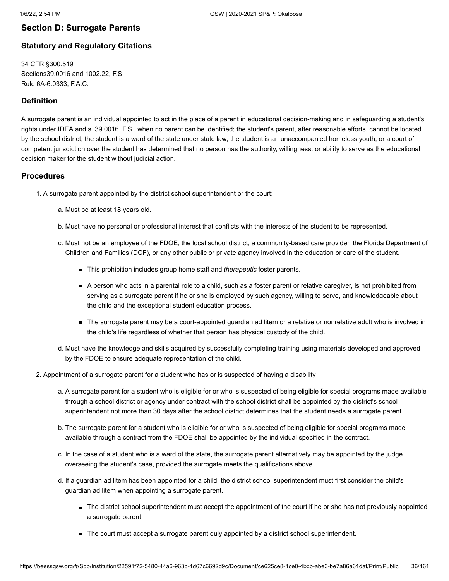## **Section D: Surrogate Parents**

## **Statutory and Regulatory Citations**

34 CFR §300.519 Sections39.0016 and 1002.22, F.S. Rule 6A-6.0333, F.A.C.

## **Definition**

A surrogate parent is an individual appointed to act in the place of a parent in educational decision-making and in safeguarding a student's rights under IDEA and s. 39.0016, F.S., when no parent can be identified; the student's parent, after reasonable efforts, cannot be located by the school district; the student is a ward of the state under state law; the student is an unaccompanied homeless youth; or a court of competent jurisdiction over the student has determined that no person has the authority, willingness, or ability to serve as the educational decision maker for the student without judicial action.

#### **Procedures**

- 1. A surrogate parent appointed by the district school superintendent or the court:
	- a. Must be at least 18 years old.
	- b. Must have no personal or professional interest that conflicts with the interests of the student to be represented.
	- c. Must not be an employee of the FDOE, the local school district, a community-based care provider, the Florida Department of Children and Families (DCF), or any other public or private agency involved in the education or care of the student.
		- This prohibition includes group home staff and *therapeutic* foster parents.
		- A person who acts in a parental role to a child, such as a foster parent or relative caregiver, is not prohibited from serving as a surrogate parent if he or she is employed by such agency, willing to serve, and knowledgeable about the child and the exceptional student education process.
		- The surrogate parent may be a court-appointed guardian ad litem or a relative or nonrelative adult who is involved in the child's life regardless of whether that person has physical custody of the child.
	- d. Must have the knowledge and skills acquired by successfully completing training using materials developed and approved by the FDOE to ensure adequate representation of the child.
- 2. Appointment of a surrogate parent for a student who has or is suspected of having a disability
	- a. A surrogate parent for a student who is eligible for or who is suspected of being eligible for special programs made available through a school district or agency under contract with the school district shall be appointed by the district's school superintendent not more than 30 days after the school district determines that the student needs a surrogate parent.
	- b. The surrogate parent for a student who is eligible for or who is suspected of being eligible for special programs made available through a contract from the FDOE shall be appointed by the individual specified in the contract.
	- c. In the case of a student who is a ward of the state, the surrogate parent alternatively may be appointed by the judge overseeing the student's case, provided the surrogate meets the qualifications above.
	- d. If a guardian ad litem has been appointed for a child, the district school superintendent must first consider the child's guardian ad litem when appointing a surrogate parent.
		- The district school superintendent must accept the appointment of the court if he or she has not previously appointed a surrogate parent.
		- The court must accept a surrogate parent duly appointed by a district school superintendent.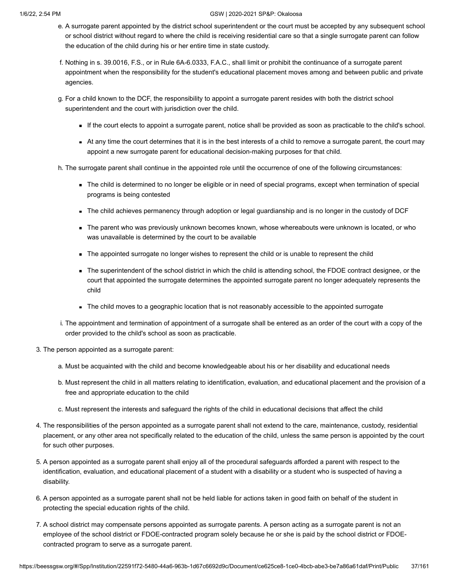- e. A surrogate parent appointed by the district school superintendent or the court must be accepted by any subsequent school or school district without regard to where the child is receiving residential care so that a single surrogate parent can follow the education of the child during his or her entire time in state custody.
- f. Nothing in s. 39.0016, F.S., or in Rule 6A-6.0333, F.A.C., shall limit or prohibit the continuance of a surrogate parent appointment when the responsibility for the student's educational placement moves among and between public and private agencies.
- g. For a child known to the DCF, the responsibility to appoint a surrogate parent resides with both the district school superintendent and the court with jurisdiction over the child.
	- If the court elects to appoint a surrogate parent, notice shall be provided as soon as practicable to the child's school.
	- At any time the court determines that it is in the best interests of a child to remove a surrogate parent, the court may appoint a new surrogate parent for educational decision-making purposes for that child.
- h. The surrogate parent shall continue in the appointed role until the occurrence of one of the following circumstances:
	- The child is determined to no longer be eligible or in need of special programs, except when termination of special programs is being contested
	- The child achieves permanency through adoption or legal guardianship and is no longer in the custody of DCF
	- The parent who was previously unknown becomes known, whose whereabouts were unknown is located, or who was unavailable is determined by the court to be available
	- The appointed surrogate no longer wishes to represent the child or is unable to represent the child
	- The superintendent of the school district in which the child is attending school, the FDOE contract designee, or the court that appointed the surrogate determines the appointed surrogate parent no longer adequately represents the child
	- The child moves to a geographic location that is not reasonably accessible to the appointed surrogate
- i. The appointment and termination of appointment of a surrogate shall be entered as an order of the court with a copy of the order provided to the child's school as soon as practicable.
- 3. The person appointed as a surrogate parent:
	- a. Must be acquainted with the child and become knowledgeable about his or her disability and educational needs
	- b. Must represent the child in all matters relating to identification, evaluation, and educational placement and the provision of a free and appropriate education to the child
	- c. Must represent the interests and safeguard the rights of the child in educational decisions that affect the child
- 4. The responsibilities of the person appointed as a surrogate parent shall not extend to the care, maintenance, custody, residential placement, or any other area not specifically related to the education of the child, unless the same person is appointed by the court for such other purposes.
- 5. A person appointed as a surrogate parent shall enjoy all of the procedural safeguards afforded a parent with respect to the identification, evaluation, and educational placement of a student with a disability or a student who is suspected of having a disability.
- 6. A person appointed as a surrogate parent shall not be held liable for actions taken in good faith on behalf of the student in protecting the special education rights of the child.
- 7. A school district may compensate persons appointed as surrogate parents. A person acting as a surrogate parent is not an employee of the school district or FDOE-contracted program solely because he or she is paid by the school district or FDOEcontracted program to serve as a surrogate parent.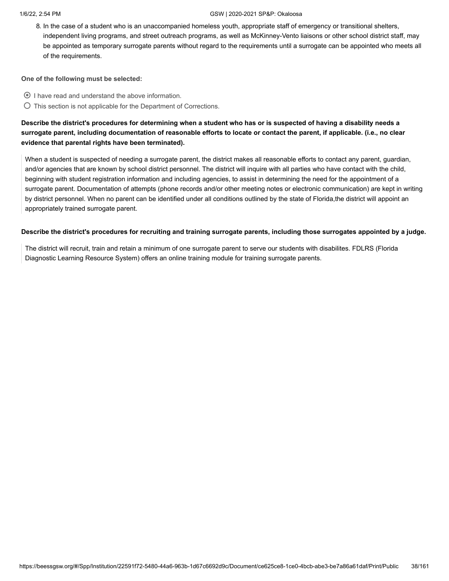8. In the case of a student who is an unaccompanied homeless youth, appropriate staff of emergency or transitional shelters, independent living programs, and street outreach programs, as well as McKinney-Vento liaisons or other school district staff, may be appointed as temporary surrogate parents without regard to the requirements until a surrogate can be appointed who meets all of the requirements.

**One of the following must be selected:**

- $\odot$  I have read and understand the above information.
- $\bigcirc$  This section is not applicable for the Department of Corrections.

**Describe the district's procedures for determining when a student who has or is suspected of having a disability needs a surrogate parent, including documentation of reasonable efforts to locate or contact the parent, if applicable. (i.e., no clear evidence that parental rights have been terminated).**

When a student is suspected of needing a surrogate parent, the district makes all reasonable efforts to contact any parent, guardian, and/or agencies that are known by school district personnel. The district will inquire with all parties who have contact with the child, beginning with student registration information and including agencies, to assist in determining the need for the appointment of a surrogate parent. Documentation of attempts (phone records and/or other meeting notes or electronic communication) are kept in writing by district personnel. When no parent can be identified under all conditions outlined by the state of Florida,the district will appoint an appropriately trained surrogate parent.

#### **Describe the district's procedures for recruiting and training surrogate parents, including those surrogates appointed by a judge.**

The district will recruit, train and retain a minimum of one surrogate parent to serve our students with disabilites. FDLRS (Florida Diagnostic Learning Resource System) offers an online training module for training surrogate parents.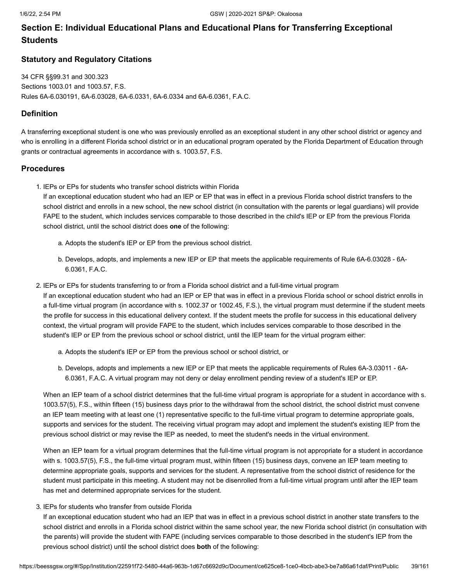# **Section E: Individual Educational Plans and Educational Plans for Transferring Exceptional Students**

## **Statutory and Regulatory Citations**

34 CFR §§99.31 and 300.323 Sections 1003.01 and 1003.57, F.S. Rules 6A-6.030191, 6A-6.03028, 6A-6.0331, 6A-6.0334 and 6A-6.0361, F.A.C.

### **Definition**

A transferring exceptional student is one who was previously enrolled as an exceptional student in any other school district or agency and who is enrolling in a different Florida school district or in an educational program operated by the Florida Department of Education through grants or contractual agreements in accordance with s. 1003.57, F.S.

### **Procedures**

1. IEPs or EPs for students who transfer school districts within Florida

If an exceptional education student who had an IEP or EP that was in effect in a previous Florida school district transfers to the school district and enrolls in a new school, the new school district (in consultation with the parents or legal guardians) will provide FAPE to the student, which includes services comparable to those described in the child's IEP or EP from the previous Florida school district, until the school district does **one** of the following:

- a. Adopts the student's IEP or EP from the previous school district.
- b. Develops, adopts, and implements a new IEP or EP that meets the applicable requirements of Rule 6A-6.03028 6A-6.0361, F.A.C.
- 2. IEPs or EPs for students transferring to or from a Florida school district and a full-time virtual program If an exceptional education student who had an IEP or EP that was in effect in a previous Florida school or school district enrolls in a full-time virtual program (in accordance with s. 1002.37 or 1002.45, F.S.), the virtual program must determine if the student meets the profile for success in this educational delivery context. If the student meets the profile for success in this educational delivery context, the virtual program will provide FAPE to the student, which includes services comparable to those described in the student's IEP or EP from the previous school or school district, until the IEP team for the virtual program either:
	- a. Adopts the student's IEP or EP from the previous school or school district, or
	- b. Develops, adopts and implements a new IEP or EP that meets the applicable requirements of Rules 6A-3.03011 6A-6.0361, F.A.C. A virtual program may not deny or delay enrollment pending review of a student's IEP or EP.

When an IEP team of a school district determines that the full-time virtual program is appropriate for a student in accordance with s. 1003.57(5), F.S., within fifteen (15) business days prior to the withdrawal from the school district, the school district must convene an IEP team meeting with at least one (1) representative specific to the full-time virtual program to determine appropriate goals, supports and services for the student. The receiving virtual program may adopt and implement the student's existing IEP from the previous school district or may revise the IEP as needed, to meet the student's needs in the virtual environment.

When an IEP team for a virtual program determines that the full-time virtual program is not appropriate for a student in accordance with s. 1003.57(5), F.S., the full-time virtual program must, within fifteen (15) business days, convene an IEP team meeting to determine appropriate goals, supports and services for the student. A representative from the school district of residence for the student must participate in this meeting. A student may not be disenrolled from a full-time virtual program until after the IEP team has met and determined appropriate services for the student.

3. IEPs for students who transfer from outside Florida

If an exceptional education student who had an IEP that was in effect in a previous school district in another state transfers to the school district and enrolls in a Florida school district within the same school year, the new Florida school district (in consultation with the parents) will provide the student with FAPE (including services comparable to those described in the student's IEP from the previous school district) until the school district does **both** of the following: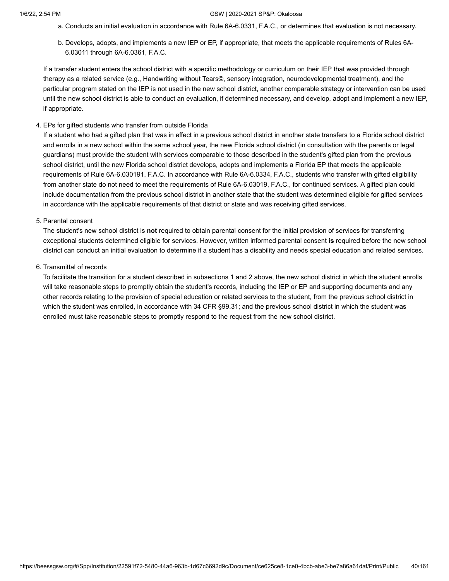- a. Conducts an initial evaluation in accordance with Rule 6A-6.0331, F.A.C., or determines that evaluation is not necessary.
- b. Develops, adopts, and implements a new IEP or EP, if appropriate, that meets the applicable requirements of Rules 6A-6.03011 through 6A-6.0361, F.A.C.

If a transfer student enters the school district with a specific methodology or curriculum on their IEP that was provided through therapy as a related service (e.g., Handwriting without Tears©, sensory integration, neurodevelopmental treatment), and the particular program stated on the IEP is not used in the new school district, another comparable strategy or intervention can be used until the new school district is able to conduct an evaluation, if determined necessary, and develop, adopt and implement a new IEP, if appropriate.

4. EPs for gifted students who transfer from outside Florida

If a student who had a gifted plan that was in effect in a previous school district in another state transfers to a Florida school district and enrolls in a new school within the same school year, the new Florida school district (in consultation with the parents or legal guardians) must provide the student with services comparable to those described in the student's gifted plan from the previous school district, until the new Florida school district develops, adopts and implements a Florida EP that meets the applicable requirements of Rule 6A-6.030191, F.A.C. In accordance with Rule 6A-6.0334, F.A.C., students who transfer with gifted eligibility from another state do not need to meet the requirements of Rule 6A-6.03019, F.A.C., for continued services. A gifted plan could include documentation from the previous school district in another state that the student was determined eligible for gifted services in accordance with the applicable requirements of that district or state and was receiving gifted services.

5. Parental consent

The student's new school district is **not** required to obtain parental consent for the initial provision of services for transferring exceptional students determined eligible for services. However, written informed parental consent **is** required before the new school district can conduct an initial evaluation to determine if a student has a disability and needs special education and related services.

6. Transmittal of records

To facilitate the transition for a student described in subsections 1 and 2 above, the new school district in which the student enrolls will take reasonable steps to promptly obtain the student's records, including the IEP or EP and supporting documents and any other records relating to the provision of special education or related services to the student, from the previous school district in which the student was enrolled, in accordance with 34 CFR §99.31; and the previous school district in which the student was enrolled must take reasonable steps to promptly respond to the request from the new school district.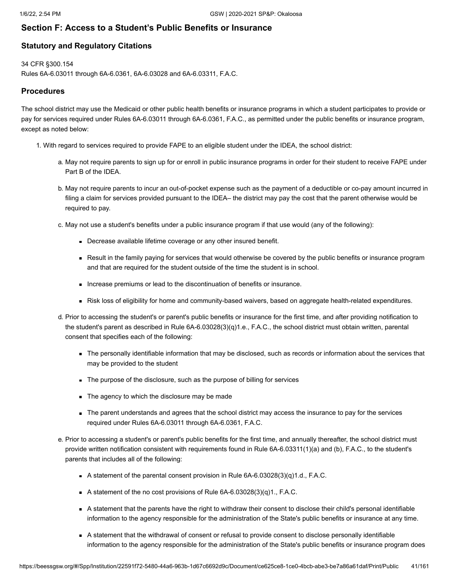## **Section F: Access to a Student's Public Benefits or Insurance**

### **Statutory and Regulatory Citations**

34 CFR §300.154 Rules 6A-6.03011 through 6A-6.0361, 6A-6.03028 and 6A-6.03311, F.A.C.

#### **Procedures**

The school district may use the Medicaid or other public health benefits or insurance programs in which a student participates to provide or pay for services required under Rules 6A-6.03011 through 6A-6.0361, F.A.C., as permitted under the public benefits or insurance program, except as noted below:

- 1. With regard to services required to provide FAPE to an eligible student under the IDEA, the school district:
	- a. May not require parents to sign up for or enroll in public insurance programs in order for their student to receive FAPE under Part B of the IDEA.
	- b. May not require parents to incur an out-of-pocket expense such as the payment of a deductible or co-pay amount incurred in filing a claim for services provided pursuant to the IDEA– the district may pay the cost that the parent otherwise would be required to pay.
	- c. May not use a student's benefits under a public insurance program if that use would (any of the following):
		- **Decrease available lifetime coverage or any other insured benefit.**
		- Result in the family paying for services that would otherwise be covered by the public benefits or insurance program and that are required for the student outside of the time the student is in school.
		- Increase premiums or lead to the discontinuation of benefits or insurance.
		- Risk loss of eligibility for home and community-based waivers, based on aggregate health-related expenditures.
	- d. Prior to accessing the student's or parent's public benefits or insurance for the first time, and after providing notification to the student's parent as described in Rule 6A-6.03028(3)(q)1.e., F.A.C., the school district must obtain written, parental consent that specifies each of the following:
		- The personally identifiable information that may be disclosed, such as records or information about the services that may be provided to the student
		- The purpose of the disclosure, such as the purpose of billing for services
		- The agency to which the disclosure may be made
		- The parent understands and agrees that the school district may access the insurance to pay for the services required under Rules 6A-6.03011 through 6A-6.0361, F.A.C.
	- e. Prior to accessing a student's or parent's public benefits for the first time, and annually thereafter, the school district must provide written notification consistent with requirements found in Rule 6A-6.03311(1)(a) and (b), F.A.C., to the student's parents that includes all of the following:
		- A statement of the parental consent provision in Rule 6A-6.03028(3)(q)1.d., F.A.C.
		- A statement of the no cost provisions of Rule  $6A-6.03028(3)(q)1$ ., F.A.C.
		- A statement that the parents have the right to withdraw their consent to disclose their child's personal identifiable information to the agency responsible for the administration of the State's public benefits or insurance at any time.
		- A statement that the withdrawal of consent or refusal to provide consent to disclose personally identifiable information to the agency responsible for the administration of the State's public benefits or insurance program does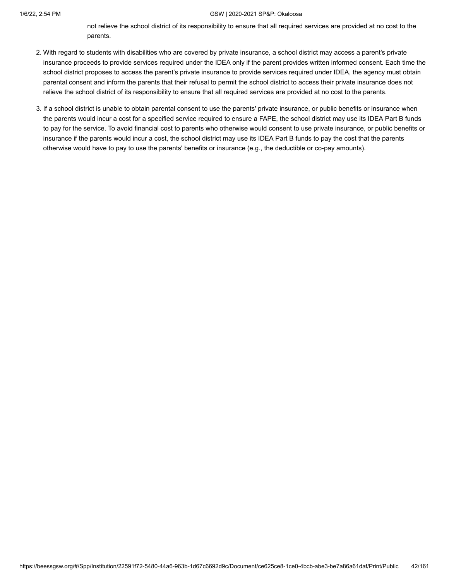not relieve the school district of its responsibility to ensure that all required services are provided at no cost to the parents.

- 2. With regard to students with disabilities who are covered by private insurance, a school district may access a parent's private insurance proceeds to provide services required under the IDEA only if the parent provides written informed consent. Each time the school district proposes to access the parent's private insurance to provide services required under IDEA, the agency must obtain parental consent and inform the parents that their refusal to permit the school district to access their private insurance does not relieve the school district of its responsibility to ensure that all required services are provided at no cost to the parents.
- 3. If a school district is unable to obtain parental consent to use the parents' private insurance, or public benefits or insurance when the parents would incur a cost for a specified service required to ensure a FAPE, the school district may use its IDEA Part B funds to pay for the service. To avoid financial cost to parents who otherwise would consent to use private insurance, or public benefits or insurance if the parents would incur a cost, the school district may use its IDEA Part B funds to pay the cost that the parents otherwise would have to pay to use the parents' benefits or insurance (e.g., the deductible or co-pay amounts).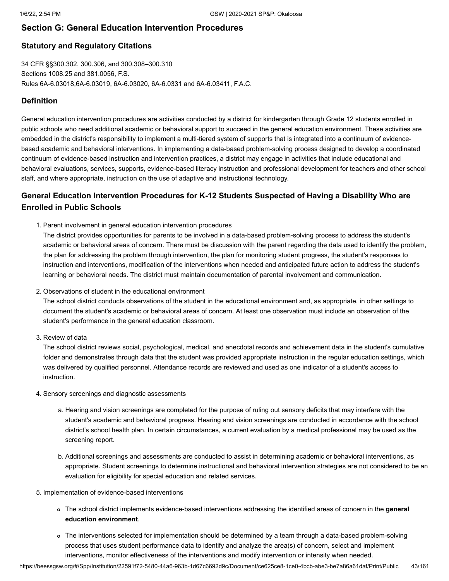## **Section G: General Education Intervention Procedures**

#### **Statutory and Regulatory Citations**

34 CFR §§300.302, 300.306, and 300.308–300.310 Sections 1008.25 and 381.0056, F.S. Rules 6A-6.03018,6A-6.03019, 6A-6.03020, 6A-6.0331 and 6A-6.03411, F.A.C.

### **Definition**

General education intervention procedures are activities conducted by a district for kindergarten through Grade 12 students enrolled in public schools who need additional academic or behavioral support to succeed in the general education environment. These activities are embedded in the district's responsibility to implement a multi-tiered system of supports that is integrated into a continuum of evidencebased academic and behavioral interventions. In implementing a data-based problem-solving process designed to develop a coordinated continuum of evidence-based instruction and intervention practices, a district may engage in activities that include educational and behavioral evaluations, services, supports, evidence-based literacy instruction and professional development for teachers and other school staff, and where appropriate, instruction on the use of adaptive and instructional technology.

## **General Education Intervention Procedures for K-12 Students Suspected of Having a Disability Who are Enrolled in Public Schools**

1. Parent involvement in general education intervention procedures

The district provides opportunities for parents to be involved in a data-based problem-solving process to address the student's academic or behavioral areas of concern. There must be discussion with the parent regarding the data used to identify the problem, the plan for addressing the problem through intervention, the plan for monitoring student progress, the student's responses to instruction and interventions, modification of the interventions when needed and anticipated future action to address the student's learning or behavioral needs. The district must maintain documentation of parental involvement and communication.

2. Observations of student in the educational environment

The school district conducts observations of the student in the educational environment and, as appropriate, in other settings to document the student's academic or behavioral areas of concern. At least one observation must include an observation of the student's performance in the general education classroom.

3. Review of data

The school district reviews social, psychological, medical, and anecdotal records and achievement data in the student's cumulative folder and demonstrates through data that the student was provided appropriate instruction in the regular education settings, which was delivered by qualified personnel. Attendance records are reviewed and used as one indicator of a student's access to instruction.

- 4. Sensory screenings and diagnostic assessments
	- a. Hearing and vision screenings are completed for the purpose of ruling out sensory deficits that may interfere with the student's academic and behavioral progress. Hearing and vision screenings are conducted in accordance with the school district's school health plan. In certain circumstances, a current evaluation by a medical professional may be used as the screening report.
	- b. Additional screenings and assessments are conducted to assist in determining academic or behavioral interventions, as appropriate. Student screenings to determine instructional and behavioral intervention strategies are not considered to be an evaluation for eligibility for special education and related services.
- 5. Implementation of evidence-based interventions
	- The school district implements evidence-based interventions addressing the identified areas of concern in the **general education environment**.
	- The interventions selected for implementation should be determined by a team through a data-based problem-solving process that uses student performance data to identify and analyze the area(s) of concern, select and implement interventions, monitor effectiveness of the interventions and modify intervention or intensity when needed.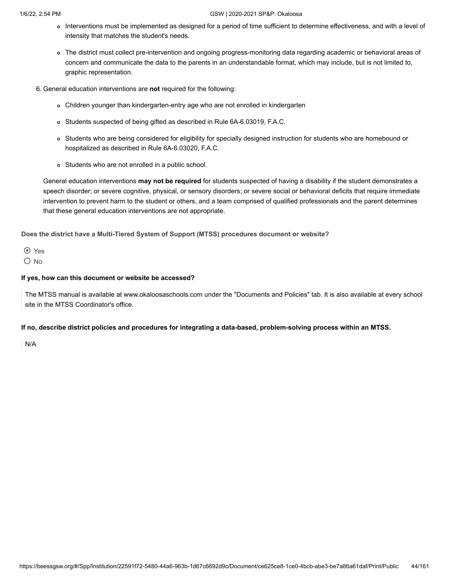- Interventions must be implemented as designed for a period of time sufficient to determine effectiveness, and with a level of intensity that matches the student's needs.
- The district must collect pre-intervention and ongoing progress-monitoring data regarding academic or behavioral areas of concern and communicate the data to the parents in an understandable format, which may include, but is not limited to, graphic representation.
- 6. General education interventions are **not** required for the following:
	- Children younger than kindergarten-entry age who are not enrolled in kindergarten
	- Students suspected of being gifted as described in Rule 6A-6.03019, F.A.C.
	- Students who are being considered for eligibility for specially designed instruction for students who are homebound or hospitalized as described in Rule 6A-6.03020, F.A.C.
	- Students who are not enrolled in a public school.

General education interventions **may not be required** for students suspected of having a disability if the student demonstrates a speech disorder; or severe cognitive, physical, or sensory disorders; or severe social or behavioral deficits that require immediate intervention to prevent harm to the student or others, and a team comprised of qualified professionals and the parent determines that these general education interventions are not appropriate.

**Does the district have a Multi-Tiered System of Support (MTSS) procedures document or website?**

**⊙** Yes

O No

#### **If yes, how can this document or website be accessed?**

The MTSS manual is available at www.okaloosaschools.com under the "Documents and Policies" tab. It is also available at every school site in the MTSS Coordinator's office.

#### **If no, describe district policies and procedures for integrating a data-based, problem-solving process within an MTSS.**

N/A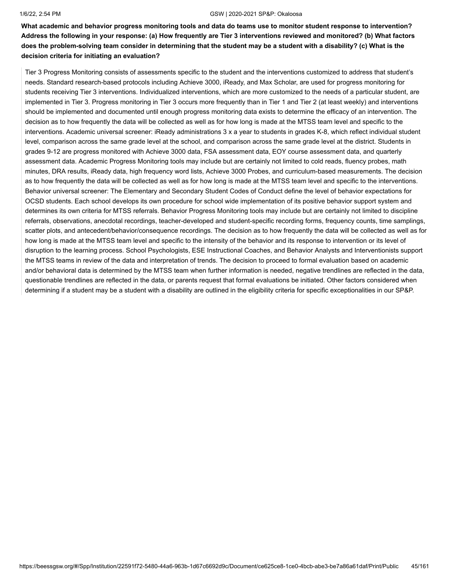**What academic and behavior progress monitoring tools and data do teams use to monitor student response to intervention? Address the following in your response: (a) How frequently are Tier 3 interventions reviewed and monitored? (b) What factors does the problem-solving team consider in determining that the student may be a student with a disability? (c) What is the decision criteria for initiating an evaluation?**

Tier 3 Progress Monitoring consists of assessments specific to the student and the interventions customized to address that student's needs. Standard research-based protocols including Achieve 3000, iReady, and Max Scholar, are used for progress monitoring for students receiving Tier 3 interventions. Individualized interventions, which are more customized to the needs of a particular student, are implemented in Tier 3. Progress monitoring in Tier 3 occurs more frequently than in Tier 1 and Tier 2 (at least weekly) and interventions should be implemented and documented until enough progress monitoring data exists to determine the efficacy of an intervention. The decision as to how frequently the data will be collected as well as for how long is made at the MTSS team level and specific to the interventions. Academic universal screener: iReady administrations 3 x a year to students in grades K-8, which reflect individual student level, comparison across the same grade level at the school, and comparison across the same grade level at the district. Students in grades 9-12 are progress monitored with Achieve 3000 data, FSA assessment data, EOY course assessment data, and quarterly assessment data. Academic Progress Monitoring tools may include but are certainly not limited to cold reads, fluency probes, math minutes, DRA results, iReady data, high frequency word lists, Achieve 3000 Probes, and curriculum-based measurements. The decision as to how frequently the data will be collected as well as for how long is made at the MTSS team level and specific to the interventions. Behavior universal screener: The Elementary and Secondary Student Codes of Conduct define the level of behavior expectations for OCSD students. Each school develops its own procedure for school wide implementation of its positive behavior support system and determines its own criteria for MTSS referrals. Behavior Progress Monitoring tools may include but are certainly not limited to discipline referrals, observations, anecdotal recordings, teacher-developed and student-specific recording forms, frequency counts, time samplings, scatter plots, and antecedent/behavior/consequence recordings. The decision as to how frequently the data will be collected as well as for how long is made at the MTSS team level and specific to the intensity of the behavior and its response to intervention or its level of disruption to the learning process. School Psychologists, ESE Instructional Coaches, and Behavior Analysts and Interventionists support the MTSS teams in review of the data and interpretation of trends. The decision to proceed to formal evaluation based on academic and/or behavioral data is determined by the MTSS team when further information is needed, negative trendlines are reflected in the data, questionable trendlines are reflected in the data, or parents request that formal evaluations be initiated. Other factors considered when determining if a student may be a student with a disability are outlined in the eligibility criteria for specific exceptionalities in our SP&P.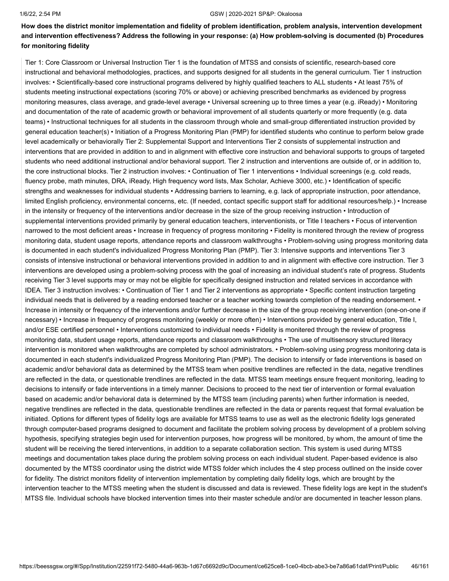**How does the district monitor implementation and fidelity of problem identification, problem analysis, intervention development and intervention effectiveness? Address the following in your response: (a) How problem-solving is documented (b) Procedures for monitoring fidelity**

Tier 1: Core Classroom or Universal Instruction Tier 1 is the foundation of MTSS and consists of scientific, research-based core instructional and behavioral methodologies, practices, and supports designed for all students in the general curriculum. Tier 1 instruction involves: • Scientifically-based core instructional programs delivered by highly qualified teachers to ALL students • At least 75% of students meeting instructional expectations (scoring 70% or above) or achieving prescribed benchmarks as evidenced by progress monitoring measures, class average, and grade-level average • Universal screening up to three times a year (e.g. iReady) • Monitoring and documentation of the rate of academic growth or behavioral improvement of all students quarterly or more frequently (e.g. data teams) • Instructional techniques for all students in the classroom through whole and small-group differentiated instruction provided by general education teacher(s) • Initiation of a Progress Monitoring Plan (PMP) for identified students who continue to perform below grade level academically or behaviorally Tier 2: Supplemental Support and Interventions Tier 2 consists of supplemental instruction and interventions that are provided in addition to and in alignment with effective core instruction and behavioral supports to groups of targeted students who need additional instructional and/or behavioral support. Tier 2 instruction and interventions are outside of, or in addition to, the core instructional blocks. Tier 2 instruction involves: • Continuation of Tier 1 interventions • Individual screenings (e.g. cold reads, fluency probe, math minutes, DRA, iReady, High frequency word lists, Max Scholar, Achieve 3000, etc.) • Identification of specific strengths and weaknesses for individual students • Addressing barriers to learning, e.g. lack of appropriate instruction, poor attendance, limited English proficiency, environmental concerns, etc. (If needed, contact specific support staff for additional resources/help.) • Increase in the intensity or frequency of the interventions and/or decrease in the size of the group receiving instruction • Introduction of supplemental interventions provided primarily by general education teachers, interventionists, or Title I teachers • Focus of intervention narrowed to the most deficient areas • Increase in frequency of progress monitoring • Fidelity is monitered through the review of progress monitoring data, student usage reports, attendance reports and classroom walkthroughs • Problem-solving using progress monitoring data is documented in each student's individualized Progress Monitoring Plan (PMP). Tier 3: Intensive supports and interventions Tier 3 consists of intensive instructional or behavioral interventions provided in addition to and in alignment with effective core instruction. Tier 3 interventions are developed using a problem-solving process with the goal of increasing an individual student's rate of progress. Students receiving Tier 3 level supports may or may not be eligible for specifically designed instruction and related services in accordance with IDEA. Tier 3 instruction involves: • Continuation of Tier 1 and Tier 2 interventions as appropriate • Specific content instruction targeting individual needs that is delivered by a reading endorsed teacher or a teacher working towards completion of the reading endorsement.  $\cdot$ Increase in intensity or frequency of the interventions and/or further decrease in the size of the group receiving intervention (one-on-one if necessary) • Increase in frequency of progress monitoring (weekly or more often) • Interventions provided by general education, Title I, and/or ESE certified personnel • Interventions customized to individual needs • Fidelity is monitered through the review of progress monitoring data, student usage reports, attendance reports and classroom walkthroughs • The use of multisensory structured literacy intervention is monitored when walkthroughs are completed by school administrators. • Problem-solving using progress monitoring data is documented in each student's individualized Progress Monitoring Plan (PMP). The decision to intensify or fade interventions is based on academic and/or behavioral data as determined by the MTSS team when positive trendlines are reflected in the data, negative trendlines are reflected in the data, or questionable trendlines are reflected in the data. MTSS team meetings ensure frequent monitoring, leading to decisions to intensify or fade interventions in a timely manner. Decisions to proceed to the next tier of intervention or formal evaluation based on academic and/or behavioral data is determined by the MTSS team (including parents) when further information is needed, negative trendlines are reflected in the data, questionable trendlines are reflected in the data or parents request that formal evaluation be initiated. Options for different types of fidelity logs are available for MTSS teams to use as well as the electronic fidelity logs generated through computer-based programs designed to document and facilitate the problem solving process by development of a problem solving hypothesis, specifying strategies begin used for intervention purposes, how progress will be monitored, by whom, the amount of time the student will be receiving the tiered interventions, in addition to a separate collaboration section. This system is used during MTSS meetings and documentation takes place during the problem solving process on each individual student. Paper-based evidence is also documented by the MTSS coordinator using the district wide MTSS folder which includes the 4 step process outlined on the inside cover for fidelity. The district monitors fidelity of intervention implementation by completing daily fidelity logs, which are brought by the intervention teacher to the MTSS meeting when the student is discussed and data is reviewed. These fidelity logs are kept in the student's MTSS file. Individual schools have blocked intervention times into their master schedule and/or are documented in teacher lesson plans.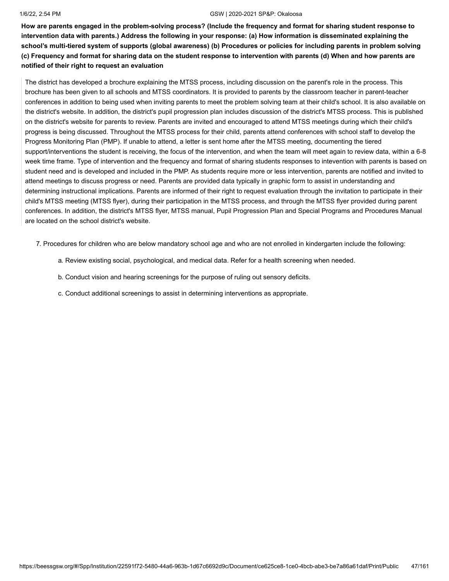**How are parents engaged in the problem-solving process? (Include the frequency and format for sharing student response to intervention data with parents.) Address the following in your response: (a) How information is disseminated explaining the school's multi-tiered system of supports (global awareness) (b) Procedures or policies for including parents in problem solving (c) Frequency and format for sharing data on the student response to intervention with parents (d) When and how parents are notified of their right to request an evaluation**

The district has developed a brochure explaining the MTSS process, including discussion on the parent's role in the process. This brochure has been given to all schools and MTSS coordinators. It is provided to parents by the classroom teacher in parent-teacher conferences in addition to being used when inviting parents to meet the problem solving team at their child's school. It is also available on the district's website. In addition, the district's pupil progression plan includes discussion of the district's MTSS process. This is published on the district's website for parents to review. Parents are invited and encouraged to attend MTSS meetings during which their child's progress is being discussed. Throughout the MTSS process for their child, parents attend conferences with school staff to develop the Progress Monitoring Plan (PMP). If unable to attend, a letter is sent home after the MTSS meeting, documenting the tiered support/interventions the student is receiving, the focus of the intervention, and when the team will meet again to review data, within a 6-8 week time frame. Type of intervention and the frequency and format of sharing students responses to intevention with parents is based on student need and is developed and included in the PMP. As students require more or less intervention, parents are notified and invited to attend meetings to discuss progress or need. Parents are provided data typically in graphic form to assist in understanding and determining instructional implications. Parents are informed of their right to request evaluation through the invitation to participate in their child's MTSS meeting (MTSS flyer), during their participation in the MTSS process, and through the MTSS flyer provided during parent conferences. In addition, the district's MTSS flyer, MTSS manual, Pupil Progression Plan and Special Programs and Procedures Manual are located on the school district's website.

7. Procedures for children who are below mandatory school age and who are not enrolled in kindergarten include the following:

- a. Review existing social, psychological, and medical data. Refer for a health screening when needed.
- b. Conduct vision and hearing screenings for the purpose of ruling out sensory deficits.
- c. Conduct additional screenings to assist in determining interventions as appropriate.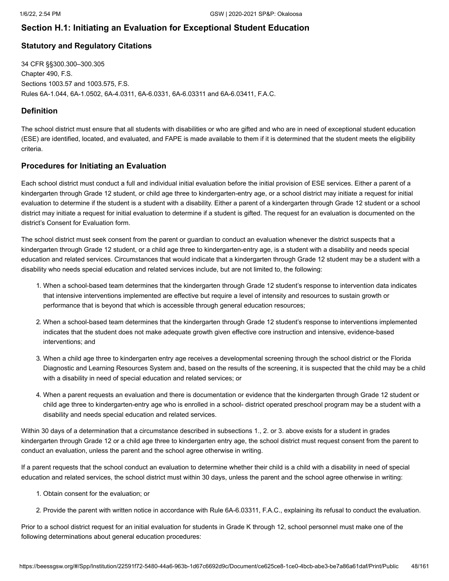## **Section H.1: Initiating an Evaluation for Exceptional Student Education**

### **Statutory and Regulatory Citations**

34 CFR §§300.300–300.305 Chapter 490, F.S. Sections 1003.57 and 1003.575, F.S. Rules 6A-1.044, 6A-1.0502, 6A-4.0311, 6A-6.0331, 6A-6.03311 and 6A-6.03411, F.A.C.

### **Definition**

The school district must ensure that all students with disabilities or who are gifted and who are in need of exceptional student education (ESE) are identified, located, and evaluated, and FAPE is made available to them if it is determined that the student meets the eligibility criteria.

#### **Procedures for Initiating an Evaluation**

Each school district must conduct a full and individual initial evaluation before the initial provision of ESE services. Either a parent of a kindergarten through Grade 12 student, or child age three to kindergarten-entry age, or a school district may initiate a request for initial evaluation to determine if the student is a student with a disability. Either a parent of a kindergarten through Grade 12 student or a school district may initiate a request for initial evaluation to determine if a student is gifted. The request for an evaluation is documented on the district's Consent for Evaluation form.

The school district must seek consent from the parent or guardian to conduct an evaluation whenever the district suspects that a kindergarten through Grade 12 student, or a child age three to kindergarten-entry age, is a student with a disability and needs special education and related services. Circumstances that would indicate that a kindergarten through Grade 12 student may be a student with a disability who needs special education and related services include, but are not limited to, the following:

- 1. When a school-based team determines that the kindergarten through Grade 12 student's response to intervention data indicates that intensive interventions implemented are effective but require a level of intensity and resources to sustain growth or performance that is beyond that which is accessible through general education resources;
- 2. When a school-based team determines that the kindergarten through Grade 12 student's response to interventions implemented indicates that the student does not make adequate growth given effective core instruction and intensive, evidence-based interventions; and
- 3. When a child age three to kindergarten entry age receives a developmental screening through the school district or the Florida Diagnostic and Learning Resources System and, based on the results of the screening, it is suspected that the child may be a child with a disability in need of special education and related services; or
- 4. When a parent requests an evaluation and there is documentation or evidence that the kindergarten through Grade 12 student or child age three to kindergarten-entry age who is enrolled in a school- district operated preschool program may be a student with a disability and needs special education and related services.

Within 30 days of a determination that a circumstance described in subsections 1., 2. or 3. above exists for a student in grades kindergarten through Grade 12 or a child age three to kindergarten entry age, the school district must request consent from the parent to conduct an evaluation, unless the parent and the school agree otherwise in writing.

If a parent requests that the school conduct an evaluation to determine whether their child is a child with a disability in need of special education and related services, the school district must within 30 days, unless the parent and the school agree otherwise in writing:

- 1. Obtain consent for the evaluation; or
- 2. Provide the parent with written notice in accordance with Rule 6A-6.03311, F.A.C., explaining its refusal to conduct the evaluation.

Prior to a school district request for an initial evaluation for students in Grade K through 12, school personnel must make one of the following determinations about general education procedures: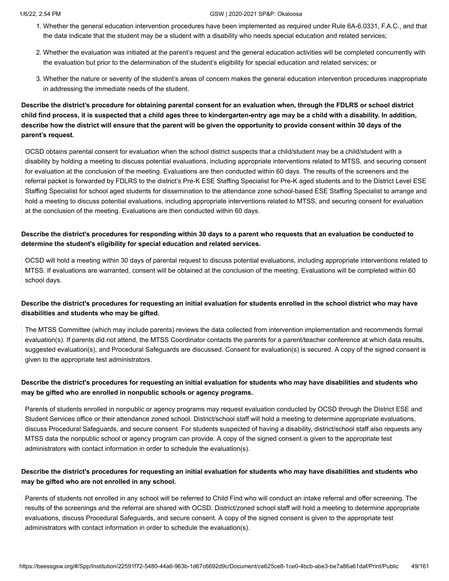- 1. Whether the general education intervention procedures have been implemented as required under Rule 6A-6.0331, F.A.C., and that the data indicate that the student may be a student with a disability who needs special education and related services;
- 2. Whether the evaluation was initiated at the parent's request and the general education activities will be completed concurrently with the evaluation but prior to the determination of the student's eligibility for special education and related services; or
- 3. Whether the nature or severity of the student's areas of concern makes the general education intervention procedures inappropriate in addressing the immediate needs of the student.

## **Describe the district's procedure for obtaining parental consent for an evaluation when, through the FDLRS or school district child find process, it is suspected that a child ages three to kindergarten-entry age may be a child with a disability. In addition, describe how the district will ensure that the parent will be given the opportunity to provide consent within 30 days of the parent's request.**

OCSD obtains parental consent for evaluation when the school district suspects that a child/student may be a child/student with a disability by holding a meeting to discuss potential evaluations, including appropriate interventions related to MTSS, and securing consent for evaluation at the conclusion of the meeting. Evaluations are then conducted within 60 days. The results of the screeners and the referral packet is forwarded by FDLRS to the district's Pre-K ESE Staffing Specialist for Pre-K aged students and to the District Level ESE Staffing Specialist for school aged students for dissemination to the attendance zone school-based ESE Staffing Specialist to arrange and hold a meeting to discuss potential evaluations, including appropriate interventions related to MTSS, and securing consent for evaluation at the conclusion of the meeting. Evaluations are then conducted within 60 days.

### **Describe the district's procedures for responding within 30 days to a parent who requests that an evaluation be conducted to determine the student's eligibility for special education and related services.**

OCSD will hold a meeting within 30 days of parental request to discuss potential evaluations, including appropriate interventions related to MTSS. If evaluations are warranted, consent will be obtained at the conclusion of the meeting. Evaluations will be completed within 60 school days.

### **Describe the district's procedures for requesting an initial evaluation for students enrolled in the school district who may have disabilities and students who may be gifted.**

The MTSS Committee (which may include parents) reviews the data collected from intervention implementation and recommends formal evaluation(s). If parents did not attend, the MTSS Coordinator contacts the parents for a parent/teacher conference at which data results, suggested evaluation(s), and Procedural Safeguards are discussed. Consent for evaluation(s) is secured. A copy of the signed consent is given to the appropriate test administrators.

### **Describe the district's procedures for requesting an initial evaluation for students who may have disabilities and students who may be gifted who are enrolled in nonpublic schools or agency programs.**

Parents of students enrolled in nonpublic or agency programs may request evaluation conducted by OCSD through the District ESE and Student Services office or their attendance zoned school. District/school staff will hold a meeting to determine appropriate evaluations, discuss Procedural Safeguards, and secure consent. For students suspected of having a disability, district/school staff also requests any MTSS data the nonpublic school or agency program can provide. A copy of the signed consent is given to the appropriate test administrators with contact information in order to schedule the evaluation(s).

### **Describe the district's procedures for requesting an initial evaluation for students who may have disabilities and students who may be gifted who are not enrolled in any school.**

Parents of students not enrolled in any school will be referred to Child Find who will conduct an intake referral and offer screening. The results of the screenings and the referral are shared with OCSD. District/zoned school staff will hold a meeting to determine appropriate evaluations, discuss Procedural Safeguards, and secure consent. A copy of the signed consent is given to the appropriate test administrators with contact information in order to schedule the evaluation(s).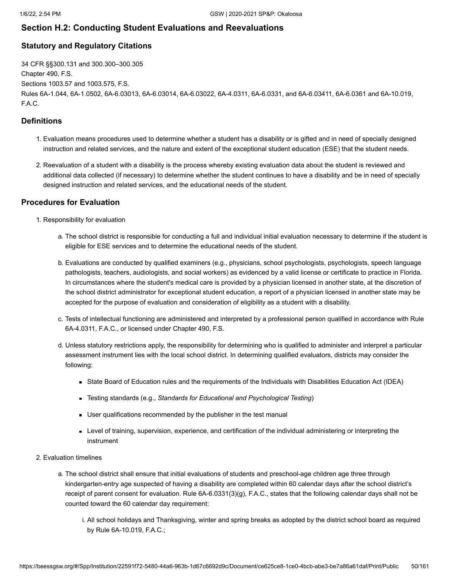## **Section H.2: Conducting Student Evaluations and Reevaluations**

### **Statutory and Regulatory Citations**

34 CFR §§300.131 and 300.300–300.305 Chapter 490, F.S. Sections 1003.57 and 1003.575, F.S. Rules 6A-1.044, 6A-1.0502, 6A-6.03013, 6A-6.03014, 6A-6.03022, 6A-4.0311, 6A-6.0331, and 6A-6.03411, 6A-6.0361 and 6A-10.019, F.A.C.

## **Definitions**

- 1. Evaluation means procedures used to determine whether a student has a disability or is gifted and in need of specially designed instruction and related services, and the nature and extent of the exceptional student education (ESE) that the student needs.
- 2. Reevaluation of a student with a disability is the process whereby existing evaluation data about the student is reviewed and additional data collected (if necessary) to determine whether the student continues to have a disability and be in need of specially designed instruction and related services, and the educational needs of the student.

#### **Procedures for Evaluation**

- 1. Responsibility for evaluation
	- a. The school district is responsible for conducting a full and individual initial evaluation necessary to determine if the student is eligible for ESE services and to determine the educational needs of the student.
	- b. Evaluations are conducted by qualified examiners (e.g., physicians, school psychologists, psychologists, speech language pathologists, teachers, audiologists, and social workers) as evidenced by a valid license or certificate to practice in Florida. In circumstances where the student's medical care is provided by a physician licensed in another state, at the discretion of the school district administrator for exceptional student education, a report of a physician licensed in another state may be accepted for the purpose of evaluation and consideration of eligibility as a student with a disability.
	- c. Tests of intellectual functioning are administered and interpreted by a professional person qualified in accordance with Rule 6A-4.0311, F.A.C., or licensed under Chapter 490, F.S.
	- d. Unless statutory restrictions apply, the responsibility for determining who is qualified to administer and interpret a particular assessment instrument lies with the local school district. In determining qualified evaluators, districts may consider the following:
		- State Board of Education rules and the requirements of the Individuals with Disabilities Education Act (IDEA)
		- Testing standards (e.g., *Standards for Educational and Psychological Testing*)
		- User qualifications recommended by the publisher in the test manual
		- Level of training, supervision, experience, and certification of the individual administering or interpreting the instrument
- 2. Evaluation timelines
	- a. The school district shall ensure that initial evaluations of students and preschool-age children age three through kindergarten-entry age suspected of having a disability are completed within 60 calendar days after the school district's receipt of parent consent for evaluation. Rule 6A-6.0331(3)(g), F.A.C., states that the following calendar days shall not be counted toward the 60 calendar day requirement:
		- i. All school holidays and Thanksgiving, winter and spring breaks as adopted by the district school board as required by Rule 6A-10.019, F.A.C.;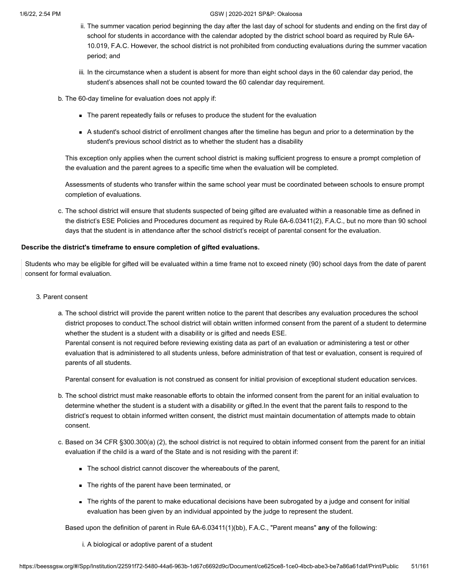- ii. The summer vacation period beginning the day after the last day of school for students and ending on the first day of school for students in accordance with the calendar adopted by the district school board as required by Rule 6A-10.019, F.A.C. However, the school district is not prohibited from conducting evaluations during the summer vacation period; and
- iii. In the circumstance when a student is absent for more than eight school days in the 60 calendar day period, the student's absences shall not be counted toward the 60 calendar day requirement.
- b. The 60-day timeline for evaluation does not apply if:
	- The parent repeatedly fails or refuses to produce the student for the evaluation
	- A student's school district of enrollment changes after the timeline has begun and prior to a determination by the student's previous school district as to whether the student has a disability

This exception only applies when the current school district is making sufficient progress to ensure a prompt completion of the evaluation and the parent agrees to a specific time when the evaluation will be completed.

Assessments of students who transfer within the same school year must be coordinated between schools to ensure prompt completion of evaluations.

c. The school district will ensure that students suspected of being gifted are evaluated within a reasonable time as defined in the district's ESE Policies and Procedures document as required by Rule 6A-6.03411(2), F.A.C., but no more than 90 school days that the student is in attendance after the school district's receipt of parental consent for the evaluation.

#### **Describe the district's timeframe to ensure completion of gifted evaluations.**

Students who may be eligible for gifted will be evaluated within a time frame not to exceed ninety (90) school days from the date of parent consent for formal evaluation.

- 3. Parent consent
	- a. The school district will provide the parent written notice to the parent that describes any evaluation procedures the school district proposes to conduct.The school district will obtain written informed consent from the parent of a student to determine whether the student is a student with a disability or is gifted and needs ESE. Parental consent is not required before reviewing existing data as part of an evaluation or administering a test or other evaluation that is administered to all students unless, before administration of that test or evaluation, consent is required of parents of all students.

Parental consent for evaluation is not construed as consent for initial provision of exceptional student education services.

- b. The school district must make reasonable efforts to obtain the informed consent from the parent for an initial evaluation to determine whether the student is a student with a disability or gifted.In the event that the parent fails to respond to the district's request to obtain informed written consent, the district must maintain documentation of attempts made to obtain consent.
- c. Based on 34 CFR §300.300(a) (2), the school district is not required to obtain informed consent from the parent for an initial evaluation if the child is a ward of the State and is not residing with the parent if:
	- The school district cannot discover the whereabouts of the parent,
	- The rights of the parent have been terminated, or
	- The rights of the parent to make educational decisions have been subrogated by a judge and consent for initial evaluation has been given by an individual appointed by the judge to represent the student.

Based upon the definition of parent in Rule 6A-6.03411(1)(bb), F.A.C., "Parent means" **any** of the following:

i. A biological or adoptive parent of a student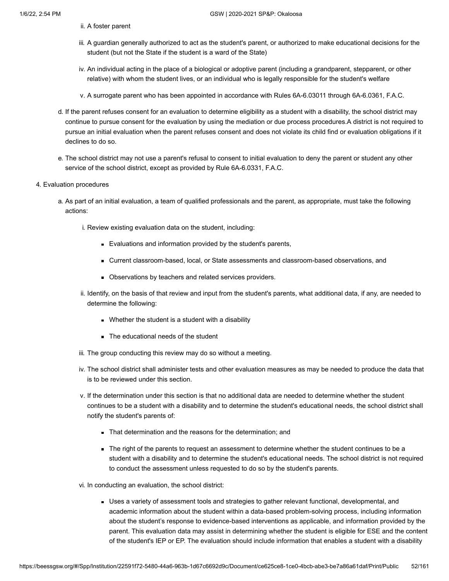- ii. A foster parent
- iii. A guardian generally authorized to act as the student's parent, or authorized to make educational decisions for the student (but not the State if the student is a ward of the State)
- iv. An individual acting in the place of a biological or adoptive parent (including a grandparent, stepparent, or other relative) with whom the student lives, or an individual who is legally responsible for the student's welfare
- v. A surrogate parent who has been appointed in accordance with Rules 6A-6.03011 through 6A-6.0361, F.A.C.
- d. If the parent refuses consent for an evaluation to determine eligibility as a student with a disability, the school district may continue to pursue consent for the evaluation by using the mediation or due process procedures.A district is not required to pursue an initial evaluation when the parent refuses consent and does not violate its child find or evaluation obligations if it declines to do so.
- e. The school district may not use a parent's refusal to consent to initial evaluation to deny the parent or student any other service of the school district, except as provided by Rule 6A-6.0331, F.A.C.
- 4. Evaluation procedures
	- a. As part of an initial evaluation, a team of qualified professionals and the parent, as appropriate, must take the following actions:
		- i. Review existing evaluation data on the student, including:
			- Evaluations and information provided by the student's parents,
			- Current classroom-based, local, or State assessments and classroom-based observations, and
			- **Dbservations by teachers and related services providers.**
		- ii. Identify, on the basis of that review and input from the student's parents, what additional data, if any, are needed to determine the following:
			- **Whether the student is a student with a disability**
			- The educational needs of the student
		- iii. The group conducting this review may do so without a meeting.
		- iv. The school district shall administer tests and other evaluation measures as may be needed to produce the data that is to be reviewed under this section.
		- v. If the determination under this section is that no additional data are needed to determine whether the student continues to be a student with a disability and to determine the student's educational needs, the school district shall notify the student's parents of:
			- That determination and the reasons for the determination; and
			- The right of the parents to request an assessment to determine whether the student continues to be a student with a disability and to determine the student's educational needs. The school district is not required to conduct the assessment unless requested to do so by the student's parents.
		- vi. In conducting an evaluation, the school district:
			- Uses a variety of assessment tools and strategies to gather relevant functional, developmental, and academic information about the student within a data-based problem-solving process, including information about the student's response to evidence-based interventions as applicable, and information provided by the parent. This evaluation data may assist in determining whether the student is eligible for ESE and the content of the student's IEP or EP. The evaluation should include information that enables a student with a disability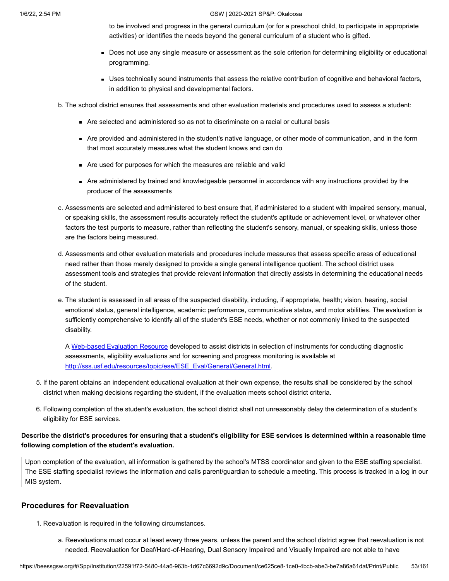to be involved and progress in the general curriculum (or for a preschool child, to participate in appropriate activities) or identifies the needs beyond the general curriculum of a student who is gifted.

- Does not use any single measure or assessment as the sole criterion for determining eligibility or educational programming.
- Uses technically sound instruments that assess the relative contribution of cognitive and behavioral factors, in addition to physical and developmental factors.
- b. The school district ensures that assessments and other evaluation materials and procedures used to assess a student:
	- Are selected and administered so as not to discriminate on a racial or cultural basis
	- Are provided and administered in the student's native language, or other mode of communication, and in the form that most accurately measures what the student knows and can do
	- Are used for purposes for which the measures are reliable and valid
	- Are administered by trained and knowledgeable personnel in accordance with any instructions provided by the producer of the assessments
- c. Assessments are selected and administered to best ensure that, if administered to a student with impaired sensory, manual, or speaking skills, the assessment results accurately reflect the student's aptitude or achievement level, or whatever other factors the test purports to measure, rather than reflecting the student's sensory, manual, or speaking skills, unless those are the factors being measured.
- d. Assessments and other evaluation materials and procedures include measures that assess specific areas of educational need rather than those merely designed to provide a single general intelligence quotient. The school district uses assessment tools and strategies that provide relevant information that directly assists in determining the educational needs of the student.
- e. The student is assessed in all areas of the suspected disability, including, if appropriate, health; vision, hearing, social emotional status, general intelligence, academic performance, communicative status, and motor abilities. The evaluation is sufficiently comprehensive to identify all of the student's ESE needs, whether or not commonly linked to the suspected disability.

A [Web-based Evaluation Resource](http://sss.usf.edu/resources/topic/ese/ESE_Eval/Eval_instruments.html) developed to assist districts in selection of instruments for conducting diagnostic assessments, eligibility evaluations and for screening and progress monitoring is available at [http://sss.usf.edu/resources/topic/ese/ESE\\_Eval/General/General.html.](http://sss.usf.edu/resources/topic/ese/ESE_Eval/General/General.html)

- 5. If the parent obtains an independent educational evaluation at their own expense, the results shall be considered by the school district when making decisions regarding the student, if the evaluation meets school district criteria.
- 6. Following completion of the student's evaluation, the school district shall not unreasonably delay the determination of a student's eligibility for ESE services.

#### **Describe the district's procedures for ensuring that a student's eligibility for ESE services is determined within a reasonable time following completion of the student's evaluation.**

Upon completion of the evaluation, all information is gathered by the school's MTSS coordinator and given to the ESE staffing specialist. The ESE staffing specialist reviews the information and calls parent/guardian to schedule a meeting. This process is tracked in a log in our MIS system.

#### **Procedures for Reevaluation**

1. Reevaluation is required in the following circumstances.

a. Reevaluations must occur at least every three years, unless the parent and the school district agree that reevaluation is not needed. Reevaluation for Deaf/Hard-of-Hearing, Dual Sensory Impaired and Visually Impaired are not able to have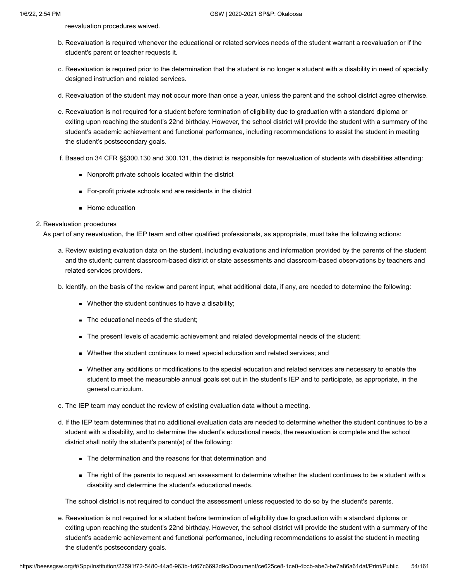reevaluation procedures waived.

- b. Reevaluation is required whenever the educational or related services needs of the student warrant a reevaluation or if the student's parent or teacher requests it.
- c. Reevaluation is required prior to the determination that the student is no longer a student with a disability in need of specially designed instruction and related services.
- d. Reevaluation of the student may **not** occur more than once a year, unless the parent and the school district agree otherwise.
- e. Reevaluation is not required for a student before termination of eligibility due to graduation with a standard diploma or exiting upon reaching the student's 22nd birthday. However, the school district will provide the student with a summary of the student's academic achievement and functional performance, including recommendations to assist the student in meeting the student's postsecondary goals.
- f. Based on 34 CFR §§300.130 and 300.131, the district is responsible for reevaluation of students with disabilities attending:
	- Nonprofit private schools located within the district
	- For-profit private schools and are residents in the district
	- **Home education**

#### 2. Reevaluation procedures

As part of any reevaluation, the IEP team and other qualified professionals, as appropriate, must take the following actions:

- a. Review existing evaluation data on the student, including evaluations and information provided by the parents of the student and the student; current classroom-based district or state assessments and classroom-based observations by teachers and related services providers.
- b. Identify, on the basis of the review and parent input, what additional data, if any, are needed to determine the following:
	- **Nhether the student continues to have a disability;**
	- The educational needs of the student;
	- The present levels of academic achievement and related developmental needs of the student;
	- Whether the student continues to need special education and related services; and
	- Whether any additions or modifications to the special education and related services are necessary to enable the student to meet the measurable annual goals set out in the student's IEP and to participate, as appropriate, in the general curriculum.
- c. The IEP team may conduct the review of existing evaluation data without a meeting.
- d. If the IEP team determines that no additional evaluation data are needed to determine whether the student continues to be a student with a disability, and to determine the student's educational needs, the reevaluation is complete and the school district shall notify the student's parent(s) of the following:
	- The determination and the reasons for that determination and
	- The right of the parents to request an assessment to determine whether the student continues to be a student with a disability and determine the student's educational needs.

The school district is not required to conduct the assessment unless requested to do so by the student's parents.

e. Reevaluation is not required for a student before termination of eligibility due to graduation with a standard diploma or exiting upon reaching the student's 22nd birthday. However, the school district will provide the student with a summary of the student's academic achievement and functional performance, including recommendations to assist the student in meeting the student's postsecondary goals.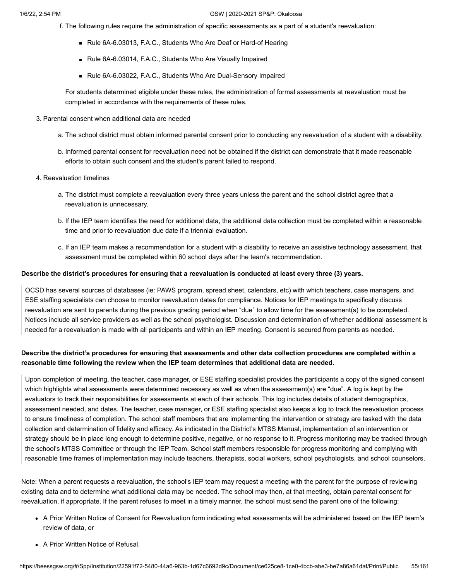- f. The following rules require the administration of specific assessments as a part of a student's reevaluation:
	- Rule 6A-6.03013, F.A.C., Students Who Are Deaf or Hard-of Hearing
	- Rule 6A-6.03014, F.A.C., Students Who Are Visually Impaired
	- Rule 6A-6.03022, F.A.C., Students Who Are Dual-Sensory Impaired

For students determined eligible under these rules, the administration of formal assessments at reevaluation must be completed in accordance with the requirements of these rules.

- 3. Parental consent when additional data are needed
	- a. The school district must obtain informed parental consent prior to conducting any reevaluation of a student with a disability.
	- b. Informed parental consent for reevaluation need not be obtained if the district can demonstrate that it made reasonable efforts to obtain such consent and the student's parent failed to respond.
- 4. Reevaluation timelines
	- a. The district must complete a reevaluation every three years unless the parent and the school district agree that a reevaluation is unnecessary.
	- b. If the IEP team identifies the need for additional data, the additional data collection must be completed within a reasonable time and prior to reevaluation due date if a triennial evaluation.
	- c. If an IEP team makes a recommendation for a student with a disability to receive an assistive technology assessment, that assessment must be completed within 60 school days after the team's recommendation.

#### **Describe the district's procedures for ensuring that a reevaluation is conducted at least every three (3) years.**

OCSD has several sources of databases (ie: PAWS program, spread sheet, calendars, etc) with which teachers, case managers, and ESE staffing specialists can choose to monitor reevaluation dates for compliance. Notices for IEP meetings to specifically discuss reevaluation are sent to parents during the previous grading period when "due" to allow time for the assessment(s) to be completed. Notices include all service providers as well as the school psychologist. Discussion and determination of whether additional assessment is needed for a reevaluation is made with all participants and within an IEP meeting. Consent is secured from parents as needed.

### **Describe the district's procedures for ensuring that assessments and other data collection procedures are completed within a reasonable time following the review when the IEP team determines that additional data are needed.**

Upon completion of meeting, the teacher, case manager, or ESE staffing specialist provides the participants a copy of the signed consent which highlights what assessments were determined necessary as well as when the assessment(s) are "due". A log is kept by the evaluators to track their responsibilities for assessments at each of their schools. This log includes details of student demographics, assessment needed, and dates. The teacher, case manager, or ESE staffing specialist also keeps a log to track the reevaluation process to ensure timeliness of completion. The school staff members that are implementing the intervention or strategy are tasked with the data collection and determination of fidelity and efficacy. As indicated in the District's MTSS Manual, implementation of an intervention or strategy should be in place long enough to determine positive, negative, or no response to it. Progress monitoring may be tracked through the school's MTSS Committee or through the IEP Team. School staff members responsible for progress monitoring and complying with reasonable time frames of implementation may include teachers, therapists, social workers, school psychologists, and school counselors.

Note: When a parent requests a reevaluation, the school's IEP team may request a meeting with the parent for the purpose of reviewing existing data and to determine what additional data may be needed. The school may then, at that meeting, obtain parental consent for reevaluation, if appropriate. If the parent refuses to meet in a timely manner, the school must send the parent one of the following:

- A Prior Written Notice of Consent for Reevaluation form indicating what assessments will be administered based on the IEP team's review of data, or
- A Prior Written Notice of Refusal.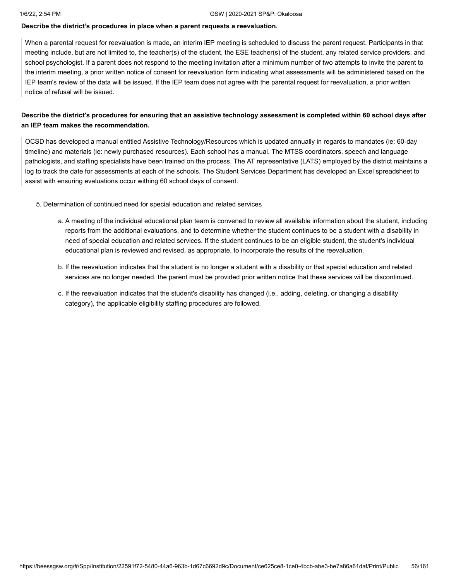#### **Describe the district's procedures in place when a parent requests a reevaluation.**

When a parental request for reevaluation is made, an interim IEP meeting is scheduled to discuss the parent request. Participants in that meeting include, but are not limited to, the teacher(s) of the student, the ESE teacher(s) of the student, any related service providers, and school psychologist. If a parent does not respond to the meeting invitation after a minimum number of two attempts to invite the parent to the interim meeting, a prior written notice of consent for reevaluation form indicating what assessments will be administered based on the IEP team's review of the data will be issued. If the IEP team does not agree with the parental request for reevaluation, a prior written notice of refusal will be issued.

### **Describe the district's procedures for ensuring that an assistive technology assessment is completed within 60 school days after an IEP team makes the recommendation.**

OCSD has developed a manual entitled Assistive Technology/Resources which is updated annually in regards to mandates (ie: 60-day timeline) and materials (ie: newly purchased resources). Each school has a manual. The MTSS coordinators, speech and language pathologists, and staffing specialists have been trained on the process. The AT representative (LATS) employed by the district maintains a log to track the date for assessments at each of the schools. The Student Services Department has developed an Excel spreadsheet to assist with ensuring evaluations occur withing 60 school days of consent.

- 5. Determination of continued need for special education and related services
	- a. A meeting of the individual educational plan team is convened to review all available information about the student, including reports from the additional evaluations, and to determine whether the student continues to be a student with a disability in need of special education and related services. If the student continues to be an eligible student, the student's individual educational plan is reviewed and revised, as appropriate, to incorporate the results of the reevaluation.
	- b. If the reevaluation indicates that the student is no longer a student with a disability or that special education and related services are no longer needed, the parent must be provided prior written notice that these services will be discontinued.
	- c. If the reevaluation indicates that the student's disability has changed (i.e., adding, deleting, or changing a disability category), the applicable eligibility staffing procedures are followed.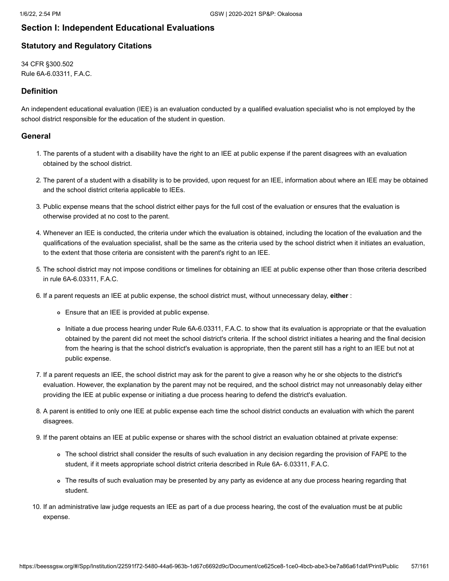## **Section I: Independent Educational Evaluations**

## **Statutory and Regulatory Citations**

34 CFR §300.502 Rule 6A-6.03311, F.A.C.

## **Definition**

An independent educational evaluation (IEE) is an evaluation conducted by a qualified evaluation specialist who is not employed by the school district responsible for the education of the student in question.

#### **General**

- 1. The parents of a student with a disability have the right to an IEE at public expense if the parent disagrees with an evaluation obtained by the school district.
- 2. The parent of a student with a disability is to be provided, upon request for an IEE, information about where an IEE may be obtained and the school district criteria applicable to IEEs.
- 3. Public expense means that the school district either pays for the full cost of the evaluation or ensures that the evaluation is otherwise provided at no cost to the parent.
- 4. Whenever an IEE is conducted, the criteria under which the evaluation is obtained, including the location of the evaluation and the qualifications of the evaluation specialist, shall be the same as the criteria used by the school district when it initiates an evaluation, to the extent that those criteria are consistent with the parent's right to an IEE.
- 5. The school district may not impose conditions or timelines for obtaining an IEE at public expense other than those criteria described in rule 6A-6.03311, F.A.C.
- 6. If a parent requests an IEE at public expense, the school district must, without unnecessary delay, **either** :
	- Ensure that an IEE is provided at public expense.
	- Initiate a due process hearing under Rule 6A-6.03311, F.A.C. to show that its evaluation is appropriate or that the evaluation obtained by the parent did not meet the school district's criteria. If the school district initiates a hearing and the final decision from the hearing is that the school district's evaluation is appropriate, then the parent still has a right to an IEE but not at public expense.
- 7. If a parent requests an IEE, the school district may ask for the parent to give a reason why he or she objects to the district's evaluation. However, the explanation by the parent may not be required, and the school district may not unreasonably delay either providing the IEE at public expense or initiating a due process hearing to defend the district's evaluation.
- 8. A parent is entitled to only one IEE at public expense each time the school district conducts an evaluation with which the parent disagrees.
- 9. If the parent obtains an IEE at public expense or shares with the school district an evaluation obtained at private expense:
	- The school district shall consider the results of such evaluation in any decision regarding the provision of FAPE to the student, if it meets appropriate school district criteria described in Rule 6A- 6.03311, F.A.C.
	- The results of such evaluation may be presented by any party as evidence at any due process hearing regarding that student.
- 10. If an administrative law judge requests an IEE as part of a due process hearing, the cost of the evaluation must be at public expense.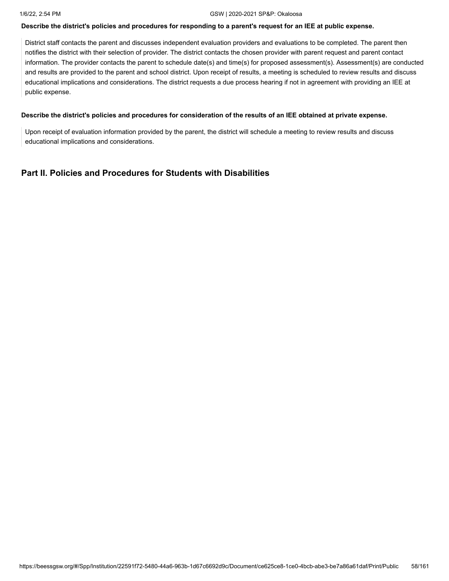#### **Describe the district's policies and procedures for responding to a parent's request for an IEE at public expense.**

District staff contacts the parent and discusses independent evaluation providers and evaluations to be completed. The parent then notifies the district with their selection of provider. The district contacts the chosen provider with parent request and parent contact information. The provider contacts the parent to schedule date(s) and time(s) for proposed assessment(s). Assessment(s) are conducted and results are provided to the parent and school district. Upon receipt of results, a meeting is scheduled to review results and discuss educational implications and considerations. The district requests a due process hearing if not in agreement with providing an IEE at public expense.

#### **Describe the district's policies and procedures for consideration of the results of an IEE obtained at private expense.**

Upon receipt of evaluation information provided by the parent, the district will schedule a meeting to review results and discuss educational implications and considerations.

## **Part II. Policies and Procedures for Students with Disabilities**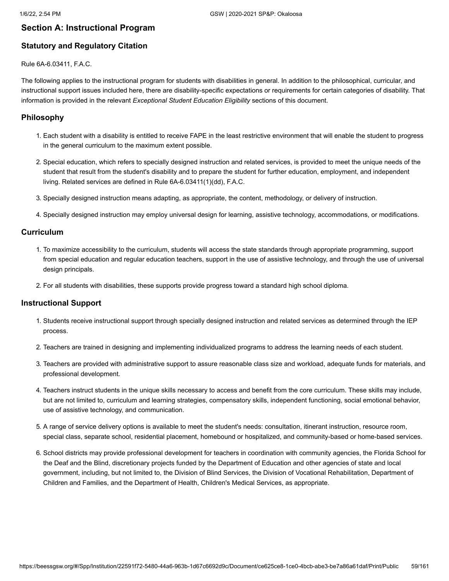## **Section A: Instructional Program**

#### **Statutory and Regulatory Citation**

Rule 6A-6.03411, F.A.C.

The following applies to the instructional program for students with disabilities in general. In addition to the philosophical, curricular, and instructional support issues included here, there are disability-specific expectations or requirements for certain categories of disability. That information is provided in the relevant *Exceptional Student Education Eligibility* sections of this document.

#### **Philosophy**

- 1. Each student with a disability is entitled to receive FAPE in the least restrictive environment that will enable the student to progress in the general curriculum to the maximum extent possible.
- 2. Special education, which refers to specially designed instruction and related services, is provided to meet the unique needs of the student that result from the student's disability and to prepare the student for further education, employment, and independent living. Related services are defined in Rule 6A-6.03411(1)(dd), F.A.C.
- 3. Specially designed instruction means adapting, as appropriate, the content, methodology, or delivery of instruction.
- 4. Specially designed instruction may employ universal design for learning, assistive technology, accommodations, or modifications.

### **Curriculum**

- 1. To maximize accessibility to the curriculum, students will access the state standards through appropriate programming, support from special education and regular education teachers, support in the use of assistive technology, and through the use of universal design principals.
- 2. For all students with disabilities, these supports provide progress toward a standard high school diploma.

#### **Instructional Support**

- 1. Students receive instructional support through specially designed instruction and related services as determined through the IEP process.
- 2. Teachers are trained in designing and implementing individualized programs to address the learning needs of each student.
- 3. Teachers are provided with administrative support to assure reasonable class size and workload, adequate funds for materials, and professional development.
- 4. Teachers instruct students in the unique skills necessary to access and benefit from the core curriculum. These skills may include, but are not limited to, curriculum and learning strategies, compensatory skills, independent functioning, social emotional behavior, use of assistive technology, and communication.
- 5. A range of service delivery options is available to meet the student's needs: consultation, itinerant instruction, resource room, special class, separate school, residential placement, homebound or hospitalized, and community-based or home-based services.
- 6. School districts may provide professional development for teachers in coordination with community agencies, the Florida School for the Deaf and the Blind, discretionary projects funded by the Department of Education and other agencies of state and local government, including, but not limited to, the Division of Blind Services, the Division of Vocational Rehabilitation, Department of Children and Families, and the Department of Health, Children's Medical Services, as appropriate.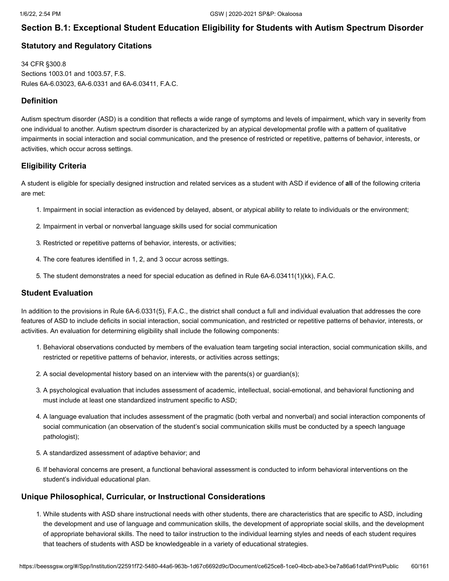### **Section B.1: Exceptional Student Education Eligibility for Students with Autism Spectrum Disorder**

### **Statutory and Regulatory Citations**

34 CFR §300.8 Sections 1003.01 and 1003.57, F.S. Rules 6A-6.03023, 6A-6.0331 and 6A-6.03411, F.A.C.

#### **Definition**

Autism spectrum disorder (ASD) is a condition that reflects a wide range of symptoms and levels of impairment, which vary in severity from one individual to another. Autism spectrum disorder is characterized by an atypical developmental profile with a pattern of qualitative impairments in social interaction and social communication, and the presence of restricted or repetitive, patterns of behavior, interests, or activities, which occur across settings.

### **Eligibility Criteria**

A student is eligible for specially designed instruction and related services as a student with ASD if evidence of **all** of the following criteria are met:

- 1. Impairment in social interaction as evidenced by delayed, absent, or atypical ability to relate to individuals or the environment;
- 2. Impairment in verbal or nonverbal language skills used for social communication
- 3. Restricted or repetitive patterns of behavior, interests, or activities;
- 4. The core features identified in 1, 2, and 3 occur across settings.
- 5. The student demonstrates a need for special education as defined in Rule 6A-6.03411(1)(kk), F.A.C.

#### **Student Evaluation**

In addition to the provisions in Rule 6A-6.0331(5), F.A.C., the district shall conduct a full and individual evaluation that addresses the core features of ASD to include deficits in social interaction, social communication, and restricted or repetitive patterns of behavior, interests, or activities. An evaluation for determining eligibility shall include the following components:

- 1. Behavioral observations conducted by members of the evaluation team targeting social interaction, social communication skills, and restricted or repetitive patterns of behavior, interests, or activities across settings;
- 2. A social developmental history based on an interview with the parents(s) or guardian(s);
- 3. A psychological evaluation that includes assessment of academic, intellectual, social-emotional, and behavioral functioning and must include at least one standardized instrument specific to ASD;
- 4. A language evaluation that includes assessment of the pragmatic (both verbal and nonverbal) and social interaction components of social communication (an observation of the student's social communication skills must be conducted by a speech language pathologist);
- 5. A standardized assessment of adaptive behavior; and
- 6. If behavioral concerns are present, a functional behavioral assessment is conducted to inform behavioral interventions on the student's individual educational plan.

### **Unique Philosophical, Curricular, or Instructional Considerations**

1. While students with ASD share instructional needs with other students, there are characteristics that are specific to ASD, including the development and use of language and communication skills, the development of appropriate social skills, and the development of appropriate behavioral skills. The need to tailor instruction to the individual learning styles and needs of each student requires that teachers of students with ASD be knowledgeable in a variety of educational strategies.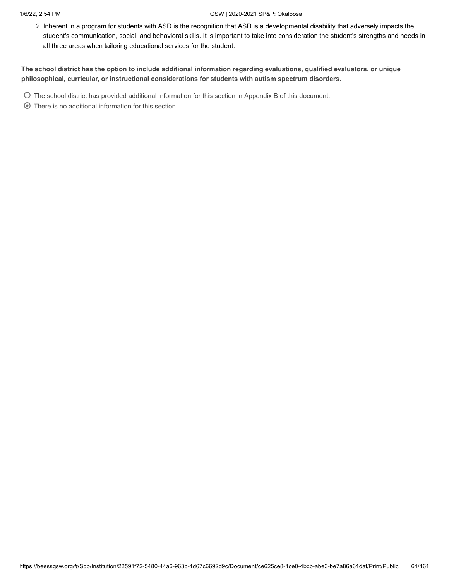2. Inherent in a program for students with ASD is the recognition that ASD is a developmental disability that adversely impacts the student's communication, social, and behavioral skills. It is important to take into consideration the student's strengths and needs in all three areas when tailoring educational services for the student.

**The school district has the option to include additional information regarding evaluations, qualified evaluators, or unique philosophical, curricular, or instructional considerations for students with autism spectrum disorders.**

- $\bigcirc$  The school district has provided additional information for this section in Appendix B of this document.
- There is no additional information for this section.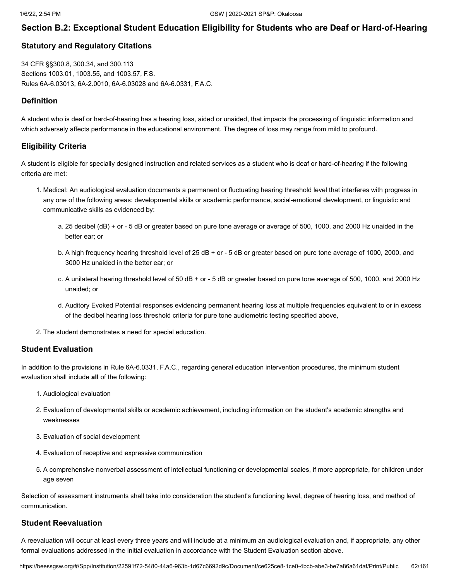### **Section B.2: Exceptional Student Education Eligibility for Students who are Deaf or Hard-of-Hearing**

#### **Statutory and Regulatory Citations**

34 CFR §§300.8, 300.34, and 300.113 Sections 1003.01, 1003.55, and 1003.57, F.S. Rules 6A-6.03013, 6A-2.0010, 6A-6.03028 and 6A-6.0331, F.A.C.

#### **Definition**

A student who is deaf or hard-of-hearing has a hearing loss, aided or unaided, that impacts the processing of linguistic information and which adversely affects performance in the educational environment. The degree of loss may range from mild to profound.

#### **Eligibility Criteria**

A student is eligible for specially designed instruction and related services as a student who is deaf or hard-of-hearing if the following criteria are met:

- 1. Medical: An audiological evaluation documents a permanent or fluctuating hearing threshold level that interferes with progress in any one of the following areas: developmental skills or academic performance, social-emotional development, or linguistic and communicative skills as evidenced by:
	- a. 25 decibel (dB) + or 5 dB or greater based on pure tone average or average of 500, 1000, and 2000 Hz unaided in the better ear; or
	- b. A high frequency hearing threshold level of 25 dB + or 5 dB or greater based on pure tone average of 1000, 2000, and 3000 Hz unaided in the better ear; or
	- c. A unilateral hearing threshold level of 50 dB + or 5 dB or greater based on pure tone average of 500, 1000, and 2000 Hz unaided; or
	- d. Auditory Evoked Potential responses evidencing permanent hearing loss at multiple frequencies equivalent to or in excess of the decibel hearing loss threshold criteria for pure tone audiometric testing specified above,
- 2. The student demonstrates a need for special education.

### **Student Evaluation**

In addition to the provisions in Rule 6A-6.0331, F.A.C., regarding general education intervention procedures, the minimum student evaluation shall include **all** of the following:

- 1. Audiological evaluation
- 2. Evaluation of developmental skills or academic achievement, including information on the student's academic strengths and weaknesses
- 3. Evaluation of social development
- 4. Evaluation of receptive and expressive communication
- 5. A comprehensive nonverbal assessment of intellectual functioning or developmental scales, if more appropriate, for children under age seven

Selection of assessment instruments shall take into consideration the student's functioning level, degree of hearing loss, and method of communication.

#### **Student Reevaluation**

A reevaluation will occur at least every three years and will include at a minimum an audiological evaluation and, if appropriate, any other formal evaluations addressed in the initial evaluation in accordance with the Student Evaluation section above.

https://beessgsw.org/#/Spp/Institution/22591f72-5480-44a6-963b-1d67c6692d9c/Document/ce625ce8-1ce0-4bcb-abe3-be7a86a61daf/Print/Public 62/161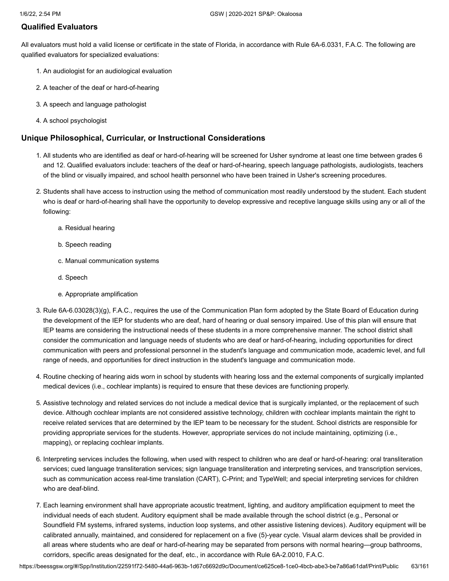### **Qualified Evaluators**

All evaluators must hold a valid license or certificate in the state of Florida, in accordance with Rule 6A-6.0331, F.A.C. The following are qualified evaluators for specialized evaluations:

- 1. An audiologist for an audiological evaluation
- 2. A teacher of the deaf or hard-of-hearing
- 3. A speech and language pathologist
- 4. A school psychologist

#### **Unique Philosophical, Curricular, or Instructional Considerations**

- 1. All students who are identified as deaf or hard-of-hearing will be screened for Usher syndrome at least one time between grades 6 and 12. Qualified evaluators include: teachers of the deaf or hard-of-hearing, speech language pathologists, audiologists, teachers of the blind or visually impaired, and school health personnel who have been trained in Usher's screening procedures.
- 2. Students shall have access to instruction using the method of communication most readily understood by the student. Each student who is deaf or hard-of-hearing shall have the opportunity to develop expressive and receptive language skills using any or all of the following:
	- a. Residual hearing
	- b. Speech reading
	- c. Manual communication systems
	- d. Speech
	- e. Appropriate amplification
- 3. Rule 6A-6.03028(3)(g), F.A.C., requires the use of the Communication Plan form adopted by the State Board of Education during the development of the IEP for students who are deaf, hard of hearing or dual sensory impaired. Use of this plan will ensure that IEP teams are considering the instructional needs of these students in a more comprehensive manner. The school district shall consider the communication and language needs of students who are deaf or hard-of-hearing, including opportunities for direct communication with peers and professional personnel in the student's language and communication mode, academic level, and full range of needs, and opportunities for direct instruction in the student's language and communication mode.
- 4. Routine checking of hearing aids worn in school by students with hearing loss and the external components of surgically implanted medical devices (i.e., cochlear implants) is required to ensure that these devices are functioning properly.
- 5. Assistive technology and related services do not include a medical device that is surgically implanted, or the replacement of such device. Although cochlear implants are not considered assistive technology, children with cochlear implants maintain the right to receive related services that are determined by the IEP team to be necessary for the student. School districts are responsible for providing appropriate services for the students. However, appropriate services do not include maintaining, optimizing (i.e., mapping), or replacing cochlear implants.
- 6. Interpreting services includes the following, when used with respect to children who are deaf or hard-of-hearing: oral transliteration services; cued language transliteration services; sign language transliteration and interpreting services, and transcription services, such as communication access real-time translation (CART), C-Print; and TypeWell; and special interpreting services for children who are deaf-blind.
- 7. Each learning environment shall have appropriate acoustic treatment, lighting, and auditory amplification equipment to meet the individual needs of each student. Auditory equipment shall be made available through the school district (e.g., Personal or Soundfield FM systems, infrared systems, induction loop systems, and other assistive listening devices). Auditory equipment will be calibrated annually, maintained, and considered for replacement on a five (5)-year cycle. Visual alarm devices shall be provided in all areas where students who are deaf or hard-of-hearing may be separated from persons with normal hearing—group bathrooms, corridors, specific areas designated for the deaf, etc., in accordance with Rule 6A-2.0010, F.A.C.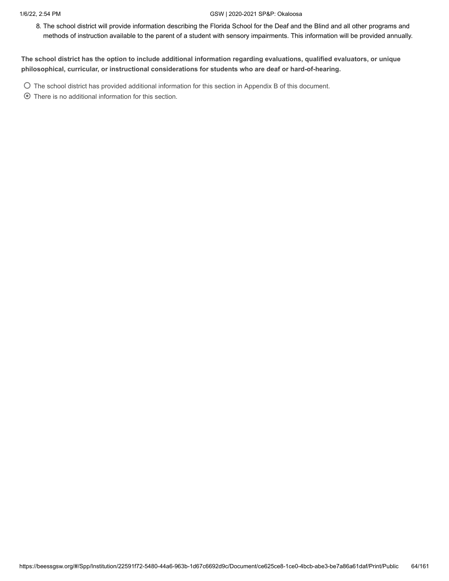8. The school district will provide information describing the Florida School for the Deaf and the Blind and all other programs and methods of instruction available to the parent of a student with sensory impairments. This information will be provided annually.

**The school district has the option to include additional information regarding evaluations, qualified evaluators, or unique philosophical, curricular, or instructional considerations for students who are deaf or hard-of-hearing.**

 $\bigcirc$  The school district has provided additional information for this section in Appendix B of this document.

There is no additional information for this section.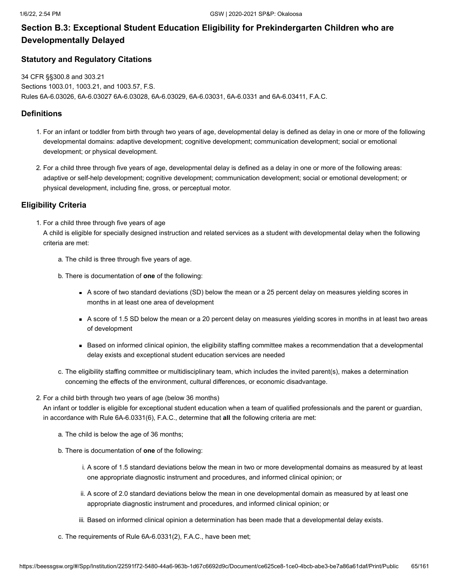# **Section B.3: Exceptional Student Education Eligibility for Prekindergarten Children who are Developmentally Delayed**

### **Statutory and Regulatory Citations**

34 CFR §§300.8 and 303.21 Sections 1003.01, 1003.21, and 1003.57, F.S. Rules 6A-6.03026, 6A-6.03027 6A-6.03028, 6A-6.03029, 6A-6.03031, 6A-6.0331 and 6A-6.03411, F.A.C.

### **Definitions**

- 1. For an infant or toddler from birth through two years of age, developmental delay is defined as delay in one or more of the following developmental domains: adaptive development; cognitive development; communication development; social or emotional development; or physical development.
- 2. For a child three through five years of age, developmental delay is defined as a delay in one or more of the following areas: adaptive or self-help development; cognitive development; communication development; social or emotional development; or physical development, including fine, gross, or perceptual motor.

### **Eligibility Criteria**

1. For a child three through five years of age

A child is eligible for specially designed instruction and related services as a student with developmental delay when the following criteria are met:

- a. The child is three through five years of age.
- b. There is documentation of **one** of the following:
	- A score of two standard deviations (SD) below the mean or a 25 percent delay on measures yielding scores in months in at least one area of development
	- A score of 1.5 SD below the mean or a 20 percent delay on measures yielding scores in months in at least two areas of development
	- Based on informed clinical opinion, the eligibility staffing committee makes a recommendation that a developmental delay exists and exceptional student education services are needed
- c. The eligibility staffing committee or multidisciplinary team, which includes the invited parent(s), makes a determination concerning the effects of the environment, cultural differences, or economic disadvantage.
- 2. For a child birth through two years of age (below 36 months)

An infant or toddler is eligible for exceptional student education when a team of qualified professionals and the parent or guardian, in accordance with Rule 6A-6.0331(6), F.A.C., determine that **all** the following criteria are met:

- a. The child is below the age of 36 months;
- b. There is documentation of **one** of the following:
	- i. A score of 1.5 standard deviations below the mean in two or more developmental domains as measured by at least one appropriate diagnostic instrument and procedures, and informed clinical opinion; or
	- ii. A score of 2.0 standard deviations below the mean in one developmental domain as measured by at least one appropriate diagnostic instrument and procedures, and informed clinical opinion; or
	- iii. Based on informed clinical opinion a determination has been made that a developmental delay exists.
- c. The requirements of Rule 6A-6.0331(2), F.A.C., have been met;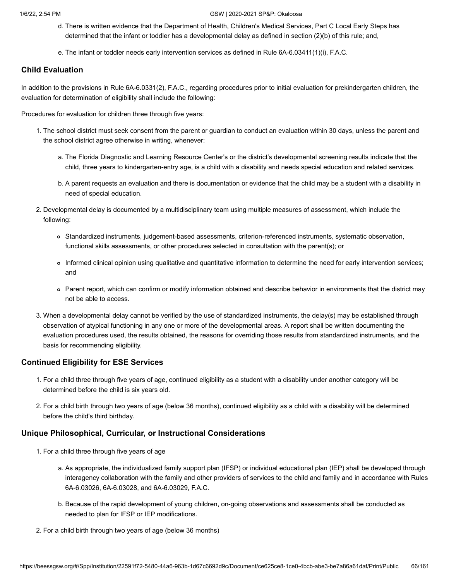- d. There is written evidence that the Department of Health, Children's Medical Services, Part C Local Early Steps has determined that the infant or toddler has a developmental delay as defined in section (2)(b) of this rule; and,
- e. The infant or toddler needs early intervention services as defined in Rule 6A-6.03411(1)(i), F.A.C.

### **Child Evaluation**

In addition to the provisions in Rule 6A-6.0331(2), F.A.C., regarding procedures prior to initial evaluation for prekindergarten children, the evaluation for determination of eligibility shall include the following:

Procedures for evaluation for children three through five years:

- 1. The school district must seek consent from the parent or guardian to conduct an evaluation within 30 days, unless the parent and the school district agree otherwise in writing, whenever:
	- a. The Florida Diagnostic and Learning Resource Center's or the district's developmental screening results indicate that the child, three years to kindergarten-entry age, is a child with a disability and needs special education and related services.
	- b. A parent requests an evaluation and there is documentation or evidence that the child may be a student with a disability in need of special education.
- 2. Developmental delay is documented by a multidisciplinary team using multiple measures of assessment, which include the following:
	- Standardized instruments, judgement-based assessments, criterion-referenced instruments, systematic observation, functional skills assessments, or other procedures selected in consultation with the parent(s); or
	- Informed clinical opinion using qualitative and quantitative information to determine the need for early intervention services; and
	- Parent report, which can confirm or modify information obtained and describe behavior in environments that the district may not be able to access.
- 3. When a developmental delay cannot be verified by the use of standardized instruments, the delay(s) may be established through observation of atypical functioning in any one or more of the developmental areas. A report shall be written documenting the evaluation procedures used, the results obtained, the reasons for overriding those results from standardized instruments, and the basis for recommending eligibility.

### **Continued Eligibility for ESE Services**

- 1. For a child three through five years of age, continued eligibility as a student with a disability under another category will be determined before the child is six years old.
- 2. For a child birth through two years of age (below 36 months), continued eligibility as a child with a disability will be determined before the child's third birthday.

#### **Unique Philosophical, Curricular, or Instructional Considerations**

- 1. For a child three through five years of age
	- a. As appropriate, the individualized family support plan (IFSP) or individual educational plan (IEP) shall be developed through interagency collaboration with the family and other providers of services to the child and family and in accordance with Rules 6A-6.03026, 6A-6.03028, and 6A-6.03029, F.A.C.
	- b. Because of the rapid development of young children, on-going observations and assessments shall be conducted as needed to plan for IFSP or IEP modifications.
- 2. For a child birth through two years of age (below 36 months)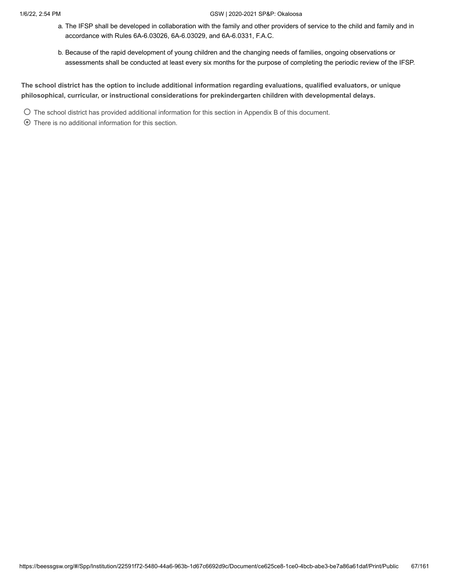- a. The IFSP shall be developed in collaboration with the family and other providers of service to the child and family and in accordance with Rules 6A-6.03026, 6A-6.03029, and 6A-6.0331, F.A.C.
- b. Because of the rapid development of young children and the changing needs of families, ongoing observations or assessments shall be conducted at least every six months for the purpose of completing the periodic review of the IFSP.

**The school district has the option to include additional information regarding evaluations, qualified evaluators, or unique philosophical, curricular, or instructional considerations for prekindergarten children with developmental delays.**

 $\bigcirc$  The school district has provided additional information for this section in Appendix B of this document.

There is no additional information for this section.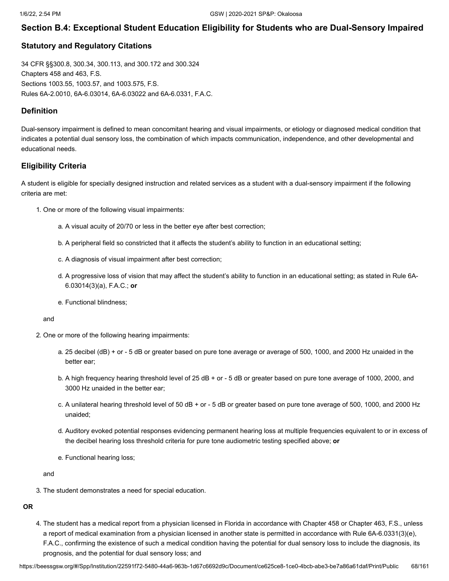## **Section B.4: Exceptional Student Education Eligibility for Students who are Dual-Sensory Impaired**

### **Statutory and Regulatory Citations**

34 CFR §§300.8, 300.34, 300.113, and 300.172 and 300.324 Chapters 458 and 463, F.S. Sections 1003.55, 1003.57, and 1003.575, F.S. Rules 6A-2.0010, 6A-6.03014, 6A-6.03022 and 6A-6.0331, F.A.C.

### **Definition**

Dual-sensory impairment is defined to mean concomitant hearing and visual impairments, or etiology or diagnosed medical condition that indicates a potential dual sensory loss, the combination of which impacts communication, independence, and other developmental and educational needs.

### **Eligibility Criteria**

A student is eligible for specially designed instruction and related services as a student with a dual-sensory impairment if the following criteria are met:

- 1. One or more of the following visual impairments:
	- a. A visual acuity of 20/70 or less in the better eye after best correction;
	- b. A peripheral field so constricted that it affects the student's ability to function in an educational setting;
	- c. A diagnosis of visual impairment after best correction;
	- d. A progressive loss of vision that may affect the student's ability to function in an educational setting; as stated in Rule 6A-6.03014(3)(a), F.A.C.; **or**
	- e. Functional blindness;

and

- 2. One or more of the following hearing impairments:
	- a. 25 decibel (dB) + or 5 dB or greater based on pure tone average or average of 500, 1000, and 2000 Hz unaided in the better ear;
	- b. A high frequency hearing threshold level of 25 dB + or 5 dB or greater based on pure tone average of 1000, 2000, and 3000 Hz unaided in the better ear;
	- c. A unilateral hearing threshold level of 50 dB + or 5 dB or greater based on pure tone average of 500, 1000, and 2000 Hz unaided;
	- d. Auditory evoked potential responses evidencing permanent hearing loss at multiple frequencies equivalent to or in excess of the decibel hearing loss threshold criteria for pure tone audiometric testing specified above; **or**
	- e. Functional hearing loss;

and

3. The student demonstrates a need for special education.

**OR**

4. The student has a medical report from a physician licensed in Florida in accordance with Chapter 458 or Chapter 463, F.S., unless a report of medical examination from a physician licensed in another state is permitted in accordance with Rule 6A-6.0331(3)(e), F.A.C., confirming the existence of such a medical condition having the potential for dual sensory loss to include the diagnosis, its prognosis, and the potential for dual sensory loss; and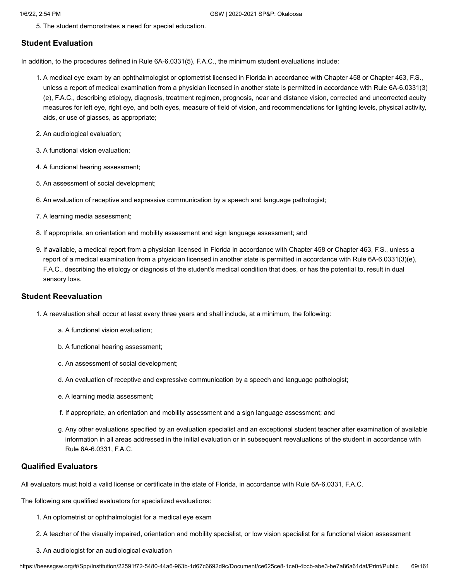5. The student demonstrates a need for special education.

#### **Student Evaluation**

In addition, to the procedures defined in Rule 6A-6.0331(5), F.A.C., the minimum student evaluations include:

- 1. A medical eye exam by an ophthalmologist or optometrist licensed in Florida in accordance with Chapter 458 or Chapter 463, F.S., unless a report of medical examination from a physician licensed in another state is permitted in accordance with Rule 6A-6.0331(3) (e), F.A.C., describing etiology, diagnosis, treatment regimen, prognosis, near and distance vision, corrected and uncorrected acuity measures for left eye, right eye, and both eyes, measure of field of vision, and recommendations for lighting levels, physical activity, aids, or use of glasses, as appropriate;
- 2. An audiological evaluation;
- 3. A functional vision evaluation;
- 4. A functional hearing assessment;
- 5. An assessment of social development;
- 6. An evaluation of receptive and expressive communication by a speech and language pathologist;
- 7. A learning media assessment;
- 8. If appropriate, an orientation and mobility assessment and sign language assessment; and
- 9. If available, a medical report from a physician licensed in Florida in accordance with Chapter 458 or Chapter 463, F.S., unless a report of a medical examination from a physician licensed in another state is permitted in accordance with Rule 6A-6.0331(3)(e), F.A.C., describing the etiology or diagnosis of the student's medical condition that does, or has the potential to, result in dual sensory loss.

#### **Student Reevaluation**

- 1. A reevaluation shall occur at least every three years and shall include, at a minimum, the following:
	- a. A functional vision evaluation;
	- b. A functional hearing assessment;
	- c. An assessment of social development;
	- d. An evaluation of receptive and expressive communication by a speech and language pathologist;
	- e. A learning media assessment;
	- f. If appropriate, an orientation and mobility assessment and a sign language assessment; and
	- g. Any other evaluations specified by an evaluation specialist and an exceptional student teacher after examination of available information in all areas addressed in the initial evaluation or in subsequent reevaluations of the student in accordance with Rule 6A-6.0331, F.A.C.

### **Qualified Evaluators**

All evaluators must hold a valid license or certificate in the state of Florida, in accordance with Rule 6A-6.0331, F.A.C.

The following are qualified evaluators for specialized evaluations:

- 1. An optometrist or ophthalmologist for a medical eye exam
- 2. A teacher of the visually impaired, orientation and mobility specialist, or low vision specialist for a functional vision assessment
- 3. An audiologist for an audiological evaluation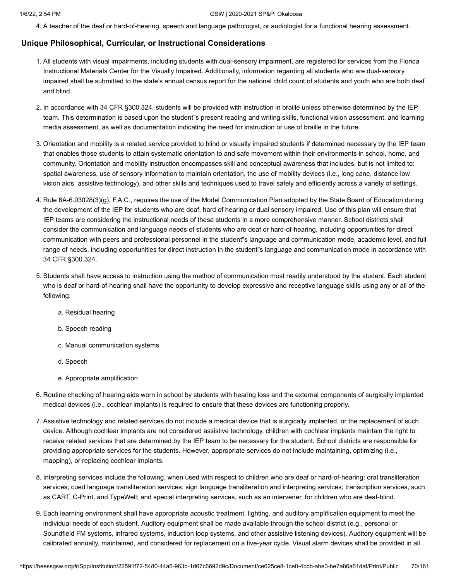4. A teacher of the deaf or hard-of-hearing, speech and language pathologist, or audiologist for a functional hearing assessment.

## **Unique Philosophical, Curricular, or Instructional Considerations**

- 1. All students with visual impairments, including students with dual-sensory impairment, are registered for services from the Florida Instructional Materials Center for the Visually Impaired. Additionally, information regarding all students who are dual-sensory impaired shall be submitted to the state's annual census report for the national child count of students and youth who are both deaf and blind.
- 2. In accordance with 34 CFR §300.324, students will be provided with instruction in braille unless otherwise determined by the IEP team. This determination is based upon the student"s present reading and writing skills, functional vision assessment, and learning media assessment, as well as documentation indicating the need for instruction or use of braille in the future.
- 3. Orientation and mobility is a related service provided to blind or visually impaired students if determined necessary by the IEP team that enables those students to attain systematic orientation to and safe movement within their environments in school, home, and community. Orientation and mobility instruction encompasses skill and conceptual awareness that includes, but is not limited to: spatial awareness, use of sensory information to maintain orientation, the use of mobility devices (i.e., long cane, distance low vision aids, assistive technology), and other skills and techniques used to travel safely and efficiently across a variety of settings.
- 4. Rule 6A-6.03028(3)(g), F.A.C., requires the use of the Model Communication Plan adopted by the State Board of Education during the development of the IEP for students who are deaf, hard of hearing or dual sensory impaired. Use of this plan will ensure that IEP teams are considering the instructional needs of these students in a more comprehensive manner. School districts shall consider the communication and language needs of students who are deaf or hard-of-hearing, including opportunities for direct communication with peers and professional personnel in the student"s language and communication mode, academic level, and full range of needs, including opportunities for direct instruction in the student"s language and communication mode in accordance with 34 CFR §300.324.
- 5. Students shall have access to instruction using the method of communication most readily understood by the student. Each student who is deaf or hard-of-hearing shall have the opportunity to develop expressive and receptive language skills using any or all of the following:
	- a. Residual hearing
	- b. Speech reading
	- c. Manual communication systems
	- d. Speech
	- e. Appropriate amplification
- 6. Routine checking of hearing aids worn in school by students with hearing loss and the external components of surgically implanted medical devices (i.e., cochlear implants) is required to ensure that these devices are functioning properly.
- 7. Assistive technology and related services do not include a medical device that is surgically implanted, or the replacement of such device. Although cochlear implants are not considered assistive technology, children with cochlear implants maintain the right to receive related services that are determined by the IEP team to be necessary for the student. School districts are responsible for providing appropriate services for the students. However, appropriate services do not include maintaining, optimizing (i.e., mapping), or replacing cochlear implants.
- 8. Interpreting services include the following, when used with respect to children who are deaf or hard-of-hearing: oral transliteration services; cued language transliteration services; sign language transliteration and interpreting services; transcription services, such as CART, C-Print, and TypeWell; and special interpreting services, such as an intervener, for children who are deaf-blind.
- 9. Each learning environment shall have appropriate acoustic treatment, lighting, and auditory amplification equipment to meet the individual needs of each student. Auditory equipment shall be made available through the school district (e.g., personal or Soundfield FM systems, infrared systems, induction loop systems, and other assistive listening devices). Auditory equipment will be calibrated annually, maintained, and considered for replacement on a five-year cycle. Visual alarm devices shall be provided in all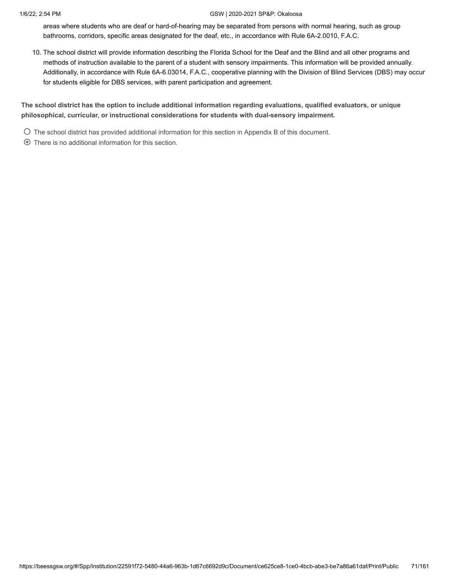areas where students who are deaf or hard-of-hearing may be separated from persons with normal hearing, such as group bathrooms, corridors, specific areas designated for the deaf, etc., in accordance with Rule 6A-2.0010, F.A.C.

10. The school district will provide information describing the Florida School for the Deaf and the Blind and all other programs and methods of instruction available to the parent of a student with sensory impairments. This information will be provided annually. Additionally, in accordance with Rule 6A-6.03014, F.A.C., cooperative planning with the Division of Blind Services (DBS) may occur for students eligible for DBS services, with parent participation and agreement.

**The school district has the option to include additional information regarding evaluations, qualified evaluators, or unique philosophical, curricular, or instructional considerations for students with dual-sensory impairment.**

- $\bigcirc$  The school district has provided additional information for this section in Appendix B of this document.
- There is no additional information for this section.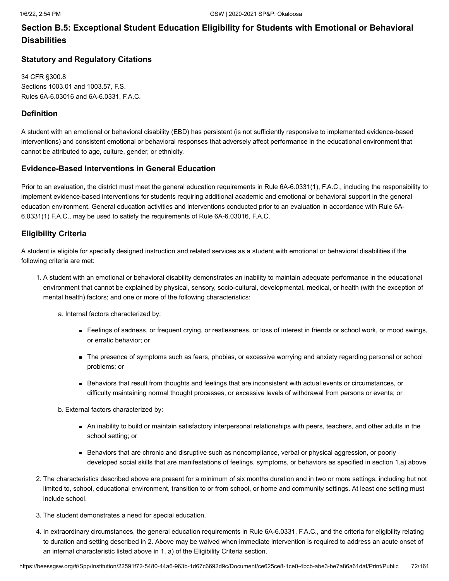# **Section B.5: Exceptional Student Education Eligibility for Students with Emotional or Behavioral Disabilities**

## **Statutory and Regulatory Citations**

34 CFR §300.8 Sections 1003.01 and 1003.57, F.S. Rules 6A-6.03016 and 6A-6.0331, F.A.C.

## **Definition**

A student with an emotional or behavioral disability (EBD) has persistent (is not sufficiently responsive to implemented evidence-based interventions) and consistent emotional or behavioral responses that adversely affect performance in the educational environment that cannot be attributed to age, culture, gender, or ethnicity.

## **Evidence-Based Interventions in General Education**

Prior to an evaluation, the district must meet the general education requirements in Rule 6A-6.0331(1), F.A.C., including the responsibility to implement evidence-based interventions for students requiring additional academic and emotional or behavioral support in the general education environment. General education activities and interventions conducted prior to an evaluation in accordance with Rule 6A-6.0331(1) F.A.C., may be used to satisfy the requirements of Rule 6A-6.03016, F.A.C.

## **Eligibility Criteria**

A student is eligible for specially designed instruction and related services as a student with emotional or behavioral disabilities if the following criteria are met:

- 1. A student with an emotional or behavioral disability demonstrates an inability to maintain adequate performance in the educational environment that cannot be explained by physical, sensory, socio-cultural, developmental, medical, or health (with the exception of mental health) factors; and one or more of the following characteristics:
	- a. Internal factors characterized by:
		- Feelings of sadness, or frequent crying, or restlessness, or loss of interest in friends or school work, or mood swings, or erratic behavior; or
		- The presence of symptoms such as fears, phobias, or excessive worrying and anxiety regarding personal or school problems; or
		- Behaviors that result from thoughts and feelings that are inconsistent with actual events or circumstances, or difficulty maintaining normal thought processes, or excessive levels of withdrawal from persons or events; or
	- b. External factors characterized by:
		- An inability to build or maintain satisfactory interpersonal relationships with peers, teachers, and other adults in the school setting; or
		- Behaviors that are chronic and disruptive such as noncompliance, verbal or physical aggression, or poorly developed social skills that are manifestations of feelings, symptoms, or behaviors as specified in section 1.a) above.
- 2. The characteristics described above are present for a minimum of six months duration and in two or more settings, including but not limited to, school, educational environment, transition to or from school, or home and community settings. At least one setting must include school.
- 3. The student demonstrates a need for special education.
- 4. In extraordinary circumstances, the general education requirements in Rule 6A-6.0331, F.A.C., and the criteria for eligibility relating to duration and setting described in 2. Above may be waived when immediate intervention is required to address an acute onset of an internal characteristic listed above in 1. a) of the Eligibility Criteria section.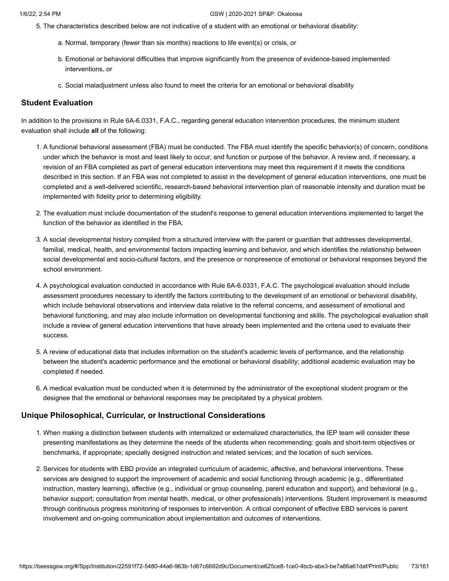- 5. The characteristics described below are not indicative of a student with an emotional or behavioral disability:
	- a. Normal, temporary (fewer than six months) reactions to life event(s) or crisis, or
	- b. Emotional or behavioral difficulties that improve significantly from the presence of evidence-based implemented interventions, or
	- c. Social maladjustment unless also found to meet the criteria for an emotional or behavioral disability

#### **Student Evaluation**

In addition to the provisions in Rule 6A-6.0331, F.A.C., regarding general education intervention procedures, the minimum student evaluation shall include **all** of the following:

- 1. A functional behavioral assessment (FBA) must be conducted. The FBA must identify the specific behavior(s) of concern, conditions under which the behavior is most and least likely to occur, and function or purpose of the behavior. A review and, if necessary, a revision of an FBA completed as part of general education interventions may meet this requirement if it meets the conditions described in this section. If an FBA was not completed to assist in the development of general education interventions, one must be completed and a well-delivered scientific, research-based behavioral intervention plan of reasonable intensity and duration must be implemented with fidelity prior to determining eligibility.
- 2. The evaluation must include documentation of the student's response to general education interventions implemented to target the function of the behavior as identified in the FBA.
- 3. A social developmental history compiled from a structured interview with the parent or guardian that addresses developmental, familial, medical, health, and environmental factors impacting learning and behavior, and which identifies the relationship between social developmental and socio-cultural factors, and the presence or nonpresence of emotional or behavioral responses beyond the school environment.
- 4. A psychological evaluation conducted in accordance with Rule 6A-6.0331, F.A.C. The psychological evaluation should include assessment procedures necessary to identify the factors contributing to the development of an emotional or behavioral disability, which include behavioral observations and interview data relative to the referral concerns, and assessment of emotional and behavioral functioning, and may also include information on developmental functioning and skills. The psychological evaluation shall include a review of general education interventions that have already been implemented and the criteria used to evaluate their success.
- 5. A review of educational data that includes information on the student's academic levels of performance, and the relationship between the student's academic performance and the emotional or behavioral disability; additional academic evaluation may be completed if needed.
- 6. A medical evaluation must be conducted when it is determined by the administrator of the exceptional student program or the designee that the emotional or behavioral responses may be precipitated by a physical problem.

## **Unique Philosophical, Curricular, or Instructional Considerations**

- 1. When making a distinction between students with internalized or externalized characteristics, the IEP team will consider these presenting manifestations as they determine the needs of the students when recommending: goals and short-term objectives or benchmarks, if appropriate; specially designed instruction and related services; and the location of such services.
- 2. Services for students with EBD provide an integrated curriculum of academic, affective, and behavioral interventions. These services are designed to support the improvement of academic and social functioning through academic (e.g., differentiated instruction, mastery learning), affective (e.g., individual or group counseling, parent education and support), and behavioral (e.g., behavior support; consultation from mental health, medical, or other professionals) interventions. Student improvement is measured through continuous progress monitoring of responses to intervention. A critical component of effective EBD services is parent involvement and on-going communication about implementation and outcomes of interventions.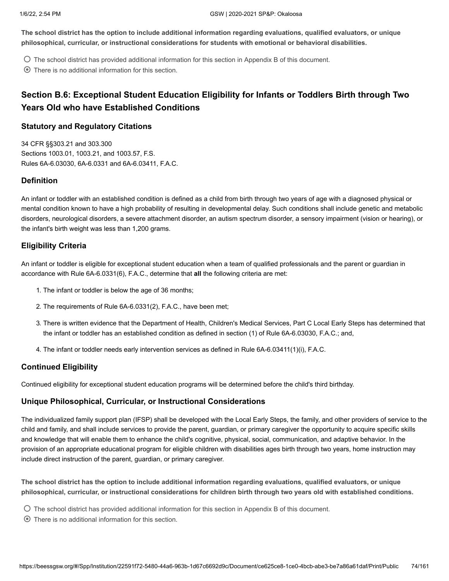**philosophical, curricular, or instructional considerations for students with emotional or behavioral disabilities.**

- $\bigcirc$  The school district has provided additional information for this section in Appendix B of this document.
- There is no additional information for this section.

# **Section B.6: Exceptional Student Education Eligibility for Infants or Toddlers Birth through Two Years Old who have Established Conditions**

## **Statutory and Regulatory Citations**

34 CFR §§303.21 and 303.300 Sections 1003.01, 1003.21, and 1003.57, F.S. Rules 6A-6.03030, 6A-6.0331 and 6A-6.03411, F.A.C.

# **Definition**

An infant or toddler with an established condition is defined as a child from birth through two years of age with a diagnosed physical or mental condition known to have a high probability of resulting in developmental delay. Such conditions shall include genetic and metabolic disorders, neurological disorders, a severe attachment disorder, an autism spectrum disorder, a sensory impairment (vision or hearing), or the infant's birth weight was less than 1,200 grams.

# **Eligibility Criteria**

An infant or toddler is eligible for exceptional student education when a team of qualified professionals and the parent or guardian in accordance with Rule 6A-6.0331(6), F.A.C., determine that **all** the following criteria are met:

- 1. The infant or toddler is below the age of 36 months;
- 2. The requirements of Rule 6A-6.0331(2), F.A.C., have been met;
- 3. There is written evidence that the Department of Health, Children's Medical Services, Part C Local Early Steps has determined that the infant or toddler has an established condition as defined in section (1) of Rule 6A-6.03030, F.A.C.; and,
- 4. The infant or toddler needs early intervention services as defined in Rule 6A-6.03411(1)(i), F.A.C.

# **Continued Eligibility**

Continued eligibility for exceptional student education programs will be determined before the child's third birthday.

# **Unique Philosophical, Curricular, or Instructional Considerations**

The school district the optical is located as district interaction gradien considered and the school distribution of the school of the school of the school of the school of the school of the school of the school of the sc The individualized family support plan (IFSP) shall be developed with the Local Early Steps, the family, and other providers of service to the child and family, and shall include services to provide the parent, guardian, or primary caregiver the opportunity to acquire specific skills and knowledge that will enable them to enhance the child's cognitive, physical, social, communication, and adaptive behavior. In the provision of an appropriate educational program for eligible children with disabilities ages birth through two years, home instruction may include direct instruction of the parent, guardian, or primary caregiver.

**The school district has the option to include additional information regarding evaluations, qualified evaluators, or unique philosophical, curricular, or instructional considerations for children birth through two years old with established conditions.**

- $\bigcirc$  The school district has provided additional information for this section in Appendix B of this document.
- There is no additional information for this section.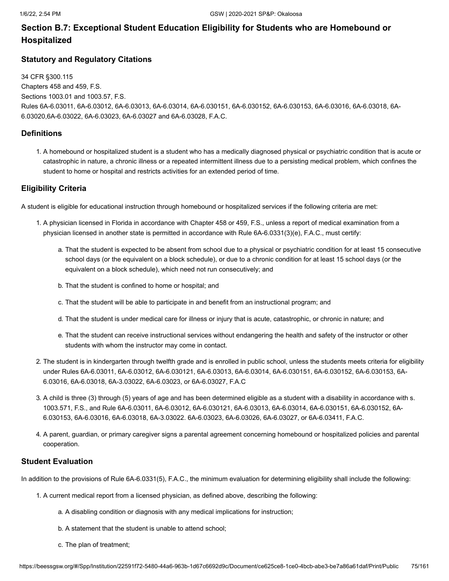# **Section B.7: Exceptional Student Education Eligibility for Students who are Homebound or Hospitalized**

# **Statutory and Regulatory Citations**

34 CFR §300.115 Chapters 458 and 459, F.S. Sections 1003.01 and 1003.57, F.S. Rules 6A-6.03011, 6A-6.03012, 6A-6.03013, 6A-6.03014, 6A-6.030151, 6A-6.030152, 6A-6.030153, 6A-6.03016, 6A-6.03018, 6A-6.03020,6A-6.03022, 6A-6.03023, 6A-6.03027 and 6A-6.03028, F.A.C.

## **Definitions**

1. A homebound or hospitalized student is a student who has a medically diagnosed physical or psychiatric condition that is acute or catastrophic in nature, a chronic illness or a repeated intermittent illness due to a persisting medical problem, which confines the student to home or hospital and restricts activities for an extended period of time.

# **Eligibility Criteria**

A student is eligible for educational instruction through homebound or hospitalized services if the following criteria are met:

- 1. A physician licensed in Florida in accordance with Chapter 458 or 459, F.S., unless a report of medical examination from a physician licensed in another state is permitted in accordance with Rule 6A-6.0331(3)(e), F.A.C., must certify:
	- a. That the student is expected to be absent from school due to a physical or psychiatric condition for at least 15 consecutive school days (or the equivalent on a block schedule), or due to a chronic condition for at least 15 school days (or the equivalent on a block schedule), which need not run consecutively; and
	- b. That the student is confined to home or hospital; and
	- c. That the student will be able to participate in and benefit from an instructional program; and
	- d. That the student is under medical care for illness or injury that is acute, catastrophic, or chronic in nature; and
	- e. That the student can receive instructional services without endangering the health and safety of the instructor or other students with whom the instructor may come in contact.
- 2. The student is in kindergarten through twelfth grade and is enrolled in public school, unless the students meets criteria for eligibility under Rules 6A-6.03011, 6A-6.03012, 6A-6.030121, 6A-6.03013, 6A-6.03014, 6A-6.030151, 6A-6.030152, 6A-6.030153, 6A-6.03016, 6A-6.03018, 6A-3.03022, 6A-6.03023, or 6A-6.03027, F.A.C
- 3. A child is three (3) through (5) years of age and has been determined eligible as a student with a disability in accordance with s. 1003.571, F.S., and Rule 6A-6.03011, 6A-6.03012, 6A-6.030121, 6A-6.03013, 6A-6.03014, 6A-6.030151, 6A-6.030152, 6A-6.030153, 6A-6.03016, 6A-6.03018, 6A-3.03022. 6A-6.03023, 6A-6.03026, 6A-6.03027, or 6A-6.03411, F.A.C.
- 4. A parent, guardian, or primary caregiver signs a parental agreement concerning homebound or hospitalized policies and parental cooperation.

## **Student Evaluation**

In addition to the provisions of Rule 6A-6.0331(5), F.A.C., the minimum evaluation for determining eligibility shall include the following:

- 1. A current medical report from a licensed physician, as defined above, describing the following:
	- a. A disabling condition or diagnosis with any medical implications for instruction;
	- b. A statement that the student is unable to attend school;
	- c. The plan of treatment;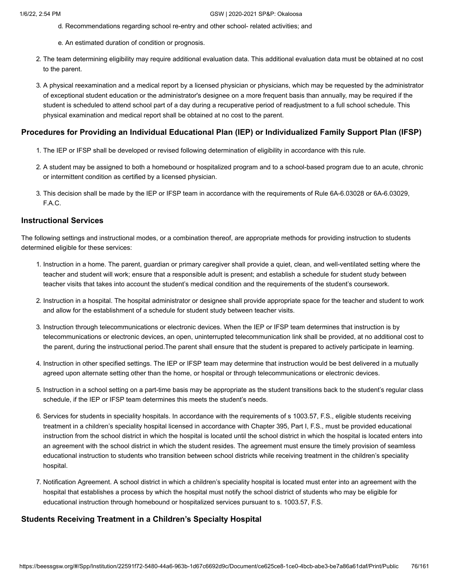- d. Recommendations regarding school re-entry and other school- related activities; and
- e. An estimated duration of condition or prognosis.
- 2. The team determining eligibility may require additional evaluation data. This additional evaluation data must be obtained at no cost to the parent.
- 3. A physical reexamination and a medical report by a licensed physician or physicians, which may be requested by the administrator of exceptional student education or the administrator's designee on a more frequent basis than annually, may be required if the student is scheduled to attend school part of a day during a recuperative period of readjustment to a full school schedule. This physical examination and medical report shall be obtained at no cost to the parent.

## **Procedures for Providing an Individual Educational Plan (IEP) or Individualized Family Support Plan (IFSP)**

- 1. The IEP or IFSP shall be developed or revised following determination of eligibility in accordance with this rule.
- 2. A student may be assigned to both a homebound or hospitalized program and to a school-based program due to an acute, chronic or intermittent condition as certified by a licensed physician.
- 3. This decision shall be made by the IEP or IFSP team in accordance with the requirements of Rule 6A-6.03028 or 6A-6.03029, F.A.C.

## **Instructional Services**

The following settings and instructional modes, or a combination thereof, are appropriate methods for providing instruction to students determined eligible for these services:

- 1. Instruction in a home. The parent, guardian or primary caregiver shall provide a quiet, clean, and well-ventilated setting where the teacher and student will work; ensure that a responsible adult is present; and establish a schedule for student study between teacher visits that takes into account the student's medical condition and the requirements of the student's coursework.
- 2. Instruction in a hospital. The hospital administrator or designee shall provide appropriate space for the teacher and student to work and allow for the establishment of a schedule for student study between teacher visits.
- 3. Instruction through telecommunications or electronic devices. When the IEP or IFSP team determines that instruction is by telecommunications or electronic devices, an open, uninterrupted telecommunication link shall be provided, at no additional cost to the parent, during the instructional period.The parent shall ensure that the student is prepared to actively participate in learning.
- 4. Instruction in other specified settings. The IEP or IFSP team may determine that instruction would be best delivered in a mutually agreed upon alternate setting other than the home, or hospital or through telecommunications or electronic devices.
- 5. Instruction in a school setting on a part-time basis may be appropriate as the student transitions back to the student's regular class schedule, if the IEP or IFSP team determines this meets the student's needs.
- 6. Services for students in speciality hospitals. In accordance with the requirements of s 1003.57, F.S., eligible students receiving treatment in a children's speciality hospital licensed in accordance with Chapter 395, Part I, F.S., must be provided educational instruction from the school district in which the hospital is located until the school district in which the hospital is located enters into an agreement with the school district in which the student resides. The agreement must ensure the timely provision of seamless educational instruction to students who transition between school districts while receiving treatment in the children's speciality hospital.
- 7. Notification Agreement. A school district in which a children's speciality hospital is located must enter into an agreement with the hospital that establishes a process by which the hospital must notify the school district of students who may be eligible for educational instruction through homebound or hospitalized services pursuant to s. 1003.57, F.S.

#### **Students Receiving Treatment in a Children's Specialty Hospital**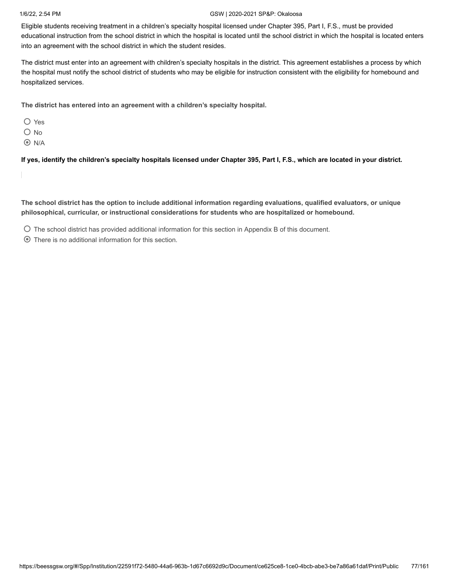Eligible students receiving treatment in a children's specialty hospital licensed under Chapter 395, Part I, F.S., must be provided educational instruction from the school district in which the hospital is located until the school district in which the hospital is located enters into an agreement with the school district in which the student resides.

The district must enter into an agreement with children's specialty hospitals in the district. This agreement establishes a process by which the hospital must notify the school district of students who may be eligible for instruction consistent with the eligibility for homebound and hospitalized services.

**The district has entered into an agreement with a children's specialty hospital.**

Yes

O No

**⊙** N/A

**If yes, identify the children's specialty hospitals licensed under Chapter 395, Part I, F.S., which are located in your district.**

**The school district has the option to include additional information regarding evaluations, qualified evaluators, or unique philosophical, curricular, or instructional considerations for students who are hospitalized or homebound.**

- $\bigcirc$  The school district has provided additional information for this section in Appendix B of this document.
- There is no additional information for this section.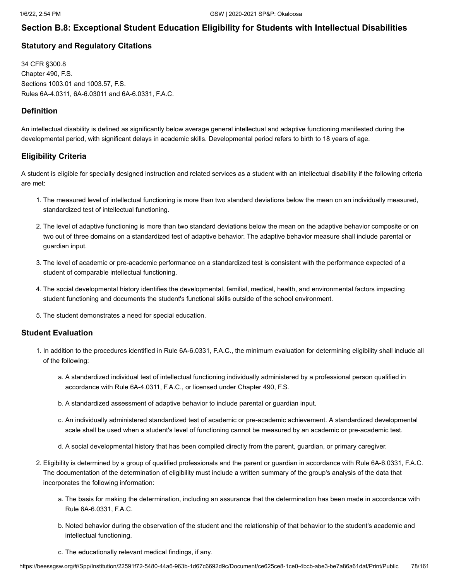## **Section B.8: Exceptional Student Education Eligibility for Students with Intellectual Disabilities**

## **Statutory and Regulatory Citations**

34 CFR §300.8 Chapter 490, F.S. Sections 1003.01 and 1003.57, F.S. Rules 6A-4.0311, 6A-6.03011 and 6A-6.0331, F.A.C.

## **Definition**

An intellectual disability is defined as significantly below average general intellectual and adaptive functioning manifested during the developmental period, with significant delays in academic skills. Developmental period refers to birth to 18 years of age.

#### **Eligibility Criteria**

A student is eligible for specially designed instruction and related services as a student with an intellectual disability if the following criteria are met:

- 1. The measured level of intellectual functioning is more than two standard deviations below the mean on an individually measured, standardized test of intellectual functioning.
- 2. The level of adaptive functioning is more than two standard deviations below the mean on the adaptive behavior composite or on two out of three domains on a standardized test of adaptive behavior. The adaptive behavior measure shall include parental or guardian input.
- 3. The level of academic or pre-academic performance on a standardized test is consistent with the performance expected of a student of comparable intellectual functioning.
- 4. The social developmental history identifies the developmental, familial, medical, health, and environmental factors impacting student functioning and documents the student's functional skills outside of the school environment.
- 5. The student demonstrates a need for special education.

## **Student Evaluation**

- 1. In addition to the procedures identified in Rule 6A-6.0331, F.A.C., the minimum evaluation for determining eligibility shall include all of the following:
	- a. A standardized individual test of intellectual functioning individually administered by a professional person qualified in accordance with Rule 6A-4.0311, F.A.C., or licensed under Chapter 490, F.S.
	- b. A standardized assessment of adaptive behavior to include parental or guardian input.
	- c. An individually administered standardized test of academic or pre-academic achievement. A standardized developmental scale shall be used when a student's level of functioning cannot be measured by an academic or pre-academic test.
	- d. A social developmental history that has been compiled directly from the parent, guardian, or primary caregiver.
- 2. Eligibility is determined by a group of qualified professionals and the parent or guardian in accordance with Rule 6A-6.0331, F.A.C. The documentation of the determination of eligibility must include a written summary of the group's analysis of the data that incorporates the following information:
	- a. The basis for making the determination, including an assurance that the determination has been made in accordance with Rule 6A-6.0331, F.A.C.
	- b. Noted behavior during the observation of the student and the relationship of that behavior to the student's academic and intellectual functioning.
	- c. The educationally relevant medical findings, if any.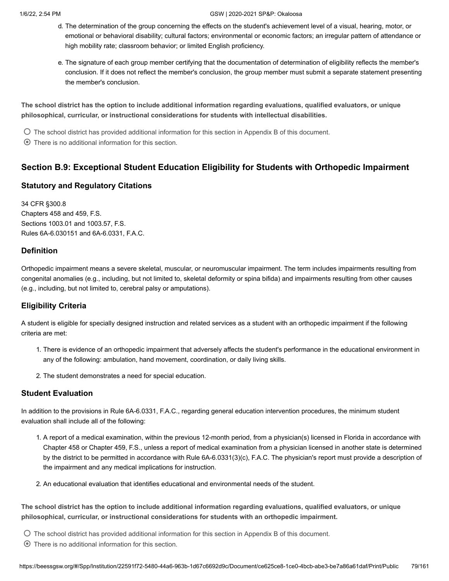- d. The determination of the group concerning the effects on the student's achievement level of a visual, hearing, motor, or emotional or behavioral disability; cultural factors; environmental or economic factors; an irregular pattern of attendance or high mobility rate; classroom behavior; or limited English proficiency.
- e. The signature of each group member certifying that the documentation of determination of eligibility reflects the member's conclusion. If it does not reflect the member's conclusion, the group member must submit a separate statement presenting the member's conclusion.

**The school district has the option to include additional information regarding evaluations, qualified evaluators, or unique philosophical, curricular, or instructional considerations for students with intellectual disabilities.**

- $\bigcirc$  The school district has provided additional information for this section in Appendix B of this document.
- There is no additional information for this section.

# **Section B.9: Exceptional Student Education Eligibility for Students with Orthopedic Impairment**

## **Statutory and Regulatory Citations**

34 CFR §300.8 Chapters 458 and 459, F.S. Sections 1003.01 and 1003.57, F.S. Rules 6A-6.030151 and 6A-6.0331, F.A.C.

## **Definition**

Orthopedic impairment means a severe skeletal, muscular, or neuromuscular impairment. The term includes impairments resulting from congenital anomalies (e.g., including, but not limited to, skeletal deformity or spina bifida) and impairments resulting from other causes (e.g., including, but not limited to, cerebral palsy or amputations).

# **Eligibility Criteria**

A student is eligible for specially designed instruction and related services as a student with an orthopedic impairment if the following criteria are met:

- 1. There is evidence of an orthopedic impairment that adversely affects the student's performance in the educational environment in any of the following: ambulation, hand movement, coordination, or daily living skills.
- 2. The student demonstrates a need for special education.

## **Student Evaluation**

In addition to the provisions in Rule 6A-6.0331, F.A.C., regarding general education intervention procedures, the minimum student evaluation shall include all of the following:

- 1. A report of a medical examination, within the previous 12-month period, from a physician(s) licensed in Florida in accordance with Chapter 458 or Chapter 459, F.S., unless a report of medical examination from a physician licensed in another state is determined by the district to be permitted in accordance with Rule 6A-6.0331(3)(c), F.A.C. The physician's report must provide a description of the impairment and any medical implications for instruction.
- 2. An educational evaluation that identifies educational and environmental needs of the student.

**The school district has the option to include additional information regarding evaluations, qualified evaluators, or unique philosophical, curricular, or instructional considerations for students with an orthopedic impairment.**

- $\bigcirc$  The school district has provided additional information for this section in Appendix B of this document.
- There is no additional information for this section.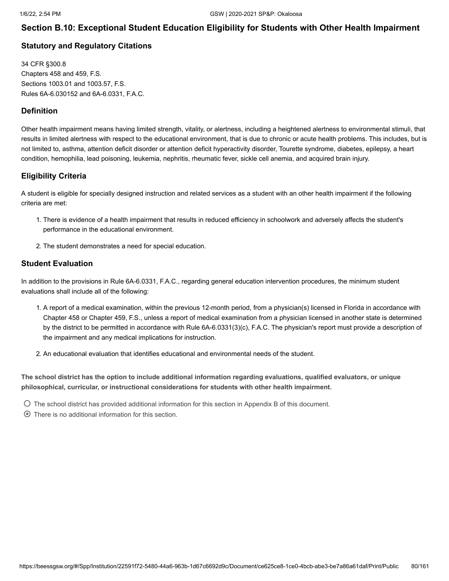# **Section B.10: Exceptional Student Education Eligibility for Students with Other Health Impairment**

## **Statutory and Regulatory Citations**

34 CFR §300.8 Chapters 458 and 459, F.S. Sections 1003.01 and 1003.57, F.S. Rules 6A-6.030152 and 6A-6.0331, F.A.C.

## **Definition**

Other health impairment means having limited strength, vitality, or alertness, including a heightened alertness to environmental stimuli, that results in limited alertness with respect to the educational environment, that is due to chronic or acute health problems. This includes, but is not limited to, asthma, attention deficit disorder or attention deficit hyperactivity disorder, Tourette syndrome, diabetes, epilepsy, a heart condition, hemophilia, lead poisoning, leukemia, nephritis, rheumatic fever, sickle cell anemia, and acquired brain injury.

## **Eligibility Criteria**

A student is eligible for specially designed instruction and related services as a student with an other health impairment if the following criteria are met:

- 1. There is evidence of a health impairment that results in reduced efficiency in schoolwork and adversely affects the student's performance in the educational environment.
- 2. The student demonstrates a need for special education.

#### **Student Evaluation**

In addition to the provisions in Rule 6A-6.0331, F.A.C., regarding general education intervention procedures, the minimum student evaluations shall include all of the following:

- 1. A report of a medical examination, within the previous 12-month period, from a physician(s) licensed in Florida in accordance with Chapter 458 or Chapter 459, F.S., unless a report of medical examination from a physician licensed in another state is determined by the district to be permitted in accordance with Rule 6A-6.0331(3)(c), F.A.C. The physician's report must provide a description of the impairment and any medical implications for instruction.
- 2. An educational evaluation that identifies educational and environmental needs of the student.

**The school district has the option to include additional information regarding evaluations, qualified evaluators, or unique philosophical, curricular, or instructional considerations for students with other health impairment.**

 $\bigcirc$  The school district has provided additional information for this section in Appendix B of this document.

There is no additional information for this section.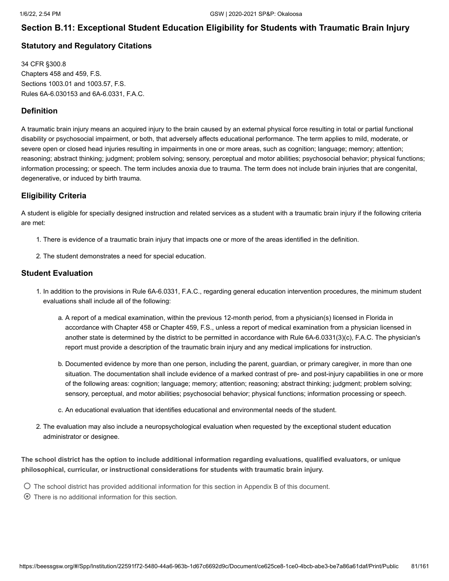# **Section B.11: Exceptional Student Education Eligibility for Students with Traumatic Brain Injury**

## **Statutory and Regulatory Citations**

34 CFR §300.8 Chapters 458 and 459, F.S. Sections 1003.01 and 1003.57, F.S. Rules 6A-6.030153 and 6A-6.0331, F.A.C.

## **Definition**

A traumatic brain injury means an acquired injury to the brain caused by an external physical force resulting in total or partial functional disability or psychosocial impairment, or both, that adversely affects educational performance. The term applies to mild, moderate, or severe open or closed head injuries resulting in impairments in one or more areas, such as cognition; language; memory; attention; reasoning; abstract thinking; judgment; problem solving; sensory, perceptual and motor abilities; psychosocial behavior; physical functions; information processing; or speech. The term includes anoxia due to trauma. The term does not include brain injuries that are congenital, degenerative, or induced by birth trauma.

## **Eligibility Criteria**

A student is eligible for specially designed instruction and related services as a student with a traumatic brain injury if the following criteria are met:

- 1. There is evidence of a traumatic brain injury that impacts one or more of the areas identified in the definition.
- 2. The student demonstrates a need for special education.

#### **Student Evaluation**

- 1. In addition to the provisions in Rule 6A-6.0331, F.A.C., regarding general education intervention procedures, the minimum student evaluations shall include all of the following:
	- a. A report of a medical examination, within the previous 12-month period, from a physician(s) licensed in Florida in accordance with Chapter 458 or Chapter 459, F.S., unless a report of medical examination from a physician licensed in another state is determined by the district to be permitted in accordance with Rule 6A-6.0331(3)(c), F.A.C. The physician's report must provide a description of the traumatic brain injury and any medical implications for instruction.
	- b. Documented evidence by more than one person, including the parent, guardian, or primary caregiver, in more than one situation. The documentation shall include evidence of a marked contrast of pre- and post-injury capabilities in one or more of the following areas: cognition; language; memory; attention; reasoning; abstract thinking; judgment; problem solving; sensory, perceptual, and motor abilities; psychosocial behavior; physical functions; information processing or speech.
	- c. An educational evaluation that identifies educational and environmental needs of the student.
- 2. The evaluation may also include a neuropsychological evaluation when requested by the exceptional student education administrator or designee.

**The school district has the option to include additional information regarding evaluations, qualified evaluators, or unique philosophical, curricular, or instructional considerations for students with traumatic brain injury.**

- $\bigcirc$  The school district has provided additional information for this section in Appendix B of this document.
- There is no additional information for this section.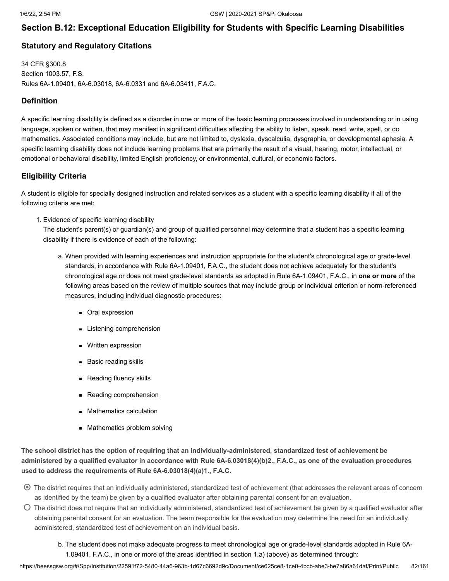# **Section B.12: Exceptional Education Eligibility for Students with Specific Learning Disabilities**

# **Statutory and Regulatory Citations**

34 CFR §300.8 Section 1003.57, F.S. Rules 6A-1.09401, 6A-6.03018, 6A-6.0331 and 6A-6.03411, F.A.C.

## **Definition**

A specific learning disability is defined as a disorder in one or more of the basic learning processes involved in understanding or in using language, spoken or written, that may manifest in significant difficulties affecting the ability to listen, speak, read, write, spell, or do mathematics. Associated conditions may include, but are not limited to, dyslexia, dyscalculia, dysgraphia, or developmental aphasia. A specific learning disability does not include learning problems that are primarily the result of a visual, hearing, motor, intellectual, or emotional or behavioral disability, limited English proficiency, or environmental, cultural, or economic factors.

# **Eligibility Criteria**

A student is eligible for specially designed instruction and related services as a student with a specific learning disability if all of the following criteria are met:

1. Evidence of specific learning disability

The student's parent(s) or guardian(s) and group of qualified personnel may determine that a student has a specific learning disability if there is evidence of each of the following:

- a. When provided with learning experiences and instruction appropriate for the student's chronological age or grade-level standards, in accordance with Rule 6A-1.09401, F.A.C., the student does not achieve adequately for the student's chronological age or does not meet grade-level standards as adopted in Rule 6A-1.09401, F.A.C., in **one or more** of the following areas based on the review of multiple sources that may include group or individual criterion or norm-referenced measures, including individual diagnostic procedures:
	- Oral expression
	- **Listening comprehension**
	- **Written expression**
	- **Basic reading skills**
	- **Reading fluency skills**
	- **Reading comprehension**
	- **Mathematics calculation**
	- **Mathematics problem solving**

**The school district has the option of requiring that an individually-administered, standardized test of achievement be administered by a qualified evaluator in accordance with Rule 6A-6.03018(4)(b)2., F.A.C., as one of the evaluation procedures used to address the requirements of Rule 6A-6.03018(4)(a)1., F.A.C.**

- $\odot$  The district requires that an individually administered, standardized test of achievement (that addresses the relevant areas of concern as identified by the team) be given by a qualified evaluator after obtaining parental consent for an evaluation.
- $\bigcirc$  The district does not require that an individually administered, standardized test of achievement be given by a qualified evaluator after obtaining parental consent for an evaluation. The team responsible for the evaluation may determine the need for an individually administered, standardized test of achievement on an individual basis.
	- b. The student does not make adequate progress to meet chronological age or grade-level standards adopted in Rule 6A-1.09401, F.A.C., in one or more of the areas identified in section 1.a) (above) as determined through: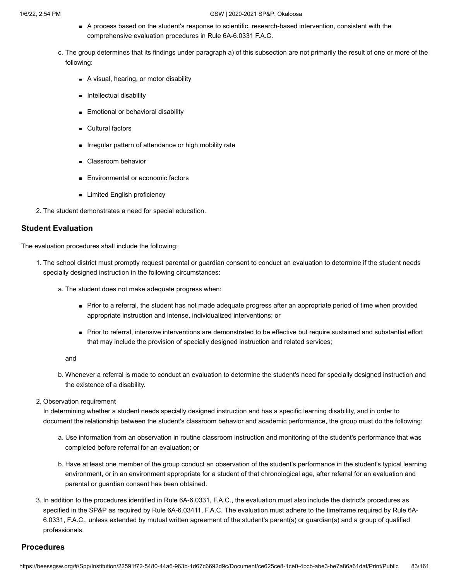- A process based on the student's response to scientific, research-based intervention, consistent with the comprehensive evaluation procedures in Rule 6A-6.0331 F.A.C.
- c. The group determines that its findings under paragraph a) of this subsection are not primarily the result of one or more of the following:
	- A visual, hearing, or motor disability
	- **Intellectual disability**
	- **Emotional or behavioral disability**
	- Cultural factors
	- **Irregular pattern of attendance or high mobility rate**
	- Classroom behavior
	- **Environmental or economic factors**
	- **Limited English proficiency**
- 2. The student demonstrates a need for special education.

#### **Student Evaluation**

The evaluation procedures shall include the following:

- 1. The school district must promptly request parental or guardian consent to conduct an evaluation to determine if the student needs specially designed instruction in the following circumstances:
	- a. The student does not make adequate progress when:
		- Prior to a referral, the student has not made adequate progress after an appropriate period of time when provided appropriate instruction and intense, individualized interventions; or
		- Prior to referral, intensive interventions are demonstrated to be effective but require sustained and substantial effort that may include the provision of specially designed instruction and related services;

and

- b. Whenever a referral is made to conduct an evaluation to determine the student's need for specially designed instruction and the existence of a disability.
- 2. Observation requirement

In determining whether a student needs specially designed instruction and has a specific learning disability, and in order to document the relationship between the student's classroom behavior and academic performance, the group must do the following:

- a. Use information from an observation in routine classroom instruction and monitoring of the student's performance that was completed before referral for an evaluation; or
- b. Have at least one member of the group conduct an observation of the student's performance in the student's typical learning environment, or in an environment appropriate for a student of that chronological age, after referral for an evaluation and parental or guardian consent has been obtained.
- 3. In addition to the procedures identified in Rule 6A-6.0331, F.A.C., the evaluation must also include the district's procedures as specified in the SP&P as required by Rule 6A-6.03411, F.A.C. The evaluation must adhere to the timeframe required by Rule 6A-6.0331, F.A.C., unless extended by mutual written agreement of the student's parent(s) or guardian(s) and a group of qualified professionals.

## **Procedures**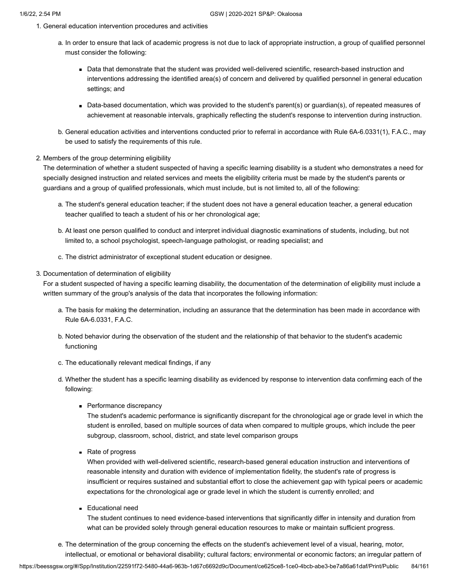- 1. General education intervention procedures and activities
	- a. In order to ensure that lack of academic progress is not due to lack of appropriate instruction, a group of qualified personnel must consider the following:
		- Data that demonstrate that the student was provided well-delivered scientific, research-based instruction and interventions addressing the identified area(s) of concern and delivered by qualified personnel in general education settings; and
		- Data-based documentation, which was provided to the student's parent(s) or guardian(s), of repeated measures of achievement at reasonable intervals, graphically reflecting the student's response to intervention during instruction.
	- b. General education activities and interventions conducted prior to referral in accordance with Rule 6A-6.0331(1), F.A.C., may be used to satisfy the requirements of this rule.

#### 2. Members of the group determining eligibility

The determination of whether a student suspected of having a specific learning disability is a student who demonstrates a need for specially designed instruction and related services and meets the eligibility criteria must be made by the student's parents or guardians and a group of qualified professionals, which must include, but is not limited to, all of the following:

- a. The student's general education teacher; if the student does not have a general education teacher, a general education teacher qualified to teach a student of his or her chronological age;
- b. At least one person qualified to conduct and interpret individual diagnostic examinations of students, including, but not limited to, a school psychologist, speech-language pathologist, or reading specialist; and
- c. The district administrator of exceptional student education or designee.

#### 3. Documentation of determination of eligibility

For a student suspected of having a specific learning disability, the documentation of the determination of eligibility must include a written summary of the group's analysis of the data that incorporates the following information:

- a. The basis for making the determination, including an assurance that the determination has been made in accordance with Rule 6A-6.0331, F.A.C.
- b. Noted behavior during the observation of the student and the relationship of that behavior to the student's academic functioning
- c. The educationally relevant medical findings, if any
- d. Whether the student has a specific learning disability as evidenced by response to intervention data confirming each of the following:
	- **Performance discrepancy**

The student's academic performance is significantly discrepant for the chronological age or grade level in which the student is enrolled, based on multiple sources of data when compared to multiple groups, which include the peer subgroup, classroom, school, district, and state level comparison groups

■ Rate of progress

When provided with well-delivered scientific, research-based general education instruction and interventions of reasonable intensity and duration with evidence of implementation fidelity, the student's rate of progress is insufficient or requires sustained and substantial effort to close the achievement gap with typical peers or academic expectations for the chronological age or grade level in which the student is currently enrolled; and

**Educational need** 

The student continues to need evidence-based interventions that significantly differ in intensity and duration from what can be provided solely through general education resources to make or maintain sufficient progress.

e. The determination of the group concerning the effects on the student's achievement level of a visual, hearing, motor, intellectual, or emotional or behavioral disability; cultural factors; environmental or economic factors; an irregular pattern of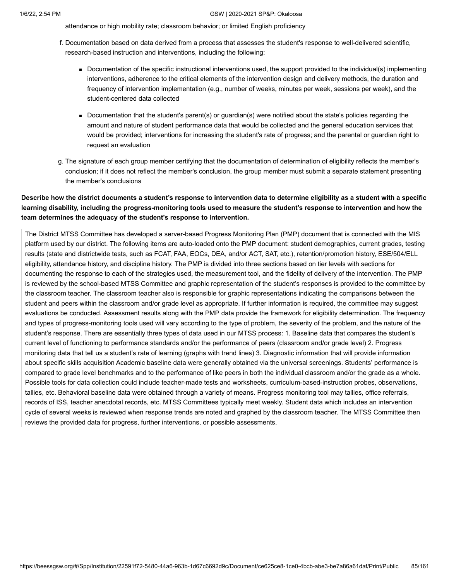attendance or high mobility rate; classroom behavior; or limited English proficiency

- f. Documentation based on data derived from a process that assesses the student's response to well-delivered scientific, research-based instruction and interventions, including the following:
	- Documentation of the specific instructional interventions used, the support provided to the individual(s) implementing interventions, adherence to the critical elements of the intervention design and delivery methods, the duration and frequency of intervention implementation (e.g., number of weeks, minutes per week, sessions per week), and the student-centered data collected
	- Documentation that the student's parent(s) or guardian(s) were notified about the state's policies regarding the amount and nature of student performance data that would be collected and the general education services that would be provided; interventions for increasing the student's rate of progress; and the parental or guardian right to request an evaluation
- g. The signature of each group member certifying that the documentation of determination of eligibility reflects the member's conclusion; if it does not reflect the member's conclusion, the group member must submit a separate statement presenting the member's conclusions

# **Describe how the district documents a student's response to intervention data to determine eligibility as a student with a specific learning disability, including the progress-monitoring tools used to measure the student's response to intervention and how the team determines the adequacy of the student's response to intervention.**

The District MTSS Committee has developed a server-based Progress Monitoring Plan (PMP) document that is connected with the MIS platform used by our district. The following items are auto-loaded onto the PMP document: student demographics, current grades, testing results (state and districtwide tests, such as FCAT, FAA, EOCs, DEA, and/or ACT, SAT, etc.), retention/promotion history, ESE/504/ELL eligibility, attendance history, and discipline history. The PMP is divided into three sections based on tier levels with sections for documenting the response to each of the strategies used, the measurement tool, and the fidelity of delivery of the intervention. The PMP is reviewed by the school-based MTSS Committee and graphic representation of the student's responses is provided to the committee by the classroom teacher. The classroom teacher also is responsible for graphic representations indicating the comparisons between the student and peers within the classroom and/or grade level as appropriate. If further information is required, the committee may suggest evaluations be conducted. Assessment results along with the PMP data provide the framework for eligibility determination. The frequency and types of progress-monitoring tools used will vary according to the type of problem, the severity of the problem, and the nature of the student's response. There are essentially three types of data used in our MTSS process: 1. Baseline data that compares the student's current level of functioning to performance standards and/or the performance of peers (classroom and/or grade level) 2. Progress monitoring data that tell us a student's rate of learning (graphs with trend lines) 3. Diagnostic information that will provide information about specific skills acquisition Academic baseline data were generally obtained via the universal screenings. Students' performance is compared to grade level benchmarks and to the performance of like peers in both the individual classroom and/or the grade as a whole. Possible tools for data collection could include teacher-made tests and worksheets, curriculum-based-instruction probes, observations, tallies, etc. Behavioral baseline data were obtained through a variety of means. Progress monitoring tool may tallies, office referrals, records of ISS, teacher anecdotal records, etc. MTSS Committees typically meet weekly. Student data which includes an intervention cycle of several weeks is reviewed when response trends are noted and graphed by the classroom teacher. The MTSS Committee then reviews the provided data for progress, further interventions, or possible assessments.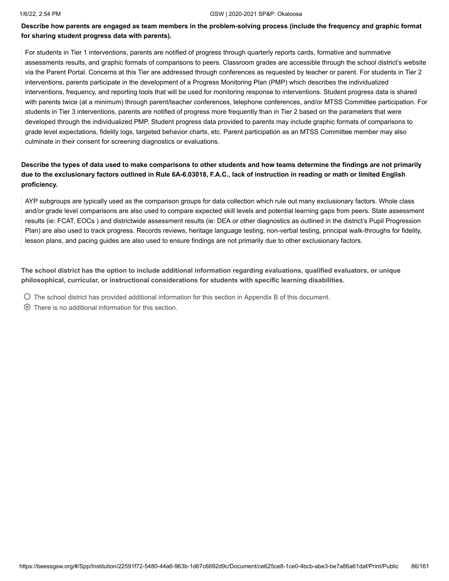**Describe how parents are engaged as team members in the problem-solving process (include the frequency and graphic format for sharing student progress data with parents).**

For students in Tier 1 interventions, parents are notified of progress through quarterly reports cards, formative and summative assessments results, and graphic formats of comparisons to peers. Classroom grades are accessible through the school district's website via the Parent Portal. Concerns at this Tier are addressed through conferences as requested by teacher or parent. For students in Tier 2 interventions, parents participate in the development of a Progress Monitoring Plan (PMP) which describes the individualized interventions, frequency, and reporting tools that will be used for monitoring response to interventions. Student progress data is shared with parents twice (at a minimum) through parent/teacher conferences, telephone conferences, and/or MTSS Committee participation. For students in Tier 3 interventions, parents are notified of progress more frequently than in Tier 2 based on the parameters that were developed through the individualized PMP. Student progress data provided to parents may include graphic formats of comparisons to grade level expectations, fidelity logs, targeted behavior charts, etc. Parent participation as an MTSS Committee member may also culminate in their consent for screening diagnostics or evaluations.

# **Describe the types of data used to make comparisons to other students and how teams determine the findings are not primarily due to the exclusionary factors outlined in Rule 6A-6.03018, F.A.C., lack of instruction in reading or math or limited English proficiency.**

AYP subgroups are typically used as the comparison groups for data collection which rule out many exclusionary factors. Whole class and/or grade level comparisons are also used to compare expected skill levels and potential learning gaps from peers. State assessment results (ie: FCAT, EOCs ) and districtwide assessment results (ie: DEA or other diagnostics as outlined in the district's Pupil Progression Plan) are also used to track progress. Records reviews, heritage language testing, non-verbal testing, principal walk-throughs for fidelity, lesson plans, and pacing guides are also used to ensure findings are not primarily due to other exclusionary factors.

**The school district has the option to include additional information regarding evaluations, qualified evaluators, or unique philosophical, curricular, or instructional considerations for students with specific learning disabilities.**

 $\bigcirc$  The school district has provided additional information for this section in Appendix B of this document.

There is no additional information for this section.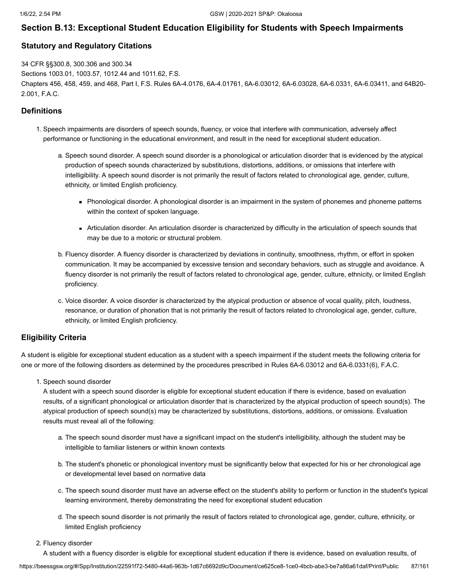## **Section B.13: Exceptional Student Education Eligibility for Students with Speech Impairments**

## **Statutory and Regulatory Citations**

34 CFR §§300.8, 300.306 and 300.34 Sections 1003.01, 1003.57, 1012.44 and 1011.62, F.S. Chapters 456, 458, 459, and 468, Part I, F.S. Rules 6A-4.0176, 6A-4.01761, 6A-6.03012, 6A-6.03028, 6A-6.0331, 6A-6.03411, and 64B20- 2.001, F.A.C.

## **Definitions**

- 1. Speech impairments are disorders of speech sounds, fluency, or voice that interfere with communication, adversely affect performance or functioning in the educational environment, and result in the need for exceptional student education.
	- a. Speech sound disorder. A speech sound disorder is a phonological or articulation disorder that is evidenced by the atypical production of speech sounds characterized by substitutions, distortions, additions, or omissions that interfere with intelligibility. A speech sound disorder is not primarily the result of factors related to chronological age, gender, culture, ethnicity, or limited English proficiency.
		- Phonological disorder. A phonological disorder is an impairment in the system of phonemes and phoneme patterns within the context of spoken language.
		- Articulation disorder. An articulation disorder is characterized by difficulty in the articulation of speech sounds that may be due to a motoric or structural problem.
	- b. Fluency disorder. A fluency disorder is characterized by deviations in continuity, smoothness, rhythm, or effort in spoken communication. It may be accompanied by excessive tension and secondary behaviors, such as struggle and avoidance. A fluency disorder is not primarily the result of factors related to chronological age, gender, culture, ethnicity, or limited English proficiency.
	- c. Voice disorder. A voice disorder is characterized by the atypical production or absence of vocal quality, pitch, loudness, resonance, or duration of phonation that is not primarily the result of factors related to chronological age, gender, culture, ethnicity, or limited English proficiency.

#### **Eligibility Criteria**

A student is eligible for exceptional student education as a student with a speech impairment if the student meets the following criteria for one or more of the following disorders as determined by the procedures prescribed in Rules 6A-6.03012 and 6A-6.0331(6), F.A.C.

1. Speech sound disorder

A student with a speech sound disorder is eligible for exceptional student education if there is evidence, based on evaluation results, of a significant phonological or articulation disorder that is characterized by the atypical production of speech sound(s). The atypical production of speech sound(s) may be characterized by substitutions, distortions, additions, or omissions. Evaluation results must reveal all of the following:

- a. The speech sound disorder must have a significant impact on the student's intelligibility, although the student may be intelligible to familiar listeners or within known contexts
- b. The student's phonetic or phonological inventory must be significantly below that expected for his or her chronological age or developmental level based on normative data
- c. The speech sound disorder must have an adverse effect on the student's ability to perform or function in the student's typical learning environment, thereby demonstrating the need for exceptional student education
- d. The speech sound disorder is not primarily the result of factors related to chronological age, gender, culture, ethnicity, or limited English proficiency

#### 2. Fluency disorder

A student with a fluency disorder is eligible for exceptional student education if there is evidence, based on evaluation results, of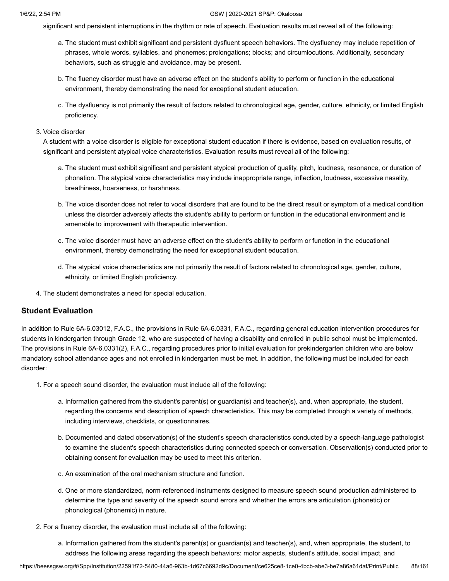significant and persistent interruptions in the rhythm or rate of speech. Evaluation results must reveal all of the following:

- a. The student must exhibit significant and persistent dysfluent speech behaviors. The dysfluency may include repetition of phrases, whole words, syllables, and phonemes; prolongations; blocks; and circumlocutions. Additionally, secondary behaviors, such as struggle and avoidance, may be present.
- b. The fluency disorder must have an adverse effect on the student's ability to perform or function in the educational environment, thereby demonstrating the need for exceptional student education.
- c. The dysfluency is not primarily the result of factors related to chronological age, gender, culture, ethnicity, or limited English proficiency.
- 3. Voice disorder

A student with a voice disorder is eligible for exceptional student education if there is evidence, based on evaluation results, of significant and persistent atypical voice characteristics. Evaluation results must reveal all of the following:

- a. The student must exhibit significant and persistent atypical production of quality, pitch, loudness, resonance, or duration of phonation. The atypical voice characteristics may include inappropriate range, inflection, loudness, excessive nasality, breathiness, hoarseness, or harshness.
- b. The voice disorder does not refer to vocal disorders that are found to be the direct result or symptom of a medical condition unless the disorder adversely affects the student's ability to perform or function in the educational environment and is amenable to improvement with therapeutic intervention.
- c. The voice disorder must have an adverse effect on the student's ability to perform or function in the educational environment, thereby demonstrating the need for exceptional student education.
- d. The atypical voice characteristics are not primarily the result of factors related to chronological age, gender, culture, ethnicity, or limited English proficiency.
- 4. The student demonstrates a need for special education.

## **Student Evaluation**

In addition to Rule 6A-6.03012, F.A.C., the provisions in Rule 6A-6.0331, F.A.C., regarding general education intervention procedures for students in kindergarten through Grade 12, who are suspected of having a disability and enrolled in public school must be implemented. The provisions in Rule 6A-6.0331(2), F.A.C., regarding procedures prior to initial evaluation for prekindergarten children who are below mandatory school attendance ages and not enrolled in kindergarten must be met. In addition, the following must be included for each disorder:

1. For a speech sound disorder, the evaluation must include all of the following:

- a. Information gathered from the student's parent(s) or guardian(s) and teacher(s), and, when appropriate, the student, regarding the concerns and description of speech characteristics. This may be completed through a variety of methods, including interviews, checklists, or questionnaires.
- b. Documented and dated observation(s) of the student's speech characteristics conducted by a speech-language pathologist to examine the student's speech characteristics during connected speech or conversation. Observation(s) conducted prior to obtaining consent for evaluation may be used to meet this criterion.
- c. An examination of the oral mechanism structure and function.
- d. One or more standardized, norm-referenced instruments designed to measure speech sound production administered to determine the type and severity of the speech sound errors and whether the errors are articulation (phonetic) or phonological (phonemic) in nature.
- 2. For a fluency disorder, the evaluation must include all of the following:
	- a. Information gathered from the student's parent(s) or guardian(s) and teacher(s), and, when appropriate, the student, to address the following areas regarding the speech behaviors: motor aspects, student's attitude, social impact, and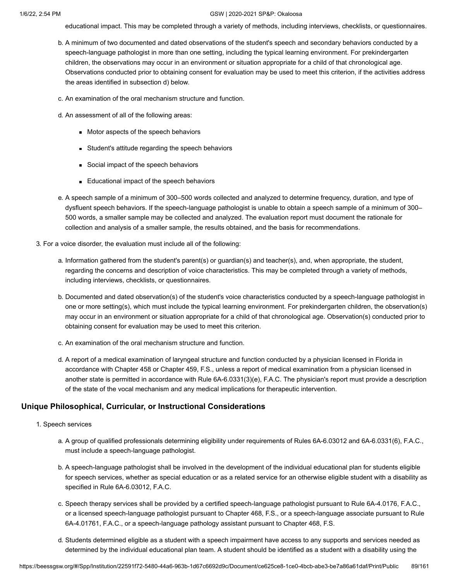educational impact. This may be completed through a variety of methods, including interviews, checklists, or questionnaires.

- b. A minimum of two documented and dated observations of the student's speech and secondary behaviors conducted by a speech-language pathologist in more than one setting, including the typical learning environment. For prekindergarten children, the observations may occur in an environment or situation appropriate for a child of that chronological age. Observations conducted prior to obtaining consent for evaluation may be used to meet this criterion, if the activities address the areas identified in subsection d) below.
- c. An examination of the oral mechanism structure and function.
- d. An assessment of all of the following areas:
	- **Motor aspects of the speech behaviors**
	- **Student's attitude regarding the speech behaviors**
	- Social impact of the speech behaviors
	- **Educational impact of the speech behaviors**
- e. A speech sample of a minimum of 300–500 words collected and analyzed to determine frequency, duration, and type of dysfluent speech behaviors. If the speech-language pathologist is unable to obtain a speech sample of a minimum of 300– 500 words, a smaller sample may be collected and analyzed. The evaluation report must document the rationale for collection and analysis of a smaller sample, the results obtained, and the basis for recommendations.
- 3. For a voice disorder, the evaluation must include all of the following:
	- a. Information gathered from the student's parent(s) or guardian(s) and teacher(s), and, when appropriate, the student, regarding the concerns and description of voice characteristics. This may be completed through a variety of methods, including interviews, checklists, or questionnaires.
	- b. Documented and dated observation(s) of the student's voice characteristics conducted by a speech-language pathologist in one or more setting(s), which must include the typical learning environment. For prekindergarten children, the observation(s) may occur in an environment or situation appropriate for a child of that chronological age. Observation(s) conducted prior to obtaining consent for evaluation may be used to meet this criterion.
	- c. An examination of the oral mechanism structure and function.
	- d. A report of a medical examination of laryngeal structure and function conducted by a physician licensed in Florida in accordance with Chapter 458 or Chapter 459, F.S., unless a report of medical examination from a physician licensed in another state is permitted in accordance with Rule 6A-6.0331(3)(e), F.A.C. The physician's report must provide a description of the state of the vocal mechanism and any medical implications for therapeutic intervention.

#### **Unique Philosophical, Curricular, or Instructional Considerations**

- 1. Speech services
	- a. A group of qualified professionals determining eligibility under requirements of Rules 6A-6.03012 and 6A-6.0331(6), F.A.C., must include a speech-language pathologist.
	- b. A speech-language pathologist shall be involved in the development of the individual educational plan for students eligible for speech services, whether as special education or as a related service for an otherwise eligible student with a disability as specified in Rule 6A-6.03012, F.A.C.
	- c. Speech therapy services shall be provided by a certified speech-language pathologist pursuant to Rule 6A-4.0176, F.A.C., or a licensed speech-language pathologist pursuant to Chapter 468, F.S., or a speech-language associate pursuant to Rule 6A-4.01761, F.A.C., or a speech-language pathology assistant pursuant to Chapter 468, F.S.
	- d. Students determined eligible as a student with a speech impairment have access to any supports and services needed as determined by the individual educational plan team. A student should be identified as a student with a disability using the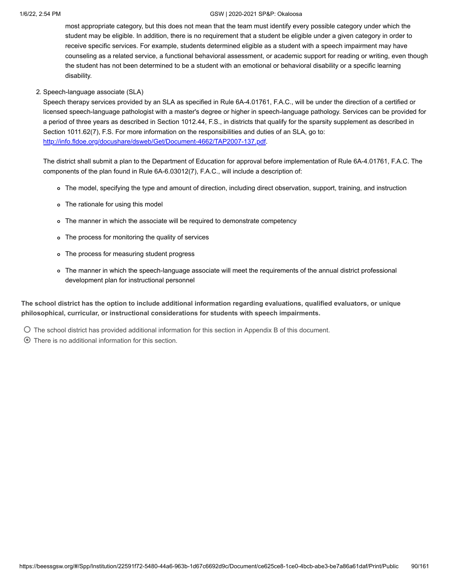most appropriate category, but this does not mean that the team must identify every possible category under which the student may be eligible. In addition, there is no requirement that a student be eligible under a given category in order to receive specific services. For example, students determined eligible as a student with a speech impairment may have counseling as a related service, a functional behavioral assessment, or academic support for reading or writing, even though the student has not been determined to be a student with an emotional or behavioral disability or a specific learning disability.

#### 2. Speech-language associate (SLA)

Speech therapy services provided by an SLA as specified in Rule 6A-4.01761, F.A.C., will be under the direction of a certified or licensed speech-language pathologist with a master's degree or higher in speech-language pathology. Services can be provided for a period of three years as described in Section 1012.44, F.S., in districts that qualify for the sparsity supplement as described in Section 1011.62(7), F.S. For more information on the responsibilities and duties of an SLA, go to: [http://info.fldoe.org/docushare/dsweb/Get/Document-4662/TAP2007-137.pdf.](http://info.fldoe.org/docushare/dsweb/Get/Document-4662/TAP2007-137.pdf)

The district shall submit a plan to the Department of Education for approval before implementation of Rule 6A-4.01761, F.A.C. The components of the plan found in Rule 6A-6.03012(7), F.A.C., will include a description of:

- The model, specifying the type and amount of direction, including direct observation, support, training, and instruction
- The rationale for using this model
- The manner in which the associate will be required to demonstrate competency
- The process for monitoring the quality of services
- The process for measuring student progress
- The manner in which the speech-language associate will meet the requirements of the annual district professional development plan for instructional personnel

**The school district has the option to include additional information regarding evaluations, qualified evaluators, or unique philosophical, curricular, or instructional considerations for students with speech impairments.**

 $\bigcirc$  The school district has provided additional information for this section in Appendix B of this document.

There is no additional information for this section.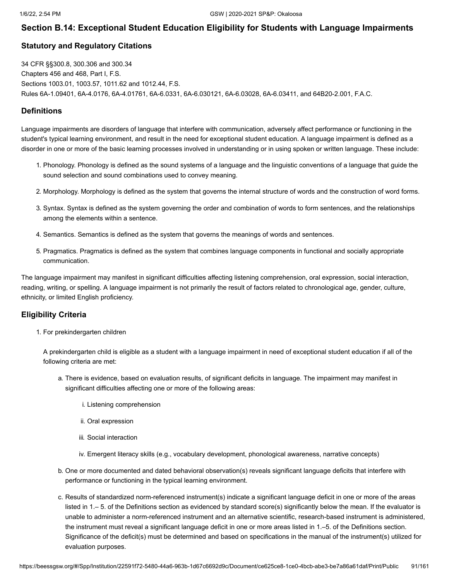## **Section B.14: Exceptional Student Education Eligibility for Students with Language Impairments**

## **Statutory and Regulatory Citations**

34 CFR §§300.8, 300.306 and 300.34 Chapters 456 and 468, Part I, F.S. Sections 1003.01, 1003.57, 1011.62 and 1012.44, F.S. Rules 6A-1.09401, 6A-4.0176, 6A-4.01761, 6A-6.0331, 6A-6.030121, 6A-6.03028, 6A-6.03411, and 64B20-2.001, F.A.C.

## **Definitions**

Language impairments are disorders of language that interfere with communication, adversely affect performance or functioning in the student's typical learning environment, and result in the need for exceptional student education. A language impairment is defined as a disorder in one or more of the basic learning processes involved in understanding or in using spoken or written language. These include:

- 1. Phonology. Phonology is defined as the sound systems of a language and the linguistic conventions of a language that guide the sound selection and sound combinations used to convey meaning.
- 2. Morphology. Morphology is defined as the system that governs the internal structure of words and the construction of word forms.
- 3. Syntax. Syntax is defined as the system governing the order and combination of words to form sentences, and the relationships among the elements within a sentence.
- 4. Semantics. Semantics is defined as the system that governs the meanings of words and sentences.
- 5. Pragmatics. Pragmatics is defined as the system that combines language components in functional and socially appropriate communication.

The language impairment may manifest in significant difficulties affecting listening comprehension, oral expression, social interaction, reading, writing, or spelling. A language impairment is not primarily the result of factors related to chronological age, gender, culture, ethnicity, or limited English proficiency.

## **Eligibility Criteria**

1. For prekindergarten children

A prekindergarten child is eligible as a student with a language impairment in need of exceptional student education if all of the following criteria are met:

- a. There is evidence, based on evaluation results, of significant deficits in language. The impairment may manifest in significant difficulties affecting one or more of the following areas:
	- i. Listening comprehension
	- ii. Oral expression
	- iii. Social interaction
	- iv. Emergent literacy skills (e.g., vocabulary development, phonological awareness, narrative concepts)
- b. One or more documented and dated behavioral observation(s) reveals significant language deficits that interfere with performance or functioning in the typical learning environment.
- c. Results of standardized norm-referenced instrument(s) indicate a significant language deficit in one or more of the areas listed in 1.– 5. of the Definitions section as evidenced by standard score(s) significantly below the mean. If the evaluator is unable to administer a norm-referenced instrument and an alternative scientific, research-based instrument is administered, the instrument must reveal a significant language deficit in one or more areas listed in 1.–5. of the Definitions section. Significance of the deficit(s) must be determined and based on specifications in the manual of the instrument(s) utilized for evaluation purposes.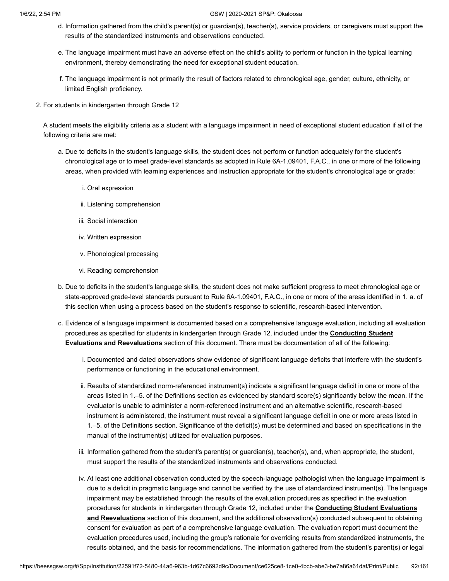- d. Information gathered from the child's parent(s) or guardian(s), teacher(s), service providers, or caregivers must support the results of the standardized instruments and observations conducted.
- e. The language impairment must have an adverse effect on the child's ability to perform or function in the typical learning environment, thereby demonstrating the need for exceptional student education.
- f. The language impairment is not primarily the result of factors related to chronological age, gender, culture, ethnicity, or limited English proficiency.
- 2. For students in kindergarten through Grade 12

A student meets the eligibility criteria as a student with a language impairment in need of exceptional student education if all of the following criteria are met:

- a. Due to deficits in the student's language skills, the student does not perform or function adequately for the student's chronological age or to meet grade-level standards as adopted in Rule 6A-1.09401, F.A.C., in one or more of the following areas, when provided with learning experiences and instruction appropriate for the student's chronological age or grade:
	- i. Oral expression
	- ii. Listening comprehension
	- iii. Social interaction
	- iv. Written expression
	- v. Phonological processing
	- vi. Reading comprehension
- b. Due to deficits in the student's language skills, the student does not make sufficient progress to meet chronological age or state-approved grade-level standards pursuant to Rule 6A-1.09401, F.A.C., in one or more of the areas identified in 1. a. of this section when using a process based on the student's response to scientific, research-based intervention.
- c. Evidence of a language impairment is documented based on a comprehensive language evaluation, including all evaluation procedures as specified for students in kindergarten through Grade 12, included under the **Conducting Student Evaluations and Reevaluations** section of this document. There must be documentation of all of the following:
	- i. Documented and dated observations show evidence of significant language deficits that interfere with the student's performance or functioning in the educational environment.
	- ii. Results of standardized norm-referenced instrument(s) indicate a significant language deficit in one or more of the areas listed in 1.–5. of the Definitions section as evidenced by standard score(s) significantly below the mean. If the evaluator is unable to administer a norm-referenced instrument and an alternative scientific, research-based instrument is administered, the instrument must reveal a significant language deficit in one or more areas listed in 1.–5. of the Definitions section. Significance of the deficit(s) must be determined and based on specifications in the manual of the instrument(s) utilized for evaluation purposes.
	- iii. Information gathered from the student's parent(s) or guardian(s), teacher(s), and, when appropriate, the student, must support the results of the standardized instruments and observations conducted.
	- iv. At least one additional observation conducted by the speech-language pathologist when the language impairment is due to a deficit in pragmatic language and cannot be verified by the use of standardized instrument(s). The language impairment may be established through the results of the evaluation procedures as specified in the evaluation procedures for students in kindergarten through Grade 12, included under the **Conducting Student Evaluations and Reevaluations** section of this document, and the additional observation(s) conducted subsequent to obtaining consent for evaluation as part of a comprehensive language evaluation. The evaluation report must document the evaluation procedures used, including the group's rationale for overriding results from standardized instruments, the results obtained, and the basis for recommendations. The information gathered from the student's parent(s) or legal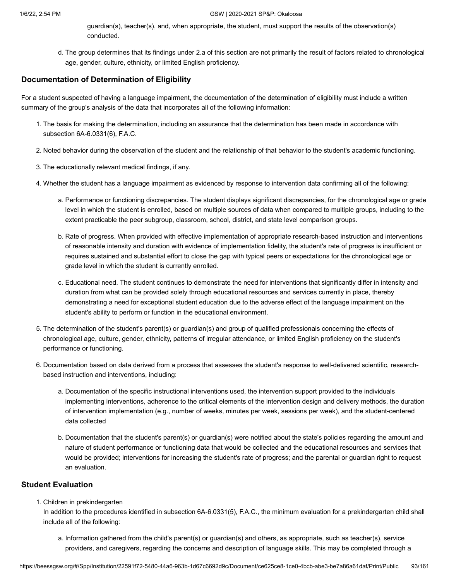- guardian(s), teacher(s), and, when appropriate, the student, must support the results of the observation(s) conducted.
- d. The group determines that its findings under 2.a of this section are not primarily the result of factors related to chronological age, gender, culture, ethnicity, or limited English proficiency.

#### **Documentation of Determination of Eligibility**

For a student suspected of having a language impairment, the documentation of the determination of eligibility must include a written summary of the group's analysis of the data that incorporates all of the following information:

- 1. The basis for making the determination, including an assurance that the determination has been made in accordance with subsection 6A-6.0331(6), F.A.C.
- 2. Noted behavior during the observation of the student and the relationship of that behavior to the student's academic functioning.
- 3. The educationally relevant medical findings, if any.
- 4. Whether the student has a language impairment as evidenced by response to intervention data confirming all of the following:
	- a. Performance or functioning discrepancies. The student displays significant discrepancies, for the chronological age or grade level in which the student is enrolled, based on multiple sources of data when compared to multiple groups, including to the extent practicable the peer subgroup, classroom, school, district, and state level comparison groups.
	- b. Rate of progress. When provided with effective implementation of appropriate research-based instruction and interventions of reasonable intensity and duration with evidence of implementation fidelity, the student's rate of progress is insufficient or requires sustained and substantial effort to close the gap with typical peers or expectations for the chronological age or grade level in which the student is currently enrolled.
	- c. Educational need. The student continues to demonstrate the need for interventions that significantly differ in intensity and duration from what can be provided solely through educational resources and services currently in place, thereby demonstrating a need for exceptional student education due to the adverse effect of the language impairment on the student's ability to perform or function in the educational environment.
- 5. The determination of the student's parent(s) or guardian(s) and group of qualified professionals concerning the effects of chronological age, culture, gender, ethnicity, patterns of irregular attendance, or limited English proficiency on the student's performance or functioning.
- 6. Documentation based on data derived from a process that assesses the student's response to well-delivered scientific, researchbased instruction and interventions, including:
	- a. Documentation of the specific instructional interventions used, the intervention support provided to the individuals implementing interventions, adherence to the critical elements of the intervention design and delivery methods, the duration of intervention implementation (e.g., number of weeks, minutes per week, sessions per week), and the student-centered data collected
	- b. Documentation that the student's parent(s) or guardian(s) were notified about the state's policies regarding the amount and nature of student performance or functioning data that would be collected and the educational resources and services that would be provided; interventions for increasing the student's rate of progress; and the parental or guardian right to request an evaluation.

## **Student Evaluation**

1. Children in prekindergarten

In addition to the procedures identified in subsection 6A-6.0331(5), F.A.C., the minimum evaluation for a prekindergarten child shall include all of the following:

a. Information gathered from the child's parent(s) or guardian(s) and others, as appropriate, such as teacher(s), service providers, and caregivers, regarding the concerns and description of language skills. This may be completed through a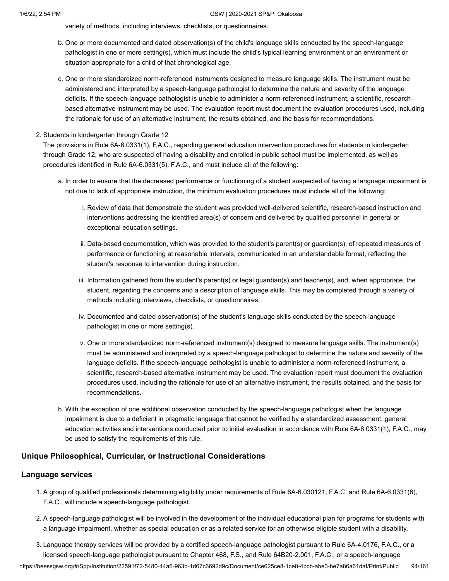variety of methods, including interviews, checklists, or questionnaires.

- b. One or more documented and dated observation(s) of the child's language skills conducted by the speech-language pathologist in one or more setting(s), which must include the child's typical learning environment or an environment or situation appropriate for a child of that chronological age.
- c. One or more standardized norm-referenced instruments designed to measure language skills. The instrument must be administered and interpreted by a speech-language pathologist to determine the nature and severity of the language deficits. If the speech-language pathologist is unable to administer a norm-referenced instrument, a scientific, researchbased alternative instrument may be used. The evaluation report must document the evaluation procedures used, including the rationale for use of an alternative instrument, the results obtained, and the basis for recommendations.

#### 2. Students in kindergarten through Grade 12

The provisions in Rule 6A-6.0331(1), F.A.C., regarding general education intervention procedures for students in kindergarten through Grade 12, who are suspected of having a disability and enrolled in public school must be implemented, as well as procedures identified in Rule 6A-6.0331(5), F.A.C., and must include all of the following:

- a. In order to ensure that the decreased performance or functioning of a student suspected of having a language impairment is not due to lack of appropriate instruction, the minimum evaluation procedures must include all of the following:
	- i. Review of data that demonstrate the student was provided well-delivered scientific, research-based instruction and interventions addressing the identified area(s) of concern and delivered by qualified personnel in general or exceptional education settings.
	- ii. Data-based documentation, which was provided to the student's parent(s) or guardian(s), of repeated measures of performance or functioning at reasonable intervals, communicated in an understandable format, reflecting the student's response to intervention during instruction.
	- iii. Information gathered from the student's parent(s) or legal guardian(s) and teacher(s), and, when appropriate, the student, regarding the concerns and a description of language skills. This may be completed through a variety of methods including interviews, checklists, or questionnaires.
	- iv. Documented and dated observation(s) of the student's language skills conducted by the speech-language pathologist in one or more setting(s).
	- v. One or more standardized norm-referenced instrument(s) designed to measure language skills. The instrument(s) must be administered and interpreted by a speech-language pathologist to determine the nature and severity of the language deficits. If the speech-language pathologist is unable to administer a norm-referenced instrument, a scientific, research-based alternative instrument may be used. The evaluation report must document the evaluation procedures used, including the rationale for use of an alternative instrument, the results obtained, and the basis for recommendations.
- b. With the exception of one additional observation conducted by the speech-language pathologist when the language impairment is due to a deficient in pragmatic language that cannot be verified by a standardized assessment, general education activities and interventions conducted prior to initial evaluation in accordance with Rule 6A-6.0331(1), F.A.C., may be used to satisfy the requirements of this rule.

#### **Unique Philosophical, Curricular, or Instructional Considerations**

#### **Language services**

- 1. A group of qualified professionals determining eligibility under requirements of Rule 6A-6.030121, F.A.C. and Rule 6A-6.0331(6), F.A.C., will include a speech-language pathologist.
- 2. A speech-language pathologist will be involved in the development of the individual educational plan for programs for students with a language impairment, whether as special education or as a related service for an otherwise eligible student with a disability.
- 3. Language therapy services will be provided by a certified speech-language pathologist pursuant to Rule 6A-4.0176, F.A.C., or a licensed speech-language pathologist pursuant to Chapter 468, F.S., and Rule 64B20-2.001, F.A.C., or a speech-language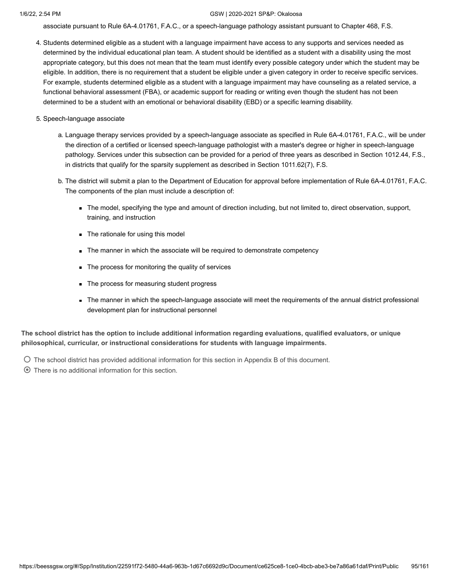associate pursuant to Rule 6A-4.01761, F.A.C., or a speech-language pathology assistant pursuant to Chapter 468, F.S.

- 4. Students determined eligible as a student with a language impairment have access to any supports and services needed as determined by the individual educational plan team. A student should be identified as a student with a disability using the most appropriate category, but this does not mean that the team must identify every possible category under which the student may be eligible. In addition, there is no requirement that a student be eligible under a given category in order to receive specific services. For example, students determined eligible as a student with a language impairment may have counseling as a related service, a functional behavioral assessment (FBA), or academic support for reading or writing even though the student has not been determined to be a student with an emotional or behavioral disability (EBD) or a specific learning disability.
- 5. Speech-language associate
	- a. Language therapy services provided by a speech-language associate as specified in Rule 6A-4.01761, F.A.C., will be under the direction of a certified or licensed speech-language pathologist with a master's degree or higher in speech-language pathology. Services under this subsection can be provided for a period of three years as described in Section 1012.44, F.S., in districts that qualify for the sparsity supplement as described in Section 1011.62(7), F.S.
	- b. The district will submit a plan to the Department of Education for approval before implementation of Rule 6A-4.01761, F.A.C. The components of the plan must include a description of:
		- The model, specifying the type and amount of direction including, but not limited to, direct observation, support, training, and instruction
		- The rationale for using this model
		- The manner in which the associate will be required to demonstrate competency
		- The process for monitoring the quality of services
		- The process for measuring student progress
		- The manner in which the speech-language associate will meet the requirements of the annual district professional development plan for instructional personnel

**The school district has the option to include additional information regarding evaluations, qualified evaluators, or unique philosophical, curricular, or instructional considerations for students with language impairments.**

 $\bigcirc$  The school district has provided additional information for this section in Appendix B of this document.

There is no additional information for this section.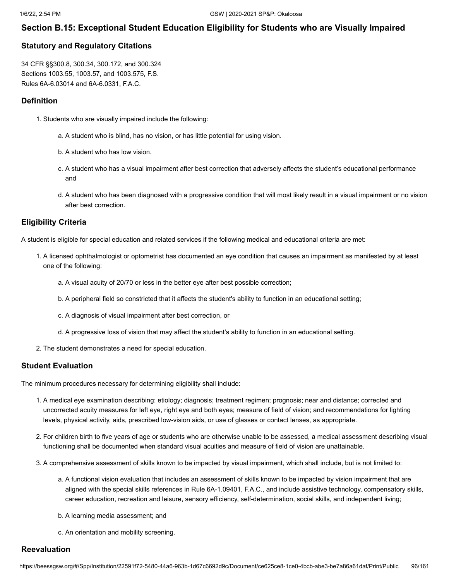# **Section B.15: Exceptional Student Education Eligibility for Students who are Visually Impaired**

#### **Statutory and Regulatory Citations**

34 CFR §§300.8, 300.34, 300.172, and 300.324 Sections 1003.55, 1003.57, and 1003.575, F.S. Rules 6A-6.03014 and 6A-6.0331, F.A.C.

## **Definition**

- 1. Students who are visually impaired include the following:
	- a. A student who is blind, has no vision, or has little potential for using vision.
	- b. A student who has low vision.
	- c. A student who has a visual impairment after best correction that adversely affects the student's educational performance and
	- d. A student who has been diagnosed with a progressive condition that will most likely result in a visual impairment or no vision after best correction.

## **Eligibility Criteria**

A student is eligible for special education and related services if the following medical and educational criteria are met:

- 1. A licensed ophthalmologist or optometrist has documented an eye condition that causes an impairment as manifested by at least one of the following:
	- a. A visual acuity of 20/70 or less in the better eye after best possible correction;
	- b. A peripheral field so constricted that it affects the student's ability to function in an educational setting;
	- c. A diagnosis of visual impairment after best correction, or
	- d. A progressive loss of vision that may affect the student's ability to function in an educational setting.
- 2. The student demonstrates a need for special education.

#### **Student Evaluation**

The minimum procedures necessary for determining eligibility shall include:

- 1. A medical eye examination describing: etiology; diagnosis; treatment regimen; prognosis; near and distance; corrected and uncorrected acuity measures for left eye, right eye and both eyes; measure of field of vision; and recommendations for lighting levels, physical activity, aids, prescribed low-vision aids, or use of glasses or contact lenses, as appropriate.
- 2. For children birth to five years of age or students who are otherwise unable to be assessed, a medical assessment describing visual functioning shall be documented when standard visual acuities and measure of field of vision are unattainable.
- 3. A comprehensive assessment of skills known to be impacted by visual impairment, which shall include, but is not limited to:
	- a. A functional vision evaluation that includes an assessment of skills known to be impacted by vision impairment that are aligned with the special skills references in Rule 6A-1.09401, F.A.C., and include assistive technology, compensatory skills, career education, recreation and leisure, sensory efficiency, self-determination, social skills, and independent living;
	- b. A learning media assessment; and
	- c. An orientation and mobility screening.

#### **Reevaluation**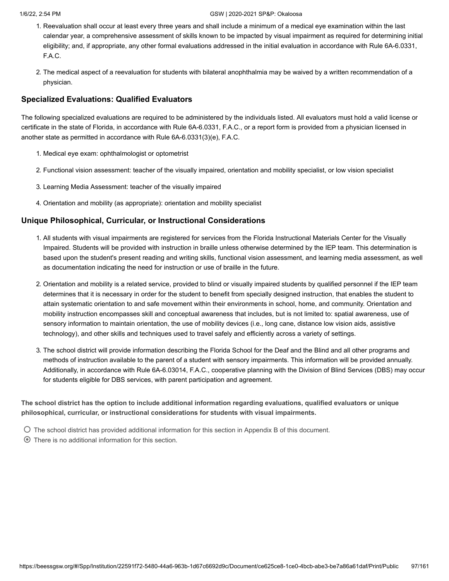- 1. Reevaluation shall occur at least every three years and shall include a minimum of a medical eye examination within the last calendar year, a comprehensive assessment of skills known to be impacted by visual impairment as required for determining initial eligibility; and, if appropriate, any other formal evaluations addressed in the initial evaluation in accordance with Rule 6A-6.0331, F.A.C.
- 2. The medical aspect of a reevaluation for students with bilateral anophthalmia may be waived by a written recommendation of a physician.

## **Specialized Evaluations: Qualified Evaluators**

The following specialized evaluations are required to be administered by the individuals listed. All evaluators must hold a valid license or certificate in the state of Florida, in accordance with Rule 6A-6.0331, F.A.C., or a report form is provided from a physician licensed in another state as permitted in accordance with Rule 6A-6.0331(3)(e), F.A.C.

- 1. Medical eye exam: ophthalmologist or optometrist
- 2. Functional vision assessment: teacher of the visually impaired, orientation and mobility specialist, or low vision specialist
- 3. Learning Media Assessment: teacher of the visually impaired
- 4. Orientation and mobility (as appropriate): orientation and mobility specialist

## **Unique Philosophical, Curricular, or Instructional Considerations**

- 1. All students with visual impairments are registered for services from the Florida Instructional Materials Center for the Visually Impaired. Students will be provided with instruction in braille unless otherwise determined by the IEP team. This determination is based upon the student's present reading and writing skills, functional vision assessment, and learning media assessment, as well as documentation indicating the need for instruction or use of braille in the future.
- 2. Orientation and mobility is a related service, provided to blind or visually impaired students by qualified personnel if the IEP team determines that it is necessary in order for the student to benefit from specially designed instruction, that enables the student to attain systematic orientation to and safe movement within their environments in school, home, and community. Orientation and mobility instruction encompasses skill and conceptual awareness that includes, but is not limited to: spatial awareness, use of sensory information to maintain orientation, the use of mobility devices (i.e., long cane, distance low vision aids, assistive technology), and other skills and techniques used to travel safely and efficiently across a variety of settings.
- 3. The school district will provide information describing the Florida School for the Deaf and the Blind and all other programs and methods of instruction available to the parent of a student with sensory impairments. This information will be provided annually. Additionally, in accordance with Rule 6A-6.03014, F.A.C., cooperative planning with the Division of Blind Services (DBS) may occur for students eligible for DBS services, with parent participation and agreement.

**The school district has the option to include additional information regarding evaluations, qualified evaluators or unique philosophical, curricular, or instructional considerations for students with visual impairments.**

 $\bigcirc$  The school district has provided additional information for this section in Appendix B of this document.

There is no additional information for this section.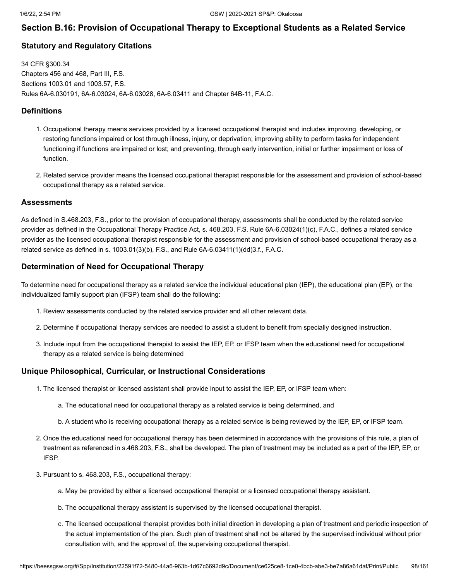## **Section B.16: Provision of Occupational Therapy to Exceptional Students as a Related Service**

## **Statutory and Regulatory Citations**

34 CFR §300.34 Chapters 456 and 468, Part III, F.S. Sections 1003.01 and 1003.57, F.S. Rules 6A-6.030191, 6A-6.03024, 6A-6.03028, 6A-6.03411 and Chapter 64B-11, F.A.C.

#### **Definitions**

- 1. Occupational therapy means services provided by a licensed occupational therapist and includes improving, developing, or restoring functions impaired or lost through illness, injury, or deprivation; improving ability to perform tasks for independent functioning if functions are impaired or lost; and preventing, through early intervention, initial or further impairment or loss of function.
- 2. Related service provider means the licensed occupational therapist responsible for the assessment and provision of school-based occupational therapy as a related service.

#### **Assessments**

As defined in S.468.203, F.S., prior to the provision of occupational therapy, assessments shall be conducted by the related service provider as defined in the Occupational Therapy Practice Act, s. 468.203, F.S. Rule 6A-6.03024(1)(c), F.A.C., defines a related service provider as the licensed occupational therapist responsible for the assessment and provision of school-based occupational therapy as a related service as defined in s. 1003.01(3)(b), F.S., and Rule 6A-6.03411(1)(dd)3.f., F.A.C.

## **Determination of Need for Occupational Therapy**

To determine need for occupational therapy as a related service the individual educational plan (IEP), the educational plan (EP), or the individualized family support plan (IFSP) team shall do the following:

- 1. Review assessments conducted by the related service provider and all other relevant data.
- 2. Determine if occupational therapy services are needed to assist a student to benefit from specially designed instruction.
- 3. Include input from the occupational therapist to assist the IEP, EP, or IFSP team when the educational need for occupational therapy as a related service is being determined

#### **Unique Philosophical, Curricular, or Instructional Considerations**

- 1. The licensed therapist or licensed assistant shall provide input to assist the IEP, EP, or IFSP team when:
	- a. The educational need for occupational therapy as a related service is being determined, and
	- b. A student who is receiving occupational therapy as a related service is being reviewed by the IEP, EP, or IFSP team.
- 2. Once the educational need for occupational therapy has been determined in accordance with the provisions of this rule, a plan of treatment as referenced in s.468.203, F.S., shall be developed. The plan of treatment may be included as a part of the IEP, EP, or IFSP.
- 3. Pursuant to s. 468.203, F.S., occupational therapy:
	- a. May be provided by either a licensed occupational therapist or a licensed occupational therapy assistant.
	- b. The occupational therapy assistant is supervised by the licensed occupational therapist.
	- c. The licensed occupational therapist provides both initial direction in developing a plan of treatment and periodic inspection of the actual implementation of the plan. Such plan of treatment shall not be altered by the supervised individual without prior consultation with, and the approval of, the supervising occupational therapist.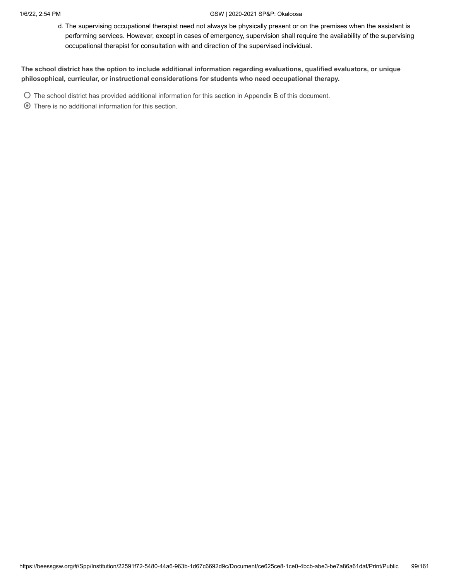d. The supervising occupational therapist need not always be physically present or on the premises when the assistant is performing services. However, except in cases of emergency, supervision shall require the availability of the supervising occupational therapist for consultation with and direction of the supervised individual.

**The school district has the option to include additional information regarding evaluations, qualified evaluators, or unique philosophical, curricular, or instructional considerations for students who need occupational therapy.**

- $\bigcirc$  The school district has provided additional information for this section in Appendix B of this document.
- There is no additional information for this section.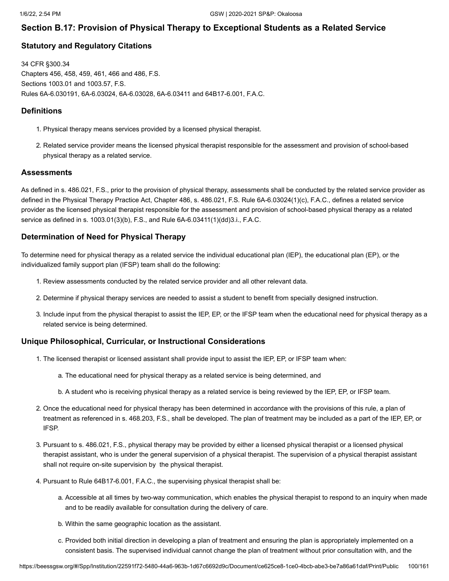# **Section B.17: Provision of Physical Therapy to Exceptional Students as a Related Service**

## **Statutory and Regulatory Citations**

34 CFR §300.34 Chapters 456, 458, 459, 461, 466 and 486, F.S. Sections 1003.01 and 1003.57, F.S. Rules 6A-6.030191, 6A-6.03024, 6A-6.03028, 6A-6.03411 and 64B17-6.001, F.A.C.

#### **Definitions**

- 1. Physical therapy means services provided by a licensed physical therapist.
- 2. Related service provider means the licensed physical therapist responsible for the assessment and provision of school-based physical therapy as a related service.

#### **Assessments**

As defined in s. 486.021, F.S., prior to the provision of physical therapy, assessments shall be conducted by the related service provider as defined in the Physical Therapy Practice Act, Chapter 486, s. 486.021, F.S. Rule 6A-6.03024(1)(c), F.A.C., defines a related service provider as the licensed physical therapist responsible for the assessment and provision of school-based physical therapy as a related service as defined in s. 1003.01(3)(b), F.S., and Rule 6A-6.03411(1)(dd)3.i., F.A.C.

#### **Determination of Need for Physical Therapy**

To determine need for physical therapy as a related service the individual educational plan (IEP), the educational plan (EP), or the individualized family support plan (IFSP) team shall do the following:

- 1. Review assessments conducted by the related service provider and all other relevant data.
- 2. Determine if physical therapy services are needed to assist a student to benefit from specially designed instruction.
- 3. Include input from the physical therapist to assist the IEP, EP, or the IFSP team when the educational need for physical therapy as a related service is being determined.

#### **Unique Philosophical, Curricular, or Instructional Considerations**

- 1. The licensed therapist or licensed assistant shall provide input to assist the IEP, EP, or IFSP team when:
	- a. The educational need for physical therapy as a related service is being determined, and
	- b. A student who is receiving physical therapy as a related service is being reviewed by the IEP, EP, or IFSP team.
- 2. Once the educational need for physical therapy has been determined in accordance with the provisions of this rule, a plan of treatment as referenced in s. 468.203, F.S., shall be developed. The plan of treatment may be included as a part of the IEP, EP, or IFSP.
- 3. Pursuant to s. 486.021, F.S., physical therapy may be provided by either a licensed physical therapist or a licensed physical therapist assistant, who is under the general supervision of a physical therapist. The supervision of a physical therapist assistant shall not require on-site supervision by the physical therapist.
- 4. Pursuant to Rule 64B17-6.001, F.A.C., the supervising physical therapist shall be:
	- a. Accessible at all times by two-way communication, which enables the physical therapist to respond to an inquiry when made and to be readily available for consultation during the delivery of care.
	- b. Within the same geographic location as the assistant.
	- c. Provided both initial direction in developing a plan of treatment and ensuring the plan is appropriately implemented on a consistent basis. The supervised individual cannot change the plan of treatment without prior consultation with, and the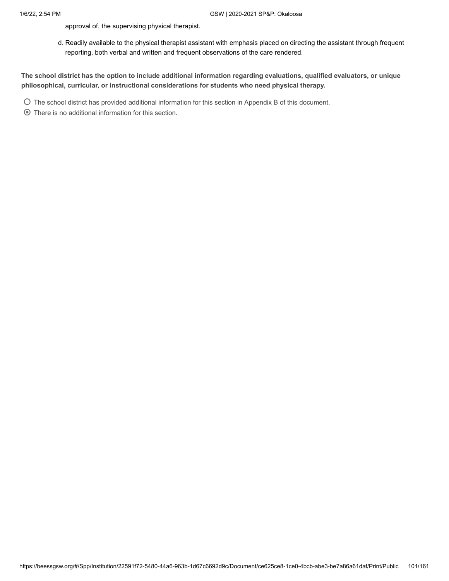approval of, the supervising physical therapist.

d. Readily available to the physical therapist assistant with emphasis placed on directing the assistant through frequent reporting, both verbal and written and frequent observations of the care rendered.

**The school district has the option to include additional information regarding evaluations, qualified evaluators, or unique philosophical, curricular, or instructional considerations for students who need physical therapy.**

 $\bigcirc$  The school district has provided additional information for this section in Appendix B of this document.

There is no additional information for this section.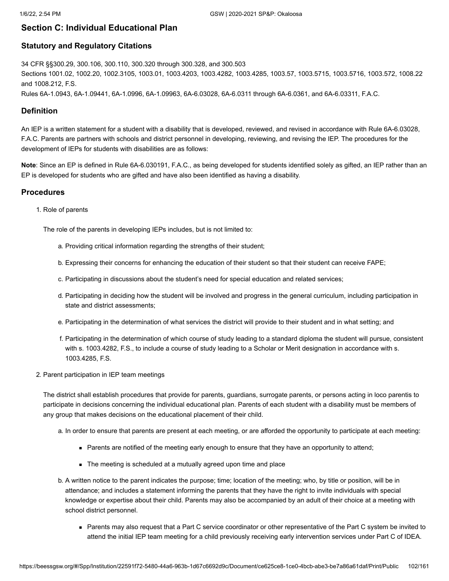## **Section C: Individual Educational Plan**

#### **Statutory and Regulatory Citations**

34 CFR §§300.29, 300.106, 300.110, 300.320 through 300.328, and 300.503 Sections 1001.02, 1002.20, 1002.3105, 1003.01, 1003.4203, 1003.4282, 1003.4285, 1003.57, 1003.5715, 1003.5716, 1003.572, 1008.22 and 1008.212, F.S.

Rules 6A-1.0943, 6A-1.09441, 6A-1.0996, 6A-1.09963, 6A-6.03028, 6A-6.0311 through 6A-6.0361, and 6A-6.03311, F.A.C.

#### **Definition**

An IEP is a written statement for a student with a disability that is developed, reviewed, and revised in accordance with Rule 6A-6.03028, F.A.C. Parents are partners with schools and district personnel in developing, reviewing, and revising the IEP. The procedures for the development of IEPs for students with disabilities are as follows:

**Note**: Since an EP is defined in Rule 6A-6.030191, F.A.C., as being developed for students identified solely as gifted, an IEP rather than an EP is developed for students who are gifted and have also been identified as having a disability.

#### **Procedures**

1. Role of parents

The role of the parents in developing IEPs includes, but is not limited to:

- a. Providing critical information regarding the strengths of their student;
- b. Expressing their concerns for enhancing the education of their student so that their student can receive FAPE;
- c. Participating in discussions about the student's need for special education and related services;
- d. Participating in deciding how the student will be involved and progress in the general curriculum, including participation in state and district assessments;
- e. Participating in the determination of what services the district will provide to their student and in what setting; and
- f. Participating in the determination of which course of study leading to a standard diploma the student will pursue, consistent with s. 1003.4282, F.S., to include a course of study leading to a Scholar or Merit designation in accordance with s. 1003.4285, F.S.
- 2. Parent participation in IEP team meetings

The district shall establish procedures that provide for parents, guardians, surrogate parents, or persons acting in loco parentis to participate in decisions concerning the individual educational plan. Parents of each student with a disability must be members of any group that makes decisions on the educational placement of their child.

- a. In order to ensure that parents are present at each meeting, or are afforded the opportunity to participate at each meeting:
	- Parents are notified of the meeting early enough to ensure that they have an opportunity to attend;
	- **The meeting is scheduled at a mutually agreed upon time and place**
- b. A written notice to the parent indicates the purpose; time; location of the meeting; who, by title or position, will be in attendance; and includes a statement informing the parents that they have the right to invite individuals with special knowledge or expertise about their child. Parents may also be accompanied by an adult of their choice at a meeting with school district personnel.
	- Parents may also request that a Part C service coordinator or other representative of the Part C system be invited to attend the initial IEP team meeting for a child previously receiving early intervention services under Part C of IDEA.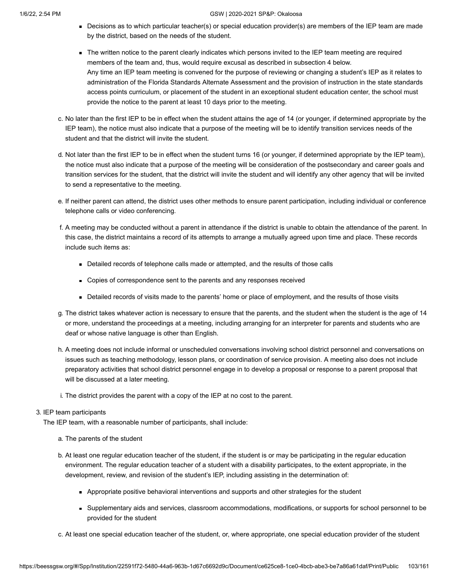- Decisions as to which particular teacher(s) or special education provider(s) are members of the IEP team are made by the district, based on the needs of the student.
- The written notice to the parent clearly indicates which persons invited to the IEP team meeting are required members of the team and, thus, would require excusal as described in subsection 4 below. Any time an IEP team meeting is convened for the purpose of reviewing or changing a student's IEP as it relates to administration of the Florida Standards Alternate Assessment and the provision of instruction in the state standards access points curriculum, or placement of the student in an exceptional student education center, the school must provide the notice to the parent at least 10 days prior to the meeting.
- c. No later than the first IEP to be in effect when the student attains the age of 14 (or younger, if determined appropriate by the IEP team), the notice must also indicate that a purpose of the meeting will be to identify transition services needs of the student and that the district will invite the student.
- d. Not later than the first IEP to be in effect when the student turns 16 (or younger, if determined appropriate by the IEP team), the notice must also indicate that a purpose of the meeting will be consideration of the postsecondary and career goals and transition services for the student, that the district will invite the student and will identify any other agency that will be invited to send a representative to the meeting.
- e. If neither parent can attend, the district uses other methods to ensure parent participation, including individual or conference telephone calls or video conferencing.
- f. A meeting may be conducted without a parent in attendance if the district is unable to obtain the attendance of the parent. In this case, the district maintains a record of its attempts to arrange a mutually agreed upon time and place. These records include such items as:
	- **Detailed records of telephone calls made or attempted, and the results of those calls**
	- Copies of correspondence sent to the parents and any responses received
	- Detailed records of visits made to the parents' home or place of employment, and the results of those visits
- g. The district takes whatever action is necessary to ensure that the parents, and the student when the student is the age of 14 or more, understand the proceedings at a meeting, including arranging for an interpreter for parents and students who are deaf or whose native language is other than English.
- h. A meeting does not include informal or unscheduled conversations involving school district personnel and conversations on issues such as teaching methodology, lesson plans, or coordination of service provision. A meeting also does not include preparatory activities that school district personnel engage in to develop a proposal or response to a parent proposal that will be discussed at a later meeting.
- i. The district provides the parent with a copy of the IEP at no cost to the parent.

#### 3. IEP team participants

The IEP team, with a reasonable number of participants, shall include:

- a. The parents of the student
- b. At least one regular education teacher of the student, if the student is or may be participating in the regular education environment. The regular education teacher of a student with a disability participates, to the extent appropriate, in the development, review, and revision of the student's IEP, including assisting in the determination of:
	- Appropriate positive behavioral interventions and supports and other strategies for the student
	- Supplementary aids and services, classroom accommodations, modifications, or supports for school personnel to be provided for the student
- c. At least one special education teacher of the student, or, where appropriate, one special education provider of the student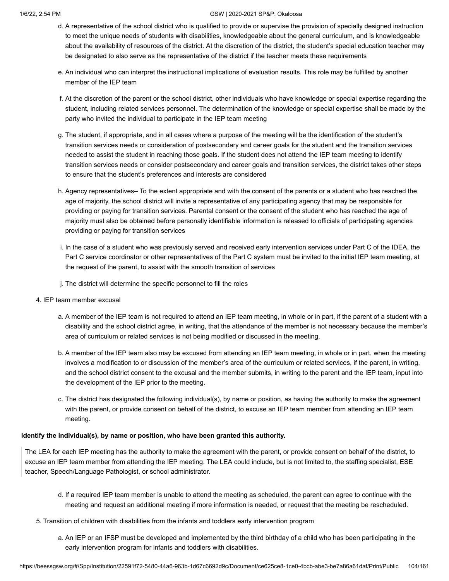- d. A representative of the school district who is qualified to provide or supervise the provision of specially designed instruction to meet the unique needs of students with disabilities, knowledgeable about the general curriculum, and is knowledgeable about the availability of resources of the district. At the discretion of the district, the student's special education teacher may be designated to also serve as the representative of the district if the teacher meets these requirements
- e. An individual who can interpret the instructional implications of evaluation results. This role may be fulfilled by another member of the IEP team
- f. At the discretion of the parent or the school district, other individuals who have knowledge or special expertise regarding the student, including related services personnel. The determination of the knowledge or special expertise shall be made by the party who invited the individual to participate in the IEP team meeting
- g. The student, if appropriate, and in all cases where a purpose of the meeting will be the identification of the student's transition services needs or consideration of postsecondary and career goals for the student and the transition services needed to assist the student in reaching those goals. If the student does not attend the IEP team meeting to identify transition services needs or consider postsecondary and career goals and transition services, the district takes other steps to ensure that the student's preferences and interests are considered
- h. Agency representatives– To the extent appropriate and with the consent of the parents or a student who has reached the age of majority, the school district will invite a representative of any participating agency that may be responsible for providing or paying for transition services. Parental consent or the consent of the student who has reached the age of majority must also be obtained before personally identifiable information is released to officials of participating agencies providing or paying for transition services
- i. In the case of a student who was previously served and received early intervention services under Part C of the IDEA, the Part C service coordinator or other representatives of the Part C system must be invited to the initial IEP team meeting, at the request of the parent, to assist with the smooth transition of services
- j. The district will determine the specific personnel to fill the roles
- 4. IEP team member excusal
	- a. A member of the IEP team is not required to attend an IEP team meeting, in whole or in part, if the parent of a student with a disability and the school district agree, in writing, that the attendance of the member is not necessary because the member's area of curriculum or related services is not being modified or discussed in the meeting.
	- b. A member of the IEP team also may be excused from attending an IEP team meeting, in whole or in part, when the meeting involves a modification to or discussion of the member's area of the curriculum or related services, if the parent, in writing, and the school district consent to the excusal and the member submits, in writing to the parent and the IEP team, input into the development of the IEP prior to the meeting.
	- c. The district has designated the following individual(s), by name or position, as having the authority to make the agreement with the parent, or provide consent on behalf of the district, to excuse an IEP team member from attending an IEP team meeting.

#### **Identify the individual(s), by name or position, who have been granted this authority.**

The LEA for each IEP meeting has the authority to make the agreement with the parent, or provide consent on behalf of the district, to excuse an IEP team member from attending the IEP meeting. The LEA could include, but is not limited to, the staffing specialist, ESE teacher, Speech/Language Pathologist, or school administrator.

- d. If a required IEP team member is unable to attend the meeting as scheduled, the parent can agree to continue with the meeting and request an additional meeting if more information is needed, or request that the meeting be rescheduled.
- 5. Transition of children with disabilities from the infants and toddlers early intervention program
	- a. An IEP or an IFSP must be developed and implemented by the third birthday of a child who has been participating in the early intervention program for infants and toddlers with disabilities.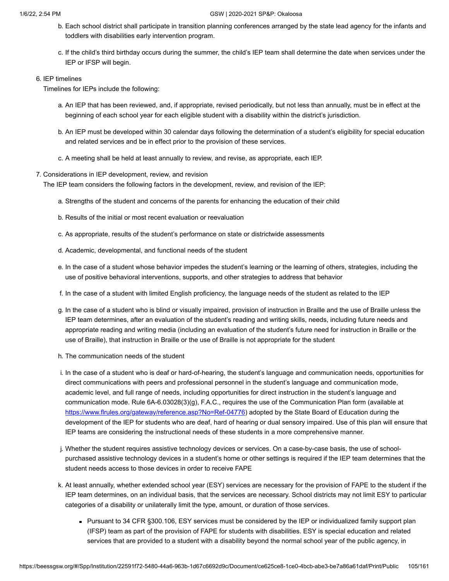- b. Each school district shall participate in transition planning conferences arranged by the state lead agency for the infants and toddlers with disabilities early intervention program.
- c. If the child's third birthday occurs during the summer, the child's IEP team shall determine the date when services under the IEP or IFSP will begin.

#### 6. IEP timelines

Timelines for IEPs include the following:

- a. An IEP that has been reviewed, and, if appropriate, revised periodically, but not less than annually, must be in effect at the beginning of each school year for each eligible student with a disability within the district's jurisdiction.
- b. An IEP must be developed within 30 calendar days following the determination of a student's eligibility for special education and related services and be in effect prior to the provision of these services.
- c. A meeting shall be held at least annually to review, and revise, as appropriate, each IEP.
- 7. Considerations in IEP development, review, and revision

The IEP team considers the following factors in the development, review, and revision of the IEP:

- a. Strengths of the student and concerns of the parents for enhancing the education of their child
- b. Results of the initial or most recent evaluation or reevaluation
- c. As appropriate, results of the student's performance on state or districtwide assessments
- d. Academic, developmental, and functional needs of the student
- e. In the case of a student whose behavior impedes the student's learning or the learning of others, strategies, including the use of positive behavioral interventions, supports, and other strategies to address that behavior
- f. In the case of a student with limited English proficiency, the language needs of the student as related to the IEP
- g. In the case of a student who is blind or visually impaired, provision of instruction in Braille and the use of Braille unless the IEP team determines, after an evaluation of the student's reading and writing skills, needs, including future needs and appropriate reading and writing media (including an evaluation of the student's future need for instruction in Braille or the use of Braille), that instruction in Braille or the use of Braille is not appropriate for the student
- h. The communication needs of the student
- i. In the case of a student who is deaf or hard-of-hearing, the student's language and communication needs, opportunities for direct communications with peers and professional personnel in the student's language and communication mode, academic level, and full range of needs, including opportunities for direct instruction in the student's language and communication mode. Rule 6A-6.03028(3)(g), F.A.C., requires the use of the Communication Plan form (available at <https://www.flrules.org/gateway/reference.asp?No=Ref-04776>) adopted by the State Board of Education during the development of the IEP for students who are deaf, hard of hearing or dual sensory impaired. Use of this plan will ensure that IEP teams are considering the instructional needs of these students in a more comprehensive manner.
- j. Whether the student requires assistive technology devices or services. On a case-by-case basis, the use of schoolpurchased assistive technology devices in a student's home or other settings is required if the IEP team determines that the student needs access to those devices in order to receive FAPE
- k. At least annually, whether extended school year (ESY) services are necessary for the provision of FAPE to the student if the IEP team determines, on an individual basis, that the services are necessary. School districts may not limit ESY to particular categories of a disability or unilaterally limit the type, amount, or duration of those services.
	- Pursuant to 34 CFR §300.106, ESY services must be considered by the IEP or individualized family support plan (IFSP) team as part of the provision of FAPE for students with disabilities. ESY is special education and related services that are provided to a student with a disability beyond the normal school year of the public agency, in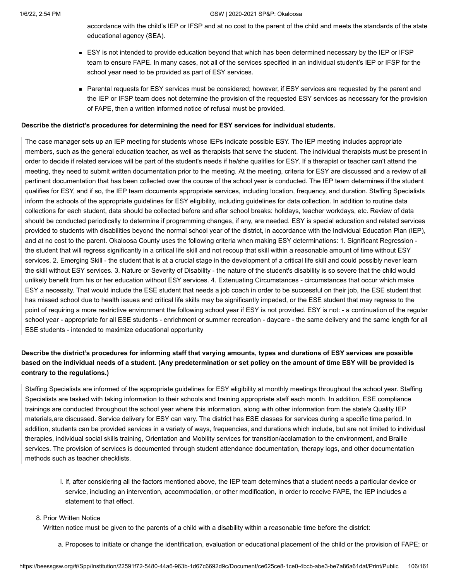accordance with the child's IEP or IFSP and at no cost to the parent of the child and meets the standards of the state educational agency (SEA).

- ESY is not intended to provide education beyond that which has been determined necessary by the IEP or IFSP team to ensure FAPE. In many cases, not all of the services specified in an individual student's IEP or IFSP for the school year need to be provided as part of ESY services.
- Parental requests for ESY services must be considered; however, if ESY services are requested by the parent and the IEP or IFSP team does not determine the provision of the requested ESY services as necessary for the provision of FAPE, then a written informed notice of refusal must be provided.

#### **Describe the district's procedures for determining the need for ESY services for individual students.**

The case manager sets up an IEP meeting for students whose IEPs indicate possible ESY. The IEP meeting includes appropriate members, such as the general education teacher, as well as therapists that serve the student. The individual therapists must be present in order to decide if related services will be part of the student's needs if he/she qualifies for ESY. If a therapist or teacher can't attend the meeting, they need to submit written documentation prior to the meeting. At the meeting, criteria for ESY are discussed and a review of all pertinent documentation that has been collected over the course of the school year is conducted. The IEP team determines if the student qualifies for ESY, and if so, the IEP team documents appropriate services, including location, frequency, and duration. Staffing Specialists inform the schools of the appropriate guidelines for ESY eligibility, including guidelines for data collection. In addition to routine data collections for each student, data should be collected before and after school breaks: holidays, teacher workdays, etc. Review of data should be conducted periodically to determine if programming changes, if any, are needed. ESY is special education and related services provided to students with disabilities beyond the normal school year of the district, in accordance with the Individual Education Plan (IEP), and at no cost to the parent. Okaloosa County uses the following criteria when making ESY determinations: 1. Significant Regression the student that will regress significantly in a critical life skill and not recoup that skill within a reasonable amount of time without ESY services. 2. Emerging Skill - the student that is at a crucial stage in the development of a critical life skill and could possibly never learn the skill without ESY services. 3. Nature or Severity of Disability - the nature of the student's disability is so severe that the child would unlikely benefit from his or her education without ESY services. 4. Extenuating Circumstances - circumstances that occur which make ESY a necessity. That would include the ESE student that needs a job coach in order to be successful on their job, the ESE student that has missed school due to health issues and critical life skills may be significantly impeded, or the ESE student that may regress to the point of requiring a more restrictive environment the following school year if ESY is not provided. ESY is not: - a continuation of the regular school year - appropriate for all ESE students - enrichment or summer recreation - daycare - the same delivery and the same length for all ESE students - intended to maximize educational opportunity

# **Describe the district's procedures for informing staff that varying amounts, types and durations of ESY services are possible based on the individual needs of a student. (Any predetermination or set policy on the amount of time ESY will be provided is contrary to the regulations.)**

Staffing Specialists are informed of the appropriate guidelines for ESY eligibility at monthly meetings throughout the school year. Staffing Specialists are tasked with taking information to their schools and training appropriate staff each month. In addition, ESE compliance trainings are conducted throughout the school year where this information, along with other information from the state's Quality IEP materials,are discussed. Service delivery for ESY can vary. The district has ESE classes for services during a specific time period. In addition, students can be provided services in a variety of ways, frequencies, and durations which include, but are not limited to individual therapies, individual social skills training, Orientation and Mobility services for transition/acclamation to the environment, and Braille services. The provision of services is documented through student attendance documentation, therapy logs, and other documentation methods such as teacher checklists.

l. If, after considering all the factors mentioned above, the IEP team determines that a student needs a particular device or service, including an intervention, accommodation, or other modification, in order to receive FAPE, the IEP includes a statement to that effect.

#### 8. Prior Written Notice

Written notice must be given to the parents of a child with a disability within a reasonable time before the district:

a. Proposes to initiate or change the identification, evaluation or educational placement of the child or the provision of FAPE; or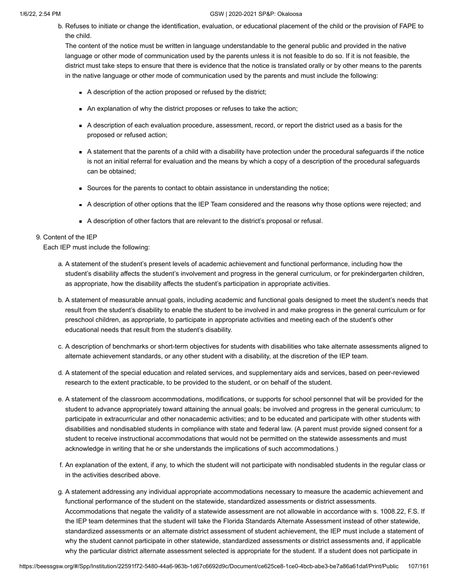b. Refuses to initiate or change the identification, evaluation, or educational placement of the child or the provision of FAPE to the child.

The content of the notice must be written in language understandable to the general public and provided in the native language or other mode of communication used by the parents unless it is not feasible to do so. If it is not feasible, the district must take steps to ensure that there is evidence that the notice is translated orally or by other means to the parents in the native language or other mode of communication used by the parents and must include the following:

- A description of the action proposed or refused by the district;
- An explanation of why the district proposes or refuses to take the action;
- A description of each evaluation procedure, assessment, record, or report the district used as a basis for the proposed or refused action;
- A statement that the parents of a child with a disability have protection under the procedural safeguards if the notice is not an initial referral for evaluation and the means by which a copy of a description of the procedural safeguards can be obtained;
- Sources for the parents to contact to obtain assistance in understanding the notice;
- A description of other options that the IEP Team considered and the reasons why those options were rejected; and
- A description of other factors that are relevant to the district's proposal or refusal.

#### 9. Content of the IEP

Each IEP must include the following:

- a. A statement of the student's present levels of academic achievement and functional performance, including how the student's disability affects the student's involvement and progress in the general curriculum, or for prekindergarten children, as appropriate, how the disability affects the student's participation in appropriate activities.
- b. A statement of measurable annual goals, including academic and functional goals designed to meet the student's needs that result from the student's disability to enable the student to be involved in and make progress in the general curriculum or for preschool children, as appropriate, to participate in appropriate activities and meeting each of the student's other educational needs that result from the student's disability.
- c. A description of benchmarks or short-term objectives for students with disabilities who take alternate assessments aligned to alternate achievement standards, or any other student with a disability, at the discretion of the IEP team.
- d. A statement of the special education and related services, and supplementary aids and services, based on peer-reviewed research to the extent practicable, to be provided to the student, or on behalf of the student.
- e. A statement of the classroom accommodations, modifications, or supports for school personnel that will be provided for the student to advance appropriately toward attaining the annual goals; be involved and progress in the general curriculum; to participate in extracurricular and other nonacademic activities; and to be educated and participate with other students with disabilities and nondisabled students in compliance with state and federal law. (A parent must provide signed consent for a student to receive instructional accommodations that would not be permitted on the statewide assessments and must acknowledge in writing that he or she understands the implications of such accommodations.)
- f. An explanation of the extent, if any, to which the student will not participate with nondisabled students in the regular class or in the activities described above.
- g. A statement addressing any individual appropriate accommodations necessary to measure the academic achievement and functional performance of the student on the statewide, standardized assessments or district assessments. Accommodations that negate the validity of a statewide assessment are not allowable in accordance with s. 1008.22, F.S. If the IEP team determines that the student will take the Florida Standards Alternate Assessment instead of other statewide, standardized assessments or an alternate district assessment of student achievement, the IEP must include a statement of why the student cannot participate in other statewide, standardized assessments or district assessments and, if applicable why the particular district alternate assessment selected is appropriate for the student. If a student does not participate in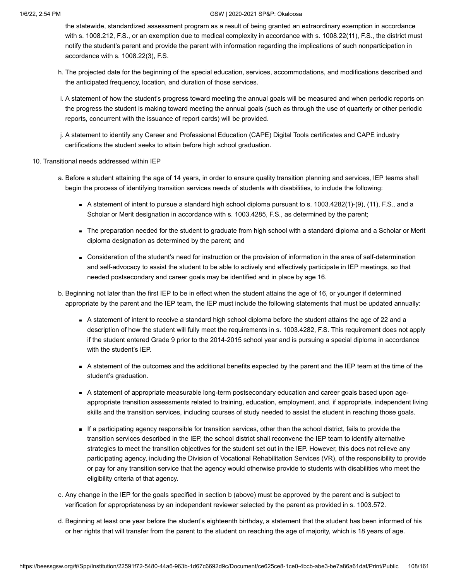the statewide, standardized assessment program as a result of being granted an extraordinary exemption in accordance with s. 1008.212, F.S., or an exemption due to medical complexity in accordance with s. 1008.22(11), F.S., the district must notify the student's parent and provide the parent with information regarding the implications of such nonparticipation in accordance with s. 1008.22(3), F.S.

- h. The projected date for the beginning of the special education, services, accommodations, and modifications described and the anticipated frequency, location, and duration of those services.
- i. A statement of how the student's progress toward meeting the annual goals will be measured and when periodic reports on the progress the student is making toward meeting the annual goals (such as through the use of quarterly or other periodic reports, concurrent with the issuance of report cards) will be provided.
- j. A statement to identify any Career and Professional Education (CAPE) Digital Tools certificates and CAPE industry certifications the student seeks to attain before high school graduation.
- 10. Transitional needs addressed within IEP
	- a. Before a student attaining the age of 14 years, in order to ensure quality transition planning and services, IEP teams shall begin the process of identifying transition services needs of students with disabilities, to include the following:
		- A statement of intent to pursue a standard high school diploma pursuant to s. 1003.4282(1)-(9), (11), F.S., and a Scholar or Merit designation in accordance with s. 1003.4285, F.S., as determined by the parent;
		- The preparation needed for the student to graduate from high school with a standard diploma and a Scholar or Merit diploma designation as determined by the parent; and
		- Consideration of the student's need for instruction or the provision of information in the area of self-determination and self-advocacy to assist the student to be able to actively and effectively participate in IEP meetings, so that needed postsecondary and career goals may be identified and in place by age 16.
	- b. Beginning not later than the first IEP to be in effect when the student attains the age of 16, or younger if determined appropriate by the parent and the IEP team, the IEP must include the following statements that must be updated annually:
		- A statement of intent to receive a standard high school diploma before the student attains the age of 22 and a description of how the student will fully meet the requirements in s. 1003.4282, F.S. This requirement does not apply if the student entered Grade 9 prior to the 2014-2015 school year and is pursuing a special diploma in accordance with the student's IEP.
		- A statement of the outcomes and the additional benefits expected by the parent and the IEP team at the time of the student's graduation.
		- A statement of appropriate measurable long-term postsecondary education and career goals based upon ageappropriate transition assessments related to training, education, employment, and, if appropriate, independent living skills and the transition services, including courses of study needed to assist the student in reaching those goals.
		- If a participating agency responsible for transition services, other than the school district, fails to provide the transition services described in the IEP, the school district shall reconvene the IEP team to identify alternative strategies to meet the transition objectives for the student set out in the IEP. However, this does not relieve any participating agency, including the Division of Vocational Rehabilitation Services (VR), of the responsibility to provide or pay for any transition service that the agency would otherwise provide to students with disabilities who meet the eligibility criteria of that agency.
	- c. Any change in the IEP for the goals specified in section b (above) must be approved by the parent and is subject to verification for appropriateness by an independent reviewer selected by the parent as provided in s. 1003.572.
	- d. Beginning at least one year before the student's eighteenth birthday, a statement that the student has been informed of his or her rights that will transfer from the parent to the student on reaching the age of majority, which is 18 years of age.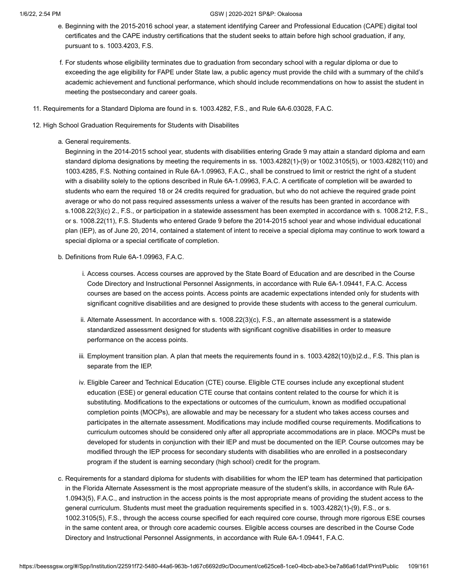- e. Beginning with the 2015-2016 school year, a statement identifying Career and Professional Education (CAPE) digital tool certificates and the CAPE industry certifications that the student seeks to attain before high school graduation, if any, pursuant to s. 1003.4203, F.S.
- f. For students whose eligibility terminates due to graduation from secondary school with a regular diploma or due to exceeding the age eligibility for FAPE under State law, a public agency must provide the child with a summary of the child's academic achievement and functional performance, which should include recommendations on how to assist the student in meeting the postsecondary and career goals.
- 11. Requirements for a Standard Diploma are found in s. 1003.4282, F.S., and Rule 6A-6.03028, F.A.C.
- 12. High School Graduation Requirements for Students with Disabilites
	- a. General requirements.

Beginning in the 2014-2015 school year, students with disabilities entering Grade 9 may attain a standard diploma and earn standard diploma designations by meeting the requirements in ss. 1003.4282(1)-(9) or 1002.3105(5), or 1003.4282(110) and 1003.4285, F.S. Nothing contained in Rule 6A-1.09963, F.A.C., shall be construed to limit or restrict the right of a student with a disability solely to the options described in Rule 6A-1.09963, F.A.C. A certificate of completion will be awarded to students who earn the required 18 or 24 credits required for graduation, but who do not achieve the required grade point average or who do not pass required assessments unless a waiver of the results has been granted in accordance with s.1008.22(3)(c) 2., F.S., or participation in a statewide assessment has been exempted in accordance with s. 1008.212, F.S., or s. 1008.22(11), F.S. Students who entered Grade 9 before the 2014-2015 school year and whose individual educational plan (IEP), as of June 20, 2014, contained a statement of intent to receive a special diploma may continue to work toward a special diploma or a special certificate of completion.

- b. Definitions from Rule 6A-1.09963, F.A.C.
	- i. Access courses. Access courses are approved by the State Board of Education and are described in the Course Code Directory and Instructional Personnel Assignments, in accordance with Rule 6A-1.09441, F.A.C. Access courses are based on the access points. Access points are academic expectations intended only for students with significant cognitive disabilities and are designed to provide these students with access to the general curriculum.
	- ii. Alternate Assessment. In accordance with s. 1008.22(3)(c), F.S., an alternate assessment is a statewide standardized assessment designed for students with significant cognitive disabilities in order to measure performance on the access points.
	- iii. Employment transition plan. A plan that meets the requirements found in s. 1003.4282(10)(b)2.d., F.S. This plan is separate from the IEP.
	- iv. Eligible Career and Technical Education (CTE) course. Eligible CTE courses include any exceptional student education (ESE) or general education CTE course that contains content related to the course for which it is substituting. Modifications to the expectations or outcomes of the curriculum, known as modified occupational completion points (MOCPs), are allowable and may be necessary for a student who takes access courses and participates in the alternate assessment. Modifications may include modified course requirements. Modifications to curriculum outcomes should be considered only after all appropriate accommodations are in place. MOCPs must be developed for students in conjunction with their IEP and must be documented on the IEP. Course outcomes may be modified through the IEP process for secondary students with disabilities who are enrolled in a postsecondary program if the student is earning secondary (high school) credit for the program.
- c. Requirements for a standard diploma for students with disabilities for whom the IEP team has determined that participation in the Florida Alternate Assessment is the most appropriate measure of the student's skills, in accordance with Rule 6A-1.0943(5), F.A.C., and instruction in the access points is the most appropriate means of providing the student access to the general curriculum. Students must meet the graduation requirements specified in s. 1003.4282(1)-(9), F.S., or s. 1002.3105(5), F.S., through the access course specified for each required core course, through more rigorous ESE courses in the same content area, or through core academic courses. Eligible access courses are described in the Course Code Directory and Instructional Personnel Assignments, in accordance with Rule 6A-1.09441, F.A.C.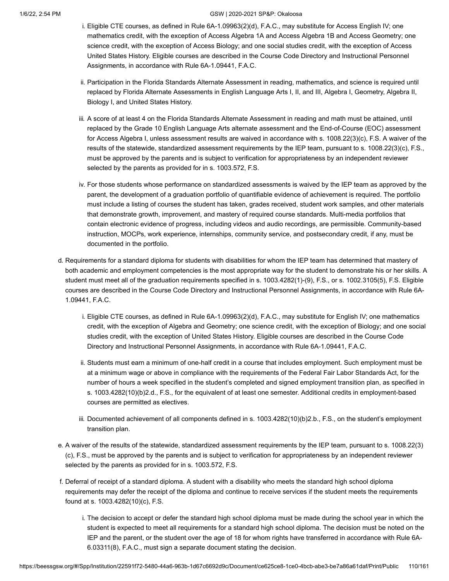- i. Eligible CTE courses, as defined in Rule 6A-1.09963(2)(d), F.A.C., may substitute for Access English IV; one mathematics credit, with the exception of Access Algebra 1A and Access Algebra 1B and Access Geometry; one science credit, with the exception of Access Biology; and one social studies credit, with the exception of Access United States History. Eligible courses are described in the Course Code Directory and Instructional Personnel Assignments, in accordance with Rule 6A-1.09441, F.A.C.
- ii. Participation in the Florida Standards Alternate Assessment in reading, mathematics, and science is required until replaced by Florida Alternate Assessments in English Language Arts I, II, and III, Algebra I, Geometry, Algebra II, Biology I, and United States History.
- iii. A score of at least 4 on the Florida Standards Alternate Assessment in reading and math must be attained, until replaced by the Grade 10 English Language Arts alternate assessment and the End-of-Course (EOC) assessment for Access Algebra I, unless assessment results are waived in accordance with s. 1008.22(3)(c), F.S. A waiver of the results of the statewide, standardized assessment requirements by the IEP team, pursuant to s. 1008.22(3)(c), F.S., must be approved by the parents and is subject to verification for appropriateness by an independent reviewer selected by the parents as provided for in s. 1003.572, F.S.
- iv. For those students whose performance on standardized assessments is waived by the IEP team as approved by the parent, the development of a graduation portfolio of quantifiable evidence of achievement is required. The portfolio must include a listing of courses the student has taken, grades received, student work samples, and other materials that demonstrate growth, improvement, and mastery of required course standards. Multi-media portfolios that contain electronic evidence of progress, including videos and audio recordings, are permissible. Community-based instruction, MOCPs, work experience, internships, community service, and postsecondary credit, if any, must be documented in the portfolio.
- d. Requirements for a standard diploma for students with disabilities for whom the IEP team has determined that mastery of both academic and employment competencies is the most appropriate way for the student to demonstrate his or her skills. A student must meet all of the graduation requirements specified in s. 1003.4282(1)-(9), F.S., or s. 1002.3105(5), F.S. Eligible courses are described in the Course Code Directory and Instructional Personnel Assignments, in accordance with Rule 6A-1.09441, F.A.C.
	- i. Eligible CTE courses, as defined in Rule 6A-1.09963(2)(d), F.A.C., may substitute for English IV; one mathematics credit, with the exception of Algebra and Geometry; one science credit, with the exception of Biology; and one social studies credit, with the exception of United States History. Eligible courses are described in the Course Code Directory and Instructional Personnel Assignments, in accordance with Rule 6A-1.09441, F.A.C.
	- ii. Students must earn a minimum of one-half credit in a course that includes employment. Such employment must be at a minimum wage or above in compliance with the requirements of the Federal Fair Labor Standards Act, for the number of hours a week specified in the student's completed and signed employment transition plan, as specified in s. 1003.4282(10)(b)2.d., F.S., for the equivalent of at least one semester. Additional credits in employment-based courses are permitted as electives.
	- iii. Documented achievement of all components defined in s. 1003.4282(10)(b)2.b., F.S., on the student's employment transition plan.
- e. A waiver of the results of the statewide, standardized assessment requirements by the IEP team, pursuant to s. 1008.22(3) (c), F.S., must be approved by the parents and is subject to verification for appropriateness by an independent reviewer selected by the parents as provided for in s. 1003.572, F.S.
- f. Deferral of receipt of a standard diploma. A student with a disability who meets the standard high school diploma requirements may defer the receipt of the diploma and continue to receive services if the student meets the requirements found at s. 1003.4282(10)(c), F.S.
	- i. The decision to accept or defer the standard high school diploma must be made during the school year in which the student is expected to meet all requirements for a standard high school diploma. The decision must be noted on the IEP and the parent, or the student over the age of 18 for whom rights have transferred in accordance with Rule 6A-6.03311(8), F.A.C., must sign a separate document stating the decision.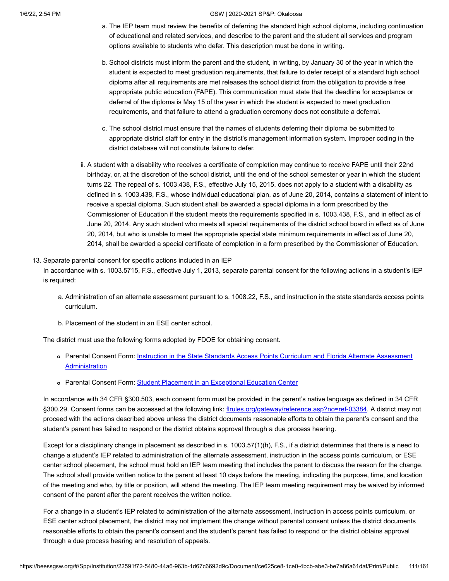- a. The IEP team must review the benefits of deferring the standard high school diploma, including continuation of educational and related services, and describe to the parent and the student all services and program options available to students who defer. This description must be done in writing.
- b. School districts must inform the parent and the student, in writing, by January 30 of the year in which the student is expected to meet graduation requirements, that failure to defer receipt of a standard high school diploma after all requirements are met releases the school district from the obligation to provide a free appropriate public education (FAPE). This communication must state that the deadline for acceptance or deferral of the diploma is May 15 of the year in which the student is expected to meet graduation requirements, and that failure to attend a graduation ceremony does not constitute a deferral.
- c. The school district must ensure that the names of students deferring their diploma be submitted to appropriate district staff for entry in the district's management information system. Improper coding in the district database will not constitute failure to defer.
- ii. A student with a disability who receives a certificate of completion may continue to receive FAPE until their 22nd birthday, or, at the discretion of the school district, until the end of the school semester or year in which the student turns 22. The repeal of s. 1003.438, F.S., effective July 15, 2015, does not apply to a student with a disability as defined in s. 1003.438, F.S., whose individual educational plan, as of June 20, 2014, contains a statement of intent to receive a special diploma. Such student shall be awarded a special diploma in a form prescribed by the Commissioner of Education if the student meets the requirements specified in s. 1003.438, F.S., and in effect as of June 20, 2014. Any such student who meets all special requirements of the district school board in effect as of June 20, 2014, but who is unable to meet the appropriate special state minimum requirements in effect as of June 20, 2014, shall be awarded a special certificate of completion in a form prescribed by the Commissioner of Education.
- 13. Separate parental consent for specific actions included in an IEP

In accordance with s. 1003.5715, F.S., effective July 1, 2013, separate parental consent for the following actions in a student's IEP is required:

- a. Administration of an alternate assessment pursuant to s. 1008.22, F.S., and instruction in the state standards access points curriculum.
- b. Placement of the student in an ESE center school.

The district must use the following forms adopted by FDOE for obtaining consent.

- [Parental Consent Form: Instruction in the State Standards Access Points Curriculum and Florida Alternate Assessment](https://www.flrules.org/gateway/reference.asp?no=ref-04779) Administration
- o Parental Consent Form: [Student Placement in an Exceptional Education Center](https://www.flrules.org/gateway/reference.asp?no=ref-03384)

In accordance with 34 CFR §300.503, each consent form must be provided in the parent's native language as defined in 34 CFR §300.29. Consent forms can be accessed at the following link: firules.org/gateway/reference.asp?no=ref-03384. A district may not proceed with the actions described above unless the district documents reasonable efforts to obtain the parent's consent and the student's parent has failed to respond or the district obtains approval through a due process hearing.

Except for a disciplinary change in placement as described in s. 1003.57(1)(h), F.S., if a district determines that there is a need to change a student's IEP related to administration of the alternate assessment, instruction in the access points curriculum, or ESE center school placement, the school must hold an IEP team meeting that includes the parent to discuss the reason for the change. The school shall provide written notice to the parent at least 10 days before the meeting, indicating the purpose, time, and location of the meeting and who, by title or position, will attend the meeting. The IEP team meeting requirement may be waived by informed consent of the parent after the parent receives the written notice.

For a change in a student's IEP related to administration of the alternate assessment, instruction in access points curriculum, or ESE center school placement, the district may not implement the change without parental consent unless the district documents reasonable efforts to obtain the parent's consent and the student's parent has failed to respond or the district obtains approval through a due process hearing and resolution of appeals.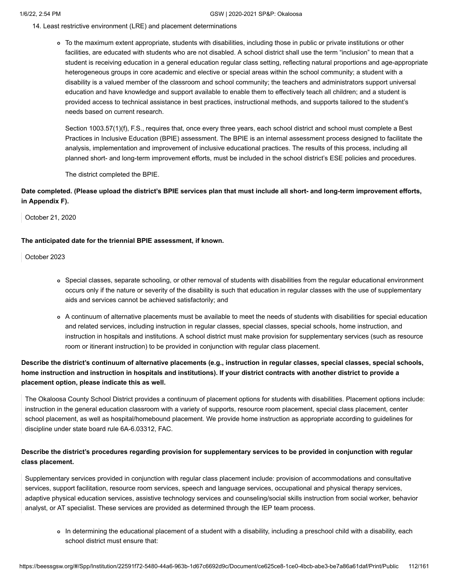#### 14. Least restrictive environment (LRE) and placement determinations

To the maximum extent appropriate, students with disabilities, including those in public or private institutions or other facilities, are educated with students who are not disabled. A school district shall use the term "inclusion" to mean that a student is receiving education in a general education regular class setting, reflecting natural proportions and age-appropriate heterogeneous groups in core academic and elective or special areas within the school community; a student with a disability is a valued member of the classroom and school community; the teachers and administrators support universal education and have knowledge and support available to enable them to effectively teach all children; and a student is provided access to technical assistance in best practices, instructional methods, and supports tailored to the student's needs based on current research.

Section 1003.57(1)(f), F.S., requires that, once every three years, each school district and school must complete a Best Practices in Inclusive Education (BPIE) assessment. The BPIE is an internal assessment process designed to facilitate the analysis, implementation and improvement of inclusive educational practices. The results of this process, including all planned short- and long-term improvement efforts, must be included in the school district's ESE policies and procedures.

The district completed the BPIE.

### **Date completed. (Please upload the district's BPIE services plan that must include all short- and long-term improvement efforts, in Appendix F).**

October 21, 2020

### **The anticipated date for the triennial BPIE assessment, if known.**

October 2023

- Special classes, separate schooling, or other removal of students with disabilities from the regular educational environment occurs only if the nature or severity of the disability is such that education in regular classes with the use of supplementary aids and services cannot be achieved satisfactorily; and
- A continuum of alternative placements must be available to meet the needs of students with disabilities for special education and related services, including instruction in regular classes, special classes, special schools, home instruction, and instruction in hospitals and institutions. A school district must make provision for supplementary services (such as resource room or itinerant instruction) to be provided in conjunction with regular class placement.

### **Describe the district's continuum of alternative placements (e.g., instruction in regular classes, special classes, special schools, home instruction and instruction in hospitals and institutions). If your district contracts with another district to provide a placement option, please indicate this as well.**

The Okaloosa County School District provides a continuum of placement options for students with disabilities. Placement options include: instruction in the general education classroom with a variety of supports, resource room placement, special class placement, center school placement, as well as hospital/homebound placement. We provide home instruction as appropriate according to guidelines for discipline under state board rule 6A-6.03312, FAC.

### **Describe the district's procedures regarding provision for supplementary services to be provided in conjunction with regular class placement.**

Supplementary services provided in conjunction with regular class placement include: provision of accommodations and consultative services, support facilitation, resource room services, speech and language services, occupational and physical therapy services, adaptive physical education services, assistive technology services and counseling/social skills instruction from social worker, behavior analyst, or AT specialist. These services are provided as determined through the IEP team process.

In determining the educational placement of a student with a disability, including a preschool child with a disability, each school district must ensure that: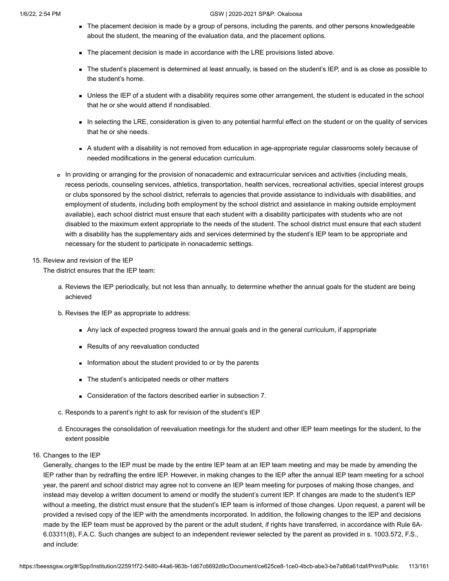- The placement decision is made by a group of persons, including the parents, and other persons knowledgeable about the student, the meaning of the evaluation data, and the placement options.
- The placement decision is made in accordance with the LRE provisions listed above.
- The student's placement is determined at least annually, is based on the student's IEP, and is as close as possible to the student's home.
- Unless the IEP of a student with a disability requires some other arrangement, the student is educated in the school that he or she would attend if nondisabled.
- In selecting the LRE, consideration is given to any potential harmful effect on the student or on the quality of services that he or she needs.
- A student with a disability is not removed from education in age-appropriate regular classrooms solely because of needed modifications in the general education curriculum.
- In providing or arranging for the provision of nonacademic and extracurricular services and activities (including meals, recess periods, counseling services, athletics, transportation, health services, recreational activities, special interest groups or clubs sponsored by the school district, referrals to agencies that provide assistance to individuals with disabilities, and employment of students, including both employment by the school district and assistance in making outside employment available), each school district must ensure that each student with a disability participates with students who are not disabled to the maximum extent appropriate to the needs of the student. The school district must ensure that each student with a disability has the supplementary aids and services determined by the student's IEP team to be appropriate and necessary for the student to participate in nonacademic settings.

#### 15. Review and revision of the IEP

The district ensures that the IEP team:

- a. Reviews the IEP periodically, but not less than annually, to determine whether the annual goals for the student are being achieved
- b. Revises the IEP as appropriate to address:
	- Any lack of expected progress toward the annual goals and in the general curriculum, if appropriate
	- Results of any reevaluation conducted
	- Information about the student provided to or by the parents
	- The student's anticipated needs or other matters
	- Consideration of the factors described earlier in subsection 7.
- c. Responds to a parent's right to ask for revision of the student's IEP
- d. Encourages the consolidation of reevaluation meetings for the student and other IEP team meetings for the student, to the extent possible
- 16. Changes to the IEP

Generally, changes to the IEP must be made by the entire IEP team at an IEP team meeting and may be made by amending the IEP rather than by redrafting the entire IEP. However, in making changes to the IEP after the annual IEP team meeting for a school year, the parent and school district may agree not to convene an IEP team meeting for purposes of making those changes, and instead may develop a written document to amend or modify the student's current IEP. If changes are made to the student's IEP without a meeting, the district must ensure that the student's IEP team is informed of those changes. Upon request, a parent will be provided a revised copy of the IEP with the amendments incorporated. In addition, the following changes to the IEP and decisions made by the IEP team must be approved by the parent or the adult student, if rights have transferred, in accordance with Rule 6A-6.03311(8), F.A.C. Such changes are subject to an independent reviewer selected by the parent as provided in s. 1003.572, F.S., and include: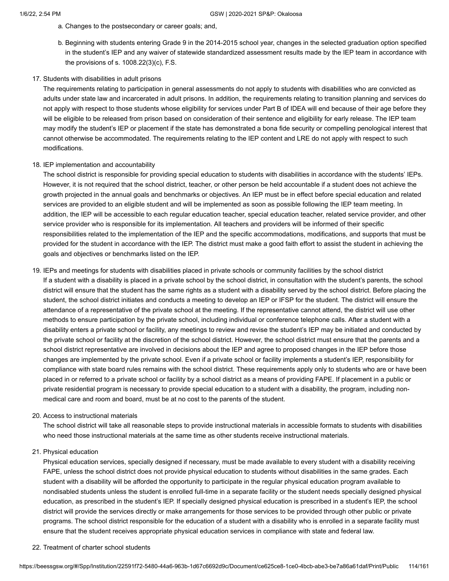- a. Changes to the postsecondary or career goals; and,
- b. Beginning with students entering Grade 9 in the 2014-2015 school year, changes in the selected graduation option specified in the student's IEP and any waiver of statewide standardized assessment results made by the IEP team in accordance with the provisions of s. 1008.22(3)(c), F.S.
- 17. Students with disabilities in adult prisons

The requirements relating to participation in general assessments do not apply to students with disabilities who are convicted as adults under state law and incarcerated in adult prisons. In addition, the requirements relating to transition planning and services do not apply with respect to those students whose eligibility for services under Part B of IDEA will end because of their age before they will be eligible to be released from prison based on consideration of their sentence and eligibility for early release. The IEP team may modify the student's IEP or placement if the state has demonstrated a bona fide security or compelling penological interest that cannot otherwise be accommodated. The requirements relating to the IEP content and LRE do not apply with respect to such modifications.

#### 18. IEP implementation and accountability

The school district is responsible for providing special education to students with disabilities in accordance with the students' IEPs. However, it is not required that the school district, teacher, or other person be held accountable if a student does not achieve the growth projected in the annual goals and benchmarks or objectives. An IEP must be in effect before special education and related services are provided to an eligible student and will be implemented as soon as possible following the IEP team meeting. In addition, the IEP will be accessible to each regular education teacher, special education teacher, related service provider, and other service provider who is responsible for its implementation. All teachers and providers will be informed of their specific responsibilities related to the implementation of the IEP and the specific accommodations, modifications, and supports that must be provided for the student in accordance with the IEP. The district must make a good faith effort to assist the student in achieving the goals and objectives or benchmarks listed on the IEP.

19. IEPs and meetings for students with disabilities placed in private schools or community facilities by the school district If a student with a disability is placed in a private school by the school district, in consultation with the student's parents, the school district will ensure that the student has the same rights as a student with a disability served by the school district. Before placing the student, the school district initiates and conducts a meeting to develop an IEP or IFSP for the student. The district will ensure the attendance of a representative of the private school at the meeting. If the representative cannot attend, the district will use other methods to ensure participation by the private school, including individual or conference telephone calls. After a student with a disability enters a private school or facility, any meetings to review and revise the student's IEP may be initiated and conducted by the private school or facility at the discretion of the school district. However, the school district must ensure that the parents and a school district representative are involved in decisions about the IEP and agree to proposed changes in the IEP before those changes are implemented by the private school. Even if a private school or facility implements a student's IEP, responsibility for compliance with state board rules remains with the school district. These requirements apply only to students who are or have been placed in or referred to a private school or facility by a school district as a means of providing FAPE. If placement in a public or private residential program is necessary to provide special education to a student with a disability, the program, including nonmedical care and room and board, must be at no cost to the parents of the student.

#### 20. Access to instructional materials

The school district will take all reasonable steps to provide instructional materials in accessible formats to students with disabilities who need those instructional materials at the same time as other students receive instructional materials.

#### 21. Physical education

Physical education services, specially designed if necessary, must be made available to every student with a disability receiving FAPE, unless the school district does not provide physical education to students without disabilities in the same grades. Each student with a disability will be afforded the opportunity to participate in the regular physical education program available to nondisabled students unless the student is enrolled full-time in a separate facility or the student needs specially designed physical education, as prescribed in the student's IEP. If specially designed physical education is prescribed in a student's IEP, the school district will provide the services directly or make arrangements for those services to be provided through other public or private programs. The school district responsible for the education of a student with a disability who is enrolled in a separate facility must ensure that the student receives appropriate physical education services in compliance with state and federal law.

#### 22. Treatment of charter school students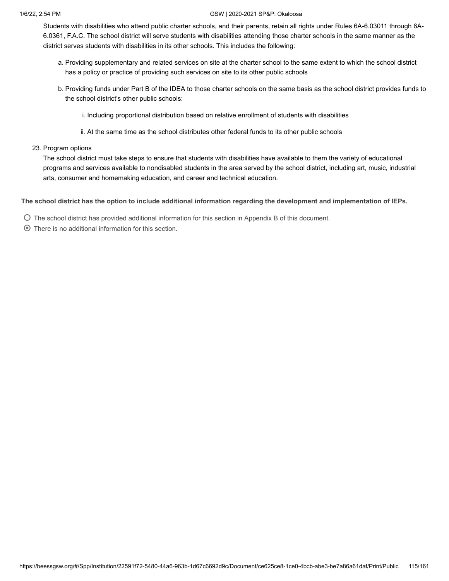Students with disabilities who attend public charter schools, and their parents, retain all rights under Rules 6A-6.03011 through 6A-6.0361, F.A.C. The school district will serve students with disabilities attending those charter schools in the same manner as the district serves students with disabilities in its other schools. This includes the following:

- a. Providing supplementary and related services on site at the charter school to the same extent to which the school district has a policy or practice of providing such services on site to its other public schools
- b. Providing funds under Part B of the IDEA to those charter schools on the same basis as the school district provides funds to the school district's other public schools:
	- i. Including proportional distribution based on relative enrollment of students with disabilities
	- ii. At the same time as the school distributes other federal funds to its other public schools
- 23. Program options

The school district must take steps to ensure that students with disabilities have available to them the variety of educational programs and services available to nondisabled students in the area served by the school district, including art, music, industrial arts, consumer and homemaking education, and career and technical education.

#### **The school district has the option to include additional information regarding the development and implementation of IEPs.**

- $\bigcirc$  The school district has provided additional information for this section in Appendix B of this document.
- There is no additional information for this section.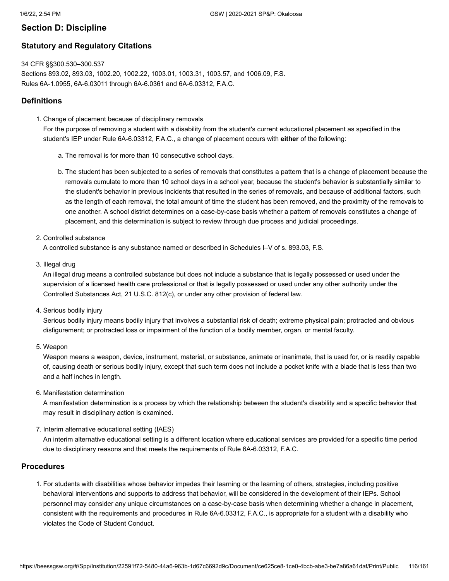### **Section D: Discipline**

### **Statutory and Regulatory Citations**

34 CFR §§300.530–300.537 Sections 893.02, 893.03, 1002.20, 1002.22, 1003.01, 1003.31, 1003.57, and 1006.09, F.S. Rules 6A-1.0955, 6A-6.03011 through 6A-6.0361 and 6A-6.03312, F.A.C.

### **Definitions**

1. Change of placement because of disciplinary removals

For the purpose of removing a student with a disability from the student's current educational placement as specified in the student's IEP under Rule 6A-6.03312, F.A.C., a change of placement occurs with **either** of the following:

- a. The removal is for more than 10 consecutive school days.
- b. The student has been subjected to a series of removals that constitutes a pattern that is a change of placement because the removals cumulate to more than 10 school days in a school year, because the student's behavior is substantially similar to the student's behavior in previous incidents that resulted in the series of removals, and because of additional factors, such as the length of each removal, the total amount of time the student has been removed, and the proximity of the removals to one another. A school district determines on a case-by-case basis whether a pattern of removals constitutes a change of placement, and this determination is subject to review through due process and judicial proceedings.
- 2. Controlled substance

A controlled substance is any substance named or described in Schedules I–V of s. 893.03, F.S.

3. Illegal drug

An illegal drug means a controlled substance but does not include a substance that is legally possessed or used under the supervision of a licensed health care professional or that is legally possessed or used under any other authority under the Controlled Substances Act, 21 U.S.C. 812(c), or under any other provision of federal law.

4. Serious bodily injury

Serious bodily injury means bodily injury that involves a substantial risk of death; extreme physical pain; protracted and obvious disfigurement; or protracted loss or impairment of the function of a bodily member, organ, or mental faculty.

5. Weapon

Weapon means a weapon, device, instrument, material, or substance, animate or inanimate, that is used for, or is readily capable of, causing death or serious bodily injury, except that such term does not include a pocket knife with a blade that is less than two and a half inches in length.

6. Manifestation determination

A manifestation determination is a process by which the relationship between the student's disability and a specific behavior that may result in disciplinary action is examined.

7. Interim alternative educational setting (IAES)

An interim alternative educational setting is a different location where educational services are provided for a specific time period due to disciplinary reasons and that meets the requirements of Rule 6A-6.03312, F.A.C.

### **Procedures**

1. For students with disabilities whose behavior impedes their learning or the learning of others, strategies, including positive behavioral interventions and supports to address that behavior, will be considered in the development of their IEPs. School personnel may consider any unique circumstances on a case-by-case basis when determining whether a change in placement, consistent with the requirements and procedures in Rule 6A-6.03312, F.A.C., is appropriate for a student with a disability who violates the Code of Student Conduct.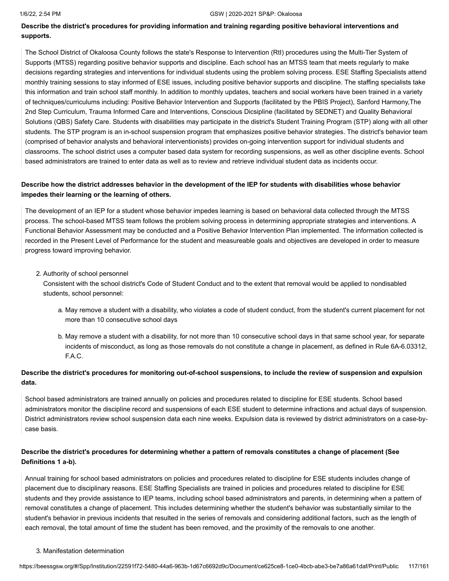### **Describe the district's procedures for providing information and training regarding positive behavioral interventions and supports.**

The School District of Okaloosa County follows the state's Response to Intervention (RtI) procedures using the Multi-Tier System of Supports (MTSS) regarding positive behavior supports and discipline. Each school has an MTSS team that meets regularly to make decisions regarding strategies and interventions for individual students using the problem solving process. ESE Staffing Specialists attend monthly training sessions to stay informed of ESE issues, including positive behavior supports and discipline. The staffing specialists take this information and train school staff monthly. In addition to monthly updates, teachers and social workers have been trained in a variety of techniques/curriculums including: Positive Behavior Intervention and Supports (facilitated by the PBIS Project), Sanford Harmony,The 2nd Step Curriculum, Trauma Informed Care and Interventions, Conscious Dicsipline (facilitated by SEDNET) and Quality Behavioral Solutions (QBS) Safety Care. Students with disabilities may participate in the district's Student Training Program (STP) along with all other students. The STP program is an in-school suspension program that emphasizes positive behavior strategies. The district's behavior team (comprised of behavior analysts and behavioral interventionists) provides on-going intervention support for individual students and classrooms. The school district uses a computer based data system for recording suspensions, as well as other discipline events. School based administrators are trained to enter data as well as to review and retrieve individual student data as incidents occur.

### **Describe how the district addresses behavior in the development of the IEP for students with disabilities whose behavior impedes their learning or the learning of others.**

The development of an IEP for a student whose behavior impedes learning is based on behavioral data collected through the MTSS process. The school-based MTSS team follows the problem solving process in determining appropriate strategies and interventions. A Functional Behavior Assessment may be conducted and a Positive Behavior Intervention Plan implemented. The information collected is recorded in the Present Level of Performance for the student and measureable goals and objectives are developed in order to measure progress toward improving behavior.

### 2. Authority of school personnel

Consistent with the school district's Code of Student Conduct and to the extent that removal would be applied to nondisabled students, school personnel:

- a. May remove a student with a disability, who violates a code of student conduct, from the student's current placement for not more than 10 consecutive school days
- b. May remove a student with a disability, for not more than 10 consecutive school days in that same school year, for separate incidents of misconduct, as long as those removals do not constitute a change in placement, as defined in Rule 6A-6.03312, F.A.C.

### **Describe the district's procedures for monitoring out-of-school suspensions, to include the review of suspension and expulsion data.**

School based administrators are trained annually on policies and procedures related to discipline for ESE students. School based administrators monitor the discipline record and suspensions of each ESE student to determine infractions and actual days of suspension. District administrators review school suspension data each nine weeks. Expulsion data is reviewed by district administrators on a case-bycase basis.

### **Describe the district's procedures for determining whether a pattern of removals constitutes a change of placement (See Definitions 1 a-b).**

Annual training for school based administrators on policies and procedures related to discipline for ESE students includes change of placement due to disciplinary reasons. ESE Staffing Specialists are trained in policies and procedures related to discipline for ESE students and they provide assistance to IEP teams, including school based administrators and parents, in determining when a pattern of removal constitutes a change of placement. This includes determining whether the student's behavior was substantially similar to the student's behavior in previous incidents that resulted in the series of removals and considering additional factors, such as the length of each removal, the total amount of time the student has been removed, and the proximity of the removals to one another.

#### 3. Manifestation determination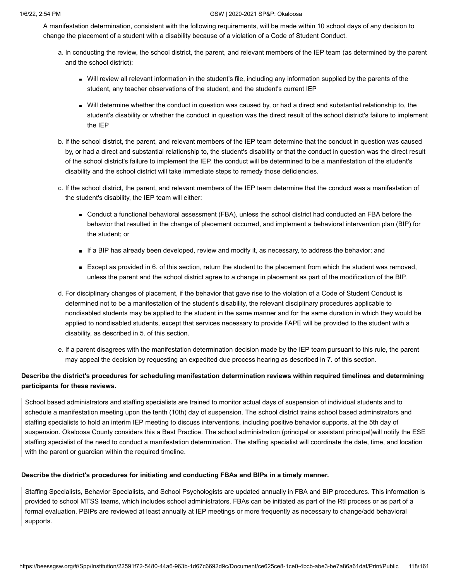A manifestation determination, consistent with the following requirements, will be made within 10 school days of any decision to change the placement of a student with a disability because of a violation of a Code of Student Conduct.

- a. In conducting the review, the school district, the parent, and relevant members of the IEP team (as determined by the parent and the school district):
	- Will review all relevant information in the student's file, including any information supplied by the parents of the student, any teacher observations of the student, and the student's current IEP
	- Will determine whether the conduct in question was caused by, or had a direct and substantial relationship to, the student's disability or whether the conduct in question was the direct result of the school district's failure to implement the IEP
- b. If the school district, the parent, and relevant members of the IEP team determine that the conduct in question was caused by, or had a direct and substantial relationship to, the student's disability or that the conduct in question was the direct result of the school district's failure to implement the IEP, the conduct will be determined to be a manifestation of the student's disability and the school district will take immediate steps to remedy those deficiencies.
- c. If the school district, the parent, and relevant members of the IEP team determine that the conduct was a manifestation of the student's disability, the IEP team will either:
	- Conduct a functional behavioral assessment (FBA), unless the school district had conducted an FBA before the behavior that resulted in the change of placement occurred, and implement a behavioral intervention plan (BIP) for the student; or
	- If a BIP has already been developed, review and modify it, as necessary, to address the behavior; and
	- Except as provided in 6. of this section, return the student to the placement from which the student was removed, unless the parent and the school district agree to a change in placement as part of the modification of the BIP.
- d. For disciplinary changes of placement, if the behavior that gave rise to the violation of a Code of Student Conduct is determined not to be a manifestation of the student's disability, the relevant disciplinary procedures applicable to nondisabled students may be applied to the student in the same manner and for the same duration in which they would be applied to nondisabled students, except that services necessary to provide FAPE will be provided to the student with a disability, as described in 5. of this section.
- e. If a parent disagrees with the manifestation determination decision made by the IEP team pursuant to this rule, the parent may appeal the decision by requesting an expedited due process hearing as described in 7. of this section.

### **Describe the district's procedures for scheduling manifestation determination reviews within required timelines and determining participants for these reviews.**

School based administrators and staffing specialists are trained to monitor actual days of suspension of individual students and to schedule a manifestation meeting upon the tenth (10th) day of suspension. The school district trains school based adminstrators and staffing specialists to hold an interim IEP meeting to discuss interventions, including positive behavior supports, at the 5th day of suspension. Okaloosa County considers this a Best Practice. The school administration (principal or assistant principal)will notify the ESE staffing specialist of the need to conduct a manifestation determination. The staffing specialist will coordinate the date, time, and location with the parent or guardian within the required timeline.

#### **Describe the district's procedures for initiating and conducting FBAs and BIPs in a timely manner.**

Staffing Specialists, Behavior Specialists, and School Psychologists are updated annually in FBA and BIP procedures. This information is provided to school MTSS teams, which includes school administrators. FBAs can be initiated as part of the RtI process or as part of a formal evaluation. PBIPs are reviewed at least annually at IEP meetings or more frequently as necessary to change/add behavioral supports.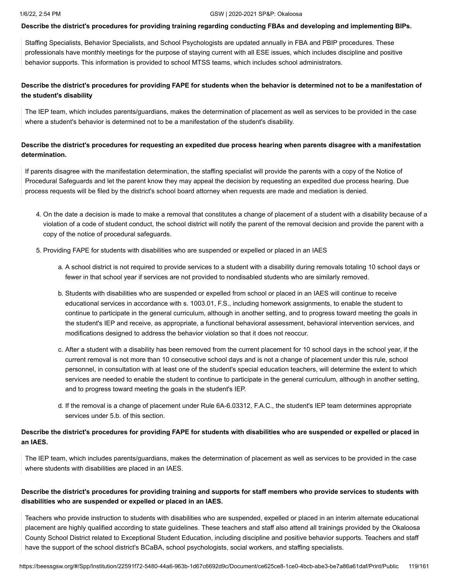#### **Describe the district's procedures for providing training regarding conducting FBAs and developing and implementing BIPs.**

Staffing Specialists, Behavior Specialists, and School Psychologists are updated annually in FBA and PBIP procedures. These professionals have monthly meetings for the purpose of staying current with all ESE issues, which includes discipline and positive behavior supports. This information is provided to school MTSS teams, which includes school administrators.

### **Describe the district's procedures for providing FAPE for students when the behavior is determined not to be a manifestation of the student's disability**

The IEP team, which includes parents/guardians, makes the determination of placement as well as services to be provided in the case where a student's behavior is determined not to be a manifestation of the student's disability.

### **Describe the district's procedures for requesting an expedited due process hearing when parents disagree with a manifestation determination.**

If parents disagree with the manifestation determination, the staffing specialist will provide the parents with a copy of the Notice of Procedural Safeguards and let the parent know they may appeal the decision by requesting an expedited due process hearing. Due process requests will be filed by the district's school board attorney when requests are made and mediation is denied.

- 4. On the date a decision is made to make a removal that constitutes a change of placement of a student with a disability because of a violation of a code of student conduct, the school district will notify the parent of the removal decision and provide the parent with a copy of the notice of procedural safeguards.
- 5. Providing FAPE for students with disabilities who are suspended or expelled or placed in an IAES
	- a. A school district is not required to provide services to a student with a disability during removals totaling 10 school days or fewer in that school year if services are not provided to nondisabled students who are similarly removed.
	- b. Students with disabilities who are suspended or expelled from school or placed in an IAES will continue to receive educational services in accordance with s. 1003.01, F.S., including homework assignments, to enable the student to continue to participate in the general curriculum, although in another setting, and to progress toward meeting the goals in the student's IEP and receive, as appropriate, a functional behavioral assessment, behavioral intervention services, and modifications designed to address the behavior violation so that it does not reoccur.
	- c. After a student with a disability has been removed from the current placement for 10 school days in the school year, if the current removal is not more than 10 consecutive school days and is not a change of placement under this rule, school personnel, in consultation with at least one of the student's special education teachers, will determine the extent to which services are needed to enable the student to continue to participate in the general curriculum, although in another setting, and to progress toward meeting the goals in the student's IEP.
	- d. If the removal is a change of placement under Rule 6A-6.03312, F.A.C., the student's IEP team determines appropriate services under 5.b. of this section.

### **Describe the district's procedures for providing FAPE for students with disabilities who are suspended or expelled or placed in an IAES.**

The IEP team, which includes parents/guardians, makes the determination of placement as well as services to be provided in the case where students with disabilities are placed in an IAES.

### **Describe the district's procedures for providing training and supports for staff members who provide services to students with disabilities who are suspended or expelled or placed in an IAES.**

Teachers who provide instruction to students with disabilities who are suspended, expelled or placed in an interim alternate educational placement are highly qualified according to state guidelines. These teachers and staff also attend all trainings provided by the Okaloosa County School District related to Exceptional Student Education, including discipline and positive behavior supports. Teachers and staff have the support of the school district's BCaBA, school psychologists, social workers, and staffing specialists.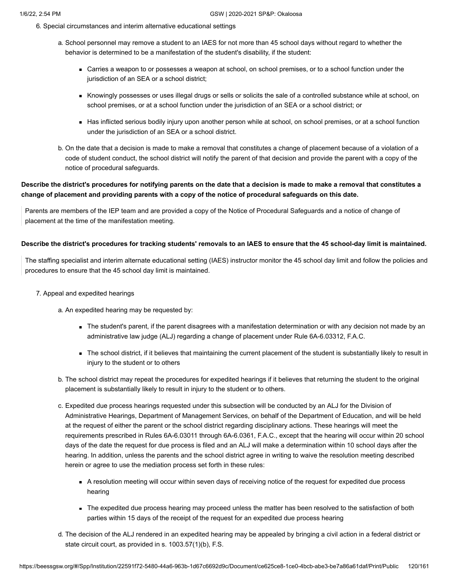- 6. Special circumstances and interim alternative educational settings
	- a. School personnel may remove a student to an IAES for not more than 45 school days without regard to whether the behavior is determined to be a manifestation of the student's disability, if the student:
		- Carries a weapon to or possesses a weapon at school, on school premises, or to a school function under the jurisdiction of an SEA or a school district;
		- Knowingly possesses or uses illegal drugs or sells or solicits the sale of a controlled substance while at school, on school premises, or at a school function under the jurisdiction of an SEA or a school district; or
		- Has inflicted serious bodily injury upon another person while at school, on school premises, or at a school function under the jurisdiction of an SEA or a school district.
	- b. On the date that a decision is made to make a removal that constitutes a change of placement because of a violation of a code of student conduct, the school district will notify the parent of that decision and provide the parent with a copy of the notice of procedural safeguards.

## **Describe the district's procedures for notifying parents on the date that a decision is made to make a removal that constitutes a change of placement and providing parents with a copy of the notice of procedural safeguards on this date.**

Parents are members of the IEP team and are provided a copy of the Notice of Procedural Safeguards and a notice of change of placement at the time of the manifestation meeting.

## **Describe the district's procedures for tracking students' removals to an IAES to ensure that the 45 school-day limit is maintained.**

The staffing specialist and interim alternate educational setting (IAES) instructor monitor the 45 school day limit and follow the policies and procedures to ensure that the 45 school day limit is maintained.

- 7. Appeal and expedited hearings
	- a. An expedited hearing may be requested by:
		- The student's parent, if the parent disagrees with a manifestation determination or with any decision not made by an administrative law judge (ALJ) regarding a change of placement under Rule 6A-6.03312, F.A.C.
		- The school district, if it believes that maintaining the current placement of the student is substantially likely to result in injury to the student or to others
	- b. The school district may repeat the procedures for expedited hearings if it believes that returning the student to the original placement is substantially likely to result in injury to the student or to others.
	- c. Expedited due process hearings requested under this subsection will be conducted by an ALJ for the Division of Administrative Hearings, Department of Management Services, on behalf of the Department of Education, and will be held at the request of either the parent or the school district regarding disciplinary actions. These hearings will meet the requirements prescribed in Rules 6A-6.03011 through 6A-6.0361, F.A.C., except that the hearing will occur within 20 school days of the date the request for due process is filed and an ALJ will make a determination within 10 school days after the hearing. In addition, unless the parents and the school district agree in writing to waive the resolution meeting described herein or agree to use the mediation process set forth in these rules:
		- A resolution meeting will occur within seven days of receiving notice of the request for expedited due process hearing
		- The expedited due process hearing may proceed unless the matter has been resolved to the satisfaction of both parties within 15 days of the receipt of the request for an expedited due process hearing
	- d. The decision of the ALJ rendered in an expedited hearing may be appealed by bringing a civil action in a federal district or state circuit court, as provided in s. 1003.57(1)(b), F.S.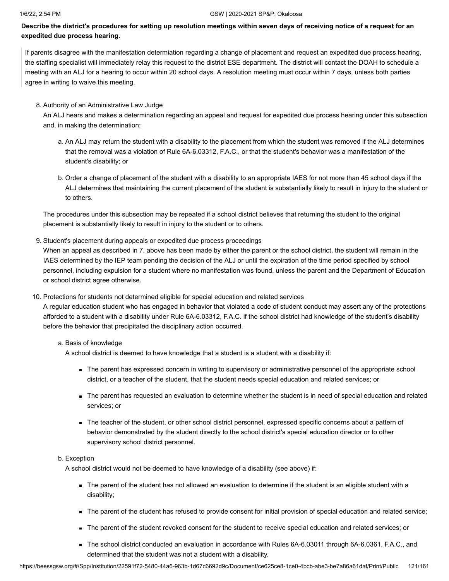**Describe the district's procedures for setting up resolution meetings within seven days of receiving notice of a request for an expedited due process hearing.**

If parents disagree with the manifestation determiation regarding a change of placement and request an expedited due process hearing, the staffing specialist will immediately relay this request to the district ESE department. The district will contact the DOAH to schedule a meeting with an ALJ for a hearing to occur within 20 school days. A resolution meeting must occur within 7 days, unless both parties agree in writing to waive this meeting.

### 8. Authority of an Administrative Law Judge

An ALJ hears and makes a determination regarding an appeal and request for expedited due process hearing under this subsection and, in making the determination:

- a. An ALJ may return the student with a disability to the placement from which the student was removed if the ALJ determines that the removal was a violation of Rule 6A-6.03312, F.A.C., or that the student's behavior was a manifestation of the student's disability; or
- b. Order a change of placement of the student with a disability to an appropriate IAES for not more than 45 school days if the ALJ determines that maintaining the current placement of the student is substantially likely to result in injury to the student or to others.

The procedures under this subsection may be repeated if a school district believes that returning the student to the original placement is substantially likely to result in injury to the student or to others.

9. Student's placement during appeals or expedited due process proceedings

When an appeal as described in 7. above has been made by either the parent or the school district, the student will remain in the IAES determined by the IEP team pending the decision of the ALJ or until the expiration of the time period specified by school personnel, including expulsion for a student where no manifestation was found, unless the parent and the Department of Education or school district agree otherwise.

10. Protections for students not determined eligible for special education and related services

A regular education student who has engaged in behavior that violated a code of student conduct may assert any of the protections afforded to a student with a disability under Rule 6A-6.03312, F.A.C. if the school district had knowledge of the student's disability before the behavior that precipitated the disciplinary action occurred.

### a. Basis of knowledge

A school district is deemed to have knowledge that a student is a student with a disability if:

- The parent has expressed concern in writing to supervisory or administrative personnel of the appropriate school district, or a teacher of the student, that the student needs special education and related services; or
- The parent has requested an evaluation to determine whether the student is in need of special education and related services; or
- The teacher of the student, or other school district personnel, expressed specific concerns about a pattern of behavior demonstrated by the student directly to the school district's special education director or to other supervisory school district personnel.

#### b. Exception

A school district would not be deemed to have knowledge of a disability (see above) if:

- The parent of the student has not allowed an evaluation to determine if the student is an eligible student with a disability;
- The parent of the student has refused to provide consent for initial provision of special education and related service;
- The parent of the student revoked consent for the student to receive special education and related services; or
- The school district conducted an evaluation in accordance with Rules 6A-6.03011 through 6A-6.0361, F.A.C., and determined that the student was not a student with a disability.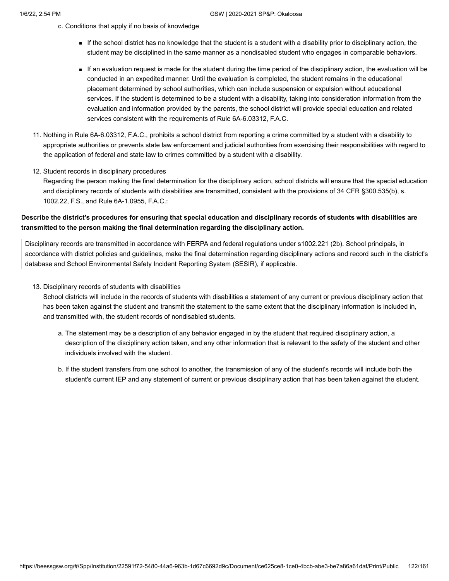- c. Conditions that apply if no basis of knowledge
	- If the school district has no knowledge that the student is a student with a disability prior to disciplinary action, the student may be disciplined in the same manner as a nondisabled student who engages in comparable behaviors.
	- If an evaluation request is made for the student during the time period of the disciplinary action, the evaluation will be conducted in an expedited manner. Until the evaluation is completed, the student remains in the educational placement determined by school authorities, which can include suspension or expulsion without educational services. If the student is determined to be a student with a disability, taking into consideration information from the evaluation and information provided by the parents, the school district will provide special education and related services consistent with the requirements of Rule 6A-6.03312, F.A.C.
- 11. Nothing in Rule 6A-6.03312, F.A.C., prohibits a school district from reporting a crime committed by a student with a disability to appropriate authorities or prevents state law enforcement and judicial authorities from exercising their responsibilities with regard to the application of federal and state law to crimes committed by a student with a disability.
- 12. Student records in disciplinary procedures

Regarding the person making the final determination for the disciplinary action, school districts will ensure that the special education and disciplinary records of students with disabilities are transmitted, consistent with the provisions of 34 CFR §300.535(b), s. 1002.22, F.S., and Rule 6A-1.0955, F.A.C.:

### **Describe the district's procedures for ensuring that special education and disciplinary records of students with disabilities are transmitted to the person making the final determination regarding the disciplinary action.**

Disciplinary records are transmitted in accordance with FERPA and federal regulations under s1002.221 (2b). School principals, in accordance with district policies and guidelines, make the final determination regarding disciplinary actions and record such in the district's database and School Environmental Safety Incident Reporting System (SESIR), if applicable.

13. Disciplinary records of students with disabilities

School districts will include in the records of students with disabilities a statement of any current or previous disciplinary action that has been taken against the student and transmit the statement to the same extent that the disciplinary information is included in, and transmitted with, the student records of nondisabled students.

- a. The statement may be a description of any behavior engaged in by the student that required disciplinary action, a description of the disciplinary action taken, and any other information that is relevant to the safety of the student and other individuals involved with the student.
- b. If the student transfers from one school to another, the transmission of any of the student's records will include both the student's current IEP and any statement of current or previous disciplinary action that has been taken against the student.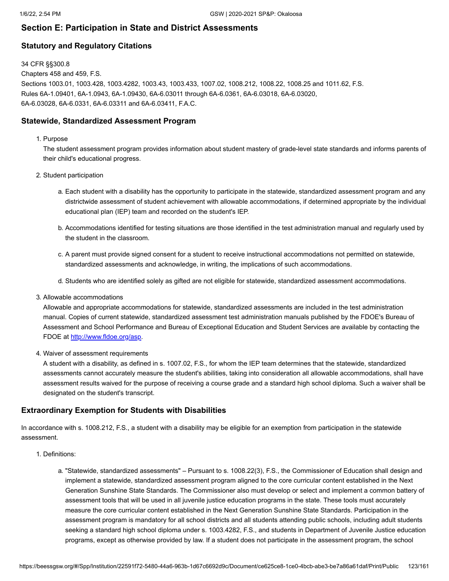### **Section E: Participation in State and District Assessments**

### **Statutory and Regulatory Citations**

34 CFR §§300.8 Chapters 458 and 459, F.S. Sections 1003.01, 1003.428, 1003.4282, 1003.43, 1003.433, 1007.02, 1008.212, 1008.22, 1008.25 and 1011.62, F.S. Rules 6A-1.09401, 6A-1.0943, 6A-1.09430, 6A-6.03011 through 6A-6.0361, 6A-6.03018, 6A-6.03020, 6A-6.03028, 6A-6.0331, 6A-6.03311 and 6A-6.03411, F.A.C.

### **Statewide, Standardized Assessment Program**

#### 1. Purpose

The student assessment program provides information about student mastery of grade-level state standards and informs parents of their child's educational progress.

- 2. Student participation
	- a. Each student with a disability has the opportunity to participate in the statewide, standardized assessment program and any districtwide assessment of student achievement with allowable accommodations, if determined appropriate by the individual educational plan (IEP) team and recorded on the student's IEP.
	- b. Accommodations identified for testing situations are those identified in the test administration manual and regularly used by the student in the classroom.
	- c. A parent must provide signed consent for a student to receive instructional accommodations not permitted on statewide, standardized assessments and acknowledge, in writing, the implications of such accommodations.
	- d. Students who are identified solely as gifted are not eligible for statewide, standardized assessment accommodations.
- 3. Allowable accommodations

Allowable and appropriate accommodations for statewide, standardized assessments are included in the test administration manual. Copies of current statewide, standardized assessment test administration manuals published by the FDOE's Bureau of Assessment and School Performance and Bureau of Exceptional Education and Student Services are available by contacting the FDOE at<http://www.fldoe.org/asp>.

4. Waiver of assessment requirements

A student with a disability, as defined in s. 1007.02, F.S., for whom the IEP team determines that the statewide, standardized assessments cannot accurately measure the student's abilities, taking into consideration all allowable accommodations, shall have assessment results waived for the purpose of receiving a course grade and a standard high school diploma. Such a waiver shall be designated on the student's transcript.

### **Extraordinary Exemption for Students with Disabilities**

In accordance with s. 1008.212, F.S., a student with a disability may be eligible for an exemption from participation in the statewide assessment.

- 1. Definitions:
	- a. "Statewide, standardized assessments" Pursuant to s. 1008.22(3), F.S., the Commissioner of Education shall design and implement a statewide, standardized assessment program aligned to the core curricular content established in the Next Generation Sunshine State Standards. The Commissioner also must develop or select and implement a common battery of assessment tools that will be used in all juvenile justice education programs in the state. These tools must accurately measure the core curricular content established in the Next Generation Sunshine State Standards. Participation in the assessment program is mandatory for all school districts and all students attending public schools, including adult students seeking a standard high school diploma under s. 1003.4282, F.S., and students in Department of Juvenile Justice education programs, except as otherwise provided by law. If a student does not participate in the assessment program, the school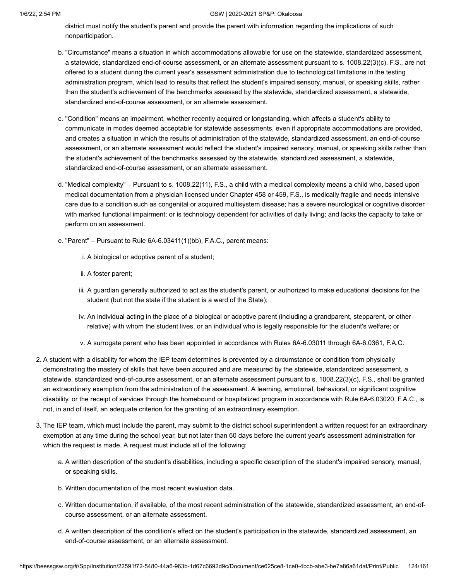district must notify the student's parent and provide the parent with information regarding the implications of such nonparticipation.

- b. "Circumstance" means a situation in which accommodations allowable for use on the statewide, standardized assessment, a statewide, standardized end-of-course assessment, or an alternate assessment pursuant to s. 1008.22(3)(c), F.S., are not offered to a student during the current year's assessment administration due to technological limitations in the testing administration program, which lead to results that reflect the student's impaired sensory, manual, or speaking skills, rather than the student's achievement of the benchmarks assessed by the statewide, standardized assessment, a statewide, standardized end-of-course assessment, or an alternate assessment.
- c. "Condition" means an impairment, whether recently acquired or longstanding, which affects a student's ability to communicate in modes deemed acceptable for statewide assessments, even if appropriate accommodations are provided, and creates a situation in which the results of administration of the statewide, standardized assessment, an end-of-course assessment, or an alternate assessment would reflect the student's impaired sensory, manual, or speaking skills rather than the student's achievement of the benchmarks assessed by the statewide, standardized assessment, a statewide, standardized end-of-course assessment, or an alternate assessment.
- d. "Medical complexity" Pursuant to s. 1008.22(11), F.S., a child with a medical complexity means a child who, based upon medical documentation from a physician licensed under Chapter 458 or 459, F.S., is medically fragile and needs intensive care due to a condition such as congenital or acquired multisystem disease; has a severe neurological or cognitive disorder with marked functional impairment; or is technology dependent for activities of daily living; and lacks the capacity to take or perform on an assessment.
- e. "Parent" Pursuant to Rule 6A-6.03411(1)(bb), F.A.C., parent means:
	- i. A biological or adoptive parent of a student;
	- ii. A foster parent;
	- iii. A guardian generally authorized to act as the student's parent, or authorized to make educational decisions for the student (but not the state if the student is a ward of the State);
	- iv. An individual acting in the place of a biological or adoptive parent (including a grandparent, stepparent, or other relative) with whom the student lives, or an individual who is legally responsible for the student's welfare; or
	- v. A surrogate parent who has been appointed in accordance with Rules 6A-6.03011 through 6A-6.0361, F.A.C.
- 2. A student with a disability for whom the IEP team determines is prevented by a circumstance or condition from physically demonstrating the mastery of skills that have been acquired and are measured by the statewide, standardized assessment, a statewide, standardized end-of-course assessment, or an alternate assessment pursuant to s. 1008.22(3)(c), F.S., shall be granted an extraordinary exemption from the administration of the assessment. A learning, emotional, behavioral, or significant cognitive disability, or the receipt of services through the homebound or hospitalized program in accordance with Rule 6A-6.03020, F.A.C., is not, in and of itself, an adequate criterion for the granting of an extraordinary exemption.
- 3. The IEP team, which must include the parent, may submit to the district school superintendent a written request for an extraordinary exemption at any time during the school year, but not later than 60 days before the current year's assessment administration for which the request is made. A request must include all of the following:
	- a. A written description of the student's disabilities, including a specific description of the student's impaired sensory, manual, or speaking skills.
	- b. Written documentation of the most recent evaluation data.
	- c. Written documentation, if available, of the most recent administration of the statewide, standardized assessment, an end-ofcourse assessment, or an alternate assessment.
	- d. A written description of the condition's effect on the student's participation in the statewide, standardized assessment, an end-of-course assessment, or an alternate assessment.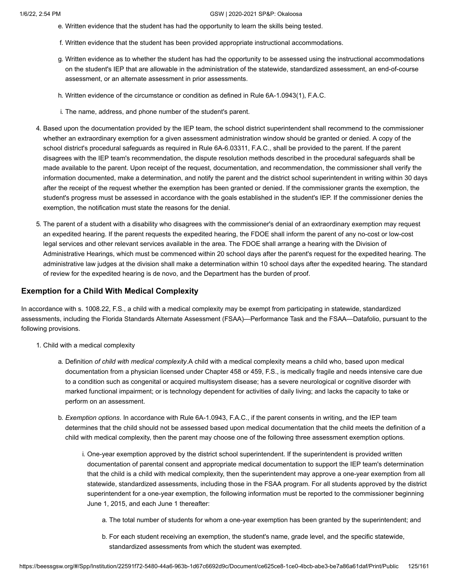- e. Written evidence that the student has had the opportunity to learn the skills being tested.
	- f. Written evidence that the student has been provided appropriate instructional accommodations.
- g. Written evidence as to whether the student has had the opportunity to be assessed using the instructional accommodations on the student's IEP that are allowable in the administration of the statewide, standardized assessment, an end-of-course assessment, or an alternate assessment in prior assessments.
- h. Written evidence of the circumstance or condition as defined in Rule 6A-1.0943(1), F.A.C.
- i. The name, address, and phone number of the student's parent.
- 4. Based upon the documentation provided by the IEP team, the school district superintendent shall recommend to the commissioner whether an extraordinary exemption for a given assessment administration window should be granted or denied. A copy of the school district's procedural safeguards as required in Rule 6A-6.03311, F.A.C., shall be provided to the parent. If the parent disagrees with the IEP team's recommendation, the dispute resolution methods described in the procedural safeguards shall be made available to the parent. Upon receipt of the request, documentation, and recommendation, the commissioner shall verify the information documented, make a determination, and notify the parent and the district school superintendent in writing within 30 days after the receipt of the request whether the exemption has been granted or denied. If the commissioner grants the exemption, the student's progress must be assessed in accordance with the goals established in the student's IEP. If the commissioner denies the exemption, the notification must state the reasons for the denial.
- 5. The parent of a student with a disability who disagrees with the commissioner's denial of an extraordinary exemption may request an expedited hearing. If the parent requests the expedited hearing, the FDOE shall inform the parent of any no-cost or low-cost legal services and other relevant services available in the area. The FDOE shall arrange a hearing with the Division of Administrative Hearings, which must be commenced within 20 school days after the parent's request for the expedited hearing. The administrative law judges at the division shall make a determination within 10 school days after the expedited hearing. The standard of review for the expedited hearing is de novo, and the Department has the burden of proof.

#### **Exemption for a Child With Medical Complexity**

In accordance with s. 1008.22, F.S., a child with a medical complexity may be exempt from participating in statewide, standardized assessments, including the Florida Standards Alternate Assessment (FSAA)—Performance Task and the FSAA—Datafolio, pursuant to the following provisions.

- 1. Child with a medical complexity
	- a. Definition *of child with medical complexity*.A child with a medical complexity means a child who, based upon medical documentation from a physician licensed under Chapter 458 or 459, F.S., is medically fragile and needs intensive care due to a condition such as congenital or acquired multisystem disease; has a severe neurological or cognitive disorder with marked functional impairment; or is technology dependent for activities of daily living; and lacks the capacity to take or perform on an assessment.
	- b. *Exemption options*. In accordance with Rule 6A-1.0943, F.A.C., if the parent consents in writing, and the IEP team determines that the child should not be assessed based upon medical documentation that the child meets the definition of a child with medical complexity, then the parent may choose one of the following three assessment exemption options.
		- i. One-year exemption approved by the district school superintendent. If the superintendent is provided written documentation of parental consent and appropriate medical documentation to support the IEP team's determination that the child is a child with medical complexity, then the superintendent may approve a one-year exemption from all statewide, standardized assessments, including those in the FSAA program. For all students approved by the district superintendent for a one-year exemption, the following information must be reported to the commissioner beginning June 1, 2015, and each June 1 thereafter:
			- a. The total number of students for whom a one-year exemption has been granted by the superintendent; and
			- b. For each student receiving an exemption, the student's name, grade level, and the specific statewide, standardized assessments from which the student was exempted.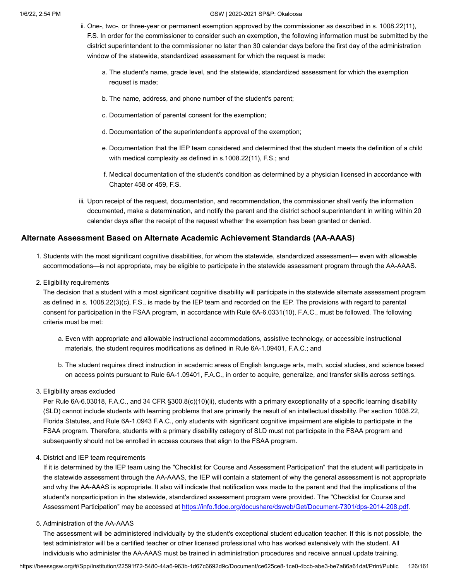- ii. One-, two-, or three-year or permanent exemption approved by the commissioner as described in s. 1008.22(11), F.S. In order for the commissioner to consider such an exemption, the following information must be submitted by the district superintendent to the commissioner no later than 30 calendar days before the first day of the administration window of the statewide, standardized assessment for which the request is made:
	- a. The student's name, grade level, and the statewide, standardized assessment for which the exemption request is made;
	- b. The name, address, and phone number of the student's parent;
	- c. Documentation of parental consent for the exemption;
	- d. Documentation of the superintendent's approval of the exemption;
	- e. Documentation that the IEP team considered and determined that the student meets the definition of a child with medical complexity as defined in s.1008.22(11), F.S.; and
	- f. Medical documentation of the student's condition as determined by a physician licensed in accordance with Chapter 458 or 459, F.S.
- iii. Upon receipt of the request, documentation, and recommendation, the commissioner shall verify the information documented, make a determination, and notify the parent and the district school superintendent in writing within 20 calendar days after the receipt of the request whether the exemption has been granted or denied.

### **Alternate Assessment Based on Alternate Academic Achievement Standards (AA-AAAS)**

- 1. Students with the most significant cognitive disabilities, for whom the statewide, standardized assessment— even with allowable accommodations—is not appropriate, may be eligible to participate in the statewide assessment program through the AA-AAAS.
- 2. Eligibility requirements

The decision that a student with a most significant cognitive disability will participate in the statewide alternate assessment program as defined in s. 1008.22(3)(c), F.S., is made by the IEP team and recorded on the IEP. The provisions with regard to parental consent for participation in the FSAA program, in accordance with Rule 6A-6.0331(10), F.A.C., must be followed. The following criteria must be met:

- a. Even with appropriate and allowable instructional accommodations, assistive technology, or accessible instructional materials, the student requires modifications as defined in Rule 6A-1.09401, F.A.C.; and
- b. The student requires direct instruction in academic areas of English language arts, math, social studies, and science based on access points pursuant to Rule 6A-1.09401, F.A.C., in order to acquire, generalize, and transfer skills across settings.
- 3. Eligibility areas excluded

Per Rule 6A-6.03018, F.A.C., and 34 CFR §300.8(c)(10)(ii), students with a primary exceptionality of a specific learning disability (SLD) cannot include students with learning problems that are primarily the result of an intellectual disability. Per section 1008.22, Florida Statutes, and Rule 6A-1.0943 F.A.C., only students with significant cognitive impairment are eligible to participate in the FSAA program. Therefore, students with a primary disability category of SLD must not participate in the FSAA program and subsequently should not be enrolled in access courses that align to the FSAA program.

4. District and IEP team requirements

If it is determined by the IEP team using the "Checklist for Course and Assessment Participation" that the student will participate in the statewide assessment through the AA-AAAS, the IEP will contain a statement of why the general assessment is not appropriate and why the AA-AAAS is appropriate. It also will indicate that notification was made to the parent and that the implications of the student's nonparticipation in the statewide, standardized assessment program were provided. The "Checklist for Course and Assessment Participation" may be accessed at [https://info.fldoe.org/docushare/dsweb/Get/Document-7301/dps-2014-208.pdf.](https://info.fldoe.org/docushare/dsweb/Get/Document-7301/dps-2014-208.pdf)

#### 5. Administration of the AA-AAAS

The assessment will be administered individually by the student's exceptional student education teacher. If this is not possible, the test administrator will be a certified teacher or other licensed professional who has worked extensively with the student. All individuals who administer the AA-AAAS must be trained in administration procedures and receive annual update training.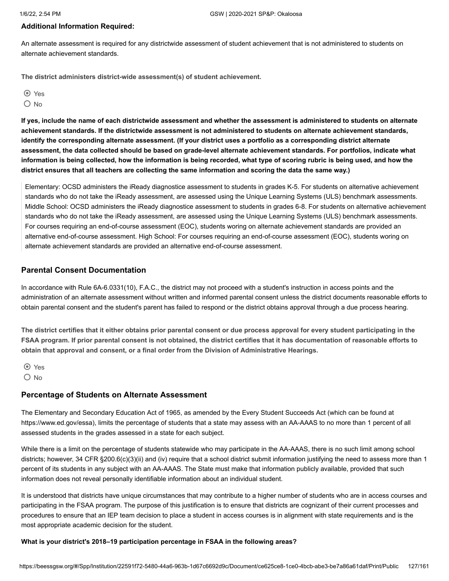#### **Additional Information Required:**

An alternate assessment is required for any districtwide assessment of student achievement that is not administered to students on alternate achievement standards.

**The district administers district-wide assessment(s) of student achievement.**

**⊙** Yes O No

**If yes, include the name of each districtwide assessment and whether the assessment is administered to students on alternate achievement standards. If the districtwide assessment is not administered to students on alternate achievement standards, identify the corresponding alternate assessment. (If your district uses a portfolio as a corresponding district alternate assessment, the data collected should be based on grade-level alternate achievement standards. For portfolios, indicate what information is being collected, how the information is being recorded, what type of scoring rubric is being used, and how the district ensures that all teachers are collecting the same information and scoring the data the same way.)**

Elementary: OCSD administers the iReady diagnostice assessment to students in grades K-5. For students on alternative achievement standards who do not take the iReady assessment, are assessed using the Unique Learning Systems (ULS) benchmark assessments. Middle School: OCSD administers the iReady diagnostice assessment to students in grades 6-8. For students on alternative achievement standards who do not take the iReady assessment, are assessed using the Unique Learning Systems (ULS) benchmark assessments. For courses requiring an end-of-course assessment (EOC), students woring on alternate achievement standards are provided an alternative end-of-course assessment. High School: For courses requiring an end-of-course assessment (EOC), students woring on alternate achievement standards are provided an alternative end-of-course assessment.

### **Parental Consent Documentation**

In accordance with Rule 6A-6.0331(10), F.A.C., the district may not proceed with a student's instruction in access points and the administration of an alternate assessment without written and informed parental consent unless the district documents reasonable efforts to obtain parental consent and the student's parent has failed to respond or the district obtains approval through a due process hearing.

**The district certifies that it either obtains prior parental consent or due process approval for every student participating in the FSAA program. If prior parental consent is not obtained, the district certifies that it has documentation of reasonable efforts to obtain that approval and consent, or a final order from the Division of Administrative Hearings.**

**⊙** Yes

 $O$  No

### **Percentage of Students on Alternate Assessment**

The Elementary and Secondary Education Act of 1965, as amended by the Every Student Succeeds Act (which can be found at https://www.ed.gov/essa), limits the percentage of students that a state may assess with an AA-AAAS to no more than 1 percent of all assessed students in the grades assessed in a state for each subject.

While there is a limit on the percentage of students statewide who may participate in the AA-AAAS, there is no such limit among school districts; however, 34 CFR §200.6(c)(3)(ii) and (iv) require that a school district submit information justifying the need to assess more than 1 percent of its students in any subject with an AA-AAAS. The State must make that information publicly available, provided that such information does not reveal personally identifiable information about an individual student.

It is understood that districts have unique circumstances that may contribute to a higher number of students who are in access courses and participating in the FSAA program. The purpose of this justification is to ensure that districts are cognizant of their current processes and procedures to ensure that an IEP team decision to place a student in access courses is in alignment with state requirements and is the most appropriate academic decision for the student.

#### **What is your district's 2018–19 participation percentage in FSAA in the following areas?**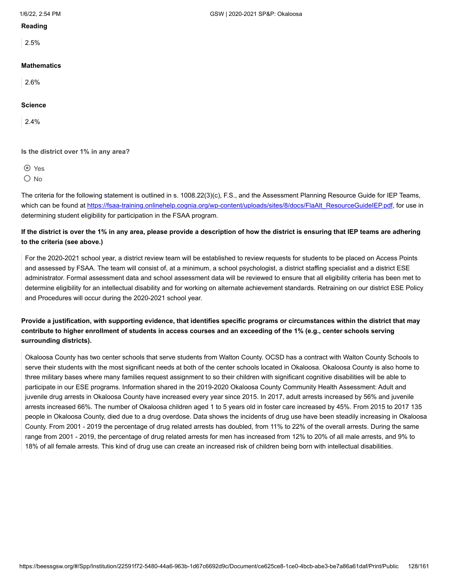### **Reading**

2.5%

### **Mathematics**

2.6%

### **Science**

2.4%

**Is the district over 1% in any area?**

**⊙** Yes

O No

The criteria for the following statement is outlined in s. 1008.22(3)(c), F.S., and the Assessment Planning Resource Guide for IEP Teams, which can be found at [https://fsaa-training.onlinehelp.cognia.org/wp-content/uploads/sites/8/docs/FlaAlt\\_ResourceGuideIEP.pdf,](https://fsaa-training.onlinehelp.cognia.org/wp-content/uploads/sites/8/docs/FlaAlt_ResourceGuideIEP.pdf) for use in determining student eligibility for participation in the FSAA program.

### **If the district is over the 1% in any area, please provide a description of how the district is ensuring that IEP teams are adhering to the criteria (see above.)**

For the 2020-2021 school year, a district review team will be established to review requests for students to be placed on Access Points and assessed by FSAA. The team will consist of, at a minimum, a school psychologist, a district staffing specialist and a district ESE administrator. Formal assessment data and school assessment data will be reviewed to ensure that all eligibility criteria has been met to determine eligibility for an intellectual disability and for working on alternate achievement standards. Retraining on our district ESE Policy and Procedures will occur during the 2020-2021 school year.

## **Provide a justification, with supporting evidence, that identifies specific programs or circumstances within the district that may contribute to higher enrollment of students in access courses and an exceeding of the 1% (e.g., center schools serving surrounding districts).**

Okaloosa County has two center schools that serve students from Walton County. OCSD has a contract with Walton County Schools to serve their students with the most significant needs at both of the center schools located in Okaloosa. Okaloosa County is also home to three military bases where many families request assignment to so their children with significant cognitive disabilities will be able to participate in our ESE programs. Information shared in the 2019-2020 Okaloosa County Community Health Assessment: Adult and juvenile drug arrests in Okaloosa County have increased every year since 2015. In 2017, adult arrests increased by 56% and juvenile arrests increased 66%. The number of Okaloosa children aged 1 to 5 years old in foster care increased by 45%. From 2015 to 2017 135 people in Okaloosa County, died due to a drug overdose. Data shows the incidents of drug use have been steadily increasing in Okaloosa County. From 2001 - 2019 the percentage of drug related arrests has doubled, from 11% to 22% of the overall arrests. During the same range from 2001 - 2019, the percentage of drug related arrests for men has increased from 12% to 20% of all male arrests, and 9% to 18% of all female arrests. This kind of drug use can create an increased risk of children being born with intellectual disabilities.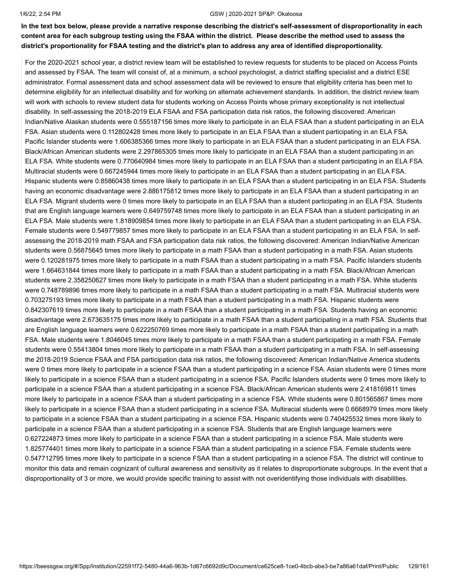**In the text box below, please provide a narrative response describing the district's self-assessment of disproportionality in each content area for each subgroup testing using the FSAA within the district. Please describe the method used to assess the district's proportionality for FSAA testing and the district's plan to address any area of identified disproportionality.**

For the 2020-2021 school year, a district review team will be established to review requests for students to be placed on Access Points and assessed by FSAA. The team will consist of, at a minimum, a school psychologist, a district staffing specialist and a district ESE administrator. Formal assessment data and school assessment data will be reviewed to ensure that eligibility criteria has been met to determine eligibility for an intellectual disability and for working on alternate achievement standards. In addition, the district review team will work with schools to review student data for students working on Access Points whose primary exceptionality is not intellectual disability. In self-assessing the 2018-2019 ELA FSAA and FSA participation data risk ratios, the following discovered: American Indian/Native Alaskan students were 0.555187156 times more likely to participate in an ELA FSAA than a student participating in an ELA FSA. Asian students were 0.112802428 times more likely to participate in an ELA FSAA than a student participating in an ELA FSA. Pacific Islander students were 1.606385366 times more likely to participate in an ELA FSAA than a student participating in an ELA FSA. Black/African American students were 2.297865305 times more likely to participate in an ELA FSAA than a student participating in an ELA FSA. White students were 0.770640984 times more likely to participate in an ELA FSAA than a student participating in an ELA FSA. Multiracial students were 0.667245944 times more likely to participate in an ELA FSAA than a student participating in an ELA FSA. Hispanic students were 0.85860438 times more likely to participate in an ELA FSAA than a student participating in an ELA FSA. Students having an economic disadvantage were 2.886175812 times more likely to participate in an ELA FSAA than a student participating in an ELA FSA. Migrant students were 0 times more likely to participate in an ELA FSAA than a student participating in an ELA FSA. Students that are English language learners were 0.649759748 times more likely to participate in an ELA FSAA than a student participating in an ELA FSA. Male students were 1.818909854 times more likely to participate in an ELA FSAA than a student participating in an ELA FSA. Female students were 0.549779857 times more likely to participate in an ELA FSAA than a student participating in an ELA FSA. In selfassessing the 2018-2019 math FSAA and FSA participation data risk ratios, the following discovered: American Indian/Native American students were 0.56875645 times more likely to participate in a math FSAA than a student participating in a math FSA. Asian students were 0.120281975 times more likely to participate in a math FSAA than a student participating in a math FSA. Pacific Islanders students were 1.664631844 times more likely to participate in a math FSAA than a student participating in a math FSA. Black/African American students were 2.358250627 times more likely to participate in a math FSAA than a student participating in a math FSA. White students were 0.748789896 times more likely to participate in a math FSAA than a student participating in a math FSA. Multiracial students were 0.703275193 times more likely to participate in a math FSAA than a student participating in a math FSA. Hispanic students were 0.842307619 times more likely to participate in a math FSAA than a student participating in a math FSA. Students having an economic disadvantage were 2.673635175 times more likely to participate in a math FSAA than a student participating in a math FSA. Students that are English language learners were 0.622250769 times more likely to participate in a math FSAA than a student participating in a math FSA. Male students were 1.8046045 times more likely to participate in a math FSAA than a student participating in a math FSA. Female students were 0.55413804 times more likely to participate in a math FSAA than a student participating in a math FSA. In self-assessing the 2018-2019 Science FSAA and FSA participation data risk ratios, the following discovered: American Indian/Native America students were 0 times more likely to participate in a science FSAA than a student participating in a science FSA. Asian students were 0 times more likely to participate in a science FSAA than a student participating in a science FSA. Pacific Islanders students were 0 times more likely to participate in a science FSAA than a student participating in a science FSA. Black/African American students were 2.418169811 times more likely to participate in a science FSAA than a student participating in a science FSA. White students were 0.801565867 times more likely to participate in a science FSAA than a student participating in a science FSA. Multiracial students were 0.6668979 times more likely to participate in a science FSAA than a student participating in a science FSA. Hispanic students were 0.740425532 times more likely to participate in a science FSAA than a student participating in a science FSA. Students that are English language learners were 0.627224873 times more likely to participate in a science FSAA than a student participating in a science FSA. Male students were 1.825774401 times more likely to participate in a science FSAA than a student participating in a science FSA. Female students were 0.547712795 times more likely to participate in a science FSAA than a student participating in a science FSA. The district will continue to monitor this data and remain cognizant of cultural awareness and sensitivity as it relates to disproportionate subgroups. In the event that a disproportionality of 3 or more, we would provide specific training to assist with not overidentifying those individuals with disabilities.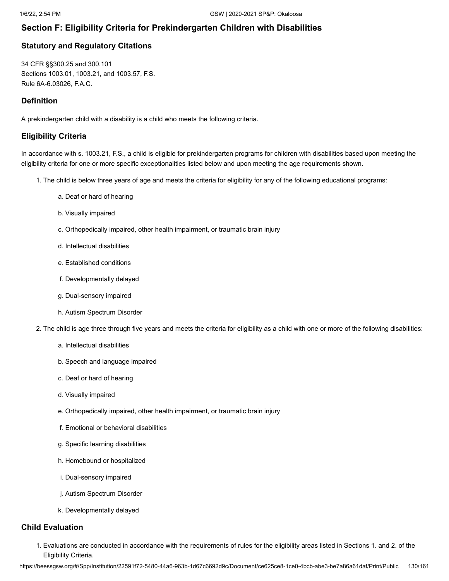### **Section F: Eligibility Criteria for Prekindergarten Children with Disabilities**

### **Statutory and Regulatory Citations**

34 CFR §§300.25 and 300.101 Sections 1003.01, 1003.21, and 1003.57, F.S. Rule 6A-6.03026, F.A.C.

### **Definition**

A prekindergarten child with a disability is a child who meets the following criteria.

### **Eligibility Criteria**

In accordance with s. 1003.21, F.S., a child is eligible for prekindergarten programs for children with disabilities based upon meeting the eligibility criteria for one or more specific exceptionalities listed below and upon meeting the age requirements shown.

- 1. The child is below three years of age and meets the criteria for eligibility for any of the following educational programs:
	- a. Deaf or hard of hearing
	- b. Visually impaired
	- c. Orthopedically impaired, other health impairment, or traumatic brain injury
	- d. Intellectual disabilities
	- e. Established conditions
	- f. Developmentally delayed
	- g. Dual-sensory impaired
	- h. Autism Spectrum Disorder
- 2. The child is age three through five years and meets the criteria for eligibility as a child with one or more of the following disabilities:
	- a. Intellectual disabilities
	- b. Speech and language impaired
	- c. Deaf or hard of hearing
	- d. Visually impaired
	- e. Orthopedically impaired, other health impairment, or traumatic brain injury
	- f. Emotional or behavioral disabilities
	- g. Specific learning disabilities
	- h. Homebound or hospitalized
	- i. Dual-sensory impaired
	- j. Autism Spectrum Disorder
	- k. Developmentally delayed

### **Child Evaluation**

1. Evaluations are conducted in accordance with the requirements of rules for the eligibility areas listed in Sections 1. and 2. of the Eligibility Criteria.

https://beessgsw.org/#/Spp/Institution/22591f72-5480-44a6-963b-1d67c6692d9c/Document/ce625ce8-1ce0-4bcb-abe3-be7a86a61daf/Print/Public 130/161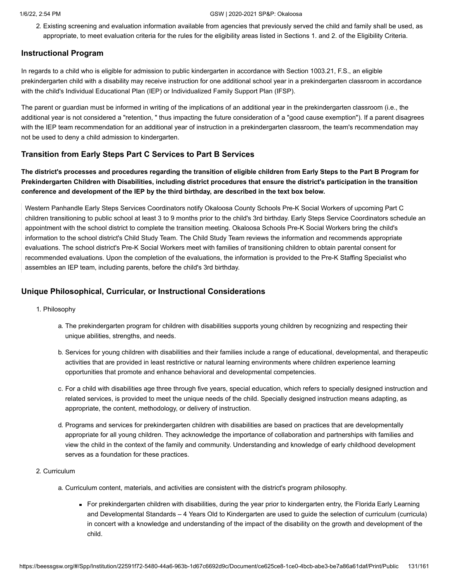2. Existing screening and evaluation information available from agencies that previously served the child and family shall be used, as appropriate, to meet evaluation criteria for the rules for the eligibility areas listed in Sections 1. and 2. of the Eligibility Criteria.

### **Instructional Program**

In regards to a child who is eligible for admission to public kindergarten in accordance with Section 1003.21, F.S., an eligible prekindergarten child with a disability may receive instruction for one additional school year in a prekindergarten classroom in accordance with the child's Individual Educational Plan (IEP) or Individualized Family Support Plan (IFSP).

The parent or guardian must be informed in writing of the implications of an additional year in the prekindergarten classroom (i.e., the additional year is not considered a "retention, " thus impacting the future consideration of a "good cause exemption"). If a parent disagrees with the IEP team recommendation for an additional year of instruction in a prekindergarten classroom, the team's recommendation may not be used to deny a child admission to kindergarten.

### **Transition from Early Steps Part C Services to Part B Services**

**The district's processes and procedures regarding the transition of eligible children from Early Steps to the Part B Program for Prekindergarten Children with Disabilities, including district procedures that ensure the district's participation in the transition conference and development of the IEP by the third birthday, are described in the text box below.**

Western Panhandle Early Steps Services Coordinators notify Okaloosa County Schools Pre-K Social Workers of upcoming Part C children transitioning to public school at least 3 to 9 months prior to the child's 3rd birthday. Early Steps Service Coordinators schedule an appointment with the school district to complete the transition meeting. Okaloosa Schools Pre-K Social Workers bring the child's information to the school district's Child Study Team. The Child Study Team reviews the information and recommends appropriate evaluations. The school district's Pre-K Social Workers meet with families of transitioning children to obtain parental consent for recommended evaluations. Upon the completion of the evaluations, the information is provided to the Pre-K Staffing Specialist who assembles an IEP team, including parents, before the child's 3rd birthday.

### **Unique Philosophical, Curricular, or Instructional Considerations**

- 1. Philosophy
	- a. The prekindergarten program for children with disabilities supports young children by recognizing and respecting their unique abilities, strengths, and needs.
	- b. Services for young children with disabilities and their families include a range of educational, developmental, and therapeutic activities that are provided in least restrictive or natural learning environments where children experience learning opportunities that promote and enhance behavioral and developmental competencies.
	- c. For a child with disabilities age three through five years, special education, which refers to specially designed instruction and related services, is provided to meet the unique needs of the child. Specially designed instruction means adapting, as appropriate, the content, methodology, or delivery of instruction.
	- d. Programs and services for prekindergarten children with disabilities are based on practices that are developmentally appropriate for all young children. They acknowledge the importance of collaboration and partnerships with families and view the child in the context of the family and community. Understanding and knowledge of early childhood development serves as a foundation for these practices.

### 2. Curriculum

- a. Curriculum content, materials, and activities are consistent with the district's program philosophy.
	- For prekindergarten children with disabilities, during the year prior to kindergarten entry, the Florida Early Learning and Developmental Standards – 4 Years Old to Kindergarten are used to guide the selection of curriculum (curricula) in concert with a knowledge and understanding of the impact of the disability on the growth and development of the child.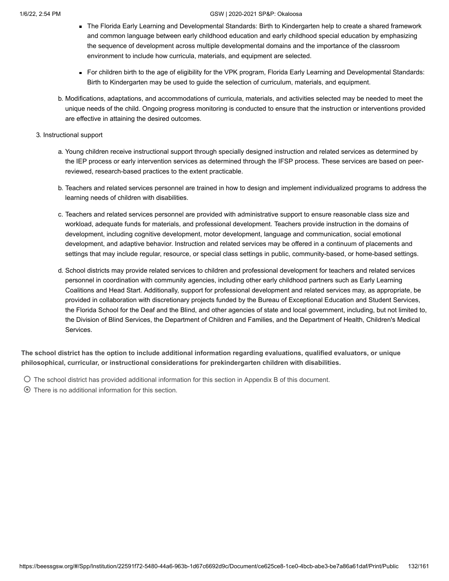- The Florida Early Learning and Developmental Standards: Birth to Kindergarten help to create a shared framework and common language between early childhood education and early childhood special education by emphasizing the sequence of development across multiple developmental domains and the importance of the classroom environment to include how curricula, materials, and equipment are selected.
- For children birth to the age of eligibility for the VPK program, Florida Early Learning and Developmental Standards: Birth to Kindergarten may be used to guide the selection of curriculum, materials, and equipment.
- b. Modifications, adaptations, and accommodations of curricula, materials, and activities selected may be needed to meet the unique needs of the child. Ongoing progress monitoring is conducted to ensure that the instruction or interventions provided are effective in attaining the desired outcomes.
- 3. Instructional support
	- a. Young children receive instructional support through specially designed instruction and related services as determined by the IEP process or early intervention services as determined through the IFSP process. These services are based on peerreviewed, research-based practices to the extent practicable.
	- b. Teachers and related services personnel are trained in how to design and implement individualized programs to address the learning needs of children with disabilities.
	- c. Teachers and related services personnel are provided with administrative support to ensure reasonable class size and workload, adequate funds for materials, and professional development. Teachers provide instruction in the domains of development, including cognitive development, motor development, language and communication, social emotional development, and adaptive behavior. Instruction and related services may be offered in a continuum of placements and settings that may include regular, resource, or special class settings in public, community-based, or home-based settings.
	- d. School districts may provide related services to children and professional development for teachers and related services personnel in coordination with community agencies, including other early childhood partners such as Early Learning Coalitions and Head Start. Additionally, support for professional development and related services may, as appropriate, be provided in collaboration with discretionary projects funded by the Bureau of Exceptional Education and Student Services, the Florida School for the Deaf and the Blind, and other agencies of state and local government, including, but not limited to, the Division of Blind Services, the Department of Children and Families, and the Department of Health, Children's Medical Services.

**The school district has the option to include additional information regarding evaluations, qualified evaluators, or unique philosophical, curricular, or instructional considerations for prekindergarten children with disabilities.**

 $\bigcirc$  The school district has provided additional information for this section in Appendix B of this document.

There is no additional information for this section.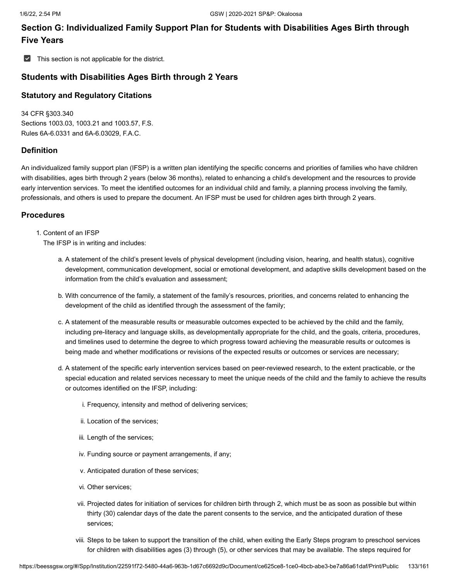# **Section G: Individualized Family Support Plan for Students with Disabilities Ages Birth through Five Years**

 $\triangleright$  This section is not applicable for the district.

## **Students with Disabilities Ages Birth through 2 Years**

### **Statutory and Regulatory Citations**

34 CFR §303.340 Sections 1003.03, 1003.21 and 1003.57, F.S. Rules 6A-6.0331 and 6A-6.03029, F.A.C.

### **Definition**

An individualized family support plan (IFSP) is a written plan identifying the specific concerns and priorities of families who have children with disabilities, ages birth through 2 years (below 36 months), related to enhancing a child's development and the resources to provide early intervention services. To meet the identified outcomes for an individual child and family, a planning process involving the family, professionals, and others is used to prepare the document. An IFSP must be used for children ages birth through 2 years.

### **Procedures**

#### 1. Content of an IFSP

The IFSP is in writing and includes:

- a. A statement of the child's present levels of physical development (including vision, hearing, and health status), cognitive development, communication development, social or emotional development, and adaptive skills development based on the information from the child's evaluation and assessment;
- b. With concurrence of the family, a statement of the family's resources, priorities, and concerns related to enhancing the development of the child as identified through the assessment of the family;
- c. A statement of the measurable results or measurable outcomes expected to be achieved by the child and the family, including pre-literacy and language skills, as developmentally appropriate for the child, and the goals, criteria, procedures, and timelines used to determine the degree to which progress toward achieving the measurable results or outcomes is being made and whether modifications or revisions of the expected results or outcomes or services are necessary;
- d. A statement of the specific early intervention services based on peer-reviewed research, to the extent practicable, or the special education and related services necessary to meet the unique needs of the child and the family to achieve the results or outcomes identified on the IFSP, including:
	- i. Frequency, intensity and method of delivering services;
	- ii. Location of the services;
	- iii. Length of the services;
	- iv. Funding source or payment arrangements, if any;
	- v. Anticipated duration of these services;
	- vi. Other services;
	- vii. Projected dates for initiation of services for children birth through 2, which must be as soon as possible but within thirty (30) calendar days of the date the parent consents to the service, and the anticipated duration of these services;
	- viii. Steps to be taken to support the transition of the child, when exiting the Early Steps program to preschool services for children with disabilities ages (3) through (5), or other services that may be available. The steps required for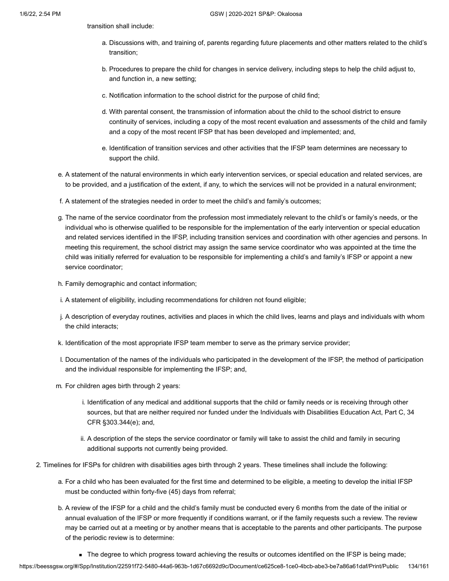transition shall include:

- a. Discussions with, and training of, parents regarding future placements and other matters related to the child's transition;
- b. Procedures to prepare the child for changes in service delivery, including steps to help the child adjust to, and function in, a new setting;
- c. Notification information to the school district for the purpose of child find;
- d. With parental consent, the transmission of information about the child to the school district to ensure continuity of services, including a copy of the most recent evaluation and assessments of the child and family and a copy of the most recent IFSP that has been developed and implemented; and,
- e. Identification of transition services and other activities that the IFSP team determines are necessary to support the child.
- e. A statement of the natural environments in which early intervention services, or special education and related services, are to be provided, and a justification of the extent, if any, to which the services will not be provided in a natural environment;
- f. A statement of the strategies needed in order to meet the child's and family's outcomes;
- g. The name of the service coordinator from the profession most immediately relevant to the child's or family's needs, or the individual who is otherwise qualified to be responsible for the implementation of the early intervention or special education and related services identified in the IFSP, including transition services and coordination with other agencies and persons. In meeting this requirement, the school district may assign the same service coordinator who was appointed at the time the child was initially referred for evaluation to be responsible for implementing a child's and family's IFSP or appoint a new service coordinator;
- h. Family demographic and contact information;
- i. A statement of eligibility, including recommendations for children not found eligible;
- j. A description of everyday routines, activities and places in which the child lives, learns and plays and individuals with whom the child interacts;
- k. Identification of the most appropriate IFSP team member to serve as the primary service provider;
- l. Documentation of the names of the individuals who participated in the development of the IFSP, the method of participation and the individual responsible for implementing the IFSP; and,
- m. For children ages birth through 2 years:
	- i. Identification of any medical and additional supports that the child or family needs or is receiving through other sources, but that are neither required nor funded under the Individuals with Disabilities Education Act, Part C, 34 CFR §303.344(e); and,
	- ii. A description of the steps the service coordinator or family will take to assist the child and family in securing additional supports not currently being provided.
- 2. Timelines for IFSPs for children with disabilities ages birth through 2 years. These timelines shall include the following:
	- a. For a child who has been evaluated for the first time and determined to be eligible, a meeting to develop the initial IFSP must be conducted within forty-five (45) days from referral;
	- b. A review of the IFSP for a child and the child's family must be conducted every 6 months from the date of the initial or annual evaluation of the IFSP or more frequently if conditions warrant, or if the family requests such a review. The review may be carried out at a meeting or by another means that is acceptable to the parents and other participants. The purpose of the periodic review is to determine:
		- The degree to which progress toward achieving the results or outcomes identified on the IFSP is being made;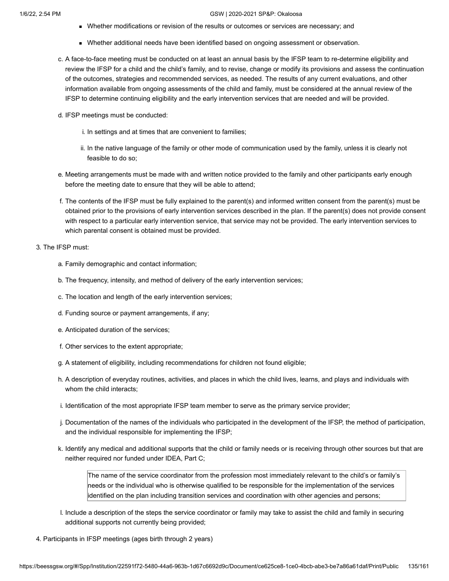- Whether modifications or revision of the results or outcomes or services are necessary; and
- Whether additional needs have been identified based on ongoing assessment or observation.
- c. A face-to-face meeting must be conducted on at least an annual basis by the IFSP team to re-determine eligibility and review the IFSP for a child and the child's family, and to revise, change or modify its provisions and assess the continuation of the outcomes, strategies and recommended services, as needed. The results of any current evaluations, and other information available from ongoing assessments of the child and family, must be considered at the annual review of the IFSP to determine continuing eligibility and the early intervention services that are needed and will be provided.
- d. IFSP meetings must be conducted:
	- i. In settings and at times that are convenient to families;
	- ii. In the native language of the family or other mode of communication used by the family, unless it is clearly not feasible to do so;
- e. Meeting arrangements must be made with and written notice provided to the family and other participants early enough before the meeting date to ensure that they will be able to attend;
- f. The contents of the IFSP must be fully explained to the parent(s) and informed written consent from the parent(s) must be obtained prior to the provisions of early intervention services described in the plan. If the parent(s) does not provide consent with respect to a particular early intervention service, that service may not be provided. The early intervention services to which parental consent is obtained must be provided.

#### 3. The IFSP must:

- a. Family demographic and contact information;
- b. The frequency, intensity, and method of delivery of the early intervention services;
- c. The location and length of the early intervention services;
- d. Funding source or payment arrangements, if any;
- e. Anticipated duration of the services;
- f. Other services to the extent appropriate;
- g. A statement of eligibility, including recommendations for children not found eligible;
- h. A description of everyday routines, activities, and places in which the child lives, learns, and plays and individuals with whom the child interacts;
- i. Identification of the most appropriate IFSP team member to serve as the primary service provider;
- j. Documentation of the names of the individuals who participated in the development of the IFSP, the method of participation, and the individual responsible for implementing the IFSP;
- k. Identify any medical and additional supports that the child or family needs or is receiving through other sources but that are neither required nor funded under IDEA, Part C;

The name of the service coordinator from the profession most immediately relevant to the child's or family's needs or the individual who is otherwise qualified to be responsible for the implementation of the services identified on the plan including transition services and coordination with other agencies and persons;

- l. Include a description of the steps the service coordinator or family may take to assist the child and family in securing additional supports not currently being provided;
- 4. Participants in IFSP meetings (ages birth through 2 years)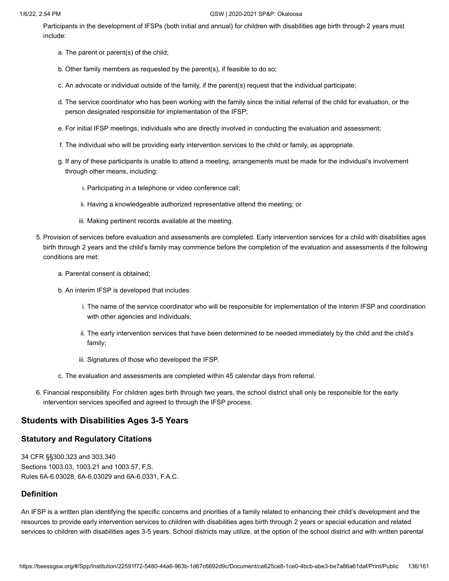Participants in the development of IFSPs (both initial and annual) for children with disabilities age birth through 2 years must include:

- a. The parent or parent(s) of the child;
- b. Other family members as requested by the parent(s), if feasible to do so;
- c. An advocate or individual outside of the family, if the parent(s) request that the individual participate;
- d. The service coordinator who has been working with the family since the initial referral of the child for evaluation, or the person designated responsible for implementation of the IFSP;
- e. For initial IFSP meetings, individuals who are directly involved in conducting the evaluation and assessment;
- f. The individual who will be providing early intervention services to the child or family, as appropriate.
- g. If any of these participants is unable to attend a meeting, arrangements must be made for the individual's involvement through other means, including:
	- i. Participating in a telephone or video conference call;
	- ii. Having a knowledgeable authorized representative attend the meeting; or
	- iii. Making pertinent records available at the meeting.
- 5. Provision of services before evaluation and assessments are completed. Early intervention services for a child with disabilities ages birth through 2 years and the child's family may commence before the completion of the evaluation and assessments if the following conditions are met:
	- a. Parental consent is obtained;
	- b. An interim IFSP is developed that includes:
		- i. The name of the service coordinator who will be responsible for implementation of the interim IFSP and coordination with other agencies and individuals;
		- ii. The early intervention services that have been determined to be needed immediately by the child and the child's family;
		- iii. Signatures of those who developed the IFSP.
	- c. The evaluation and assessments are completed within 45 calendar days from referral.
- 6. Financial responsibility. For children ages birth through two years, the school district shall only be responsible for the early intervention services specified and agreed to through the IFSP process.

### **Students with Disabilities Ages 3-5 Years**

### **Statutory and Regulatory Citations**

34 CFR §§300.323 and 303.340 Sections 1003.03, 1003.21 and 1003.57, F.S. Rules 6A-6.03028, 6A-6.03029 and 6A-6.0331, F.A.C.

### **Definition**

An IFSP is a written plan identifying the specific concerns and priorities of a family related to enhancing their child's development and the resources to provide early intervention services to children with disabilities ages birth through 2 years or special education and related services to children with disabilities ages 3-5 years. School districts may utilize, at the option of the school district and with written parental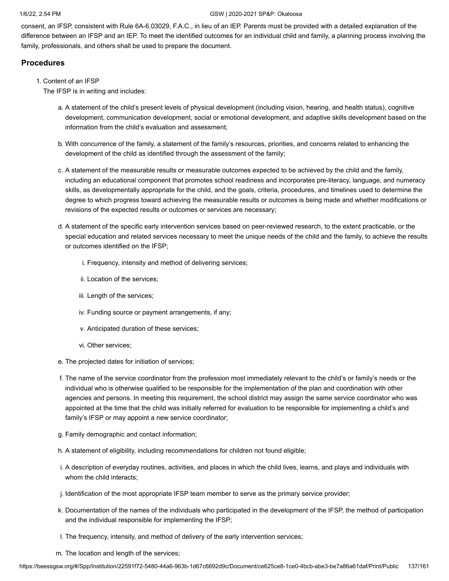consent, an IFSP, consistent with Rule 6A-6.03029, F.A.C., in lieu of an IEP. Parents must be provided with a detailed explanation of the difference between an IFSP and an IEP. To meet the identified outcomes for an individual child and family, a planning process involving the family, professionals, and others shall be used to prepare the document.

### **Procedures**

1. Content of an IFSP

The IFSP is in writing and includes:

- a. A statement of the child's present levels of physical development (including vision, hearing, and health status), cognitive development, communication development, social or emotional development, and adaptive skills development based on the information from the child's evaluation and assessment;
- b. With concurrence of the family, a statement of the family's resources, priorities, and concerns related to enhancing the development of the child as identified through the assessment of the family;
- c. A statement of the measurable results or measurable outcomes expected to be achieved by the child and the family, including an educational component that promotes school readiness and incorporates pre-literacy, language, and numeracy skills, as developmentally appropriate for the child, and the goals, criteria, procedures, and timelines used to determine the degree to which progress toward achieving the measurable results or outcomes is being made and whether modifications or revisions of the expected results or outcomes or services are necessary;
- d. A statement of the specific early intervention services based on peer-reviewed research, to the extent practicable, or the special education and related services necessary to meet the unique needs of the child and the family, to achieve the results or outcomes identified on the IFSP;
	- i. Frequency, intensity and method of delivering services;
	- ii. Location of the services;
	- iii. Length of the services;
	- iv. Funding source or payment arrangements, if any;
	- v. Anticipated duration of these services;
	- vi. Other services;
- e. The projected dates for initiation of services;
- f. The name of the service coordinator from the profession most immediately relevant to the child's or family's needs or the individual who is otherwise qualified to be responsible for the implementation of the plan and coordination with other agencies and persons. In meeting this requirement, the school district may assign the same service coordinator who was appointed at the time that the child was initially referred for evaluation to be responsible for implementing a child's and family's IFSP or may appoint a new service coordinator;
- g. Family demographic and contact information;
- h. A statement of eligibility, including recommendations for children not found eligible;
- i. A description of everyday routines, activities, and places in which the child lives, learns, and plays and individuals with whom the child interacts;
- j. Identification of the most appropriate IFSP team member to serve as the primary service provider;
- k. Documentation of the names of the individuals who participated in the development of the IFSP, the method of participation and the individual responsible for implementing the IFSP;
- l. The frequency, intensity, and method of delivery of the early intervention services;
- m. The location and length of the services;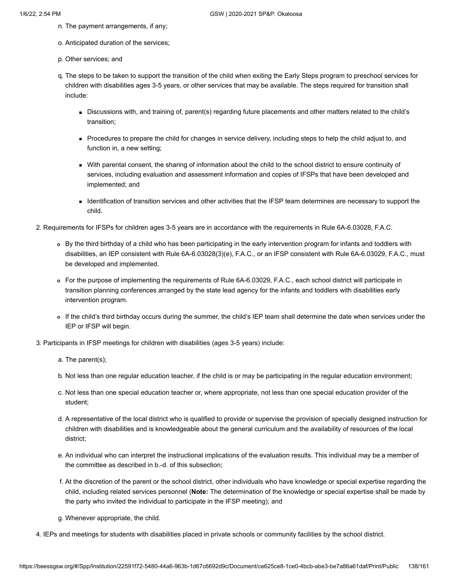- n. The payment arrangements, if any;
- o. Anticipated duration of the services;
- p. Other services; and
- q. The steps to be taken to support the transition of the child when exiting the Early Steps program to preschool services for children with disabilities ages 3-5 years, or other services that may be available. The steps required for transition shall include:
	- Discussions with, and training of, parent(s) regarding future placements and other matters related to the child's transition;
	- Procedures to prepare the child for changes in service delivery, including steps to help the child adjust to, and function in, a new setting;
	- With parental consent, the sharing of information about the child to the school district to ensure continuity of services, including evaluation and assessment information and copies of IFSPs that have been developed and implemented; and
	- Identification of transition services and other activities that the IFSP team determines are necessary to support the child.
- 2. Requirements for IFSPs for children ages 3-5 years are in accordance with the requirements in Rule 6A-6.03028, F.A.C.
	- By the third birthday of a child who has been participating in the early intervention program for infants and toddlers with disabilities, an IEP consistent with Rule 6A-6.03028(3)(e), F.A.C., or an IFSP consistent with Rule 6A-6.03029, F.A.C., must be developed and implemented.
	- For the purpose of implementing the requirements of Rule 6A-6.03029, F.A.C., each school district will participate in transition planning conferences arranged by the state lead agency for the infants and toddlers with disabilities early intervention program.
	- If the child's third birthday occurs during the summer, the child's IEP team shall determine the date when services under the IEP or IFSP will begin.
- 3. Participants in IFSP meetings for children with disabilities (ages 3-5 years) include:
	- a. The parent(s);
	- b. Not less than one regular education teacher, if the child is or may be participating in the regular education environment;
	- c. Not less than one special education teacher or, where appropriate, not less than one special education provider of the student;
	- d. A representative of the local district who is qualified to provide or supervise the provision of specially designed instruction for children with disabilities and is knowledgeable about the general curriculum and the availability of resources of the local district;
	- e. An individual who can interpret the instructional implications of the evaluation results. This individual may be a member of the committee as described in b.-d. of this subsection;
	- f. At the discretion of the parent or the school district, other individuals who have knowledge or special expertise regarding the child, including related services personnel (**Note:** The determination of the knowledge or special expertise shall be made by the party who invited the individual to participate in the IFSP meeting); and
	- g. Whenever appropriate, the child.
- 4. IEPs and meetings for students with disabilities placed in private schools or community facilities by the school district.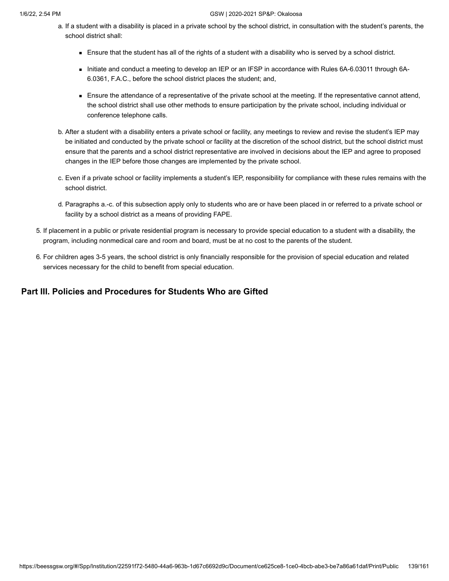- a. If a student with a disability is placed in a private school by the school district, in consultation with the student's parents, the school district shall:
	- Ensure that the student has all of the rights of a student with a disability who is served by a school district.
	- Initiate and conduct a meeting to develop an IEP or an IFSP in accordance with Rules 6A-6.03011 through 6A-6.0361, F.A.C., before the school district places the student; and,
	- **Ensure the attendance of a representative of the private school at the meeting. If the representative cannot attend,** the school district shall use other methods to ensure participation by the private school, including individual or conference telephone calls.
- b. After a student with a disability enters a private school or facility, any meetings to review and revise the student's IEP may be initiated and conducted by the private school or facility at the discretion of the school district, but the school district must ensure that the parents and a school district representative are involved in decisions about the IEP and agree to proposed changes in the IEP before those changes are implemented by the private school.
- c. Even if a private school or facility implements a student's IEP, responsibility for compliance with these rules remains with the school district.
- d. Paragraphs a.-c. of this subsection apply only to students who are or have been placed in or referred to a private school or facility by a school district as a means of providing FAPE.
- 5. If placement in a public or private residential program is necessary to provide special education to a student with a disability, the program, including nonmedical care and room and board, must be at no cost to the parents of the student.
- 6. For children ages 3-5 years, the school district is only financially responsible for the provision of special education and related services necessary for the child to benefit from special education.

## **Part III. Policies and Procedures for Students Who are Gifted**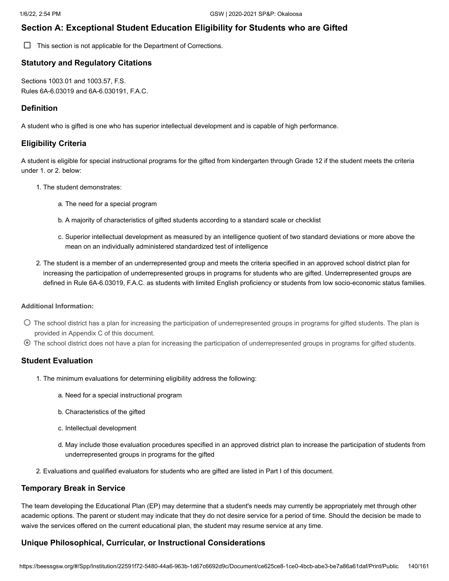### **Section A: Exceptional Student Education Eligibility for Students who are Gifted**

 $\Box$  This section is not applicable for the Department of Corrections.

### **Statutory and Regulatory Citations**

Sections 1003.01 and 1003.57, F.S. Rules 6A-6.03019 and 6A-6.030191, F.A.C.

### **Definition**

A student who is gifted is one who has superior intellectual development and is capable of high performance.

### **Eligibility Criteria**

A student is eligible for special instructional programs for the gifted from kindergarten through Grade 12 if the student meets the criteria under 1. or 2. below:

- 1. The student demonstrates:
	- a. The need for a special program
	- b. A majority of characteristics of gifted students according to a standard scale or checklist
	- c. Superior intellectual development as measured by an intelligence quotient of two standard deviations or more above the mean on an individually administered standardized test of intelligence
- 2. The student is a member of an underrepresented group and meets the criteria specified in an approved school district plan for increasing the participation of underrepresented groups in programs for students who are gifted. Underrepresented groups are defined in Rule 6A-6.03019, F.A.C. as students with limited English proficiency or students from low socio-economic status families.

#### **Additional Information:**

- $\bigcirc$  The school district has a plan for increasing the participation of underrepresented groups in programs for gifted students. The plan is provided in Appendix C of this document.
- The school district does not have a plan for increasing the participation of underrepresented groups in programs for gifted students.

### **Student Evaluation**

- 1. The minimum evaluations for determining eligibility address the following:
	- a. Need for a special instructional program
	- b. Characteristics of the gifted
	- c. Intellectual development
	- d. May include those evaluation procedures specified in an approved district plan to increase the participation of students from underrepresented groups in programs for the gifted
- 2. Evaluations and qualified evaluators for students who are gifted are listed in Part I of this document.

#### **Temporary Break in Service**

The team developing the Educational Plan (EP) may determine that a student's needs may currently be appropriately met through other academic options. The parent or student may indicate that they do not desire service for a period of time. Should the decision be made to waive the services offered on the current educational plan, the student may resume service at any time.

### **Unique Philosophical, Curricular, or Instructional Considerations**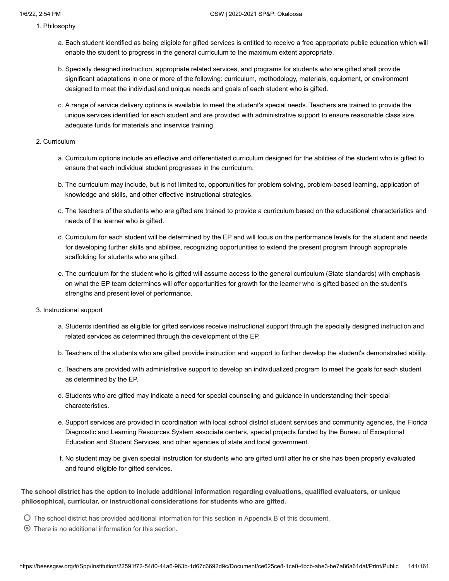1. Philosophy

- a. Each student identified as being eligible for gifted services is entitled to receive a free appropriate public education which will enable the student to progress in the general curriculum to the maximum extent appropriate.
- b. Specially designed instruction, appropriate related services, and programs for students who are gifted shall provide significant adaptations in one or more of the following: curriculum, methodology, materials, equipment, or environment designed to meet the individual and unique needs and goals of each student who is gifted.
- c. A range of service delivery options is available to meet the student's special needs. Teachers are trained to provide the unique services identified for each student and are provided with administrative support to ensure reasonable class size, adequate funds for materials and inservice training.

#### 2. Curriculum

- a. Curriculum options include an effective and differentiated curriculum designed for the abilities of the student who is gifted to ensure that each individual student progresses in the curriculum.
- b. The curriculum may include, but is not limited to, opportunities for problem solving, problem-based learning, application of knowledge and skills, and other effective instructional strategies.
- c. The teachers of the students who are gifted are trained to provide a curriculum based on the educational characteristics and needs of the learner who is gifted.
- d. Curriculum for each student will be determined by the EP and will focus on the performance levels for the student and needs for developing further skills and abilities, recognizing opportunities to extend the present program through appropriate scaffolding for students who are gifted.
- e. The curriculum for the student who is gifted will assume access to the general curriculum (State standards) with emphasis on what the EP team determines will offer opportunities for growth for the learner who is gifted based on the student's strengths and present level of performance.
- 3. Instructional support
	- a. Students identified as eligible for gifted services receive instructional support through the specially designed instruction and related services as determined through the development of the EP.
	- b. Teachers of the students who are gifted provide instruction and support to further develop the student's demonstrated ability.
	- c. Teachers are provided with administrative support to develop an individualized program to meet the goals for each student as determined by the EP.
	- d. Students who are gifted may indicate a need for special counseling and guidance in understanding their special characteristics.
	- e. Support services are provided in coordination with local school district student services and community agencies, the Florida Diagnostic and Learning Resources System associate centers, special projects funded by the Bureau of Exceptional Education and Student Services, and other agencies of state and local government.
	- f. No student may be given special instruction for students who are gifted until after he or she has been properly evaluated and found eligible for gifted services.

**The school district has the option to include additional information regarding evaluations, qualified evaluators, or unique philosophical, curricular, or instructional considerations for students who are gifted.**

- $\bigcirc$  The school district has provided additional information for this section in Appendix B of this document.
- There is no additional information for this section.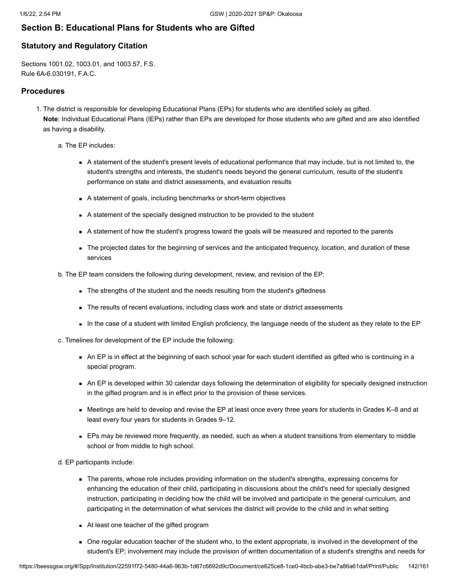### **Section B: Educational Plans for Students who are Gifted**

### **Statutory and Regulatory Citation**

Sections 1001.02, 1003.01, and 1003.57, F.S. Rule 6A-6.030191, F.A.C.

#### **Procedures**

- 1. The district is responsible for developing Educational Plans (EPs) for students who are identified solely as gifted. **Note**: Individual Educational Plans (IEPs) rather than EPs are developed for those students who are gifted and are also identified as having a disability.
	- a. The EP includes:
		- A statement of the student's present levels of educational performance that may include, but is not limited to, the student's strengths and interests, the student's needs beyond the general curriculum, results of the student's performance on state and district assessments, and evaluation results
		- A statement of goals, including benchmarks or short-term objectives
		- A statement of the specially designed instruction to be provided to the student
		- A statement of how the student's progress toward the goals will be measured and reported to the parents
		- The projected dates for the beginning of services and the anticipated frequency, location, and duration of these services
	- b. The EP team considers the following during development, review, and revision of the EP:
		- **The strengths of the student and the needs resulting from the student's giftedness**
		- The results of recent evaluations, including class work and state or district assessments
		- In the case of a student with limited English proficiency, the language needs of the student as they relate to the EP
	- c. Timelines for development of the EP include the following:
		- An EP is in effect at the beginning of each school year for each student identified as gifted who is continuing in a special program.
		- An EP is developed within 30 calendar days following the determination of eligibility for specially designed instruction in the gifted program and is in effect prior to the provision of these services.
		- Meetings are held to develop and revise the EP at least once every three years for students in Grades K–8 and at least every four years for students in Grades 9–12.
		- EPs may be reviewed more frequently, as needed, such as when a student transitions from elementary to middle school or from middle to high school.
	- d. EP participants include:
		- The parents, whose role includes providing information on the student's strengths, expressing concerns for enhancing the education of their child, participating in discussions about the child's need for specially designed instruction, participating in deciding how the child will be involved and participate in the general curriculum, and participating in the determination of what services the district will provide to the child and in what setting
		- At least one teacher of the gifted program
		- One regular education teacher of the student who, to the extent appropriate, is involved in the development of the student's EP; involvement may include the provision of written documentation of a student's strengths and needs for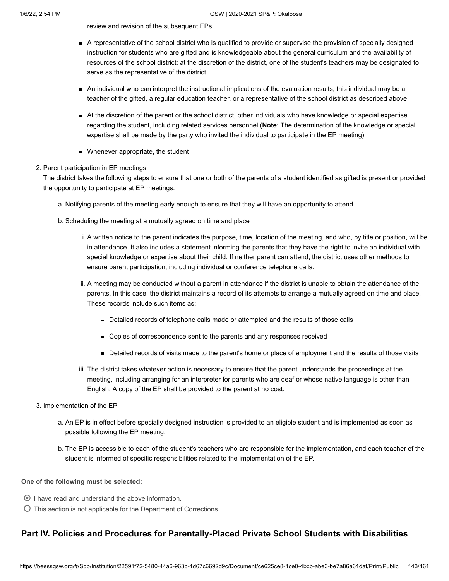review and revision of the subsequent EPs

- A representative of the school district who is qualified to provide or supervise the provision of specially designed instruction for students who are gifted and is knowledgeable about the general curriculum and the availability of resources of the school district; at the discretion of the district, one of the student's teachers may be designated to serve as the representative of the district
- An individual who can interpret the instructional implications of the evaluation results; this individual may be a teacher of the gifted, a regular education teacher, or a representative of the school district as described above
- At the discretion of the parent or the school district, other individuals who have knowledge or special expertise regarding the student, including related services personnel (**Note**: The determination of the knowledge or special expertise shall be made by the party who invited the individual to participate in the EP meeting)
- Whenever appropriate, the student

#### 2. Parent participation in EP meetings

The district takes the following steps to ensure that one or both of the parents of a student identified as gifted is present or provided the opportunity to participate at EP meetings:

- a. Notifying parents of the meeting early enough to ensure that they will have an opportunity to attend
- b. Scheduling the meeting at a mutually agreed on time and place
	- i. A written notice to the parent indicates the purpose, time, location of the meeting, and who, by title or position, will be in attendance. It also includes a statement informing the parents that they have the right to invite an individual with special knowledge or expertise about their child. If neither parent can attend, the district uses other methods to ensure parent participation, including individual or conference telephone calls.
	- ii. A meeting may be conducted without a parent in attendance if the district is unable to obtain the attendance of the parents. In this case, the district maintains a record of its attempts to arrange a mutually agreed on time and place. These records include such items as:
		- **Detailed records of telephone calls made or attempted and the results of those calls**
		- Copies of correspondence sent to the parents and any responses received
		- Detailed records of visits made to the parent's home or place of employment and the results of those visits
	- iii. The district takes whatever action is necessary to ensure that the parent understands the proceedings at the meeting, including arranging for an interpreter for parents who are deaf or whose native language is other than English. A copy of the EP shall be provided to the parent at no cost.
- 3. Implementation of the EP
	- a. An EP is in effect before specially designed instruction is provided to an eligible student and is implemented as soon as possible following the EP meeting.
	- b. The EP is accessible to each of the student's teachers who are responsible for the implementation, and each teacher of the student is informed of specific responsibilities related to the implementation of the EP.

#### **One of the following must be selected:**

- I have read and understand the above information.
- $\bigcirc$  This section is not applicable for the Department of Corrections.

# **Part IV. Policies and Procedures for Parentally-Placed Private School Students with Disabilities**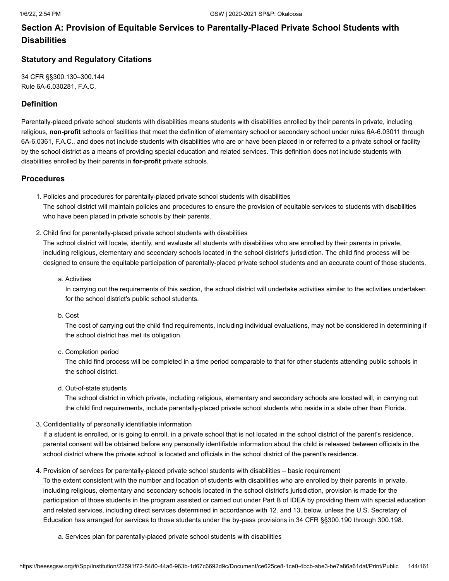# **Section A: Provision of Equitable Services to Parentally-Placed Private School Students with Disabilities**

## **Statutory and Regulatory Citations**

34 CFR §§300.130–300.144 Rule 6A-6.030281, F.A.C.

### **Definition**

Parentally-placed private school students with disabilities means students with disabilities enrolled by their parents in private, including religious, **non-profit** schools or facilities that meet the definition of elementary school or secondary school under rules 6A-6.03011 through 6A-6.0361, F.A.C., and does not include students with disabilities who are or have been placed in or referred to a private school or facility by the school district as a means of providing special education and related services. This definition does not include students with disabilities enrolled by their parents in **for-profit** private schools.

### **Procedures**

- 1. Policies and procedures for parentally-placed private school students with disabilities The school district will maintain policies and procedures to ensure the provision of equitable services to students with disabilities who have been placed in private schools by their parents.
- 2. Child find for parentally-placed private school students with disabilities

The school district will locate, identify, and evaluate all students with disabilities who are enrolled by their parents in private, including religious, elementary and secondary schools located in the school district's jurisdiction. The child find process will be designed to ensure the equitable participation of parentally-placed private school students and an accurate count of those students.

a. Activities

In carrying out the requirements of this section, the school district will undertake activities similar to the activities undertaken for the school district's public school students.

b. Cost

The cost of carrying out the child find requirements, including individual evaluations, may not be considered in determining if the school district has met its obligation.

c. Completion period

The child find process will be completed in a time period comparable to that for other students attending public schools in the school district.

d. Out-of-state students

The school district in which private, including religious, elementary and secondary schools are located will, in carrying out the child find requirements, include parentally-placed private school students who reside in a state other than Florida.

### 3. Confidentiality of personally identifiable information

If a student is enrolled, or is going to enroll, in a private school that is not located in the school district of the parent's residence, parental consent will be obtained before any personally identifiable information about the child is released between officials in the school district where the private school is located and officials in the school district of the parent's residence.

#### 4. Provision of services for parentally-placed private school students with disabilities – basic requirement

To the extent consistent with the number and location of students with disabilities who are enrolled by their parents in private, including religious, elementary and secondary schools located in the school district's jurisdiction, provision is made for the participation of those students in the program assisted or carried out under Part B of IDEA by providing them with special education and related services, including direct services determined in accordance with 12. and 13. below, unless the U.S. Secretary of Education has arranged for services to those students under the by-pass provisions in 34 CFR §§300.190 through 300.198.

a. Services plan for parentally-placed private school students with disabilities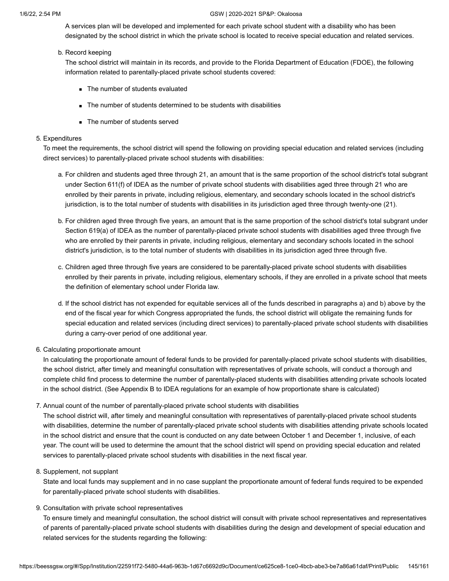A services plan will be developed and implemented for each private school student with a disability who has been designated by the school district in which the private school is located to receive special education and related services.

### b. Record keeping

The school district will maintain in its records, and provide to the Florida Department of Education (FDOE), the following information related to parentally-placed private school students covered:

- **The number of students evaluated**
- The number of students determined to be students with disabilities
- The number of students served

### 5. Expenditures

To meet the requirements, the school district will spend the following on providing special education and related services (including direct services) to parentally-placed private school students with disabilities:

- a. For children and students aged three through 21, an amount that is the same proportion of the school district's total subgrant under Section 611(f) of IDEA as the number of private school students with disabilities aged three through 21 who are enrolled by their parents in private, including religious, elementary, and secondary schools located in the school district's jurisdiction, is to the total number of students with disabilities in its jurisdiction aged three through twenty-one (21).
- b. For children aged three through five years, an amount that is the same proportion of the school district's total subgrant under Section 619(a) of IDEA as the number of parentally-placed private school students with disabilities aged three through five who are enrolled by their parents in private, including religious, elementary and secondary schools located in the school district's jurisdiction, is to the total number of students with disabilities in its jurisdiction aged three through five.
- c. Children aged three through five years are considered to be parentally-placed private school students with disabilities enrolled by their parents in private, including religious, elementary schools, if they are enrolled in a private school that meets the definition of elementary school under Florida law.
- d. If the school district has not expended for equitable services all of the funds described in paragraphs a) and b) above by the end of the fiscal year for which Congress appropriated the funds, the school district will obligate the remaining funds for special education and related services (including direct services) to parentally-placed private school students with disabilities during a carry-over period of one additional year.

### 6. Calculating proportionate amount

In calculating the proportionate amount of federal funds to be provided for parentally-placed private school students with disabilities, the school district, after timely and meaningful consultation with representatives of private schools, will conduct a thorough and complete child find process to determine the number of parentally-placed students with disabilities attending private schools located in the school district. (See Appendix B to IDEA regulations for an example of how proportionate share is calculated)

#### 7. Annual count of the number of parentally-placed private school students with disabilities

The school district will, after timely and meaningful consultation with representatives of parentally-placed private school students with disabilities, determine the number of parentally-placed private school students with disabilities attending private schools located in the school district and ensure that the count is conducted on any date between October 1 and December 1, inclusive, of each year. The count will be used to determine the amount that the school district will spend on providing special education and related services to parentally-placed private school students with disabilities in the next fiscal year.

### 8. Supplement, not supplant

State and local funds may supplement and in no case supplant the proportionate amount of federal funds required to be expended for parentally-placed private school students with disabilities.

### 9. Consultation with private school representatives

To ensure timely and meaningful consultation, the school district will consult with private school representatives and representatives of parents of parentally-placed private school students with disabilities during the design and development of special education and related services for the students regarding the following: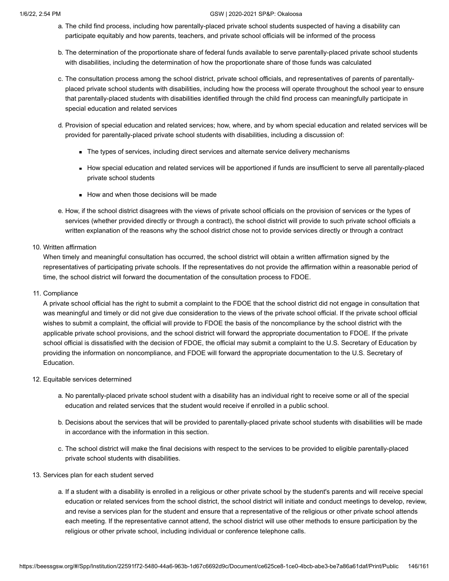#### 1/6/22, 2:54 PM GSW | 2020-2021 SP&P: Okaloosa

- a. The child find process, including how parentally-placed private school students suspected of having a disability can participate equitably and how parents, teachers, and private school officials will be informed of the process
- b. The determination of the proportionate share of federal funds available to serve parentally-placed private school students with disabilities, including the determination of how the proportionate share of those funds was calculated
- c. The consultation process among the school district, private school officials, and representatives of parents of parentallyplaced private school students with disabilities, including how the process will operate throughout the school year to ensure that parentally-placed students with disabilities identified through the child find process can meaningfully participate in special education and related services
- d. Provision of special education and related services; how, where, and by whom special education and related services will be provided for parentally-placed private school students with disabilities, including a discussion of:
	- The types of services, including direct services and alternate service delivery mechanisms
	- How special education and related services will be apportioned if funds are insufficient to serve all parentally-placed private school students
	- How and when those decisions will be made
- e. How, if the school district disagrees with the views of private school officials on the provision of services or the types of services (whether provided directly or through a contract), the school district will provide to such private school officials a written explanation of the reasons why the school district chose not to provide services directly or through a contract
- 10. Written affirmation

When timely and meaningful consultation has occurred, the school district will obtain a written affirmation signed by the representatives of participating private schools. If the representatives do not provide the affirmation within a reasonable period of time, the school district will forward the documentation of the consultation process to FDOE.

#### 11. Compliance

A private school official has the right to submit a complaint to the FDOE that the school district did not engage in consultation that was meaningful and timely or did not give due consideration to the views of the private school official. If the private school official wishes to submit a complaint, the official will provide to FDOE the basis of the noncompliance by the school district with the applicable private school provisions, and the school district will forward the appropriate documentation to FDOE. If the private school official is dissatisfied with the decision of FDOE, the official may submit a complaint to the U.S. Secretary of Education by providing the information on noncompliance, and FDOE will forward the appropriate documentation to the U.S. Secretary of Education.

- 12. Equitable services determined
	- a. No parentally-placed private school student with a disability has an individual right to receive some or all of the special education and related services that the student would receive if enrolled in a public school.
	- b. Decisions about the services that will be provided to parentally-placed private school students with disabilities will be made in accordance with the information in this section.
	- c. The school district will make the final decisions with respect to the services to be provided to eligible parentally-placed private school students with disabilities.
- 13. Services plan for each student served
	- a. If a student with a disability is enrolled in a religious or other private school by the student's parents and will receive special education or related services from the school district, the school district will initiate and conduct meetings to develop, review, and revise a services plan for the student and ensure that a representative of the religious or other private school attends each meeting. If the representative cannot attend, the school district will use other methods to ensure participation by the religious or other private school, including individual or conference telephone calls.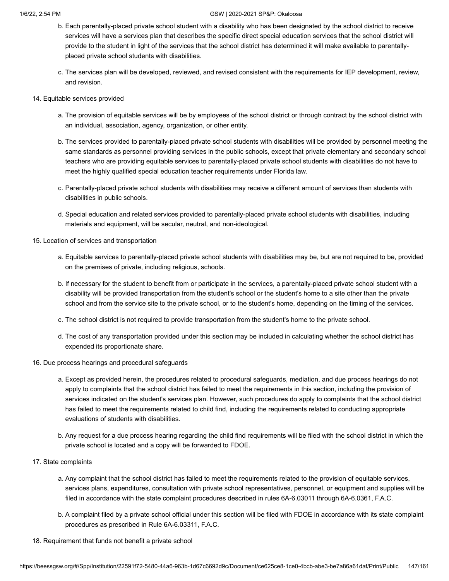#### 1/6/22, 2:54 PM GSW | 2020-2021 SP&P: Okaloosa

- b. Each parentally-placed private school student with a disability who has been designated by the school district to receive services will have a services plan that describes the specific direct special education services that the school district will provide to the student in light of the services that the school district has determined it will make available to parentallyplaced private school students with disabilities.
- c. The services plan will be developed, reviewed, and revised consistent with the requirements for IEP development, review, and revision.
- 14. Equitable services provided
	- a. The provision of equitable services will be by employees of the school district or through contract by the school district with an individual, association, agency, organization, or other entity.
	- b. The services provided to parentally-placed private school students with disabilities will be provided by personnel meeting the same standards as personnel providing services in the public schools, except that private elementary and secondary school teachers who are providing equitable services to parentally-placed private school students with disabilities do not have to meet the highly qualified special education teacher requirements under Florida law.
	- c. Parentally-placed private school students with disabilities may receive a different amount of services than students with disabilities in public schools.
	- d. Special education and related services provided to parentally-placed private school students with disabilities, including materials and equipment, will be secular, neutral, and non-ideological.
- 15. Location of services and transportation
	- a. Equitable services to parentally-placed private school students with disabilities may be, but are not required to be, provided on the premises of private, including religious, schools.
	- b. If necessary for the student to benefit from or participate in the services, a parentally-placed private school student with a disability will be provided transportation from the student's school or the student's home to a site other than the private school and from the service site to the private school, or to the student's home, depending on the timing of the services.
	- c. The school district is not required to provide transportation from the student's home to the private school.
	- d. The cost of any transportation provided under this section may be included in calculating whether the school district has expended its proportionate share.
- 16. Due process hearings and procedural safeguards
	- a. Except as provided herein, the procedures related to procedural safeguards, mediation, and due process hearings do not apply to complaints that the school district has failed to meet the requirements in this section, including the provision of services indicated on the student's services plan. However, such procedures do apply to complaints that the school district has failed to meet the requirements related to child find, including the requirements related to conducting appropriate evaluations of students with disabilities.
	- b. Any request for a due process hearing regarding the child find requirements will be filed with the school district in which the private school is located and a copy will be forwarded to FDOE.
- 17. State complaints
	- a. Any complaint that the school district has failed to meet the requirements related to the provision of equitable services, services plans, expenditures, consultation with private school representatives, personnel, or equipment and supplies will be filed in accordance with the state complaint procedures described in rules 6A-6.03011 through 6A-6.0361, F.A.C.
	- b. A complaint filed by a private school official under this section will be filed with FDOE in accordance with its state complaint procedures as prescribed in Rule 6A-6.03311, F.A.C.
- 18. Requirement that funds not benefit a private school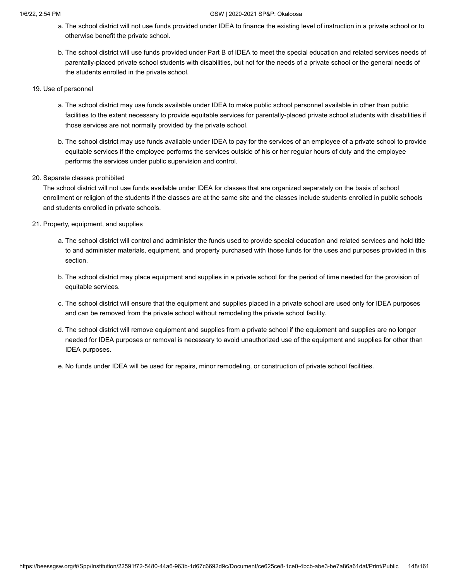- a. The school district will not use funds provided under IDEA to finance the existing level of instruction in a private school or to otherwise benefit the private school.
- b. The school district will use funds provided under Part B of IDEA to meet the special education and related services needs of parentally-placed private school students with disabilities, but not for the needs of a private school or the general needs of the students enrolled in the private school.
- 19. Use of personnel
	- a. The school district may use funds available under IDEA to make public school personnel available in other than public facilities to the extent necessary to provide equitable services for parentally-placed private school students with disabilities if those services are not normally provided by the private school.
	- b. The school district may use funds available under IDEA to pay for the services of an employee of a private school to provide equitable services if the employee performs the services outside of his or her regular hours of duty and the employee performs the services under public supervision and control.

#### 20. Separate classes prohibited

The school district will not use funds available under IDEA for classes that are organized separately on the basis of school enrollment or religion of the students if the classes are at the same site and the classes include students enrolled in public schools and students enrolled in private schools.

- 21. Property, equipment, and supplies
	- a. The school district will control and administer the funds used to provide special education and related services and hold title to and administer materials, equipment, and property purchased with those funds for the uses and purposes provided in this section.
	- b. The school district may place equipment and supplies in a private school for the period of time needed for the provision of equitable services.
	- c. The school district will ensure that the equipment and supplies placed in a private school are used only for IDEA purposes and can be removed from the private school without remodeling the private school facility.
	- d. The school district will remove equipment and supplies from a private school if the equipment and supplies are no longer needed for IDEA purposes or removal is necessary to avoid unauthorized use of the equipment and supplies for other than IDEA purposes.
	- e. No funds under IDEA will be used for repairs, minor remodeling, or construction of private school facilities.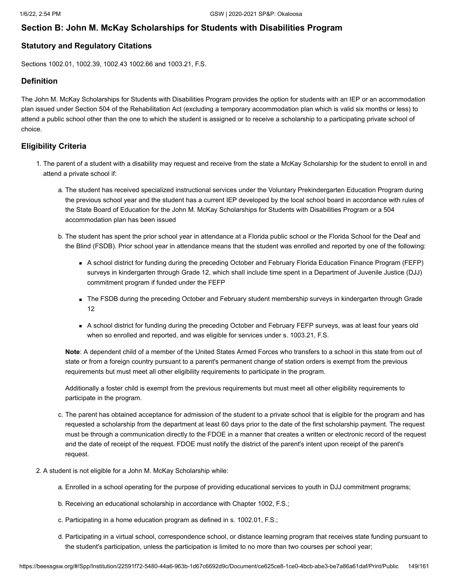# **Section B: John M. McKay Scholarships for Students with Disabilities Program**

### **Statutory and Regulatory Citations**

Sections 1002.01, 1002.39, 1002.43 1002.66 and 1003.21, F.S.

### **Definition**

The John M. McKay Scholarships for Students with Disabilities Program provides the option for students with an IEP or an accommodation plan issued under Section 504 of the Rehabilitation Act (excluding a temporary accommodation plan which is valid six months or less) to attend a public school other than the one to which the student is assigned or to receive a scholarship to a participating private school of choice.

### **Eligibility Criteria**

- 1. The parent of a student with a disability may request and receive from the state a McKay Scholarship for the student to enroll in and attend a private school if:
	- a. The student has received specialized instructional services under the Voluntary Prekindergarten Education Program during the previous school year and the student has a current IEP developed by the local school board in accordance with rules of the State Board of Education for the John M. McKay Scholarships for Students with Disabilities Program or a 504 accommodation plan has been issued
	- b. The student has spent the prior school year in attendance at a Florida public school or the Florida School for the Deaf and the Blind (FSDB). Prior school year in attendance means that the student was enrolled and reported by one of the following:
		- A school district for funding during the preceding October and February Florida Education Finance Program (FEFP) surveys in kindergarten through Grade 12, which shall include time spent in a Department of Juvenile Justice (DJJ) commitment program if funded under the FEFP
		- The FSDB during the preceding October and February student membership surveys in kindergarten through Grade 12
		- A school district for funding during the preceding October and February FEFP surveys, was at least four years old when so enrolled and reported, and was eligible for services under s. 1003.21, F.S.

**Note**: A dependent child of a member of the United States Armed Forces who transfers to a school in this state from out of state or from a foreign country pursuant to a parent's permanent change of station orders is exempt from the previous requirements but must meet all other eligibility requirements to participate in the program.

Additionally a foster child is exempt from the previous requirements but must meet all other eligibility requirements to participate in the program.

- c. The parent has obtained acceptance for admission of the student to a private school that is eligible for the program and has requested a scholarship from the department at least 60 days prior to the date of the first scholarship payment. The request must be through a communication directly to the FDOE in a manner that creates a written or electronic record of the request and the date of receipt of the request. FDOE must notify the district of the parent's intent upon receipt of the parent's request.
- 2. A student is not eligible for a John M. McKay Scholarship while:
	- a. Enrolled in a school operating for the purpose of providing educational services to youth in DJJ commitment programs;
	- b. Receiving an educational scholarship in accordance with Chapter 1002, F.S.;
	- c. Participating in a home education program as defined in s. 1002.01, F.S.;
	- d. Participating in a virtual school, correspondence school, or distance learning program that receives state funding pursuant to the student's participation, unless the participation is limited to no more than two courses per school year;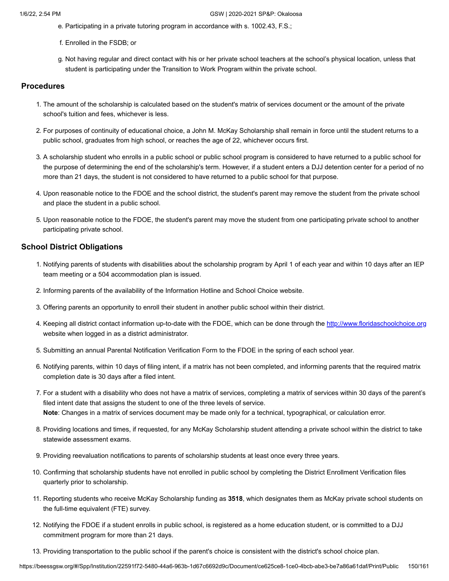- e. Participating in a private tutoring program in accordance with s. 1002.43, F.S.;
- f. Enrolled in the FSDB; or
- g. Not having regular and direct contact with his or her private school teachers at the school's physical location, unless that student is participating under the Transition to Work Program within the private school.

### **Procedures**

- 1. The amount of the scholarship is calculated based on the student's matrix of services document or the amount of the private school's tuition and fees, whichever is less.
- 2. For purposes of continuity of educational choice, a John M. McKay Scholarship shall remain in force until the student returns to a public school, graduates from high school, or reaches the age of 22, whichever occurs first.
- 3. A scholarship student who enrolls in a public school or public school program is considered to have returned to a public school for the purpose of determining the end of the scholarship's term. However, if a student enters a DJJ detention center for a period of no more than 21 days, the student is not considered to have returned to a public school for that purpose.
- 4. Upon reasonable notice to the FDOE and the school district, the student's parent may remove the student from the private school and place the student in a public school.
- 5. Upon reasonable notice to the FDOE, the student's parent may move the student from one participating private school to another participating private school.

### **School District Obligations**

- 1. Notifying parents of students with disabilities about the scholarship program by April 1 of each year and within 10 days after an IEP team meeting or a 504 accommodation plan is issued.
- 2. Informing parents of the availability of the Information Hotline and School Choice website.
- 3. Offering parents an opportunity to enroll their student in another public school within their district.
- 4. Keeping all district contact information up-to-date with the FDOE, which can be done through the [http://www.floridaschoolchoice.org](http://www.floridaschoolchoice.org/) website when logged in as a district administrator.
- 5. Submitting an annual Parental Notification Verification Form to the FDOE in the spring of each school year.
- 6. Notifying parents, within 10 days of filing intent, if a matrix has not been completed, and informing parents that the required matrix completion date is 30 days after a filed intent.
- 7. For a student with a disability who does not have a matrix of services, completing a matrix of services within 30 days of the parent's filed intent date that assigns the student to one of the three levels of service. **Note**: Changes in a matrix of services document may be made only for a technical, typographical, or calculation error.
- 8. Providing locations and times, if requested, for any McKay Scholarship student attending a private school within the district to take statewide assessment exams.
- 9. Providing reevaluation notifications to parents of scholarship students at least once every three years.
- 10. Confirming that scholarship students have not enrolled in public school by completing the District Enrollment Verification files quarterly prior to scholarship.
- 11. Reporting students who receive McKay Scholarship funding as **3518**, which designates them as McKay private school students on the full-time equivalent (FTE) survey.
- 12. Notifying the FDOE if a student enrolls in public school, is registered as a home education student, or is committed to a DJJ commitment program for more than 21 days.
- 13. Providing transportation to the public school if the parent's choice is consistent with the district's school choice plan.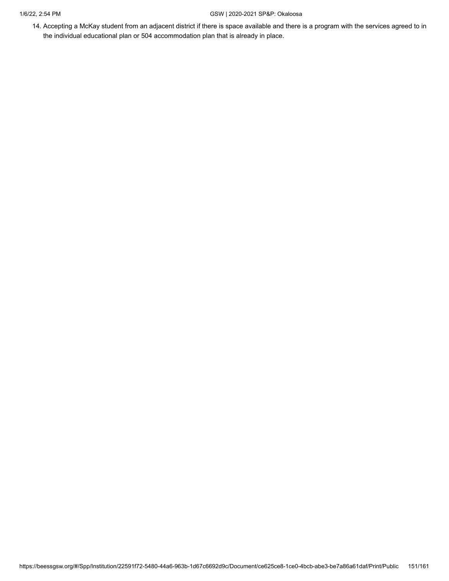14. Accepting a McKay student from an adjacent district if there is space available and there is a program with the services agreed to in the individual educational plan or 504 accommodation plan that is already in place.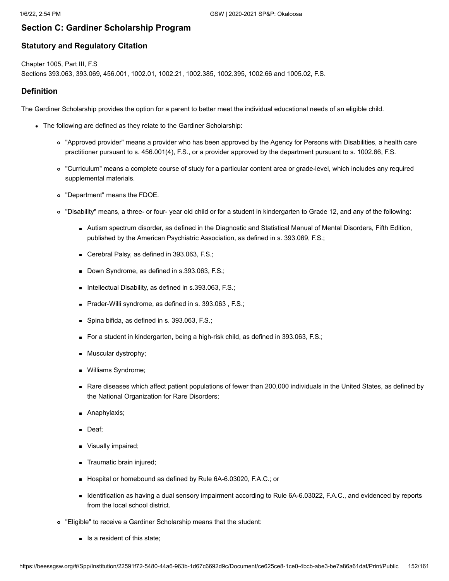### **Section C: Gardiner Scholarship Program**

### **Statutory and Regulatory Citation**

Chapter 1005, Part III, F.S Sections 393.063, 393.069, 456.001, 1002.01, 1002.21, 1002.385, 1002.395, 1002.66 and 1005.02, F.S.

### **Definition**

The Gardiner Scholarship provides the option for a parent to better meet the individual educational needs of an eligible child.

- The following are defined as they relate to the Gardiner Scholarship:
	- "Approved provider" means a provider who has been approved by the Agency for Persons with Disabilities, a health care practitioner pursuant to s. 456.001(4), F.S., or a provider approved by the department pursuant to s. 1002.66, F.S.
	- "Curriculum" means a complete course of study for a particular content area or grade-level, which includes any required supplemental materials.
	- "Department" means the FDOE.
	- "Disability" means, a three- or four- year old child or for a student in kindergarten to Grade 12, and any of the following:
		- Autism spectrum disorder, as defined in the Diagnostic and Statistical Manual of Mental Disorders, Fifth Edition, published by the American Psychiatric Association, as defined in s. 393.069, F.S.;
		- Cerebral Palsy, as defined in 393.063, F.S.;
		- Down Syndrome, as defined in s.393.063, F.S.;
		- Intellectual Disability, as defined in  $s.393.063$ , F.S.;
		- Prader-Willi syndrome, as defined in s. 393.063, F.S.;
		- Spina bifida, as defined in s. 393.063, F.S.;
		- For a student in kindergarten, being a high-risk child, as defined in 393.063, F.S.;
		- Muscular dystrophy;
		- Williams Syndrome;
		- Rare diseases which affect patient populations of fewer than 200,000 individuals in the United States, as defined by the National Organization for Rare Disorders;
		- Anaphylaxis;
		- Deaf;
		- **Visually impaired;**
		- **Traumatic brain injured;**
		- Hospital or homebound as defined by Rule 6A-6.03020, F.A.C.; or
		- Identification as having a dual sensory impairment according to Rule 6A-6.03022, F.A.C., and evidenced by reports from the local school district.
	- "Eligible" to receive a Gardiner Scholarship means that the student:
		- Is a resident of this state;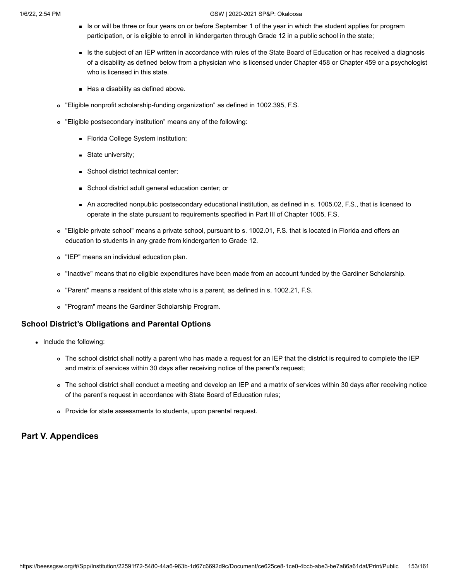#### 1/6/22, 2:54 PM GSW | 2020-2021 SP&P: Okaloosa

- Is or will be three or four years on or before September 1 of the year in which the student applies for program participation, or is eligible to enroll in kindergarten through Grade 12 in a public school in the state;
- Is the subject of an IEP written in accordance with rules of the State Board of Education or has received a diagnosis of a disability as defined below from a physician who is licensed under Chapter 458 or Chapter 459 or a psychologist who is licensed in this state.
- Has a disability as defined above.
- "Eligible nonprofit scholarship-funding organization" as defined in 1002.395, F.S.
- "Eligible postsecondary institution" means any of the following:
	- **Florida College System institution;**
	- State university;
	- School district technical center;
	- School district adult general education center; or
	- An accredited nonpublic postsecondary educational institution, as defined in s. 1005.02, F.S., that is licensed to operate in the state pursuant to requirements specified in Part III of Chapter 1005, F.S.
- "Eligible private school" means a private school, pursuant to s. 1002.01, F.S. that is located in Florida and offers an education to students in any grade from kindergarten to Grade 12.
- "IEP" means an individual education plan.
- "Inactive" means that no eligible expenditures have been made from an account funded by the Gardiner Scholarship.
- "Parent" means a resident of this state who is a parent, as defined in s. 1002.21, F.S.
- "Program" means the Gardiner Scholarship Program.

### **School District's Obligations and Parental Options**

- Include the following:
	- The school district shall notify a parent who has made a request for an IEP that the district is required to complete the IEP and matrix of services within 30 days after receiving notice of the parent's request;
	- The school district shall conduct a meeting and develop an IEP and a matrix of services within 30 days after receiving notice of the parent's request in accordance with State Board of Education rules;
	- Provide for state assessments to students, upon parental request.

# **Part V. Appendices**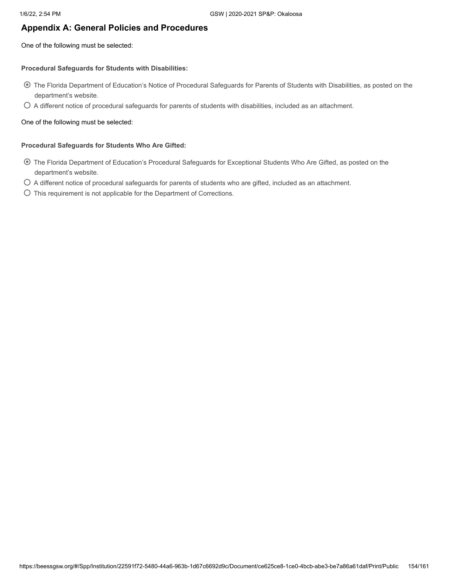## **Appendix A: General Policies and Procedures**

One of the following must be selected:

### **Procedural Safeguards for Students with Disabilities:**

- The Florida Department of Education's Notice of Procedural Safeguards for Parents of Students with Disabilities, as posted on the department's website.
- $\bigcirc$  A different notice of procedural safeguards for parents of students with disabilities, included as an attachment.

### One of the following must be selected:

### **Procedural Safeguards for Students Who Are Gifted:**

- The Florida Department of Education's Procedural Safeguards for Exceptional Students Who Are Gifted, as posted on the department's website.
- $\bigcirc$  A different notice of procedural safeguards for parents of students who are gifted, included as an attachment.
- This requirement is not applicable for the Department of Corrections.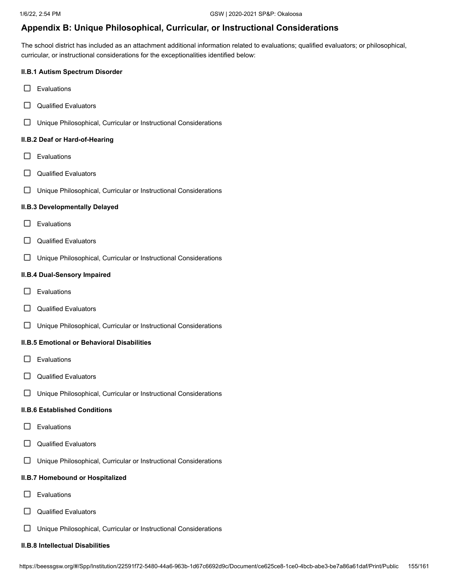# **Appendix B: Unique Philosophical, Curricular, or Instructional Considerations**

The school district has included as an attachment additional information related to evaluations; qualified evaluators; or philosophical, curricular, or instructional considerations for the exceptionalities identified below:

### **II.B.1 Autism Spectrum Disorder**

- $\square$  Evaluations
- $\Box$  Qualified Evaluators
- Unique Philosophical, Curricular or Instructional Considerations

#### **II.B.2 Deaf or Hard-of-Hearing**

- $\square$  Evaluations
- Qualified Evaluators
- □ Unique Philosophical, Curricular or Instructional Considerations

#### **II.B.3 Developmentally Delayed**

- $\square$  Evaluations
- $\Box$  Qualified Evaluators
- Unique Philosophical, Curricular or Instructional Considerations

#### **II.B.4 Dual-Sensory Impaired**

- $\square$  Evaluations
- $\Box$  Qualified Evaluators
- Unique Philosophical, Curricular or Instructional Considerations

### **II.B.5 Emotional or Behavioral Disabilities**

- $\square$  Evaluations
- $\Box$  Qualified Evaluators
- Unique Philosophical, Curricular or Instructional Considerations

#### **II.B.6 Established Conditions**

- $\square$  Evaluations
- $\Box$  Qualified Evaluators
- □ Unique Philosophical, Curricular or Instructional Considerations

#### **II.B.7 Homebound or Hospitalized**

- $\square$  Evaluations
- $\Box$  Qualified Evaluators
- Unique Philosophical, Curricular or Instructional Considerations

### **II.B.8 Intellectual Disabilities**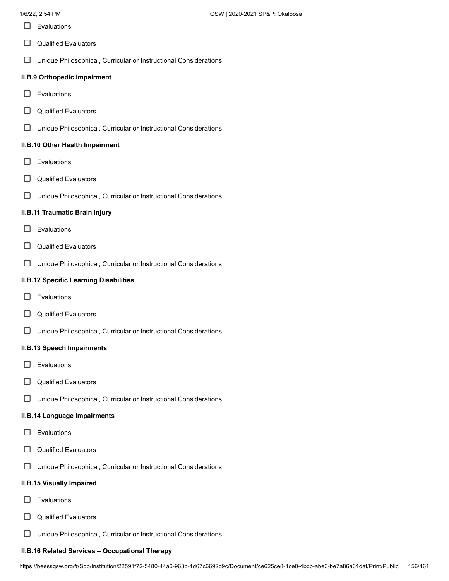- $\square$  Evaluations
- $\Box$  Qualified Evaluators
- Unique Philosophical, Curricular or Instructional Considerations

#### **II.B.9 Orthopedic Impairment**

- $\square$  Evaluations
- Qualified Evaluators
- Unique Philosophical, Curricular or Instructional Considerations

#### **II.B.10 Other Health Impairment**

- $\square$  Evaluations
- $\Box$  Qualified Evaluators
- Unique Philosophical, Curricular or Instructional Considerations

#### **II.B.11 Traumatic Brain Injury**

- $\square$  Evaluations
- $\Box$  Qualified Evaluators
- Unique Philosophical, Curricular or Instructional Considerations

#### **II.B.12 Specific Learning Disabilities**

- $\square$  Evaluations
- Qualified Evaluators
- □ Unique Philosophical, Curricular or Instructional Considerations

#### **II.B.13 Speech Impairments**

- $\square$  Evaluations
- $\Box$  Qualified Evaluators
- Unique Philosophical, Curricular or Instructional Considerations

### **II.B.14 Language Impairments**

- $\square$  Evaluations
- $\Box$  Qualified Evaluators
- Unique Philosophical, Curricular or Instructional Considerations

### **II.B.15 Visually Impaired**

- $\square$  Evaluations
- $\Box$  Qualified Evaluators
- □ Unique Philosophical, Curricular or Instructional Considerations

### **II.B.16 Related Services – Occupational Therapy**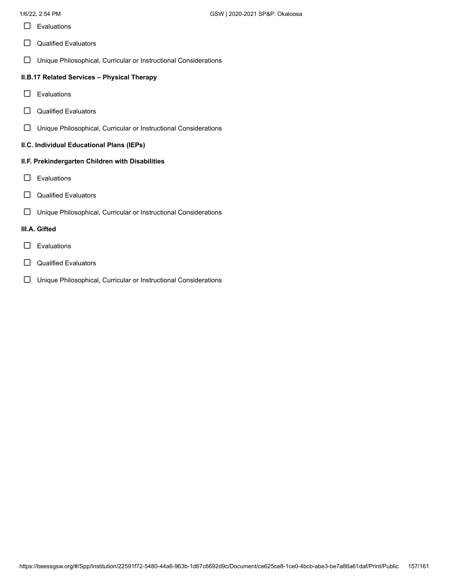- $\square$  Evaluations
- $\Box$  Qualified Evaluators
- Unique Philosophical, Curricular or Instructional Considerations

### **II.B.17 Related Services – Physical Therapy**

- $\square$  Evaluations
- Qualified Evaluators
- Unique Philosophical, Curricular or Instructional Considerations

### **II.C. Individual Educational Plans (IEPs)**

### **II.F. Prekindergarten Children with Disabilities**

- $\square$  Evaluations
- $\Box$  Qualified Evaluators
- Unique Philosophical, Curricular or Instructional Considerations

### **III.A. Gifted**

- $\square$  Evaluations
- Qualified Evaluators
- Unique Philosophical, Curricular or Instructional Considerations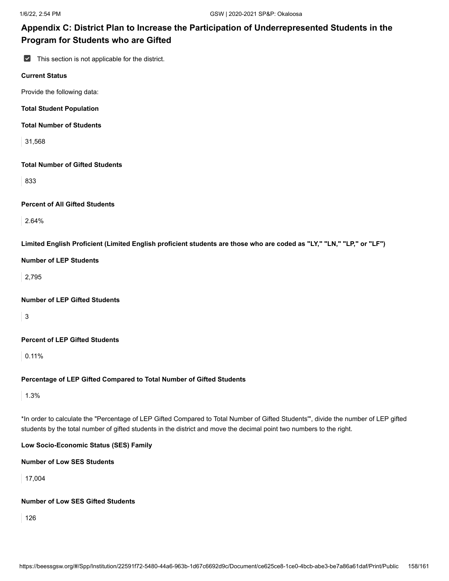# **Appendix C: District Plan to Increase the Participation of Underrepresented Students in the Program for Students who are Gifted**

 $\blacktriangleright$  This section is not applicable for the district.

### **Current Status**

Provide the following data:

**Total Student Population**

**Total Number of Students**

31,568

**Total Number of Gifted Students**

833

**Percent of All Gifted Students**

2.64%

**Limited English Proficient (Limited English proficient students are those who are coded as "LY," "LN," "LP," or "LF")**

#### **Number of LEP Students**

2,795

#### **Number of LEP Gifted Students**

3

### **Percent of LEP Gifted Students**

0.11%

### **Percentage of LEP Gifted Compared to Total Number of Gifted Students**

1.3%

\*In order to calculate the "Percentage of LEP Gifted Compared to Total Number of Gifted Students'", divide the number of LEP gifted students by the total number of gifted students in the district and move the decimal point two numbers to the right.

**Low Socio-Economic Status (SES) Family**

**Number of Low SES Students**

17,004

#### **Number of Low SES Gifted Students**

126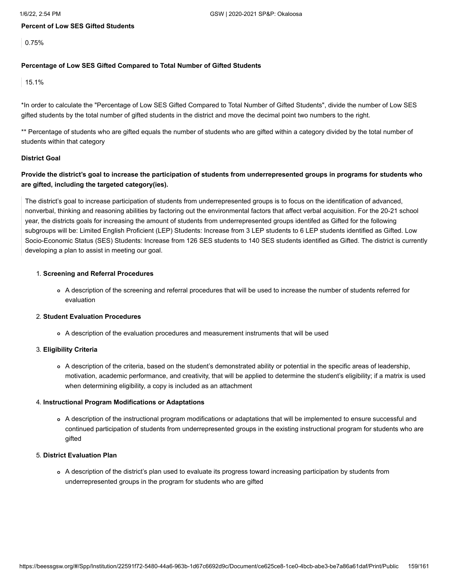### **Percent of Low SES Gifted Students**

0.75%

### **Percentage of Low SES Gifted Compared to Total Number of Gifted Students**

15.1%

\*In order to calculate the "Percentage of Low SES Gifted Compared to Total Number of Gifted Students", divide the number of Low SES gifted students by the total number of gifted students in the district and move the decimal point two numbers to the right.

\*\* Percentage of students who are gifted equals the number of students who are gifted within a category divided by the total number of students within that category

### **District Goal**

## **Provide the district's goal to increase the participation of students from underrepresented groups in programs for students who are gifted, including the targeted category(ies).**

The district's goal to increase participation of students from underrepresented groups is to focus on the identification of advanced, nonverbal, thinking and reasoning abilities by factoring out the environmental factors that affect verbal acquisition. For the 20-21 school year, the districts goals for increasing the amount of students from underrepresented groups identifed as Gifted for the following subgroups will be: Limited English Proficient (LEP) Students: Increase from 3 LEP students to 6 LEP students identified as Gifted. Low Socio-Economic Status (SES) Students: Increase from 126 SES students to 140 SES students identified as Gifted. The district is currently developing a plan to assist in meeting our goal.

### 1. **Screening and Referral Procedures**

A description of the screening and referral procedures that will be used to increase the number of students referred for evaluation

### 2. **Student Evaluation Procedures**

A description of the evaluation procedures and measurement instruments that will be used

#### 3. **Eligibility Criteria**

A description of the criteria, based on the student's demonstrated ability or potential in the specific areas of leadership, motivation, academic performance, and creativity, that will be applied to determine the student's eligibility; if a matrix is used when determining eligibility, a copy is included as an attachment

#### 4. **Instructional Program Modifications or Adaptations**

A description of the instructional program modifications or adaptations that will be implemented to ensure successful and continued participation of students from underrepresented groups in the existing instructional program for students who are gifted

### 5. **District Evaluation Plan**

A description of the district's plan used to evaluate its progress toward increasing participation by students from underrepresented groups in the program for students who are gifted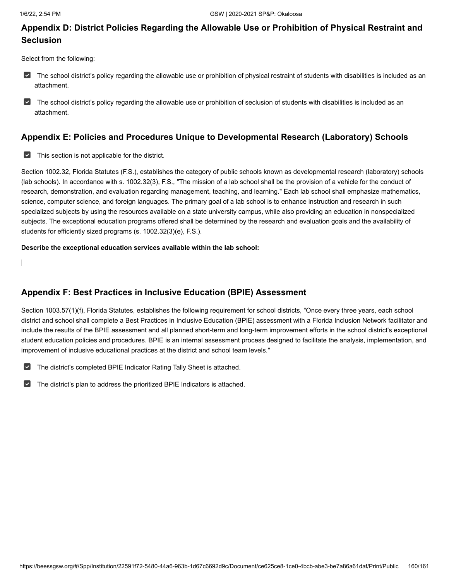# **Appendix D: District Policies Regarding the Allowable Use or Prohibition of Physical Restraint and Seclusion**

Select from the following:

- The school district's policy regarding the allowable use or prohibition of physical restraint of students with disabilities is included as an attachment.
- **The school district's policy regarding the allowable use or prohibition of seclusion of students with disabilities is included as an** attachment.

# **Appendix E: Policies and Procedures Unique to Developmental Research (Laboratory) Schools**

 $\triangleright$  This section is not applicable for the district.

Section 1002.32, Florida Statutes (F.S.), establishes the category of public schools known as developmental research (laboratory) schools (lab schools). In accordance with s. 1002.32(3), F.S., "The mission of a lab school shall be the provision of a vehicle for the conduct of research, demonstration, and evaluation regarding management, teaching, and learning." Each lab school shall emphasize mathematics, science, computer science, and foreign languages. The primary goal of a lab school is to enhance instruction and research in such specialized subjects by using the resources available on a state university campus, while also providing an education in nonspecialized subjects. The exceptional education programs offered shall be determined by the research and evaluation goals and the availability of students for efficiently sized programs (s. 1002.32(3)(e), F.S.).

### **Describe the exceptional education services available within the lab school:**

# **Appendix F: Best Practices in Inclusive Education (BPIE) Assessment**

Section 1003.57(1)(f), Florida Statutes, establishes the following requirement for school districts, "Once every three years, each school district and school shall complete a Best Practices in Inclusive Education (BPIE) assessment with a Florida Inclusion Network facilitator and include the results of the BPIE assessment and all planned short-term and long-term improvement efforts in the school district's exceptional student education policies and procedures. BPIE is an internal assessment process designed to facilitate the analysis, implementation, and improvement of inclusive educational practices at the district and school team levels."

The district's completed BPIE Indicator Rating Tally Sheet is attached.

 $\triangledown$  The district's plan to address the prioritized BPIE Indicators is attached.